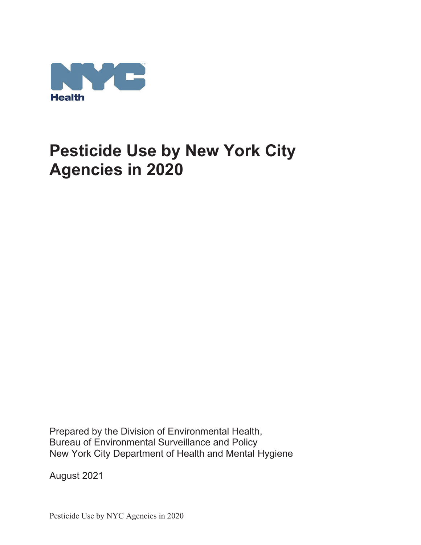

Prepared by the Division of Environmental Health, Bureau of Environmental Surveillance and Policy New York City Department of Health and Mental Hygiene

August 2021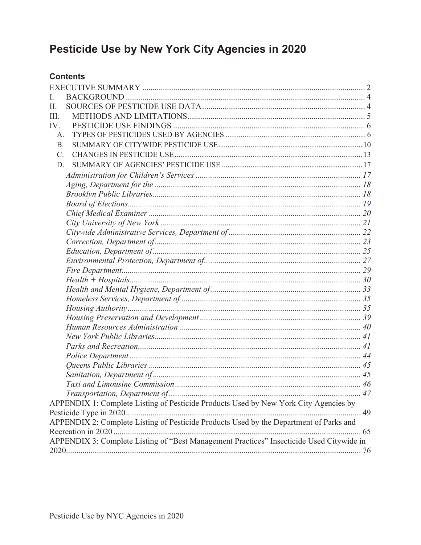## **Contents**

| L                                                                                        |  |
|------------------------------------------------------------------------------------------|--|
| П.                                                                                       |  |
| Ш.                                                                                       |  |
| IV.                                                                                      |  |
| $\mathsf{A}$ .                                                                           |  |
| B.                                                                                       |  |
| $\mathcal{C}$ .                                                                          |  |
| D.                                                                                       |  |
|                                                                                          |  |
|                                                                                          |  |
|                                                                                          |  |
|                                                                                          |  |
|                                                                                          |  |
|                                                                                          |  |
|                                                                                          |  |
|                                                                                          |  |
|                                                                                          |  |
|                                                                                          |  |
|                                                                                          |  |
|                                                                                          |  |
|                                                                                          |  |
|                                                                                          |  |
|                                                                                          |  |
|                                                                                          |  |
|                                                                                          |  |
|                                                                                          |  |
|                                                                                          |  |
|                                                                                          |  |
|                                                                                          |  |
|                                                                                          |  |
|                                                                                          |  |
|                                                                                          |  |
| APPENDIX 1: Complete Listing of Pesticide Products Used by New York City Agencies by     |  |
|                                                                                          |  |
| APPENDIX 2: Complete Listing of Pesticide Products Used by the Department of Parks and   |  |
|                                                                                          |  |
| APPENDIX 3: Complete Listing of "Best Management Practices" Insecticide Used Citywide in |  |
|                                                                                          |  |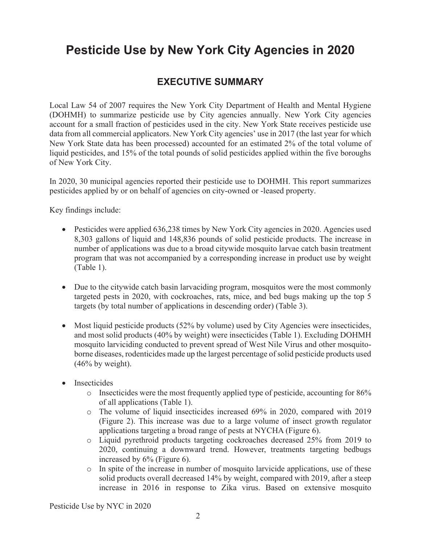## **EXECUTIVE SUMMARY**

Local Law 54 of 2007 requires the New York City Department of Health and Mental Hygiene (DOHMH) to summarize pesticide use by City agencies annually. New York City agencies account for a small fraction of pesticides used in the city. New York State receives pesticide use data from all commercial applicators. New York City agencies' use in 2017 (the last year for which New York State data has been processed) accounted for an estimated 2% of the total volume of liquid pesticides, and 15% of the total pounds of solid pesticides applied within the five boroughs of New York City.

In 2020, 30 municipal agencies reported their pesticide use to DOHMH. This report summarizes pesticides applied by or on behalf of agencies on city-owned or -leased property.

Key findings include:

- Pesticides were applied 636,238 times by New York City agencies in 2020. Agencies used 8,303 gallons of liquid and 148,836 pounds of solid pesticide products. The increase in number of applications was due to a broad citywide mosquito larvae catch basin treatment program that was not accompanied by a corresponding increase in product use by weight (Table 1).
- Due to the citywide catch basin larvaciding program, mosquitos were the most commonly targeted pests in 2020, with cockroaches, rats, mice, and bed bugs making up the top 5 targets (by total number of applications in descending order) (Table 3).
- Most liquid pesticide products  $(52\%$  by volume) used by City Agencies were insecticides, and most solid products (40% by weight) were insecticides (Table 1). Excluding DOHMH mosquito larviciding conducted to prevent spread of West Nile Virus and other mosquitoborne diseases, rodenticides made up the largest percentage of solid pesticide products used  $(46\%$  by weight).
- Insecticides
	- o Insecticides were the most frequently applied type of pesticide, accounting for 86% of all applications (Table 1).
	- o The volume of liquid insecticides increased 69% in 2020, compared with 2019 (Figure 2). This increase was due to a large volume of insect growth regulator applications targeting a broad range of pests at NYCHA (Figure 6).
	- o Liquid pyrethroid products targeting cockroaches decreased 25% from 2019 to 2020, continuing a downward trend. However, treatments targeting bedbugs increased by 6% (Figure 6).
	- o In spite of the increase in number of mosquito larvicide applications, use of these solid products overall decreased 14% by weight, compared with 2019, after a steep increase in 2016 in response to Zika virus. Based on extensive mosquito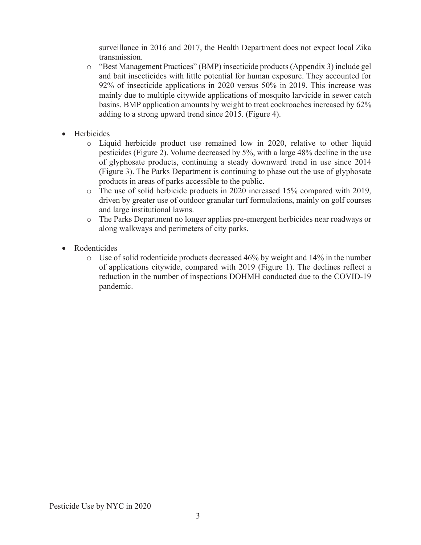surveillance in 2016 and 2017, the Health Department does not expect local Zika transmission.

- o "Best Management Practices" (BMP) insecticide products (Appendix 3) include gel and bait insecticides with little potential for human exposure. They accounted for 92% of insecticide applications in 2020 versus 50% in 2019. This increase was mainly due to multiple citywide applications of mosquito larvicide in sewer catch basins. BMP application amounts by weight to treat cockroaches increased by 62% adding to a strong upward trend since 2015. (Figure 4).
- Herbicides
	- o Liquid herbicide product use remained low in 2020, relative to other liquid pesticides (Figure 2). Volume decreased by 5%, with a large 48% decline in the use of glyphosate products, continuing a steady downward trend in use since 2014 (Figure 3). The Parks Department is continuing to phase out the use of glyphosate products in areas of parks accessible to the public.
	- o The use of solid herbicide products in 2020 increased 15% compared with 2019, driven by greater use of outdoor granular turf formulations, mainly on golf courses and large institutional lawns.
	- o The Parks Department no longer applies pre-emergent herbicides near roadways or along walkways and perimeters of city parks.
- Rodenticides
	- $\circ$  Use of solid rodenticide products decreased 46% by weight and 14% in the number of applications citywide, compared with 2019 (Figure 1). The declines reflect a reduction in the number of inspections DOHMH conducted due to the COVID-19 pandemic.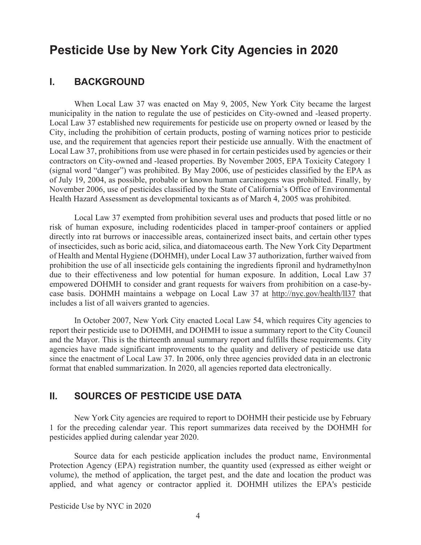### **I. BACKGROUND**

When Local Law 37 was enacted on May 9, 2005, New York City became the largest municipality in the nation to regulate the use of pesticides on City-owned and -leased property. Local Law 37 established new requirements for pesticide use on property owned or leased by the City, including the prohibition of certain products, posting of warning notices prior to pesticide use, and the requirement that agencies report their pesticide use annually. With the enactment of Local Law 37, prohibitions from use were phased in for certain pesticides used by agencies or their contractors on City-owned and -leased properties. By November 2005, EPA Toxicity Category 1 (signal word "danger") was prohibited. By May 2006, use of pesticides classified by the EPA as of July 19, 2004, as possible, probable or known human carcinogens was prohibited. Finally, by November 2006, use of pesticides classified by the State of California's Office of Environmental Health Hazard Assessment as developmental toxicants as of March 4, 2005 was prohibited.

Local Law 37 exempted from prohibition several uses and products that posed little or no risk of human exposure, including rodenticides placed in tamper-proof containers or applied directly into rat burrows or inaccessible areas, containerized insect baits, and certain other types of insecticides, such as boric acid, silica, and diatomaceous earth. The New York City Department of Health and Mental Hygiene (DOHMH), under Local Law 37 authorization, further waived from prohibition the use of all insecticide gels containing the ingredients fipronil and hydramethylnon due to their effectiveness and low potential for human exposure. In addition, Local Law 37 empowered DOHMH to consider and grant requests for waivers from prohibition on a case-bycase basis. DOHMH maintains a webpage on Local Law 37 at http://nyc.gov/health/ll37 that includes a list of all waivers granted to agencies.

In October 2007, New York City enacted Local Law 54, which requires City agencies to report their pesticide use to DOHMH, and DOHMH to issue a summary report to the City Council and the Mayor. This is the thirteenth annual summary report and fulfills these requirements. City agencies have made significant improvements to the quality and delivery of pesticide use data since the enactment of Local Law 37. In 2006, only three agencies provided data in an electronic format that enabled summarization. In 2020, all agencies reported data electronically.

## **II. SOURCES OF PESTICIDE USE DATA**

New York City agencies are required to report to DOHMH their pesticide use by February 1 for the preceding calendar year. This report summarizes data received by the DOHMH for pesticides applied during calendar year 2020.

Source data for each pesticide application includes the product name, Environmental Protection Agency (EPA) registration number, the quantity used (expressed as either weight or volume), the method of application, the target pest, and the date and location the product was applied, and what agency or contractor applied it. DOHMH utilizes the EPA's pesticide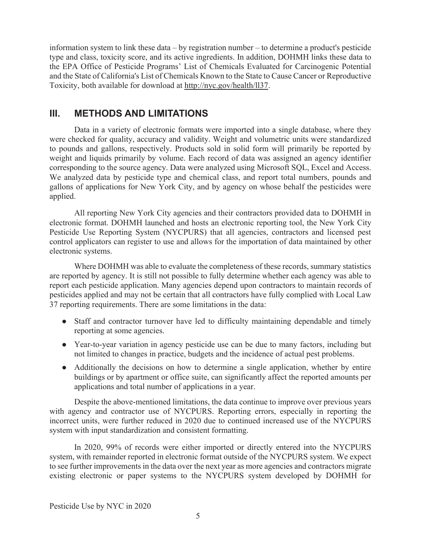information system to link these data – by registration number – to determine a product's pesticide type and class, toxicity score, and its active ingredients. In addition, DOHMH links these data to the EPA Office of Pesticide Programs' List of Chemicals Evaluated for Carcinogenic Potential and the State of California's List of Chemicals Known to the State to Cause Cancer or Reproductive Toxicity, both available for download at http://nyc.gov/health/ll37.

## **III. METHODS AND LIMITATIONS**

Data in a variety of electronic formats were imported into a single database, where they were checked for quality, accuracy and validity. Weight and volumetric units were standardized to pounds and gallons, respectively. Products sold in solid form will primarily be reported by weight and liquids primarily by volume. Each record of data was assigned an agency identifier corresponding to the source agency. Data were analyzed using Microsoft SQL, Excel and Access. We analyzed data by pesticide type and chemical class, and report total numbers, pounds and gallons of applications for New York City, and by agency on whose behalf the pesticides were applied.

All reporting New York City agencies and their contractors provided data to DOHMH in electronic format. DOHMH launched and hosts an electronic reporting tool, the New York City Pesticide Use Reporting System (NYCPURS) that all agencies, contractors and licensed pest control applicators can register to use and allows for the importation of data maintained by other electronic systems.

 Where DOHMH was able to evaluate the completeness of these records, summary statistics are reported by agency. It is still not possible to fully determine whether each agency was able to report each pesticide application. Many agencies depend upon contractors to maintain records of pesticides applied and may not be certain that all contractors have fully complied with Local Law 37 reporting requirements. There are some limitations in the data:

- Staff and contractor turnover have led to difficulty maintaining dependable and timely reporting at some agencies.
- Year-to-year variation in agency pesticide use can be due to many factors, including but not limited to changes in practice, budgets and the incidence of actual pest problems.
- Additionally the decisions on how to determine a single application, whether by entire buildings or by apartment or office suite, can significantly affect the reported amounts per applications and total number of applications in a year.

 Despite the above-mentioned limitations, the data continue to improve over previous years with agency and contractor use of NYCPURS. Reporting errors, especially in reporting the incorrect units, were further reduced in 2020 due to continued increased use of the NYCPURS system with input standardization and consistent formatting.

 In 2020, 99% of records were either imported or directly entered into the NYCPURS system, with remainder reported in electronic format outside of the NYCPURS system. We expect to see further improvements in the data over the next year as more agencies and contractors migrate existing electronic or paper systems to the NYCPURS system developed by DOHMH for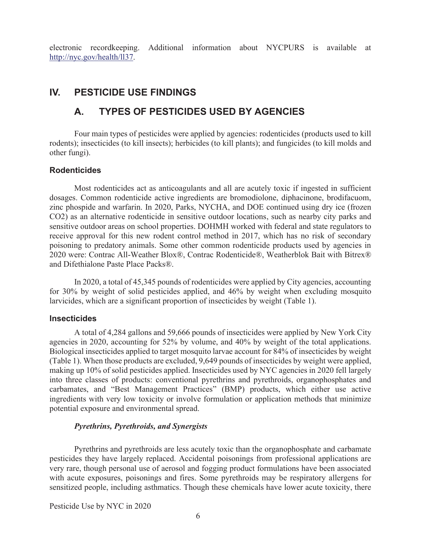electronic recordkeeping. Additional information about NYCPURS is available at http://nyc.gov/health/ll37.

## **IV. PESTICIDE USE FINDINGS**

## **A. TYPES OF PESTICIDES USED BY AGENCIES**

 Four main types of pesticides were applied by agencies: rodenticides (products used to kill rodents); insecticides (to kill insects); herbicides (to kill plants); and fungicides (to kill molds and other fungi).

#### **Rodenticides**

 Most rodenticides act as anticoagulants and all are acutely toxic if ingested in sufficient dosages. Common rodenticide active ingredients are bromodiolone, diphacinone, brodifacuom, zinc phospide and warfarin. In 2020, Parks, NYCHA, and DOE continued using dry ice (frozen CO2) as an alternative rodenticide in sensitive outdoor locations, such as nearby city parks and sensitive outdoor areas on school properties. DOHMH worked with federal and state regulators to receive approval for this new rodent control method in 2017, which has no risk of secondary poisoning to predatory animals. Some other common rodenticide products used by agencies in 2020 were: Contrac All-Weather Blox®, Contrac Rodenticide®, Weatherblok Bait with Bitrex® and Difethialone Paste Place Packs®.

 In 2020, a total of 45,345 pounds of rodenticides were applied by City agencies, accounting for 30% by weight of solid pesticides applied, and 46% by weight when excluding mosquito larvicides, which are a significant proportion of insecticides by weight (Table 1).

#### **Insecticides**

 A total of 4,284 gallons and 59,666 pounds of insecticides were applied by New York City agencies in 2020, accounting for 52% by volume, and 40% by weight of the total applications. Biological insecticides applied to target mosquito larvae account for 84% of insecticides by weight (Table 1). When those products are excluded, 9,649 pounds of insecticides by weight were applied, making up 10% of solid pesticides applied. Insecticides used by NYC agencies in 2020 fell largely into three classes of products: conventional pyrethrins and pyrethroids, organophosphates and carbamates, and "Best Management Practices" (BMP) products, which either use active ingredients with very low toxicity or involve formulation or application methods that minimize potential exposure and environmental spread.

#### *Pyrethrins, Pyrethroids, and Synergists*

 Pyrethrins and pyrethroids are less acutely toxic than the organophosphate and carbamate pesticides they have largely replaced. Accidental poisonings from professional applications are very rare, though personal use of aerosol and fogging product formulations have been associated with acute exposures, poisonings and fires. Some pyrethroids may be respiratory allergens for sensitized people, including asthmatics. Though these chemicals have lower acute toxicity, there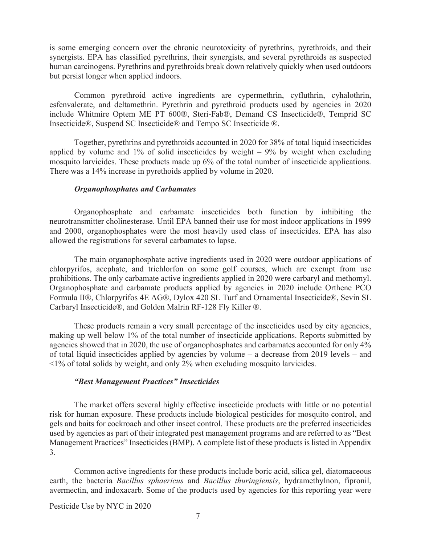is some emerging concern over the chronic neurotoxicity of pyrethrins, pyrethroids, and their synergists. EPA has classified pyrethrins, their synergists, and several pyrethroids as suspected human carcinogens. Pyrethrins and pyrethroids break down relatively quickly when used outdoors but persist longer when applied indoors.

 Common pyrethroid active ingredients are cypermethrin, cyfluthrin, cyhalothrin, esfenvalerate, and deltamethrin. Pyrethrin and pyrethroid products used by agencies in 2020 include Whitmire Optem ME PT 600®, Steri-Fab®, Demand CS Insecticide®, Temprid SC Insecticide®, Suspend SC Insecticide® and Tempo SC Insecticide ®.

 Together, pyrethrins and pyrethroids accounted in 2020 for 38% of total liquid insecticides applied by volume and  $1\%$  of solid insecticides by weight –  $9\%$  by weight when excluding mosquito larvicides. These products made up 6% of the total number of insecticide applications. There was a 14% increase in pyrethoids applied by volume in 2020.

#### *Organophosphates and Carbamates*

 Organophosphate and carbamate insecticides both function by inhibiting the neurotransmitter cholinesterase. Until EPA banned their use for most indoor applications in 1999 and 2000, organophosphates were the most heavily used class of insecticides. EPA has also allowed the registrations for several carbamates to lapse.

 The main organophosphate active ingredients used in 2020 were outdoor applications of chlorpyrifos, acephate, and trichlorfon on some golf courses, which are exempt from use prohibitions. The only carbamate active ingredients applied in 2020 were carbaryl and methomyl. Organophosphate and carbamate products applied by agencies in 2020 include Orthene PCO Formula II®, Chlorpyrifos 4E AG®, Dylox 420 SL Turf and Ornamental Insecticide®, Sevin SL Carbaryl Insecticide®, and Golden Malrin RF-128 Fly Killer ®.

 These products remain a very small percentage of the insecticides used by city agencies, making up well below 1% of the total number of insecticide applications. Reports submitted by agencies showed that in 2020, the use of organophosphates and carbamates accounted for only 4% of total liquid insecticides applied by agencies by volume – a decrease from 2019 levels – and <1% of total solids by weight, and only 2% when excluding mosquito larvicides.

#### *"Best Management Practices" Insecticides*

 The market offers several highly effective insecticide products with little or no potential risk for human exposure. These products include biological pesticides for mosquito control, and gels and baits for cockroach and other insect control. These products are the preferred insecticides used by agencies as part of their integrated pest management programs and are referred to as "Best Management Practices" Insecticides (BMP). A complete list of these products is listed in Appendix 3.

 Common active ingredients for these products include boric acid, silica gel, diatomaceous earth, the bacteria *Bacillus sphaericus* and *Bacillus thuringiensis*, hydramethylnon, fipronil, avermectin, and indoxacarb. Some of the products used by agencies for this reporting year were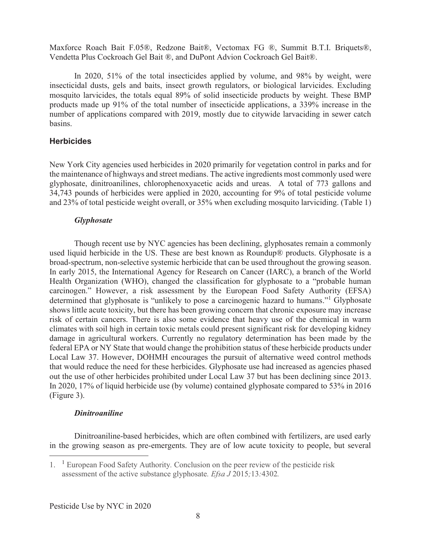Maxforce Roach Bait F.05®, Redzone Bait®, Vectomax FG ®, Summit B.T.I. Briquets®, Vendetta Plus Cockroach Gel Bait ®, and DuPont Advion Cockroach Gel Bait®.

 In 2020, 51% of the total insecticides applied by volume, and 98% by weight, were insecticidal dusts, gels and baits, insect growth regulators, or biological larvicides. Excluding mosquito larvicides, the totals equal 89% of solid insecticide products by weight. These BMP products made up 91% of the total number of insecticide applications, a 339% increase in the number of applications compared with 2019, mostly due to citywide larvaciding in sewer catch basins.

#### **Herbicides**

New York City agencies used herbicides in 2020 primarily for vegetation control in parks and for the maintenance of highways and street medians. The active ingredients most commonly used were glyphosate, dinitroanilines, chlorophenoxyacetic acids and ureas. A total of 773 gallons and 34,743 pounds of herbicides were applied in 2020, accounting for 9% of total pesticide volume and 23% of total pesticide weight overall, or 35% when excluding mosquito larviciding. (Table 1)

#### *Glyphosate*

 Though recent use by NYC agencies has been declining, glyphosates remain a commonly used liquid herbicide in the US. These are best known as Roundup® products. Glyphosate is a broad-spectrum, non-selective systemic herbicide that can be used throughout the growing season. In early 2015, the International Agency for Research on Cancer (IARC), a branch of the World Health Organization (WHO), changed the classification for glyphosate to a "probable human carcinogen." However, a risk assessment by the European Food Safety Authority (EFSA) determined that glyphosate is "unlikely to pose a carcinogenic hazard to humans."<sup>1</sup> Glyphosate shows little acute toxicity, but there has been growing concern that chronic exposure may increase risk of certain cancers. There is also some evidence that heavy use of the chemical in warm climates with soil high in certain toxic metals could present significant risk for developing kidney damage in agricultural workers. Currently no regulatory determination has been made by the federal EPA or NY State that would change the prohibition status of these herbicide products under Local Law 37. However, DOHMH encourages the pursuit of alternative weed control methods that would reduce the need for these herbicides. Glyphosate use had increased as agencies phased out the use of other herbicides prohibited under Local Law 37 but has been declining since 2013. In 2020, 17% of liquid herbicide use (by volume) contained glyphosate compared to 53% in 2016 (Figure 3).

#### *Dinitroaniline*

 Dinitroaniline-based herbicides, which are often combined with fertilizers, are used early in the growing season as pre-emergents. They are of low acute toxicity to people, but several

<sup>1.</sup> <sup>1</sup> European Food Safety Authority*.* Conclusion on the peer review of the pesticide risk assessment of the active substance glyphosate*. Efsa J* 2015*;*13*:*4302*.*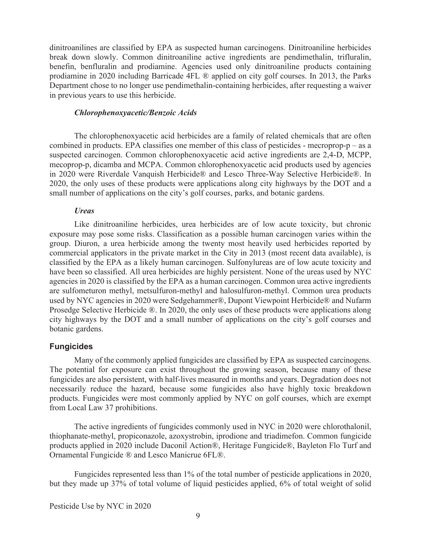dinitroanilines are classified by EPA as suspected human carcinogens. Dinitroaniline herbicides break down slowly. Common dinitroaniline active ingredients are pendimethalin, trifluralin, benefin, benfluralin and prodiamine. Agencies used only dinitroaniline products containing prodiamine in 2020 including Barricade 4FL ® applied on city golf courses. In 2013, the Parks Department chose to no longer use pendimethalin-containing herbicides, after requesting a waiver in previous years to use this herbicide.

#### *Chlorophenoxyacetic/Benzoic Acids*

 The chlorophenoxyacetic acid herbicides are a family of related chemicals that are often combined in products. EPA classifies one member of this class of pesticides - mecroprop-p – as a suspected carcinogen. Common chlorophenoxyacetic acid active ingredients are 2,4-D, MCPP, mecoprop-p, dicamba and MCPA. Common chlorophenoxyacetic acid products used by agencies in 2020 were Riverdale Vanquish Herbicide® and Lesco Three-Way Selective Herbicide®. In 2020, the only uses of these products were applications along city highways by the DOT and a small number of applications on the city's golf courses, parks, and botanic gardens.

#### *Ureas*

 Like dinitroaniline herbicides, urea herbicides are of low acute toxicity, but chronic exposure may pose some risks. Classification as a possible human carcinogen varies within the group. Diuron, a urea herbicide among the twenty most heavily used herbicides reported by commercial applicators in the private market in the City in 2013 (most recent data available), is classified by the EPA as a likely human carcinogen. Sulfonylureas are of low acute toxicity and have been so classified. All urea herbicides are highly persistent. None of the ureas used by NYC agencies in 2020 is classified by the EPA as a human carcinogen. Common urea active ingredients are sulfometuron methyl, metsulfuron-methyl and halosulfuron-methyl. Common urea products used by NYC agencies in 2020 were Sedgehammer®, Dupont Viewpoint Herbicide® and Nufarm Prosedge Selective Herbicide ®. In 2020, the only uses of these products were applications along city highways by the DOT and a small number of applications on the city's golf courses and botanic gardens.

#### **Fungicides**

 Many of the commonly applied fungicides are classified by EPA as suspected carcinogens. The potential for exposure can exist throughout the growing season, because many of these fungicides are also persistent, with half-lives measured in months and years. Degradation does not necessarily reduce the hazard, because some fungicides also have highly toxic breakdown products. Fungicides were most commonly applied by NYC on golf courses, which are exempt from Local Law 37 prohibitions.

 The active ingredients of fungicides commonly used in NYC in 2020 were chlorothalonil, thiophanate-methyl, propiconazole, azoxystrobin, iprodione and triadimefon. Common fungicide products applied in 2020 include Daconil Action®, Heritage Fungicide®, Bayleton Flo Turf and Ornamental Fungicide ® and Lesco Manicrue 6FL®.

 Fungicides represented less than 1% of the total number of pesticide applications in 2020, but they made up 37% of total volume of liquid pesticides applied, 6% of total weight of solid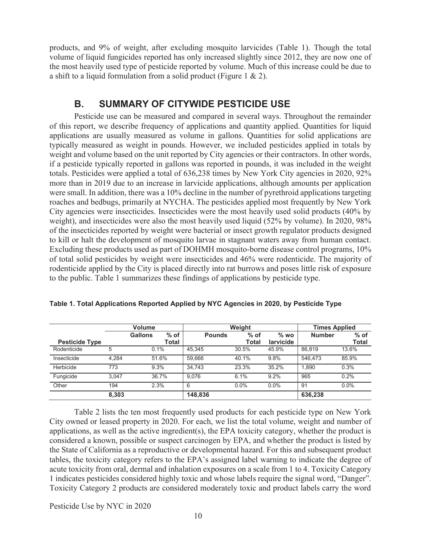products, and 9% of weight, after excluding mosquito larvicides (Table 1). Though the total volume of liquid fungicides reported has only increased slightly since 2012, they are now one of the most heavily used type of pesticide reported by volume. Much of this increase could be due to a shift to a liquid formulation from a solid product (Figure 1 & 2).

## **B. SUMMARY OF CITYWIDE PESTICIDE USE**

 Pesticide use can be measured and compared in several ways. Throughout the remainder of this report, we describe frequency of applications and quantity applied. Quantities for liquid applications are usually measured as volume in gallons. Quantities for solid applications are typically measured as weight in pounds. However, we included pesticides applied in totals by weight and volume based on the unit reported by City agencies or their contractors. In other words, if a pesticide typically reported in gallons was reported in pounds, it was included in the weight totals. Pesticides were applied a total of 636,238 times by New York City agencies in 2020, 92% more than in 2019 due to an increase in larvicide applications, although amounts per application were small. In addition, there was a 10% decline in the number of pyrethroid applications targeting roaches and bedbugs, primarily at NYCHA. The pesticides applied most frequently by New York City agencies were insecticides. Insecticides were the most heavily used solid products (40% by weight), and insecticides were also the most heavily used liquid (52% by volume). In 2020, 98% of the insecticides reported by weight were bacterial or insect growth regulator products designed to kill or halt the development of mosquito larvae in stagnant waters away from human contact. Excluding these products used as part of DOHMH mosquito-borne disease control programs, 10% of total solid pesticides by weight were insecticides and 46% were rodenticide. The majority of rodenticide applied by the City is placed directly into rat burrows and poses little risk of exposure to the public. Table 1 summarizes these findings of applications by pesticide type.

|                       | <b>Volume</b> |                |        |               | Weight  |           | <b>Times Applied</b> |              |  |
|-----------------------|---------------|----------------|--------|---------------|---------|-----------|----------------------|--------------|--|
|                       |               | <b>Gallons</b> | $%$ of | <b>Pounds</b> | $%$ of  | $%$ wo    | <b>Number</b>        | $%$ of       |  |
| <b>Pesticide Type</b> |               |                | Total  |               | Total   | larvicide |                      | <b>Total</b> |  |
| Rodenticide           | 5             | 0.1%           |        | 45.345        | 30.5%   | 45.9%     | 86.819               | 13.6%        |  |
| Insecticide           | 4.284         | 51.6%          |        | 59.666        | 40.1%   | 9.8%      | 546.473              | 85.9%        |  |
| Herbicide             | 773           | 9.3%           |        | 34.743        | 23.3%   | 35.2%     | 1.890                | 0.3%         |  |
| Fungicide             | 3.047         | 36.7%          |        | 9.076         | 6.1%    | 9.2%      | 965                  | 0.2%         |  |
| Other                 | 194           | 2.3%           |        | 6             | $0.0\%$ | $0.0\%$   | 91                   | $0.0\%$      |  |
|                       | 8,303         |                |        | 148,836       |         |           | 636,238              |              |  |

|  | Table 1. Total Applications Reported Applied by NYC Agencies in 2020, by Pesticide Type |  |  |  |
|--|-----------------------------------------------------------------------------------------|--|--|--|
|  |                                                                                         |  |  |  |
|  |                                                                                         |  |  |  |

 Table 2 lists the ten most frequently used products for each pesticide type on New York City owned or leased property in 2020. For each, we list the total volume, weight and number of applications, as well as the active ingredient(s), the EPA toxicity category, whether the product is considered a known, possible or suspect carcinogen by EPA, and whether the product is listed by the State of California as a reproductive or developmental hazard. For this and subsequent product tables, the toxicity category refers to the EPA's assigned label warning to indicate the degree of acute toxicity from oral, dermal and inhalation exposures on a scale from 1 to 4. Toxicity Category 1 indicates pesticides considered highly toxic and whose labels require the signal word, "Danger". Toxicity Category 2 products are considered moderately toxic and product labels carry the word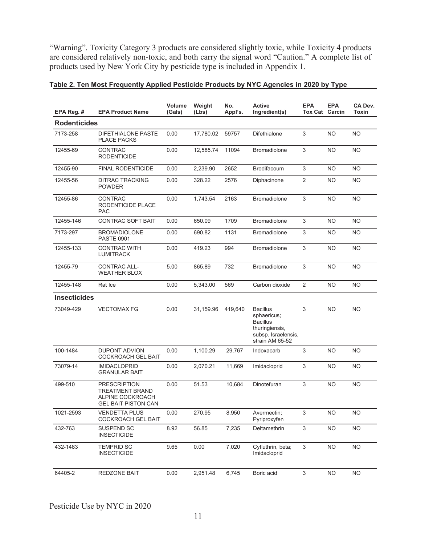"Warning". Toxicity Category 3 products are considered slightly toxic, while Toxicity 4 products are considered relatively non-toxic, and both carry the signal word "Caution." A complete list of products used by New York City by pesticide type is included in Appendix 1.

| EPA Reg. #          | <b>EPA Product Name</b>                                                                         | Volume<br>(Gals) | Weight<br>(Lbs) | No.<br>Appl's. | <b>Active</b><br>Ingredient(s)                                                                                | <b>EPA</b><br><b>Tox Cat Carcin</b> | <b>EPA</b> | CA Dev.<br>Toxin |
|---------------------|-------------------------------------------------------------------------------------------------|------------------|-----------------|----------------|---------------------------------------------------------------------------------------------------------------|-------------------------------------|------------|------------------|
| <b>Rodenticides</b> |                                                                                                 |                  |                 |                |                                                                                                               |                                     |            |                  |
| 7173-258            | <b>DIFETHIALONE PASTE</b><br><b>PLACE PACKS</b>                                                 | 0.00             | 17,780.02       | 59757          | <b>Difethialone</b>                                                                                           | 3                                   | <b>NO</b>  | <b>NO</b>        |
| 12455-69            | <b>CONTRAC</b><br><b>RODENTICIDE</b>                                                            | 0.00             | 12,585.74       | 11094          | <b>Bromadiolone</b>                                                                                           | 3                                   | <b>NO</b>  | <b>NO</b>        |
| 12455-90            | <b>FINAL RODENTICIDE</b>                                                                        | 0.00             | 2,239.90        | 2652           | <b>Brodifacoum</b>                                                                                            | 3                                   | NO.        | NO.              |
| 12455-56            | <b>DITRAC TRACKING</b><br><b>POWDER</b>                                                         | 0.00             | 328.22          | 2576           | Diphacinone                                                                                                   | $\overline{2}$                      | <b>NO</b>  | <b>NO</b>        |
| 12455-86            | <b>CONTRAC</b><br>RODENTICIDE PLACE<br><b>PAC</b>                                               | 0.00             | 1,743.54        | 2163           | <b>Bromadiolone</b>                                                                                           | 3                                   | <b>NO</b>  | <b>NO</b>        |
| 12455-146           | <b>CONTRAC SOFT BAIT</b>                                                                        | 0.00             | 650.09          | 1709           | <b>Bromadiolone</b>                                                                                           | 3                                   | <b>NO</b>  | NO.              |
| 7173-297            | <b>BROMADIOLONE</b><br><b>PASTE 0901</b>                                                        | 0.00             | 690.82          | 1131           | <b>Bromadiolone</b>                                                                                           | 3                                   | NO.        | NO.              |
| 12455-133           | <b>CONTRAC WITH</b><br><b>LUMITRACK</b>                                                         | 0.00             | 419.23          | 994            | <b>Bromadiolone</b>                                                                                           | 3                                   | <b>NO</b>  | NO.              |
| 12455-79            | CONTRAC ALL-<br><b>WEATHER BLOX</b>                                                             | 5.00             | 865.89          | 732            | <b>Bromadiolone</b>                                                                                           | 3                                   | <b>NO</b>  | NO.              |
| 12455-148           | Rat Ice                                                                                         | 0.00             | 5,343.00        | 569            | Carbon dioxide                                                                                                | 2                                   | <b>NO</b>  | NO.              |
| <b>Insecticides</b> |                                                                                                 |                  |                 |                |                                                                                                               |                                     |            |                  |
| 73049-429           | <b>VECTOMAX FG</b>                                                                              | 0.00             | 31,159.96       | 419,640        | <b>Bacillus</b><br>sphaericus;<br><b>Bacillus</b><br>thuringiensis,<br>subsp. Israelensis,<br>strain AM 65-52 | 3                                   | <b>NO</b>  | <b>NO</b>        |
| 100-1484            | <b>DUPONT ADVION</b><br><b>COCKROACH GEL BAIT</b>                                               | 0.00             | 1,100.29        | 29,767         | Indoxacarb                                                                                                    | 3                                   | <b>NO</b>  | NO.              |
| 73079-14            | <b>IMIDACLOPRID</b><br><b>GRANULAR BAIT</b>                                                     | 0.00             | 2,070.21        | 11,669         | Imidacloprid                                                                                                  | 3                                   | <b>NO</b>  | NO.              |
| 499-510             | <b>PRESCRIPTION</b><br><b>TREATMENT BRAND</b><br>ALPINE COCKROACH<br><b>GEL BAIT PISTON CAN</b> | 0.00             | 51.53           | 10,684         | Dinotefuran                                                                                                   | 3                                   | <b>NO</b>  | NO.              |
| 1021-2593           | <b>VENDETTA PLUS</b><br><b>COCKROACH GEL BAIT</b>                                               | 0.00             | 270.95          | 8,950          | Avermectin;<br>Pyriproxyfen                                                                                   | $\ensuremath{\mathsf{3}}$           | <b>NO</b>  | <b>NO</b>        |
| 432-763             | SUSPEND SC<br><b>INSECTICIDE</b>                                                                | 8.92             | 56.85           | 7,235          | Deltamethrin                                                                                                  | $\mathfrak{S}$                      | <b>NO</b>  | <b>NO</b>        |
| 432-1483            | <b>TEMPRID SC</b><br><b>INSECTICIDE</b>                                                         | 9.65             | 0.00            | 7,020          | Cyfluthrin, beta;<br>Imidacloprid                                                                             | $\sqrt{3}$                          | <b>NO</b>  | <b>NO</b>        |
| 64405-2             | REDZONE BAIT                                                                                    | 0.00             | 2,951.48        | 6,745          | Boric acid                                                                                                    | $\mathfrak{S}$                      | <b>NO</b>  | <b>NO</b>        |

#### **Table 2. Ten Most Frequently Applied Pesticide Products by NYC Agencies in 2020 by Type**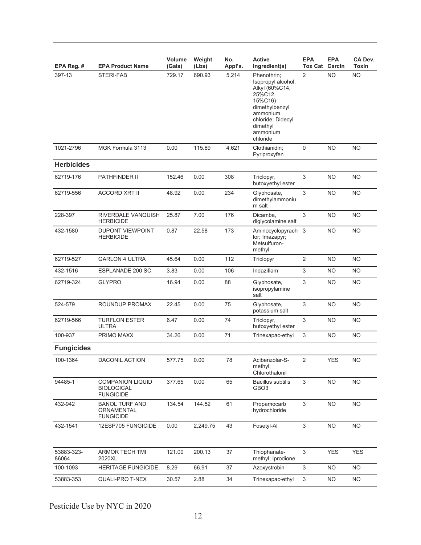| EPA Reg. #          | <b>EPA Product Name</b>                                          | Volume<br>(Gals) | Weight<br>(Lbs) | No.<br>Appl's. | <b>Active</b><br>Ingredient(s)                                                                                                                                   | <b>EPA</b><br>Tox Cat     | <b>EPA</b><br>Carcin | CA Dev.<br>Toxin |
|---------------------|------------------------------------------------------------------|------------------|-----------------|----------------|------------------------------------------------------------------------------------------------------------------------------------------------------------------|---------------------------|----------------------|------------------|
| 397-13              | STERI-FAB                                                        | 729.17           | 690.93          | 5,214          | Phenothrin:<br>Isopropyl alcohol;<br>Alkyl (60%C14,<br>25%C12,<br>15%C16)<br>dimethylbenzyl<br>ammonium<br>chloride; Didecyl<br>dimethyl<br>ammonium<br>chloride | 2                         | <b>NO</b>            | <b>NO</b>        |
| 1021-2796           | MGK Formula 3113                                                 | 0.00             | 115.89          | 4,621          | Clothianidin;<br>Pyriproxyfen                                                                                                                                    | $\mathbf 0$               | <b>NO</b>            | <b>NO</b>        |
| <b>Herbicides</b>   |                                                                  |                  |                 |                |                                                                                                                                                                  |                           |                      |                  |
| 62719-176           | <b>PATHFINDER II</b>                                             | 152.46           | 0.00            | 308            | Triclopyr,<br>butoxyethyl ester                                                                                                                                  | 3                         | <b>NO</b>            | <b>NO</b>        |
| 62719-556           | <b>ACCORD XRT II</b>                                             | 48.92            | 0.00            | 234            | Glyphosate,<br>dimethylammoniu<br>m salt                                                                                                                         | 3                         | NO.                  | <b>NO</b>        |
| 228-397             | RIVERDALE VANQUISH<br><b>HERBICIDE</b>                           | 25.87            | 7.00            | 176            | Dicamba,<br>diglycolamine salt                                                                                                                                   | 3                         | <b>NO</b>            | <b>NO</b>        |
| 432-1580            | <b>DUPONT VIEWPOINT</b><br><b>HERBICIDE</b>                      | 0.87             | 22.58           | 173            | Aminocyclopyrach 3<br>lor; Imazapyr;<br>Metsulfuron-<br>methyl                                                                                                   |                           | <b>NO</b>            | <b>NO</b>        |
| 62719-527           | <b>GARLON 4 ULTRA</b>                                            | 45.64            | 0.00            | 112            | Triclopyr                                                                                                                                                        | $\overline{2}$            | NO.                  | <b>NO</b>        |
| 432-1516            | ESPLANADE 200 SC                                                 | 3.83             | 0.00            | 106            | Indaziflam                                                                                                                                                       | 3                         | <b>NO</b>            | <b>NO</b>        |
| 62719-324           | <b>GLYPRO</b>                                                    | 16.94            | 0.00            | 88             | Glyphosate,<br>isopropylamine<br>salt                                                                                                                            | 3                         | <b>NO</b>            | NO               |
| 524-579             | ROUNDUP PROMAX                                                   | 22.45            | 0.00            | 75             | Glyphosate,<br>potassium salt                                                                                                                                    | 3                         | NO.                  | NO               |
| 62719-566           | <b>TURFLON ESTER</b><br><b>ULTRA</b>                             | 6.47             | 0.00            | 74             | Triclopyr,<br>butoxyethyl ester                                                                                                                                  | 3                         | <b>NO</b>            | <b>NO</b>        |
| 100-937             | PRIMO MAXX                                                       | 34.26            | 0.00            | 71             | Trinexapac-ethyl                                                                                                                                                 | 3                         | NO.                  | <b>NO</b>        |
| <b>Fungicides</b>   |                                                                  |                  |                 |                |                                                                                                                                                                  |                           |                      |                  |
| 100-1364            | DACONIL ACTION                                                   | 577.75           | 0.00            | 78             | Acibenzolar-S-<br>methyl;<br>Chlorothalonil                                                                                                                      | $\sqrt{2}$                | <b>YES</b>           | <b>NO</b>        |
| 94485-1             | <b>COMPANION LIQUID</b><br><b>BIOLOGICAL</b><br><b>FUNGICIDE</b> | 377.65           | 0.00            | 65             | <b>Bacillus subtilis</b><br>GBO <sub>3</sub>                                                                                                                     | 3                         | <b>NO</b>            | <b>NO</b>        |
| 432-942             | <b>BANOL TURF AND</b><br>ORNAMENTAL<br><b>FUNGICIDE</b>          | 134.54           | 144.52          | 61             | Propamocarb<br>hydrochloride                                                                                                                                     | $\mathfrak{Z}$            | <b>NO</b>            | <b>NO</b>        |
| 432-1541            | 12ESP705 FUNGICIDE                                               | 0.00             | 2,249.75        | 43             | Fosetyl-Al                                                                                                                                                       | $\ensuremath{\mathsf{3}}$ | <b>NO</b>            | <b>NO</b>        |
| 53883-323-<br>86064 | <b>ARMOR TECH TMI</b><br>2020XL                                  | 121.00           | 200.13          | 37             | Thiophanate-<br>methyl; Iprodione                                                                                                                                | 3                         | <b>YES</b>           | <b>YES</b>       |
| 100-1093            | <b>HERITAGE FUNGICIDE</b>                                        | 8.29             | 66.91           | 37             | Azoxystrobin                                                                                                                                                     | $\mathfrak{S}$            | NO.                  | NO.              |
| 53883-353           | QUALI-PRO T-NEX                                                  | 30.57            | 2.88            | 34             | Trinexapac-ethyl                                                                                                                                                 | $\mathfrak{Z}$            | <b>NO</b>            | <b>NO</b>        |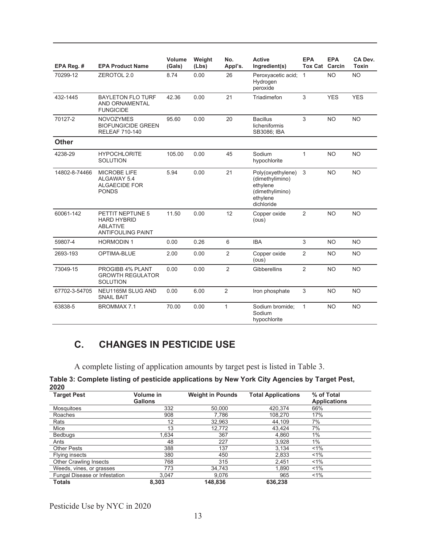| EPA Reg. #    | <b>EPA Product Name</b>                                                               | Volume<br>(Gals) | Weight<br>(Lbs) | No.<br>Appl's. | <b>Active</b><br>Ingredient(s)                                                                | <b>EPA</b><br><b>Tox Cat Carcin</b> | <b>EPA</b> | CA Dev.<br><b>Toxin</b> |
|---------------|---------------------------------------------------------------------------------------|------------------|-----------------|----------------|-----------------------------------------------------------------------------------------------|-------------------------------------|------------|-------------------------|
| 70299-12      | ZEROTOL 2.0                                                                           | 8.74             | 0.00            | 26             | Peroxyacetic acid; 1<br>Hydrogen<br>peroxide                                                  |                                     | <b>NO</b>  | <b>NO</b>               |
| 432-1445      | <b>BAYLETON FLO TURF</b><br>AND ORNAMENTAL<br><b>FUNGICIDE</b>                        | 42.36            | 0.00            | 21             | Triadimefon                                                                                   | 3                                   | <b>YES</b> | <b>YES</b>              |
| 70127-2       | <b>NOVOZYMES</b><br><b>BIOFUNGICIDE GREEN</b><br><b>RELEAF 710-140</b>                | 95.60            | 0.00            | 20             | <b>Bacillus</b><br>licheniformis<br>SB3086; IBA                                               | 3                                   | <b>NO</b>  | <b>NO</b>               |
| <b>Other</b>  |                                                                                       |                  |                 |                |                                                                                               |                                     |            |                         |
| 4238-29       | <b>HYPOCHLORITE</b><br><b>SOLUTION</b>                                                | 105.00           | 0.00            | 45             | Sodium<br>hypochlorite                                                                        | 1                                   | <b>NO</b>  | <b>NO</b>               |
| 14802-8-74466 | <b>MICROBE LIFE</b><br>ALGAWAY 5.4<br>ALGAECIDE FOR<br><b>PONDS</b>                   | 5.94             | 0.00            | 21             | Poly(oxyethylene)<br>(dimethylimino)<br>ethylene<br>(dimethylimino)<br>ethylene<br>dichloride | 3                                   | <b>NO</b>  | <b>NO</b>               |
| 60061-142     | PETTIT NEPTUNE 5<br><b>HARD HYBRID</b><br><b>ABLATIVE</b><br><b>ANTIFOULING PAINT</b> | 11.50            | 0.00            | 12             | Copper oxide<br>(ous)                                                                         | $\overline{2}$                      | <b>NO</b>  | <b>NO</b>               |
| 59807-4       | <b>HORMODIN1</b>                                                                      | 0.00             | 0.26            | 6              | <b>IBA</b>                                                                                    | 3                                   | <b>NO</b>  | <b>NO</b>               |
| 2693-193      | OPTIMA-BLUE                                                                           | 2.00             | 0.00            | $\overline{2}$ | Copper oxide<br>(ous)                                                                         | 2                                   | <b>NO</b>  | <b>NO</b>               |
| 73049-15      | PROGIBB 4% PLANT<br><b>GROWTH REGULATOR</b><br><b>SOLUTION</b>                        | 0.00             | 0.00            | $\overline{2}$ | Gibberellins                                                                                  | $\overline{2}$                      | <b>NO</b>  | <b>NO</b>               |
| 67702-3-54705 | NEU1165M SLUG AND<br><b>SNAIL BAIT</b>                                                | 0.00             | 6.00            | $\overline{2}$ | Iron phosphate                                                                                | $\mathbf{3}$                        | <b>NO</b>  | <b>NO</b>               |
| 63838-5       | <b>BROMMAX 7.1</b>                                                                    | 70.00            | 0.00            | $\mathbf{1}$   | Sodium bromide;<br>Sodium<br>hypochlorite                                                     | $\mathbf{1}$                        | <b>NO</b>  | <b>NO</b>               |

## **C. CHANGES IN PESTICIDE USE**

A complete listing of application amounts by target pest is listed in Table 3.

| Table 3: Complete listing of pesticide applications by New York City Agencies by Target Pest, |  |
|-----------------------------------------------------------------------------------------------|--|
| 2020                                                                                          |  |

| <b>Target Pest</b>            | Volume in<br><b>Gallons</b> | <b>Weight in Pounds</b> | <b>Total Applications</b> | % of Total<br><b>Applications</b> |
|-------------------------------|-----------------------------|-------------------------|---------------------------|-----------------------------------|
| Mosquitoes                    | 332                         | 50,000                  | 420,374                   | 66%                               |
| Roaches                       | 908                         | 7.786                   | 108,270                   | 17%                               |
| Rats                          | 12                          | 32,963                  | 44.109                    | 7%                                |
| Mice                          | 13                          | 12,772                  | 43.424                    | 7%                                |
| <b>Bedbuas</b>                | 1.634                       | 367                     | 4,860                     | 1%                                |
| Ants                          | 48                          | 227                     | 3,928                     | 1%                                |
| <b>Other Pests</b>            | 388                         | 137                     | 3.134                     | $1\%$                             |
| Flying insects                | 380                         | 450                     | 2,833                     | $1\%$                             |
| <b>Other Crawling Insects</b> | 768                         | 315                     | 2.451                     | $1\%$                             |
| Weeds, vines, or grasses      | 773                         | 34.743                  | 1.890                     | $1\%$                             |
| Fungal Disease or Infestation | 3.047                       | 9.076                   | 965                       | $1\%$                             |
| <b>Totals</b>                 | 8,303                       | 148.836                 | 636,238                   |                                   |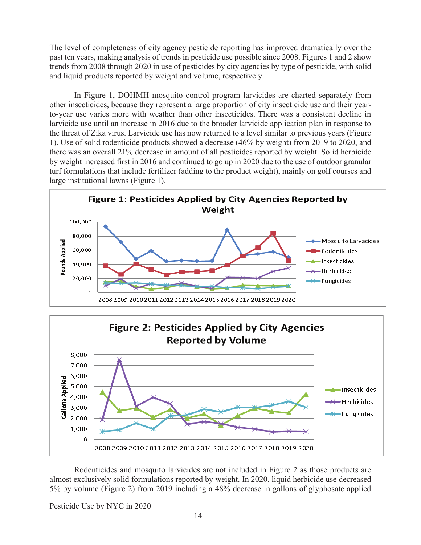The level of completeness of city agency pesticide reporting has improved dramatically over the past ten years, making analysis of trends in pesticide use possible since 2008. Figures 1 and 2 show trends from 2008 through 2020 in use of pesticides by city agencies by type of pesticide, with solid and liquid products reported by weight and volume, respectively.

In Figure 1, DOHMH mosquito control program larvicides are charted separately from other insecticides, because they represent a large proportion of city insecticide use and their yearto-year use varies more with weather than other insecticides. There was a consistent decline in larvicide use until an increase in 2016 due to the broader larvicide application plan in response to the threat of Zika virus. Larvicide use has now returned to a level similar to previous years (Figure 1). Use of solid rodenticide products showed a decrease (46% by weight) from 2019 to 2020, and there was an overall 21% decrease in amount of all pesticides reported by weight. Solid herbicide by weight increased first in 2016 and continued to go up in 2020 due to the use of outdoor granular turf formulations that include fertilizer (adding to the product weight), mainly on golf courses and large institutional lawns (Figure 1).





Rodenticides and mosquito larvicides are not included in Figure 2 as those products are almost exclusively solid formulations reported by weight. In 2020, liquid herbicide use decreased 5% by volume (Figure 2) from 2019 including a 48% decrease in gallons of glyphosate applied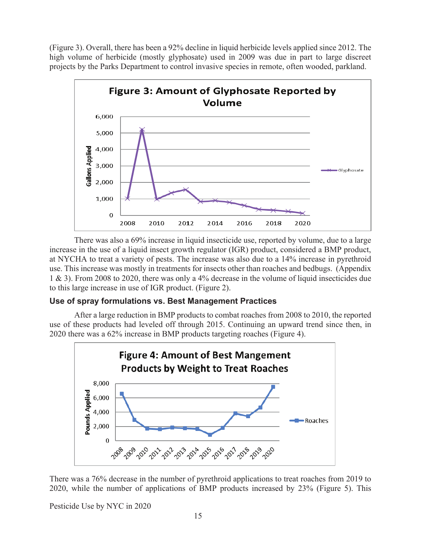(Figure 3). Overall, there has been a 92% decline in liquid herbicide levels applied since 2012. The high volume of herbicide (mostly glyphosate) used in 2009 was due in part to large discreet projects by the Parks Department to control invasive species in remote, often wooded, parkland.



There was also a 69% increase in liquid insecticide use, reported by volume, due to a large increase in the use of a liquid insect growth regulator (IGR) product, considered a BMP product, at NYCHA to treat a variety of pests. The increase was also due to a 14% increase in pyrethroid use. This increase was mostly in treatments for insects other than roaches and bedbugs. (Appendix 1 & 3). From 2008 to 2020, there was only a 4% decrease in the volume of liquid insecticides due to this large increase in use of IGR product. (Figure 2).

## **Use of spray formulations vs. Best Management Practices**

After a large reduction in BMP products to combat roaches from 2008 to 2010, the reported use of these products had leveled off through 2015. Continuing an upward trend since then, in 2020 there was a 62% increase in BMP products targeting roaches (Figure 4).



There was a 76% decrease in the number of pyrethroid applications to treat roaches from 2019 to 2020, while the number of applications of BMP products increased by 23% (Figure 5). This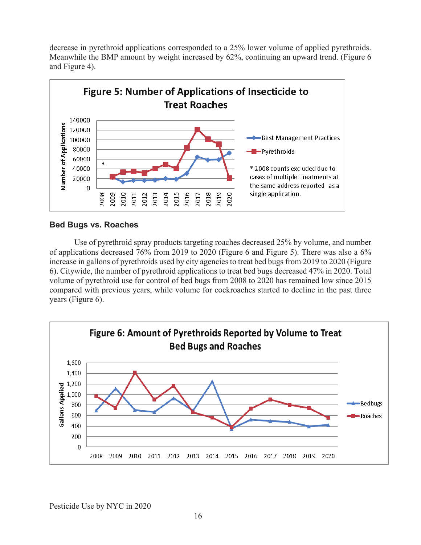decrease in pyrethroid applications corresponded to a 25% lower volume of applied pyrethroids. Meanwhile the BMP amount by weight increased by 62%, continuing an upward trend. (Figure 6 and Figure 4).



#### **Bed Bugs vs. Roaches**

Use of pyrethroid spray products targeting roaches decreased 25% by volume, and number of applications decreased 76% from 2019 to 2020 (Figure 6 and Figure 5). There was also a 6% increase in gallons of pyrethroids used by city agencies to treat bed bugs from 2019 to 2020 (Figure 6). Citywide, the number of pyrethroid applications to treat bed bugs decreased 47% in 2020. Total volume of pyrethroid use for control of bed bugs from 2008 to 2020 has remained low since 2015 compared with previous years, while volume for cockroaches started to decline in the past three years (Figure 6).

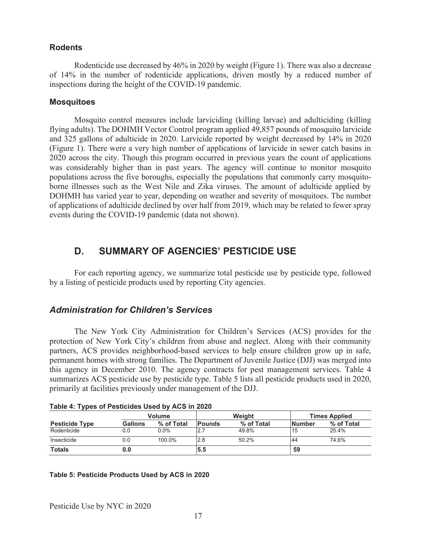#### **Rodents**

 Rodenticide use decreased by 46% in 2020 by weight (Figure 1). There was also a decrease of 14% in the number of rodenticide applications, driven mostly by a reduced number of inspections during the height of the COVID-19 pandemic.

#### **Mosquitoes**

 Mosquito control measures include larviciding (killing larvae) and adulticiding (killing flying adults). The DOHMH Vector Control program applied 49,857 pounds of mosquito larvicide and 325 gallons of adulticide in 2020. Larvicide reported by weight decreased by 14% in 2020 (Figure 1). There were a very high number of applications of larvicide in sewer catch basins in 2020 across the city. Though this program occurred in previous years the count of applications was considerably higher than in past years. The agency will continue to monitor mosquito populations across the five boroughs, especially the populations that commonly carry mosquitoborne illnesses such as the West Nile and Zika viruses. The amount of adulticide applied by DOHMH has varied year to year, depending on weather and severity of mosquitoes. The number of applications of adulticide declined by over half from 2019, which may be related to fewer spray events during the COVID-19 pandemic (data not shown).

## **D. SUMMARY OF AGENCIES' PESTICIDE USE**

 For each reporting agency, we summarize total pesticide use by pesticide type, followed by a listing of pesticide products used by reporting City agencies.

## *Administration for Children's Services*

The New York City Administration for Children's Services (ACS) provides for the protection of New York City's children from abuse and neglect. Along with their community partners, ACS provides neighborhood-based services to help ensure children grow up in safe, permanent homes with strong families. The Department of Juvenile Justice (DJJ) was merged into this agency in December 2010. The agency contracts for pest management services. Table 4 summarizes ACS pesticide use by pesticide type. Table 5 lists all pesticide products used in 2020, primarily at facilities previously under management of the DJJ.

|                       |         | <b>Volume</b> |               | Weight     |               | <b>Times Applied</b> |  |  |
|-----------------------|---------|---------------|---------------|------------|---------------|----------------------|--|--|
| <b>Pesticide Type</b> | Gallons | % of Total    | <b>Pounds</b> | % of Total | <b>Number</b> | % of Total           |  |  |
| Rodenticide           | 0.0     | $0.0\%$       | 2.7           | 49.8%      | 15            | 25.4%                |  |  |
| Insecticide           | 0.0     | 100.0%        | 2.8           | 50.2%      | 44            | 74.6%                |  |  |
| <b>Totals</b>         | 0.0     |               | 5.5           |            | 59            |                      |  |  |

|  |  | Table 4: Types of Pesticides Used by ACS in 2020 |
|--|--|--------------------------------------------------|
|  |  |                                                  |

#### **Table 5: Pesticide Products Used by ACS in 2020**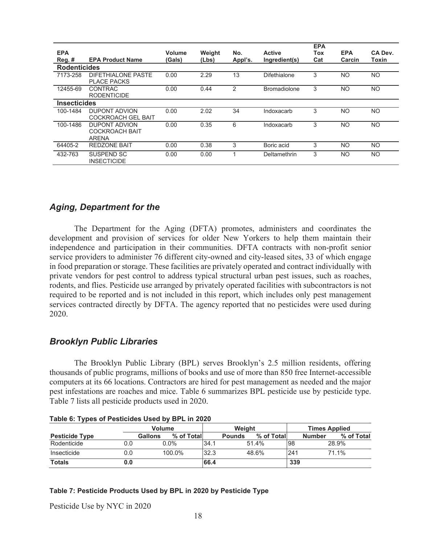|                     |                                                 |        |        |         |                     | <b>EPA</b> |            |           |
|---------------------|-------------------------------------------------|--------|--------|---------|---------------------|------------|------------|-----------|
| <b>EPA</b>          |                                                 | Volume | Weight | No.     | <b>Active</b>       | Tox        | <b>EPA</b> | CA Dev.   |
| Reg.#               | <b>EPA Product Name</b>                         | (Gals) | (Lbs)  | Appl's. | Ingredient(s)       | Cat        | Carcin     | Toxin     |
| <b>Rodenticides</b> |                                                 |        |        |         |                     |            |            |           |
| 7173-258            | <b>DIFETHIALONE PASTE</b><br><b>PLACE PACKS</b> | 0.00   | 2.29   | 13      | Difethialone        | 3          | NO.        | <b>NO</b> |
| 12455-69            | <b>CONTRAC</b><br><b>RODENTICIDE</b>            | 0.00   | 0.44   | 2       | <b>Bromadiolone</b> | 3          | <b>NO</b>  | <b>NO</b> |
| <b>Insecticides</b> |                                                 |        |        |         |                     |            |            |           |
| 100-1484            | <b>DUPONT ADVION</b>                            | 0.00   | 2.02   | 34      | Indoxacarb          | 3          | NO.        | NO.       |
|                     | <b>COCKROACH GEL BAIT</b>                       |        |        |         |                     |            |            |           |
| 100-1486            | <b>DUPONT ADVION</b>                            | 0.00   | 0.35   | 6       | Indoxacarb          | 3          | <b>NO</b>  | <b>NO</b> |
|                     | <b>COCKROACH BAIT</b>                           |        |        |         |                     |            |            |           |
|                     | ARENA                                           |        |        |         |                     |            |            |           |
| 64405-2             | <b>REDZONE BAIT</b>                             | 0.00   | 0.38   | 3       | Boric acid          | 3          | <b>NO</b>  | NO.       |
| 432-763             | SUSPEND SC<br><b>INSECTICIDE</b>                | 0.00   | 0.00   |         | Deltamethrin        | 3          | <b>NO</b>  | NO.       |

## *Aging, Department for the*

The Department for the Aging (DFTA) promotes, administers and coordinates the development and provision of services for older New Yorkers to help them maintain their independence and participation in their communities. DFTA contracts with non-profit senior service providers to administer 76 different city-owned and city-leased sites, 33 of which engage in food preparation or storage. These facilities are privately operated and contract individually with private vendors for pest control to address typical structural urban pest issues, such as roaches, rodents, and flies. Pesticide use arranged by privately operated facilities with subcontractors is not required to be reported and is not included in this report, which includes only pest management services contracted directly by DFTA. The agency reported that no pesticides were used during 2020.

## *Brooklyn Public Libraries*

The Brooklyn Public Library (BPL) serves Brooklyn's 2.5 million residents, offering thousands of public programs, millions of books and use of more than 850 free Internet-accessible computers at its 66 locations. Contractors are hired for pest management as needed and the major pest infestations are roaches and mice. Table 6 summarizes BPL pesticide use by pesticide type. Table 7 lists all pesticide products used in 2020.

|                       | <u>I ANIC 0. I YUCS UI FESUCIUSS USCU NY DFL III ZUZU</u> |                |           |            |        |               |            |     |                      |            |  |
|-----------------------|-----------------------------------------------------------|----------------|-----------|------------|--------|---------------|------------|-----|----------------------|------------|--|
|                       |                                                           | <b>Volume</b>  |           |            | Weight |               |            |     | <b>Times Applied</b> |            |  |
| <b>Pesticide Type</b> |                                                           | <b>Gallons</b> |           | % of Total |        | <b>Pounds</b> | % of Total |     | <b>Number</b>        | % of Total |  |
| Rodenticide           | 0.0                                                       |                | $0.0\%$   |            | 34.7   |               | 51.4%      | 98  |                      | 28.9%      |  |
| Insecticide           | 0.0                                                       |                | $100.0\%$ |            | 32.3   |               | 48.6%      | 241 |                      | 71.1%      |  |
| <b>Totals</b>         | 0.0                                                       |                |           |            | 66.4   |               |            | 339 |                      |            |  |

| Table 6: Types of Pesticides Used by BPL in 2020 |  |
|--------------------------------------------------|--|

**Table 7: Pesticide Products Used by BPL in 2020 by Pesticide Type**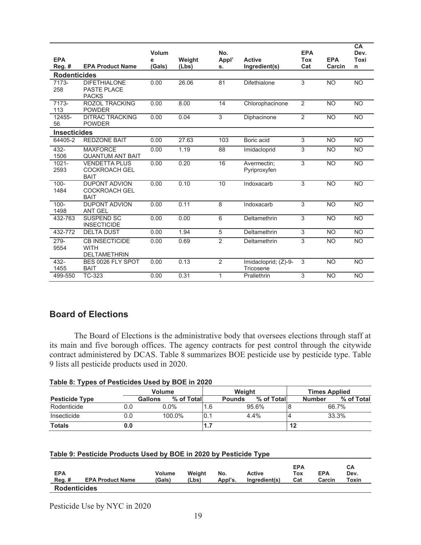|                     |                                                             | Volum  |        | No.            |                                   | <b>EPA</b>     |            | CA<br>Dev.  |
|---------------------|-------------------------------------------------------------|--------|--------|----------------|-----------------------------------|----------------|------------|-------------|
| <b>EPA</b>          |                                                             | e      | Weight | Appl'          | <b>Active</b>                     | <b>Tox</b>     | <b>EPA</b> | <b>Toxi</b> |
| $Reg.$ #            | <b>EPA Product Name</b>                                     | (Gals) | (Lbs)  | s.             | Ingredient(s)                     | Cat            | Carcin     | n           |
| <b>Rodenticides</b> |                                                             |        |        |                |                                   |                |            |             |
| 7173-<br>258        | <b>DIFETHIALONE</b><br><b>PASTE PLACE</b><br><b>PACKS</b>   | 0.00   | 26.06  | 81             | <b>Difethialone</b>               | 3              | <b>NO</b>  | <b>NO</b>   |
| 7173-<br>113        | <b>ROZOL TRACKING</b><br><b>POWDER</b>                      | 0.00   | 8.00   | 14             | Chlorophacinone                   | $\overline{2}$ | <b>NO</b>  | <b>NO</b>   |
| 12455-<br>56        | <b>DITRAC TRACKING</b><br><b>POWDER</b>                     | 0.00   | 0.04   | 3              | Diphacinone                       | 2              | <b>NO</b>  | <b>NO</b>   |
| <b>Insecticides</b> |                                                             |        |        |                |                                   |                |            |             |
| 64405-2             | <b>REDZONE BAIT</b>                                         | 0.00   | 27.63  | 103            | Boric acid                        | 3              | <b>NO</b>  | <b>NO</b>   |
| 432-<br>1506        | <b>MAXFORCE</b><br><b>QUANTUM ANT BAIT</b>                  | 0.00   | 1.19   | 88             | Imidacloprid                      | 3              | <b>NO</b>  | <b>NO</b>   |
| $1021 -$<br>2593    | <b>VENDETTA PLUS</b><br><b>COCKROACH GEL</b><br><b>BAIT</b> | 0.00   | 0.20   | 16             | Avermectin;<br>Pyriproxyfen       | 3              | <b>NO</b>  | <b>NO</b>   |
| $100 -$<br>1484     | <b>DUPONT ADVION</b><br><b>COCKROACH GEL</b><br><b>BAIT</b> | 0.00   | 0.10   | 10             | Indoxacarb                        | 3              | <b>NO</b>  | <b>NO</b>   |
| $100 -$<br>1498     | <b>DUPONT ADVION</b><br><b>ANT GEL</b>                      | 0.00   | 0.11   | 8              | Indoxacarb                        | $\overline{3}$ | <b>NO</b>  | <b>NO</b>   |
| 432-763             | <b>SUSPEND SC</b><br><b>INSECTICIDE</b>                     | 0.00   | 0.00   | 6              | Deltamethrin                      | 3              | <b>NO</b>  | <b>NO</b>   |
| 432-772             | <b>DELTA DUST</b>                                           | 0.00   | 1.94   | 5              | Deltamethrin                      | 3              | <b>NO</b>  | <b>NO</b>   |
| 279-<br>9554        | <b>CB INSECTICIDE</b><br><b>WITH</b><br><b>DELTAMETHRIN</b> | 0.00   | 0.69   | 2              | Deltamethrin                      | 3              | <b>NO</b>  | <b>NO</b>   |
| 432-<br>1455        | BES 0026 FLY SPOT<br><b>BAIT</b>                            | 0.00   | 0.13   | $\overline{2}$ | Imidacloprid; (Z)-9-<br>Tricosene | 3              | <b>NO</b>  | <b>NO</b>   |
| 499-550             | TC-323                                                      | 0.00   | 0.31   | $\mathbf{1}$   | Prallethrin                       | 3              | <b>NO</b>  | <b>NO</b>   |

## **Board of Elections**

The Board of Elections is the administrative body that oversees elections through staff at its main and five borough offices. The agency contracts for pest control through the citywide contract administered by DCAS. Table 8 summarizes BOE pesticide use by pesticide type. Table 9 lists all pesticide products used in 2020.

| Table 8: Types of Pesticides Used by BOE in 2020 |  |
|--------------------------------------------------|--|
|--------------------------------------------------|--|

|                       |     | <b>Volume</b> |            |     | Weight        |            |    | <b>Times Applied</b> |            |  |
|-----------------------|-----|---------------|------------|-----|---------------|------------|----|----------------------|------------|--|
| <b>Pesticide Type</b> |     | Gallons       | % of Total |     | <b>Pounds</b> | % of Total |    | <b>Number</b>        | % of Total |  |
| Rodenticide           | 0.0 | $0.0\%$       |            | 6.، |               | 95.6%      |    |                      | 66.7%      |  |
| Insecticide           | 0.0 | 100.0%        | 10.        |     |               | 4.4%       |    |                      | 33.3%      |  |
| <b>Totals</b>         | 0.0 |               |            | .   |               |            | 12 |                      |            |  |

| Table 9: Pesticide Products Used by BOE in 2020 by Pesticide Type |  |  |
|-------------------------------------------------------------------|--|--|
|-------------------------------------------------------------------|--|--|

| <b>EPA</b><br>$Reg.$ # | <b>EPA Product Name</b> | <b>Volume</b><br>(Gals) | Weight<br>(Lbs) | No.<br>Appl's. | Active<br>Ingredient(s) | <b>EPA</b><br>Tox<br>Cat | <b>EPA</b><br>Carcin | CА<br>Dev.<br>Toxin |
|------------------------|-------------------------|-------------------------|-----------------|----------------|-------------------------|--------------------------|----------------------|---------------------|
| <b>Rodenticides</b>    |                         |                         |                 |                |                         |                          |                      |                     |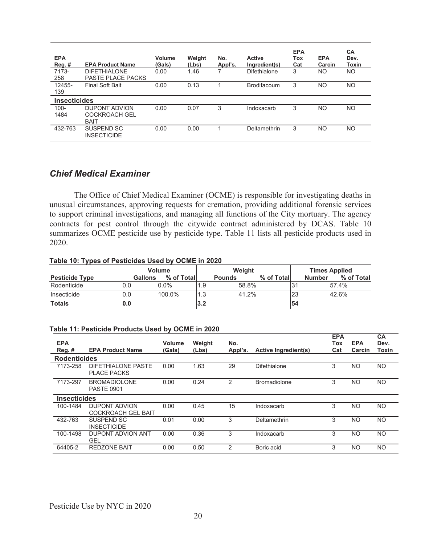| <b>EPA</b><br>Reg. #<br>7173- | <b>EPA Product Name</b><br><b>DIFETHIALONE</b>       | Volume<br>(Gals)<br>0.00 | Weight<br>(Lbs)<br>1.46 | No.<br>Appl's.<br>7 | <b>Active</b><br>Ingredient(s)<br>Difethialone | <b>EPA</b><br>Tox<br>Cat<br>3 | <b>EPA</b><br>Carcin<br>NO | <b>CA</b><br>Dev.<br><b>Toxin</b><br><b>NO</b> |
|-------------------------------|------------------------------------------------------|--------------------------|-------------------------|---------------------|------------------------------------------------|-------------------------------|----------------------------|------------------------------------------------|
| 258                           | <b>PASTE PLACE PACKS</b>                             |                          |                         |                     |                                                |                               |                            |                                                |
| 12455-<br>139                 | <b>Final Soft Bait</b>                               | 0.00                     | 0.13                    |                     | <b>Brodifacoum</b>                             | 3                             | <b>NO</b>                  | <b>NO</b>                                      |
| <b>Insecticides</b>           |                                                      |                          |                         |                     |                                                |                               |                            |                                                |
| $100 -$<br>1484               | DUPONT ADVION<br><b>COCKROACH GEL</b><br><b>BAIT</b> | 0.00                     | 0.07                    | 3                   | Indoxacarb                                     | 3                             | <b>NO</b>                  | <b>NO</b>                                      |
| 432-763                       | SUSPEND SC<br><b>INSECTICIDE</b>                     | 0.00                     | 0.00                    |                     | Deltamethrin                                   | 3                             | NO                         | <b>NO</b>                                      |

## *Chief Medical Examiner*

 The Office of Chief Medical Examiner (OCME) is responsible for investigating deaths in unusual circumstances, approving requests for cremation, providing additional forensic services to support criminal investigations, and managing all functions of the City mortuary. The agency contracts for pest control through the citywide contract administered by DCAS. Table 10 summarizes OCME pesticide use by pesticide type. Table 11 lists all pesticide products used in 2020.

#### **Table 10: Types of Pesticides Used by OCME in 2020**

|                       |                | Volume      | Weight |               |            |                 | <b>Times Applied</b>        |  |  |
|-----------------------|----------------|-------------|--------|---------------|------------|-----------------|-----------------------------|--|--|
| <b>Pesticide Type</b> | <b>Gallons</b> | % of Totall |        | <b>Pounds</b> | % of Total |                 | % of Total<br><b>Number</b> |  |  |
| Rodenticide           | 0.0            | $0.0\%$     |        | 58.8%         |            | l3 <sup>.</sup> | 57.4%                       |  |  |
| Insecticide           | 0.0            | 100.0%      |        | 41.2%         |            | 23              | 42.6%                       |  |  |
| <b>Totals</b>         | J.O            |             | l3.2   |               |            | 54              |                             |  |  |

#### **Table 11: Pesticide Products Used by OCME in 2020**

| <b>EPA</b>          |                                                   | Volume | Weight | No.     |                             | <b>EPA</b><br>Tox | <b>EPA</b> | CA<br>Dev.     |
|---------------------|---------------------------------------------------|--------|--------|---------|-----------------------------|-------------------|------------|----------------|
| $Reg.$ #            | <b>EPA Product Name</b>                           | (Gals) | (Lbs)  | Appl's. | <b>Active Ingredient(s)</b> | Cat               | Carcin     | Toxin          |
| <b>Rodenticides</b> |                                                   |        |        |         |                             |                   |            |                |
| 7173-258            | DIFFTHIAI ONF PASTE<br><b>PLACE PACKS</b>         | 0.00   | 1.63   | 29      | Difethialone                | 3                 | <b>NO</b>  | NO.            |
| 7173-297            | <b>BROMADIOLONE</b><br><b>PASTE 0901</b>          | 0.00   | 0.24   | 2       | <b>Bromadiolone</b>         | 3                 | <b>NO</b>  | NO.            |
| <b>Insecticides</b> |                                                   |        |        |         |                             |                   |            |                |
| 100-1484            | <b>DUPONT ADVION</b><br><b>COCKROACH GEL BAIT</b> | 0.00   | 0.45   | 15      | Indoxacarb                  | 3                 | <b>NO</b>  | <b>NO</b>      |
| 432-763             | SUSPEND SC<br><b>INSECTICIDE</b>                  | 0.01   | 0.00   | 3       | Deltamethrin                | 3                 | <b>NO</b>  | N <sub>O</sub> |
| 100-1498            | DUPONT ADVION ANT<br><b>GEL</b>                   | 0.00   | 0.36   | 3       | Indoxacarb                  | 3                 | <b>NO</b>  | <b>NO</b>      |
| 64405-2             | <b>REDZONE BAIT</b>                               | 0.00   | 0.50   | 2       | Boric acid                  | 3                 | <b>NO</b>  | N <sub>O</sub> |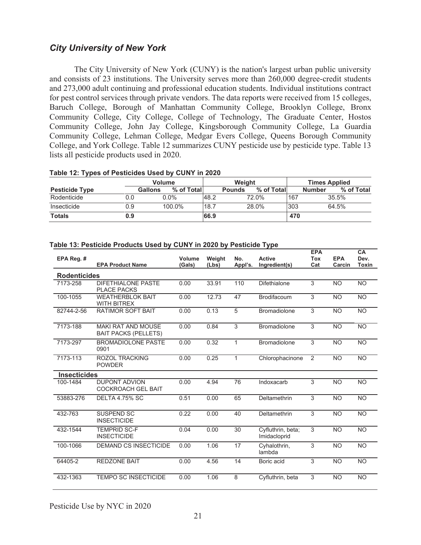## *City University of New York*

The City University of New York (CUNY) is the nation's largest urban public university and consists of 23 institutions. The University serves more than 260,000 degree-credit students and 273,000 adult continuing and professional education students. Individual institutions contract for pest control services through private vendors. The data reports were received from 15 colleges, Baruch College, Borough of Manhattan Community College, Brooklyn College, Bronx Community College, City College, College of Technology, The Graduate Center, Hostos Community College, John Jay College, Kingsborough Community College, La Guardia Community College, Lehman College, Medgar Evers College, Queens Borough Community College, and York College. Table 12 summarizes CUNY pesticide use by pesticide type. Table 13 lists all pesticide products used in 2020.

|                       |                | <b>Volume</b> |      | Weight        |             |     | <b>Times Applied</b>        |  |  |
|-----------------------|----------------|---------------|------|---------------|-------------|-----|-----------------------------|--|--|
| <b>Pesticide Type</b> | <b>Gallons</b> | % of Total    |      | <b>Pounds</b> | % of Totall |     | % of Total<br><b>Number</b> |  |  |
| Rodenticide           | 0.0            | $0.0\%$       | 48.2 |               | 72.0%       | 167 | 35.5%                       |  |  |
| Insecticide           | 0.9            | 100.0%        | 18.7 |               | 28.0%       | 303 | 64.5%                       |  |  |
| <b>Totals</b>         | 0.9            |               | 66.9 |               |             | 470 |                             |  |  |

#### **Table 12: Types of Pesticides Used by CUNY in 2020**

#### **Table 13: Pesticide Products Used by CUNY in 2020 by Pesticide Type**

| EPA Reg. #          |                                                          | Volume | Weight | No.          | <b>Active</b>                     | <b>EPA</b><br><b>Tox</b> | <b>EPA</b> | <b>CA</b><br>Dev. |
|---------------------|----------------------------------------------------------|--------|--------|--------------|-----------------------------------|--------------------------|------------|-------------------|
|                     | <b>EPA Product Name</b>                                  | (Gals) | (Lbs)  | Appl's.      | Ingredient(s)                     | Cat                      | Carcin     | Toxin             |
| <b>Rodenticides</b> |                                                          |        |        |              |                                   |                          |            |                   |
| 7173-258            | <b>DIFETHIALONE PASTE</b><br><b>PLACE PACKS</b>          | 0.00   | 33.91  | 110          | Difethialone                      | 3                        | <b>NO</b>  | <b>NO</b>         |
| 100-1055            | <b>WEATHERBLOK BAIT</b><br><b>WITH BITREX</b>            | 0.00   | 12.73  | 47           | <b>Brodifacoum</b>                | 3                        | <b>NO</b>  | <b>NO</b>         |
| 82744-2-56          | <b>RATIMOR SOFT BAIT</b>                                 | 0.00   | 0.13   | 5            | Bromadiolone                      | 3                        | <b>NO</b>  | <b>NO</b>         |
| 7173-188            | <b>MAKI RAT AND MOUSE</b><br><b>BAIT PACKS (PELLETS)</b> | 0.00   | 0.84   | 3            | <b>Bromadiolone</b>               | $\overline{3}$           | <b>NO</b>  | <b>NO</b>         |
| 7173-297            | <b>BROMADIOLONE PASTE</b><br>0901                        | 0.00   | 0.32   | $\mathbf{1}$ | <b>Bromadiolone</b>               | $\overline{3}$           | <b>NO</b>  | <b>NO</b>         |
| 7173-113            | ROZOL TRACKING<br><b>POWDER</b>                          | 0.00   | 0.25   | $\mathbf{1}$ | Chlorophacinone                   | 2                        | <b>NO</b>  | <b>NO</b>         |
| <b>Insecticides</b> |                                                          |        |        |              |                                   |                          |            |                   |
| 100-1484            | <b>DUPONT ADVION</b><br><b>COCKROACH GEL BAIT</b>        | 0.00   | 4.94   | 76           | Indoxacarb                        | 3                        | <b>NO</b>  | <b>NO</b>         |
| 53883-276           | <b>DELTA 4.75% SC</b>                                    | 0.51   | 0.00   | 65           | Deltamethrin                      | 3                        | <b>NO</b>  | <b>NO</b>         |
| 432-763             | <b>SUSPEND SC</b><br><b>INSECTICIDE</b>                  | 0.22   | 0.00   | 40           | Deltamethrin                      | 3                        | <b>NO</b>  | <b>NO</b>         |
| 432-1544            | <b>TEMPRID SC-F</b><br><b>INSECTICIDE</b>                | 0.04   | 0.00   | 30           | Cyfluthrin, beta;<br>Imidacloprid | 3                        | <b>NO</b>  | <b>NO</b>         |
| 100-1066            | <b>DEMAND CS INSECTICIDE</b>                             | 0.00   | 1.06   | 17           | Cyhalothrin,<br>lambda            | 3                        | <b>NO</b>  | <b>NO</b>         |
| 64405-2             | <b>REDZONE BAIT</b>                                      | 0.00   | 4.56   | 14           | Boric acid                        | 3                        | <b>NO</b>  | <b>NO</b>         |
| 432-1363            | <b>TEMPO SC INSECTICIDE</b>                              | 0.00   | 1.06   | 8            | Cyfluthrin, beta                  | 3                        | <b>NO</b>  | <b>NO</b>         |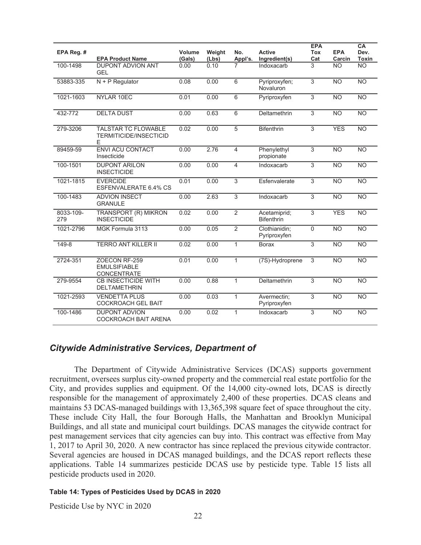| EPA Reg. #       |                                                           | Volume | Weight | No.            | <b>Active</b>                     | <b>EPA</b><br><b>Tox</b> | <b>EPA</b>     | CA<br>Dev.      |
|------------------|-----------------------------------------------------------|--------|--------|----------------|-----------------------------------|--------------------------|----------------|-----------------|
|                  | <b>EPA Product Name</b>                                   | (Gals) | (Lbs)  | Appl's.        | Ingredient(s)                     | Cat                      | Carcin         | <b>Toxin</b>    |
| 100-1498         | <b>DUPONT ADVION ANT</b><br><b>GEL</b>                    | 0.00   | 0.10   |                | Indoxacarb                        | 3                        | <b>NO</b>      | $\overline{NO}$ |
| 53883-335        | $N + P$ Regulator                                         | 0.08   | 0.00   | 6              | Pyriproxyfen;<br>Novaluron        | $\overline{3}$           | <b>NO</b>      | <b>NO</b>       |
| 1021-1603        | NYLAR 10EC                                                | 0.01   | 0.00   | $\overline{6}$ | Pyriproxyfen                      | $\overline{3}$           | <b>NO</b>      | <b>NO</b>       |
| 432-772          | <b>DELTA DUST</b>                                         | 0.00   | 0.63   | $\overline{6}$ | Deltamethrin                      | $\overline{3}$           | N <sub>O</sub> | <b>NO</b>       |
| 279-3206         | TALSTAR TC FLOWABLE<br><b>TERMITICIDE/INSECTICID</b><br>E | 0.02   | 0.00   | 5              | <b>Bifenthrin</b>                 | 3                        | <b>YES</b>     | <b>NO</b>       |
| 89459-59         | <b>ENVI ACU CONTACT</b><br>Insecticide                    | 0.00   | 2.76   | $\overline{4}$ | Phenylethyl<br>propionate         | $\overline{3}$           | N <sub>O</sub> | $\overline{NO}$ |
| 100-1501         | <b>DUPONT ARILON</b><br><b>INSECTICIDE</b>                | 0.00   | 0.00   | 4              | Indoxacarb                        | 3                        | <b>NO</b>      | <b>NO</b>       |
| 1021-1815        | <b>EVERCIDE</b><br>ESFENVALERATE 6.4% CS                  | 0.01   | 0.00   | $\overline{3}$ | Esfenvalerate                     | $\overline{3}$           | N <sub>O</sub> | N <sub>O</sub>  |
| 100-1483         | <b>ADVION INSECT</b><br><b>GRANULE</b>                    | 0.00   | 2.63   | $\overline{3}$ | Indoxacarb                        | $\overline{3}$           | N <sub>O</sub> | N <sub>O</sub>  |
| 8033-109-<br>279 | <b>TRANSPORT (R) MIKRON</b><br><b>INSECTICIDE</b>         | 0.02   | 0.00   | $\overline{2}$ | Acetamiprid;<br><b>Bifenthrin</b> | $\overline{3}$           | <b>YES</b>     | <b>NO</b>       |
| 1021-2796        | MGK Formula 3113                                          | 0.00   | 0.05   | $\overline{2}$ | Clothianidin;<br>Pyriproxyfen     | $\overline{0}$           | N <sub>O</sub> | $\overline{NO}$ |
| 149-8            | <b>TERRO ANT KILLER II</b>                                | 0.02   | 0.00   | $\mathbf{1}$   | <b>Borax</b>                      | $\overline{3}$           | N <sub>O</sub> | N <sub>O</sub>  |
| 2724-351         | ZOECON RF-259<br><b>EMULSIFIABLE</b><br>CONCENTRATE       | 0.01   | 0.00   | 1              | (7S)-Hydroprene                   | 3                        | <b>NO</b>      | <b>NO</b>       |
| 279-9554         | <b>CB INSECTICIDE WITH</b><br><b>DELTAMETHRIN</b>         | 0.00   | 0.88   | $\mathbf{1}$   | Deltamethrin                      | $\overline{3}$           | N <sub>O</sub> | $\overline{NO}$ |
| 1021-2593        | <b>VENDETTA PLUS</b><br><b>COCKROACH GEL BAIT</b>         | 0.00   | 0.03   | $\mathbf{1}$   | Avermectin;<br>Pyriproxyfen       | 3                        | <b>NO</b>      | <b>NO</b>       |
| 100-1486         | <b>DUPONT ADVION</b><br><b>COCKROACH BAIT ARENA</b>       | 0.00   | 0.02   | 1              | Indoxacarb                        | 3                        | <b>NO</b>      | <b>NO</b>       |

## *Citywide Administrative Services, Department of*

 The Department of Citywide Administrative Services (DCAS) supports government recruitment, oversees surplus city-owned property and the commercial real estate portfolio for the City, and provides supplies and equipment. Of the 14,000 city-owned lots, DCAS is directly responsible for the management of approximately 2,400 of these properties. DCAS cleans and maintains 53 DCAS-managed buildings with 13,365,398 square feet of space throughout the city. These include City Hall, the four Borough Halls, the Manhattan and Brooklyn Municipal Buildings, and all state and municipal court buildings. DCAS manages the citywide contract for pest management services that city agencies can buy into. This contract was effective from May 1, 2017 to April 30, 2020. A new contractor has since replaced the previous citywide contractor. Several agencies are housed in DCAS managed buildings, and the DCAS report reflects these applications. Table 14 summarizes pesticide DCAS use by pesticide type. Table 15 lists all pesticide products used in 2020.

#### **Table 14: Types of Pesticides Used by DCAS in 2020**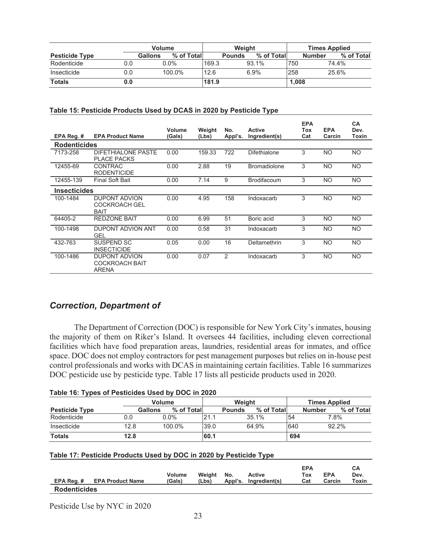|                       |     | <b>Volume</b>         |       | Weight        |            | <b>Times Applied</b> |                             |  |
|-----------------------|-----|-----------------------|-------|---------------|------------|----------------------|-----------------------------|--|
| <b>Pesticide Type</b> |     | % of Total<br>Gallons |       | <b>Pounds</b> | % of Total |                      | % of Total<br><b>Number</b> |  |
| Rodenticide           | 0.0 | $0.0\%$               | 169.3 | 93.1%         |            | 750                  | 74.4%                       |  |
| Insecticide           | 0.0 | 100.0%                | 12.6  | 6.9%          |            | 258                  | 25.6%                       |  |
| <b>Totals</b>         | 0.0 |                       | 181.9 |               |            | 1.008                |                             |  |

#### **Table 15: Pesticide Products Used by DCAS in 2020 by Pesticide Type**

|                     |                                                               | Volume | Weight | No.           | <b>Active</b>       | <b>EPA</b><br>Tox | <b>EPA</b> | <b>CA</b><br>Dev. |
|---------------------|---------------------------------------------------------------|--------|--------|---------------|---------------------|-------------------|------------|-------------------|
| EPA Reg. #          | <b>EPA Product Name</b>                                       | (Gals) | (Lbs)  | Appl's.       | Ingredient(s)       | Cat               | Carcin     | Toxin             |
| <b>Rodenticides</b> |                                                               |        |        |               |                     |                   |            |                   |
| 7173-258            | DIFETHIALONE PASTE<br><b>PLACE PACKS</b>                      | 0.00   | 159.33 | 722           | Difethialone        | 3                 | NO.        | <b>NO</b>         |
| 12455-69            | <b>CONTRAC</b><br><b>RODENTICIDE</b>                          | 0.00   | 2.88   | 19            | <b>Bromadiolone</b> | 3                 | <b>NO</b>  | <b>NO</b>         |
| 12455-139           | <b>Final Soft Bait</b>                                        | 0.00   | 7.14   | 9             | <b>Brodifacoum</b>  | 3                 | NO.        | <b>NO</b>         |
| <b>Insecticides</b> |                                                               |        |        |               |                     |                   |            |                   |
| 100-1484            | <b>DUPONT ADVION</b><br><b>COCKROACH GEL</b><br><b>BAIT</b>   | 0.00   | 4.95   | 158           | Indoxacarb          | 3                 | NO.        | <b>NO</b>         |
| 64405-2             | <b>REDZONE BAIT</b>                                           | 0.00   | 6.99   | 51            | Boric acid          | 3                 | NO.        | <b>NO</b>         |
| 100-1498            | DUPONT ADVION ANT<br><b>GEL</b>                               | 0.00   | 0.58   | 31            | Indoxacarb          | 3                 | NO         | <b>NO</b>         |
| 432-763             | SUSPEND SC<br><b>INSECTICIDE</b>                              | 0.05   | 0.00   | 16            | Deltamethrin        | 3                 | NO.        | <b>NO</b>         |
| 100-1486            | <b>DUPONT ADVION</b><br><b>COCKROACH BAIT</b><br><b>ARENA</b> | 0.00   | 0.07   | $\mathcal{P}$ | Indoxacarb          | 3                 | NO.        | <b>NO</b>         |

## *Correction, Department of*

 The Department of Correction (DOC) is responsible for New York City's inmates, housing the majority of them on Riker's Island. It oversees 44 facilities, including eleven correctional facilities which have food preparation areas, laundries, residential areas for inmates, and office space. DOC does not employ contractors for pest management purposes but relies on in-house pest control professionals and works with DCAS in maintaining certain facilities. Table 16 summarizes DOC pesticide use by pesticide type. Table 17 lists all pesticide products used in 2020.

| Table 16: Types of Pesticides Used by DOC in 2020 |
|---------------------------------------------------|
|---------------------------------------------------|

|                       |         | <b>Volume</b> |      | Weight        |            | <b>Times Applied</b> |               |            |
|-----------------------|---------|---------------|------|---------------|------------|----------------------|---------------|------------|
| <b>Pesticide Type</b> | Gallons | % of Total    |      | <b>Pounds</b> | % of Total |                      | <b>Number</b> | % of Total |
| Rodenticide           | 0.0     | $0.0\%$       | '21. |               | 35.1%      | 54                   | 7.8%          |            |
| Insecticide           | 12.8    | 100.0%        | 39.0 |               | 64.9%      | 640                  | 92.2%         |            |
| <b>Totals</b>         | 12.8    |               | 60.1 |               |            | 694                  |               |            |

#### **Table 17: Pesticide Products Used by DOC in 2020 by Pesticide Type**

|                     | EPA Reg. # EPA Product Name | <b>Volume</b><br>(Gals) | Weight<br>(Lbs) | No. | <b>Active</b><br>Appl's. Ingredient(s) | <b>EPA</b><br>Tox<br>Cat | <b>EPA</b><br>Carcin | CА<br>Dev.<br>Toxin |
|---------------------|-----------------------------|-------------------------|-----------------|-----|----------------------------------------|--------------------------|----------------------|---------------------|
| <b>Rodenticides</b> |                             |                         |                 |     |                                        |                          |                      |                     |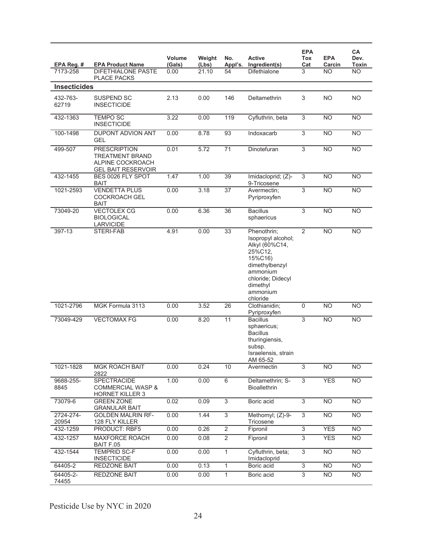| EPA Reg. #            | <b>EPA Product Name</b>                                                                        | Volume<br>(Gals) | Weight<br>(Lbs) | No.<br>Appl's.  | <b>Active</b><br>Ingredient(s)                                                                                                                                   | <b>EPA</b><br><b>Tox</b><br>Cat | <b>EPA</b><br>Carcin | CA<br>Dev.<br>Toxin |
|-----------------------|------------------------------------------------------------------------------------------------|------------------|-----------------|-----------------|------------------------------------------------------------------------------------------------------------------------------------------------------------------|---------------------------------|----------------------|---------------------|
| 7173-258              | <b>DIFETHIALONE PASTE</b><br><b>PLACE PACKS</b>                                                | 0.00             | 21.10           | 54              | <b>Difethialone</b>                                                                                                                                              | 3                               | <b>NO</b>            | <b>NO</b>           |
| <b>Insecticides</b>   |                                                                                                |                  |                 |                 |                                                                                                                                                                  |                                 |                      |                     |
| 432-763-<br>62719     | SUSPEND SC<br><b>INSECTICIDE</b>                                                               | 2.13             | 0.00            | 146             | Deltamethrin                                                                                                                                                     | 3                               | <b>NO</b>            | <b>NO</b>           |
| 432-1363              | <b>TEMPO SC</b><br><b>INSECTICIDE</b>                                                          | 3.22             | 0.00            | 119             | Cyfluthrin, beta                                                                                                                                                 | 3                               | <b>NO</b>            | <b>NO</b>           |
| 100-1498              | DUPONT ADVION ANT<br><b>GEL</b>                                                                | 0.00             | 8.78            | 93              | Indoxacarb                                                                                                                                                       | 3                               | <b>NO</b>            | <b>NO</b>           |
| 499-507               | <b>PRESCRIPTION</b><br><b>TREATMENT BRAND</b><br>ALPINE COCKROACH<br><b>GEL BAIT RESERVOIR</b> | 0.01             | 5.72            | 71              | Dinotefuran                                                                                                                                                      | 3                               | <b>NO</b>            | <b>NO</b>           |
| 432-1455              | BES 0026 FLY SPOT<br><b>BAIT</b>                                                               | 1.47             | 1.00            | 39              | Imidacloprid; (Z)-<br>9-Tricosene                                                                                                                                | 3                               | <b>NO</b>            | N <sub>O</sub>      |
| 1021-2593             | <b>VENDETTA PLUS</b><br><b>COCKROACH GEL</b><br>BAIT                                           | 0.00             | 3.18            | $\overline{37}$ | Avermectin:<br>Pyriproxyfen                                                                                                                                      | 3                               | <b>NO</b>            | <b>NO</b>           |
| 73049-20              | <b>VECTOLEX CG</b><br><b>BIOLOGICAL</b><br><b>LARVICIDE</b>                                    | 0.00             | 6.36            | $\overline{36}$ | <b>Bacillus</b><br>sphaericus                                                                                                                                    | $\overline{3}$                  | N <sub>O</sub>       | N <sub>O</sub>      |
| 397-13                | STERI-FAB                                                                                      | 4.91             | 0.00            | 33              | Phenothrin;<br>Isopropyl alcohol;<br>Alkyl (60%C14,<br>25%C12.<br>15%C16)<br>dimethylbenzyl<br>ammonium<br>chloride; Didecyl<br>dimethyl<br>ammonium<br>chloride | $\overline{2}$                  | N <sub>O</sub>       | N <sub>O</sub>      |
| 1021-2796             | MGK Formula 3113                                                                               | 0.00             | 3.52            | 26              | Clothianidin;<br>Pyriproxyfen                                                                                                                                    | $\mathbf 0$                     | <b>NO</b>            | N <sub>O</sub>      |
| 73049-429             | <b>VECTOMAX FG</b>                                                                             | 0.00             | 8.20            | 11              | <b>Bacillus</b><br>sphaericus;<br><b>Bacillus</b><br>thuringiensis,<br>subsp.<br>Israelensis, strain<br>AM 65-52                                                 | 3                               | <b>NO</b>            | <b>NO</b>           |
| 1021-1828             | <b>MGK ROACH BAIT</b><br>2822                                                                  | 0.00             | 0.24            | 10              | Avermectin                                                                                                                                                       | 3                               | <b>NO</b>            | <b>NO</b>           |
| 9688-255-<br>8845     | SPECTRACIDE<br><b>COMMERCIAL WASP &amp;</b><br><b>HORNET KILLER 3</b>                          | 1.00             | 0.00            | 6               | Deltamethrin; S-<br><b>Bioallethrin</b>                                                                                                                          | 3                               | <b>YES</b>           | N <sub>O</sub>      |
| 73079-6               | <b>GREEN ZONE</b><br><b>GRANULAR BAIT</b>                                                      | 0.02             | 0.09            | $\overline{3}$  | Boric acid                                                                                                                                                       | $\overline{3}$                  | <b>NO</b>            | <b>NO</b>           |
| $2724 - 274$<br>20954 | <b>GOLDEN MALRIN RF-</b><br>128 FLY KILLER                                                     | 0.00             | 1.44            | $\overline{3}$  | Methomyl; (Z)-9-<br>Tricosene                                                                                                                                    | 3                               | <b>NO</b>            | <b>NO</b>           |
| 432-1259              | PRODUCT: RBF5                                                                                  | 0.00             | 0.26            | $\overline{2}$  | Fipronil                                                                                                                                                         | $\overline{3}$                  | <b>YES</b>           | N <sub>O</sub>      |
| 432-1257              | MAXFORCE ROACH<br>BAIT F.05                                                                    | 0.00             | 0.08            | $\overline{2}$  | Fipronil                                                                                                                                                         | $\overline{3}$                  | <b>YES</b>           | <b>NO</b>           |
| 432-1544              | <b>TEMPRID SC-F</b><br><b>INSECTICIDE</b>                                                      | 0.00             | 0.00            | 1               | Cyfluthrin, beta;<br>Imidacloprid                                                                                                                                | $\overline{3}$                  | <b>NO</b>            | <b>NO</b>           |
| 64405-2               | REDZONE BAIT                                                                                   | 0.00             | 0.13            | $\mathbf{1}$    | Boric acid                                                                                                                                                       | $\overline{3}$                  | <b>NO</b>            | N <sub>O</sub>      |
| 64405-2-<br>74455     | REDZONE BAIT                                                                                   | 0.00             | 0.00            | 1               | Boric acid                                                                                                                                                       | $\overline{3}$                  | <b>NO</b>            | <b>NO</b>           |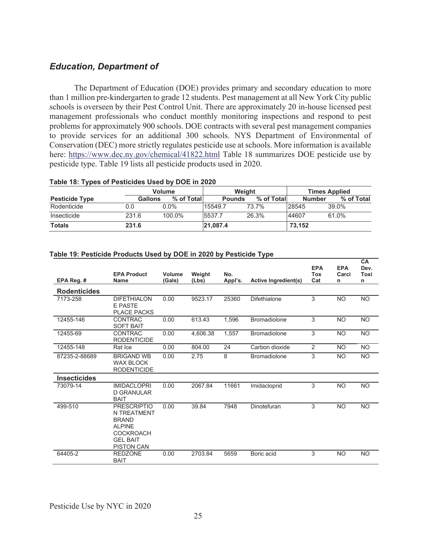## *Education, Department of*

 The Department of Education (DOE) provides primary and secondary education to more than 1 million pre-kindergarten to grade 12 students. Pest management at all New York City public schools is overseen by their Pest Control Unit. There are approximately 20 in-house licensed pest management professionals who conduct monthly monitoring inspections and respond to pest problems for approximately 900 schools. DOE contracts with several pest management companies to provide services for an additional 300 schools. NYS Department of Environmental of Conservation (DEC) more strictly regulates pesticide use at schools. More information is available here: https://www.dec.ny.gov/chemical/41822.html Table 18 summarizes DOE pesticide use by pesticide type. Table 19 lists all pesticide products used in 2020.

#### **Table 18: Types of Pesticides Used by DOE in 2020**

|                       |         | Volume     | Weight        |            | <b>Times Applied</b> |            |  |
|-----------------------|---------|------------|---------------|------------|----------------------|------------|--|
| <b>Pesticide Type</b> | Gallons | % of Total | <b>Pounds</b> | % of Total | <b>Number</b>        | % of Total |  |
| Rodenticide           | 0.0     | $0.0\%$    | 15549.7       | 73.7%      | 28545                | 39.0%      |  |
| Insecticide           | 231.6   | 100.0%     | 5537.7        | 26.3%      | 44607                | 61.0%      |  |
| <b>Totals</b>         | 231.6   |            | 21,087.4      |            | 73.152               |            |  |

#### **Table 19: Pesticide Products Used by DOE in 2020 by Pesticide Type**

|                     |                                                                                                                                       |                  |                 |                |                             | <b>EPA</b>        | <b>EPA</b> | <b>CA</b><br>Dev. |
|---------------------|---------------------------------------------------------------------------------------------------------------------------------------|------------------|-----------------|----------------|-----------------------------|-------------------|------------|-------------------|
| EPA Reg. #          | <b>EPA Product</b><br><b>Name</b>                                                                                                     | Volume<br>(Gals) | Weight<br>(Lbs) | No.<br>Appl's. | <b>Active Ingredient(s)</b> | <b>Tox</b><br>Cat | Carci<br>n | Toxi<br>n         |
| <b>Rodenticides</b> |                                                                                                                                       |                  |                 |                |                             |                   |            |                   |
| 7173-258            | <b>DIFETHIALON</b><br><b>E PASTE</b><br><b>PLACE PACKS</b>                                                                            | 0.00             | 9523.17         | 25360          | Difethialone                | 3                 | <b>NO</b>  | <b>NO</b>         |
| 12455-146           | <b>CONTRAC</b><br><b>SOFT BAIT</b>                                                                                                    | 0.00             | 613.43          | 1,596          | <b>Bromadiolone</b>         | 3                 | <b>NO</b>  | <b>NO</b>         |
| 12455-69            | <b>CONTRAC</b><br><b>RODENTICIDE</b>                                                                                                  | 0.00             | 4,606.38        | 1,557          | <b>Bromadiolone</b>         | 3                 | <b>NO</b>  | <b>NO</b>         |
| 12455-148           | Rat Ice                                                                                                                               | 0.00             | 804.00          | 24             | Carbon dioxide              | 2                 | <b>NO</b>  | <b>NO</b>         |
| 87235-2-88689       | <b>BRIGAND WB</b><br><b>WAX BLOCK</b><br><b>RODENTICIDE</b>                                                                           | 0.00             | 2.75            | 8              | <b>Bromadiolone</b>         | 3                 | <b>NO</b>  | <b>NO</b>         |
| <b>Insecticides</b> |                                                                                                                                       |                  |                 |                |                             |                   |            |                   |
| 73079-14            | <b>IMIDACLOPRI</b><br><b>D GRANULAR</b><br><b>BAIT</b>                                                                                | 0.00             | 2067.84         | 11661          | Imidacloprid                | 3                 | <b>NO</b>  | <b>NO</b>         |
| 499-510             | <b>PRESCRIPTIO</b><br><b>N TREATMENT</b><br><b>BRAND</b><br><b>ALPINE</b><br><b>COCKROACH</b><br><b>GEL BAIT</b><br><b>PISTON CAN</b> | 0.00             | 39.84           | 7948           | Dinotefuran                 | 3                 | <b>NO</b>  | <b>NO</b>         |
| 64405-2             | <b>REDZONE</b><br><b>BAIT</b>                                                                                                         | 0.00             | 2703.84         | 5659           | Boric acid                  | 3                 | <b>NO</b>  | <b>NO</b>         |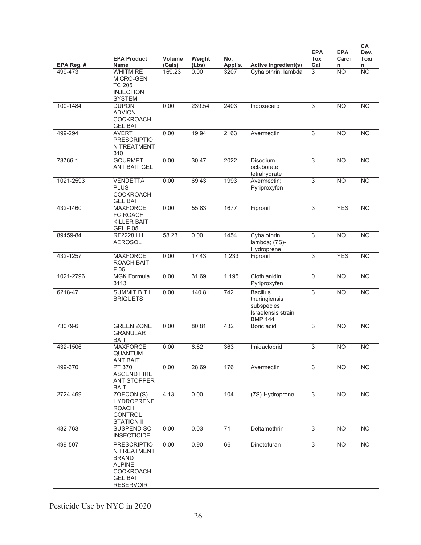| EPA Reg. # | <b>EPA Product</b><br>Name                                                                                                    | Volume<br>(Gals) | Weight<br>(Lbs) | No.<br>Appl's.  | <b>Active Ingredient(s)</b>                                                            | <b>EPA</b><br><b>Tox</b><br>Cat | <b>EPA</b><br>Carci<br>n | CA<br>Dev.<br>Toxi<br>n |
|------------|-------------------------------------------------------------------------------------------------------------------------------|------------------|-----------------|-----------------|----------------------------------------------------------------------------------------|---------------------------------|--------------------------|-------------------------|
| 499-473    | <b>WHITMIRE</b><br>MICRO-GEN<br><b>TC 205</b><br><b>INJECTION</b><br><b>SYSTEM</b>                                            | 169.23           | 0.00            | 3207            | Cyhalothrin, lambda                                                                    | 3                               | <b>NO</b>                | N <sub>O</sub>          |
| 100-1484   | <b>DUPONT</b><br><b>ADVION</b><br>COCKROACH<br><b>GEL BAIT</b>                                                                | 0.00             | 239.54          | 2403            | Indoxacarb                                                                             | $\overline{3}$                  | <b>NO</b>                | N <sub>O</sub>          |
| 499-294    | <b>AVERT</b><br><b>PRESCRIPTIO</b><br>N TREATMENT<br>310                                                                      | 0.00             | 19.94           | 2163            | Avermectin                                                                             | 3                               | <b>NO</b>                | <b>NO</b>               |
| 73766-1    | <b>GOURMET</b><br><b>ANT BAIT GEL</b>                                                                                         | 0.00             | 30.47           | 2022            | <b>Disodium</b><br>octaborate<br>tetrahydrate                                          | 3                               | $\overline{NO}$          | N <sub>O</sub>          |
| 1021-2593  | <b>VENDETTA</b><br><b>PLUS</b><br><b>COCKROACH</b><br><b>GEL BAIT</b>                                                         | 0.00             | 69.43           | 1993            | Avermectin;<br>Pyriproxyfen                                                            | 3                               | $\overline{NO}$          | N <sub>O</sub>          |
| 432-1460   | <b>MAXFORCE</b><br>FC ROACH<br><b>KILLER BAIT</b><br>GEL F.05                                                                 | 0.00             | 55.83           | 1677            | Fipronil                                                                               | $\overline{3}$                  | <b>YES</b>               | N <sub>O</sub>          |
| 89459-84   | <b>RF2228 LH</b><br><b>AEROSOL</b>                                                                                            | 58.23            | 0.00            | 1454            | Cyhalothrin,<br>lambda; (7S)-<br>Hydroprene                                            | 3                               | $\overline{NO}$          | N <sub>O</sub>          |
| 432-1257   | <b>MAXFORCE</b><br><b>ROACH BAIT</b><br>F.05                                                                                  | 0.00             | 17.43           | 1,233           | Fipronil                                                                               | $\overline{3}$                  | <b>YES</b>               | <b>NO</b>               |
| 1021-2796  | <b>MGK Formula</b><br>3113                                                                                                    | 0.00             | 31.69           | 1,195           | Clothianidin;<br>Pyriproxyfen                                                          | $\mathsf 0$                     | <b>NO</b>                | <b>NO</b>               |
| 6218-47    | SUMMIT B.T.I.<br><b>BRIQUETS</b>                                                                                              | 0.00             | 140.81          | 742             | <b>Bacillus</b><br>thuringiensis<br>subspecies<br>Israelensis strain<br><b>BMP 144</b> | 3                               | <b>NO</b>                | N <sub>O</sub>          |
| 73079-6    | <b>GREEN ZONE</b><br><b>GRANULAR</b><br><b>BAIT</b>                                                                           | 0.00             | 80.81           | 432             | Boric acid                                                                             | 3                               | $\overline{NO}$          | <b>NO</b>               |
| 432-1506   | <b>MAXFORCE</b><br>QUANTUM<br><b>ANT BAIT</b>                                                                                 | 0.00             | 6.62            | 363             | Imidacloprid                                                                           | $\overline{3}$                  | <b>NO</b>                | <b>NO</b>               |
| 499-370    | PT 370<br><b>ASCEND FIRE</b><br><b>ANT STOPPER</b><br><b>BAIT</b>                                                             | 0.00             | 28.69           | 176             | Avermectin                                                                             | 3                               | <b>NO</b>                | <b>NO</b>               |
| 2724-469   | ZOECON (S)-<br><b>HYDROPRENE</b><br><b>ROACH</b><br><b>CONTROL</b><br><b>STATION II</b>                                       | 4.13             | 0.00            | 104             | (7S)-Hydroprene                                                                        | 3                               | N <sub>O</sub>           | <b>NO</b>               |
| 432-763    | SUSPEND SC<br><b>INSECTICIDE</b>                                                                                              | 0.00             | 0.03            | $\overline{71}$ | Deltamethrin                                                                           | 3                               | <b>NO</b>                | <b>NO</b>               |
| 499-507    | <b>PRESCRIPTIO</b><br>N TREATMENT<br><b>BRAND</b><br><b>ALPINE</b><br><b>COCKROACH</b><br><b>GEL BAIT</b><br><b>RESERVOIR</b> | 0.00             | 0.90            | 66              | Dinotefuran                                                                            | $\overline{3}$                  | <b>NO</b>                | N <sub>O</sub>          |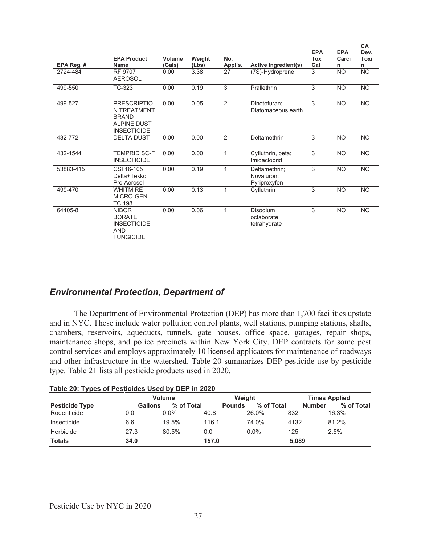| EPA Reg. # | <b>EPA Product</b><br><b>Name</b>                                                             | Volume<br>(Gals) | Weight<br>(Lbs) | No.<br>Appl's. | <b>Active Ingredient(s)</b>                 | <b>EPA</b><br><b>Tox</b><br>Cat | <b>EPA</b><br>Carci<br>n | CA<br>Dev.<br>Toxi<br>n |
|------------|-----------------------------------------------------------------------------------------------|------------------|-----------------|----------------|---------------------------------------------|---------------------------------|--------------------------|-------------------------|
| 2724-484   | RF 9707<br><b>AEROSOL</b>                                                                     | 0.00             | 3.38            | 27             | (7S)-Hydroprene                             | 3                               | <b>NO</b>                | <b>NO</b>               |
| 499-550    | TC-323                                                                                        | 0.00             | 0.19            | $\overline{3}$ | Prallethrin                                 | 3                               | <b>NO</b>                | <b>NO</b>               |
| 499-527    | <b>PRESCRIPTIO</b><br>N TREATMENT<br><b>BRAND</b><br><b>ALPINE DUST</b><br><b>INSECTICIDE</b> | 0.00             | 0.05            | 2              | Dinotefuran;<br>Diatomaceous earth          | 3                               | <b>NO</b>                | <b>NO</b>               |
| 432-772    | <b>DELTA DUST</b>                                                                             | 0.00             | 0.00            | 2              | Deltamethrin                                | 3                               | <b>NO</b>                | <b>NO</b>               |
| 432-1544   | <b>TEMPRID SC-F</b><br><b>INSECTICIDE</b>                                                     | 0.00             | 0.00            | 1              | Cyfluthrin, beta;<br>Imidacloprid           | 3                               | <b>NO</b>                | <b>NO</b>               |
| 53883-415  | CSI 16-105<br>Delta+Tekko<br>Pro Aerosol                                                      | 0.00             | 0.19            | 1              | Deltamethrin;<br>Novaluron;<br>Pyriproxyfen | 3                               | <b>NO</b>                | <b>NO</b>               |
| 499-470    | <b>WHITMIRE</b><br>MICRO-GEN<br><b>TC 198</b>                                                 | 0.00             | 0.13            | 1              | Cyfluthrin                                  | 3                               | <b>NO</b>                | <b>NO</b>               |
| 64405-8    | <b>NIBOR</b><br><b>BORATE</b><br><b>INSECTICIDE</b><br><b>AND</b><br><b>FUNGICIDE</b>         | 0.00             | 0.06            | 1              | Disodium<br>octaborate<br>tetrahydrate      | 3                               | <b>NO</b>                | <b>NO</b>               |

## *Environmental Protection, Department of*

 The Department of Environmental Protection (DEP) has more than 1,700 facilities upstate and in NYC. These include water pollution control plants, well stations, pumping stations, shafts, chambers, reservoirs, aqueducts, tunnels, gate houses, office space, garages, repair shops, maintenance shops, and police precincts within New York City. DEP contracts for some pest control services and employs approximately 10 licensed applicators for maintenance of roadways and other infrastructure in the watershed. Table 20 summarizes DEP pesticide use by pesticide type. Table 21 lists all pesticide products used in 2020.

|                       |      | <b>Volume</b>                |       | Weight        |            | <b>Times Applied</b> |               |            |
|-----------------------|------|------------------------------|-------|---------------|------------|----------------------|---------------|------------|
| <b>Pesticide Type</b> |      | % of Total<br><b>Gallons</b> |       | <b>Pounds</b> | % of Total |                      | <b>Number</b> | % of Total |
| Rodenticide           | 0.0  | $0.0\%$                      | 40.8  | 26.0%         |            | 832                  | 16.3%         |            |
| Insecticide           | 6.6  | 19.5%                        | 116.1 | 74.0%         |            | 4132                 | 81.2%         |            |
| Herbicide             | 27.3 | 80.5%                        | 0.0   | $0.0\%$       |            | 125                  | 2.5%          |            |
| <b>Totals</b>         | 34.0 |                              | 157.0 |               |            | 5,089                |               |            |

**Table 20: Types of Pesticides Used by DEP in 2020**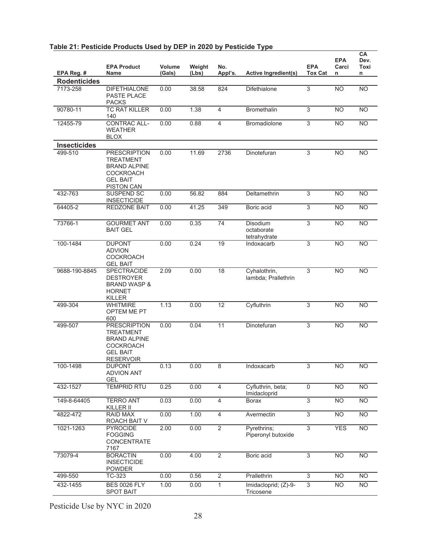|                     | <b>EPA Product</b>                                                                                                         | Volume | Weight | No.             |                                        | <b>EPA</b>     | <b>EPA</b><br>Carci | CA<br>Dev.<br>Toxi |
|---------------------|----------------------------------------------------------------------------------------------------------------------------|--------|--------|-----------------|----------------------------------------|----------------|---------------------|--------------------|
| EPA Reg. #          | Name                                                                                                                       | (Gals) | (Lbs)  | Appl's.         | <b>Active Ingredient(s)</b>            | <b>Tox Cat</b> | n                   | n                  |
| <b>Rodenticides</b> |                                                                                                                            |        |        |                 |                                        |                |                     |                    |
| 7173-258            | <b>DIFETHIALONE</b><br>PASTE PLACE<br><b>PACKS</b>                                                                         | 0.00   | 38.58  | 824             | Difethialone                           | 3              | <b>NO</b>           | <b>NO</b>          |
| 90780-11            | <b>TC RAT KILLER</b><br>140                                                                                                | 0.00   | 1.38   | $\overline{4}$  | <b>Bromethalin</b>                     | 3              | <b>NO</b>           | <b>NO</b>          |
| 12455-79            | <b>CONTRAC ALL-</b><br><b>WEATHER</b><br><b>BLOX</b>                                                                       | 0.00   | 0.88   | 4               | Bromadiolone                           | 3              | $\overline{NO}$     | N <sub>O</sub>     |
| <b>Insecticides</b> |                                                                                                                            |        |        |                 |                                        |                |                     |                    |
| 499-510             | <b>PRESCRIPTION</b><br><b>TREATMENT</b><br><b>BRAND ALPINE</b><br><b>COCKROACH</b><br><b>GEL BAIT</b><br><b>PISTON CAN</b> | 0.00   | 11.69  | 2736            | Dinotefuran                            | 3              | <b>NO</b>           | <b>NO</b>          |
| 432-763             | SUSPEND SC<br><b>INSECTICIDE</b>                                                                                           | 0.00   | 56.82  | 884             | Deltamethrin                           | 3              | <b>NO</b>           | <b>NO</b>          |
| 64405-2             | REDZONE BAIT                                                                                                               | 0.00   | 41.25  | 349             | Boric acid                             | $\overline{3}$ | <b>NO</b>           | <b>NO</b>          |
| 73766-1             | <b>GOURMET ANT</b><br><b>BAIT GEL</b>                                                                                      | 0.00   | 0.35   | $\overline{74}$ | Disodium<br>octaborate<br>tetrahvdrate | $\overline{3}$ | $\overline{NO}$     | <b>NO</b>          |
| 100-1484            | <b>DUPONT</b><br><b>ADVION</b><br><b>COCKROACH</b><br><b>GEL BAIT</b>                                                      | 0.00   | 0.24   | 19              | Indoxacarb                             | 3              | <b>NO</b>           | <b>NO</b>          |
| 9688-190-8845       | <b>SPECTRACIDE</b><br><b>DESTROYER</b><br><b>BRAND WASP &amp;</b><br><b>HORNET</b><br><b>KILLER</b>                        | 2.09   | 0.00   | 18              | Cyhalothrin,<br>lambda; Prallethrin    | 3              | <b>NO</b>           | <b>NO</b>          |
| 499-304             | <b>WHITMIRE</b><br>OPTEM ME PT<br>600                                                                                      | 1.13   | 0.00   | 12              | Cyfluthrin                             | $\overline{3}$ | <b>NO</b>           | <b>NO</b>          |
| 499-507             | <b>PRESCRIPTION</b><br><b>TREATMENT</b><br><b>BRAND ALPINE</b><br><b>COCKROACH</b><br><b>GEL BAIT</b><br><b>RESERVOIR</b>  | 0.00   | 0.04   | 11              | Dinotefuran                            | 3              | <b>NO</b>           | <b>NO</b>          |
| 100-1498            | <b>DUPONT</b><br><b>ADVION ANT</b><br><b>GEL</b>                                                                           | 0.13   | 0.00   | 8               | Indoxacarb                             | 3              | <b>NO</b>           | <b>NO</b>          |
| 432-1527            | <b>TEMPRID RTU</b>                                                                                                         | 0.25   | 0.00   | $\overline{4}$  | Cyfluthrin, beta;<br>Imidacloprid      | $\overline{0}$ | <b>NO</b>           | <b>NO</b>          |
| 149-8-64405         | <b>TERRO ANT</b><br>KILLER II                                                                                              | 0.03   | 0.00   | $\overline{4}$  | <b>Borax</b>                           | $\overline{3}$ | $\overline{NO}$     | N <sub>O</sub>     |
| 4822-472            | RAID MAX<br>ROACH BAIT V                                                                                                   | 0.00   | 1.00   | $\overline{4}$  | Avermectin                             | $\overline{3}$ | <b>NO</b>           | <b>NO</b>          |
| 1021-1263           | <b>PYROCIDE</b><br><b>FOGGING</b><br>CONCENTRATE<br>7167                                                                   | 2.00   | 0.00   | $\overline{2}$  | Pyrethrins;<br>Piperonyl butoxide      | $\overline{3}$ | <b>YES</b>          | N <sub>O</sub>     |
| 73079-4             | <b>BORACTIN</b><br><b>INSECTICIDE</b><br><b>POWDER</b>                                                                     | 0.00   | 4.00   | 2               | Boric acid                             | 3              | <b>NO</b>           | <b>NO</b>          |
| 499-550             | TC-323                                                                                                                     | 0.00   | 0.56   | $\sqrt{2}$      | Prallethrin                            | 3              | <b>NO</b>           | <b>NO</b>          |
| 432-1455            | <b>BES 0026 FLY</b><br><b>SPOT BAIT</b>                                                                                    | 1.00   | 0.00   | $\mathbf{1}$    | Imidacloprid; (Z)-9-<br>Tricosene      | $\overline{3}$ | <b>NO</b>           | <b>NO</b>          |

#### **Table 21: Pesticide Products Used by DEP in 2020 by Pesticide Type**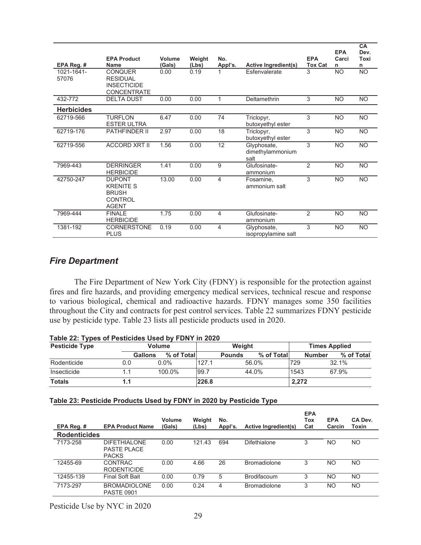| EPA Reg. #          | <b>EPA Product</b><br><b>Name</b>                                                   | Volume<br>(Gals) | Weight<br>(Lbs) | No.<br>Appl's. | <b>Active Ingredient(s)</b>             | <b>EPA</b><br><b>Tox Cat</b> | <b>EPA</b><br>Carci<br>n | <b>CA</b><br>Dev.<br>Toxi<br>n |
|---------------------|-------------------------------------------------------------------------------------|------------------|-----------------|----------------|-----------------------------------------|------------------------------|--------------------------|--------------------------------|
| 1021-1641-<br>57076 | <b>CONQUER</b><br><b>RESIDUAL</b><br><b>INSECTICIDE</b><br><b>CONCENTRATE</b>       | 0.00             | 0.19            |                | Esfenvalerate                           | 3                            | <b>NO</b>                | <b>NO</b>                      |
| 432-772             | <b>DELTA DUST</b>                                                                   | 0.00             | 0.00            | 1              | Deltamethrin                            | 3                            | <b>NO</b>                | <b>NO</b>                      |
| <b>Herbicides</b>   |                                                                                     |                  |                 |                |                                         |                              |                          |                                |
| 62719-566           | <b>TURFLON</b><br><b>ESTER ULTRA</b>                                                | 6.47             | 0.00            | 74             | Triclopyr,<br>butoxyethyl ester         | 3                            | <b>NO</b>                | <b>NO</b>                      |
| 62719-176           | PATHFINDER II                                                                       | 2.97             | 0.00            | 18             | Triclopyr,<br>butoxyethyl ester         | 3                            | <b>NO</b>                | <b>NO</b>                      |
| 62719-556           | <b>ACCORD XRT II</b>                                                                | 1.56             | 0.00            | 12             | Glyphosate,<br>dimethylammonium<br>salt | 3                            | <b>NO</b>                | <b>NO</b>                      |
| 7969-443            | <b>DERRINGER</b><br><b>HERBICIDE</b>                                                | 1.41             | 0.00            | 9              | Glufosinate-<br>ammonium                | $\overline{2}$               | <b>NO</b>                | <b>NO</b>                      |
| 42750-247           | <b>DUPONT</b><br><b>KRENITE S</b><br><b>BRUSH</b><br><b>CONTROL</b><br><b>AGENT</b> | 13.00            | 0.00            | 4              | Fosamine.<br>ammonium salt              | 3                            | <b>NO</b>                | <b>NO</b>                      |
| 7969-444            | <b>FINALE</b><br><b>HERBICIDE</b>                                                   | 1.75             | 0.00            | 4              | Glufosinate-<br>ammonium                | $\overline{2}$               | <b>NO</b>                | <b>NO</b>                      |
| 1381-192            | <b>CORNERSTONE</b><br><b>PLUS</b>                                                   | 0.19             | 0.00            | 4              | Glyphosate,<br>isopropylamine salt      | 3                            | <b>NO</b>                | <b>NO</b>                      |

## *Fire Department*

 The Fire Department of New York City (FDNY) is responsible for the protection against fires and fire hazards, and providing emergency medical services, technical rescue and response to various biological, chemical and radioactive hazards. FDNY manages some 350 facilities throughout the City and contracts for pest control services. Table 22 summarizes FDNY pesticide use by pesticide type. Table 23 lists all pesticide products used in 2020.

| Table 22: Types of Pesticides Used by FDNY in 2020<br><b>Pesticide Type</b><br>Weight<br><b>Volume</b> |      |                              |       |               | <b>Times Applied</b> |       |               |            |
|--------------------------------------------------------------------------------------------------------|------|------------------------------|-------|---------------|----------------------|-------|---------------|------------|
|                                                                                                        |      | % of Total<br><b>Gallons</b> |       | <b>Pounds</b> | % of Total           |       | <b>Number</b> | % of Total |
| Rodenticide                                                                                            | 0.0  | $0.0\%$                      | 127.1 |               | 56.0%                | 729   |               | $32.1\%$   |
| Insecticide                                                                                            | 1.1  | $100.0\%$                    | 99.7  |               | 44.0%                | 1543  |               | 67.9%      |
| <b>Totals</b>                                                                                          | ا 1. |                              | 226.8 |               |                      | 2,272 |               |            |

## **Table 23: Pesticide Products Used by FDNY in 2020 by Pesticide Type**

| EPA Reg. #          | <b>EPA Product Name</b>                      | <b>Volume</b><br>(Gals) | Weight<br>(Lbs) | No.<br>Appl's. | Active Ingredient(s) | <b>EPA</b><br>Tox<br>Cat | <b>EPA</b><br>Carcin | CA Dev.<br>Toxin |
|---------------------|----------------------------------------------|-------------------------|-----------------|----------------|----------------------|--------------------------|----------------------|------------------|
| <b>Rodenticides</b> |                                              |                         |                 |                |                      |                          |                      |                  |
| 7173-258            | DIFFTHIAI ONF<br>PASTE PLACE<br><b>PACKS</b> | 0.00                    | 121.43          | 694            | Difethialone         | 3                        | <b>NO</b>            | NO.              |
| 12455-69            | <b>CONTRAC</b><br><b>RODENTICIDE</b>         | 0.00                    | 4.66            | 26             | <b>Bromadiolone</b>  | 3                        | N <sub>O</sub>       | NO.              |
| 12455-139           | <b>Final Soft Bait</b>                       | 0.00                    | 0.79            | 5              | <b>Brodifacoum</b>   | 3                        | <b>NO</b>            | NO.              |
| 7173-297            | <b>BROMADIOLONE</b><br><b>PASTE 0901</b>     | 0.00                    | 0.24            | 4              | <b>Bromadiolone</b>  | 3                        | NO                   | NO.              |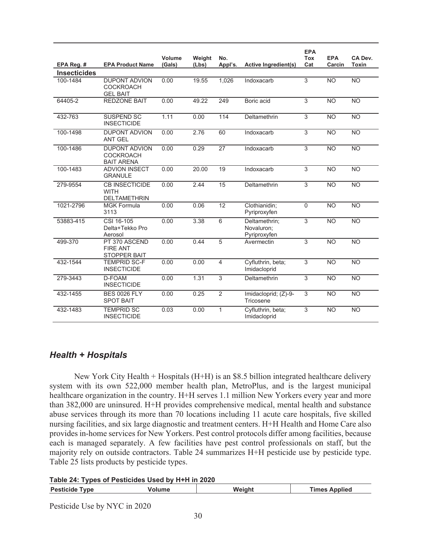| EPA Reg. #          | <b>EPA Product Name</b>                                       | Volume<br>(Gals) | Weight<br>(Lbs) | No.<br>Appl's.  | <b>Active Ingredient(s)</b>                 | <b>EPA</b><br><b>Tox</b><br>Cat | <b>EPA</b><br>Carcin | CA Dev.<br><b>Toxin</b> |
|---------------------|---------------------------------------------------------------|------------------|-----------------|-----------------|---------------------------------------------|---------------------------------|----------------------|-------------------------|
| <b>Insecticides</b> |                                                               |                  |                 |                 |                                             |                                 |                      |                         |
| 100-1484            | <b>DUPONT ADVION</b><br><b>COCKROACH</b><br><b>GEL BAIT</b>   | 0.00             | 19.55           | 1,026           | Indoxacarb                                  | 3                               | <b>NO</b>            | <b>NO</b>               |
| 64405-2             | <b>REDZONE BAIT</b>                                           | 0.00             | 49.22           | 249             | Boric acid                                  | 3                               | <b>NO</b>            | <b>NO</b>               |
| 432-763             | <b>SUSPEND SC</b><br><b>INSECTICIDE</b>                       | 1.11             | 0.00            | 114             | Deltamethrin                                | $\overline{3}$                  | $\overline{NO}$      | N <sub>O</sub>          |
| 100-1498            | <b>DUPONT ADVION</b><br><b>ANT GEL</b>                        | 0.00             | 2.76            | 60              | Indoxacarb                                  | $\overline{3}$                  | <b>NO</b>            | N <sub>O</sub>          |
| 100-1486            | <b>DUPONT ADVION</b><br><b>COCKROACH</b><br><b>BAIT ARENA</b> | 0.00             | 0.29            | 27              | Indoxacarb                                  | $\overline{3}$                  | <b>NO</b>            | <b>NO</b>               |
| 100-1483            | <b>ADVION INSECT</b><br><b>GRANULE</b>                        | 0.00             | 20.00           | 19              | Indoxacarb                                  | $\overline{3}$                  | $\overline{NO}$      | <b>NO</b>               |
| 279-9554            | <b>CB INSECTICIDE</b><br><b>WITH</b><br><b>DELTAMETHRIN</b>   | 0.00             | 2.44            | 15              | Deltamethrin                                | $\overline{3}$                  | <b>NO</b>            | <b>NO</b>               |
| 1021-2796           | <b>MGK Formula</b><br>3113                                    | 0.00             | 0.06            | $\overline{12}$ | Clothianidin;<br>Pyriproxyfen               | $\overline{0}$                  | $\overline{NO}$      | N <sub>O</sub>          |
| 53883-415           | CSI 16-105<br>Delta+Tekko Pro<br>Aerosol                      | 0.00             | 3.38            | 6               | Deltamethrin;<br>Novaluron:<br>Pyriproxyfen | $\overline{3}$                  | $\overline{NO}$      | <b>NO</b>               |
| 499-370             | PT 370 ASCEND<br><b>FIRE ANT</b><br><b>STOPPER BAIT</b>       | 0.00             | 0.44            | 5               | Avermectin                                  | 3                               | <b>NO</b>            | <b>NO</b>               |
| 432-1544            | <b>TEMPRID SC-F</b><br><b>INSECTICIDE</b>                     | 0.00             | 0.00            | $\overline{4}$  | Cyfluthrin, beta;<br>Imidacloprid           | 3                               | <b>NO</b>            | <b>NO</b>               |
| 279-3443            | D-FOAM<br><b>INSECTICIDE</b>                                  | 0.00             | 1.31            | 3               | Deltamethrin                                | 3                               | <b>NO</b>            | <b>NO</b>               |
| 432-1455            | <b>BES 0026 FLY</b><br><b>SPOT BAIT</b>                       | 0.00             | 0.25            | $\overline{2}$  | Imidacloprid; (Z)-9-<br>Tricosene           | $\overline{3}$                  | <b>NO</b>            | <b>NO</b>               |
| 432-1483            | <b>TEMPRID SC</b><br><b>INSECTICIDE</b>                       | 0.03             | 0.00            | 1               | Cyfluthrin, beta;<br>Imidacloprid           | 3                               | <b>NO</b>            | <b>NO</b>               |

## *Health + Hospitals*

 New York City Health + Hospitals (H+H) is an \$8.5 billion integrated healthcare delivery system with its own 522,000 member health plan, MetroPlus, and is the largest municipal healthcare organization in the country. H+H serves 1.1 million New Yorkers every year and more than 382,000 are uninsured. H+H provides comprehensive medical, mental health and substance abuse services through its more than 70 locations including 11 acute care hospitals, five skilled nursing facilities, and six large diagnostic and treatment centers. H+H Health and Home Care also provides in-home services for New Yorkers. Pest control protocols differ among facilities, because each is managed separately. A few facilities have pest control professionals on staff, but the majority rely on outside contractors. Table 24 summarizes H+H pesticide use by pesticide type. Table 25 lists products by pesticide types.

**Table 24: Types of Pesticides Used by H+H in 2020** 

|  | Pestic.<br><b>vpe</b><br>- - -- -<br>-1018 | iah<br>WQ 1 | ⊺imes<br><b>nnlied</b> |
|--|--------------------------------------------|-------------|------------------------|
|--|--------------------------------------------|-------------|------------------------|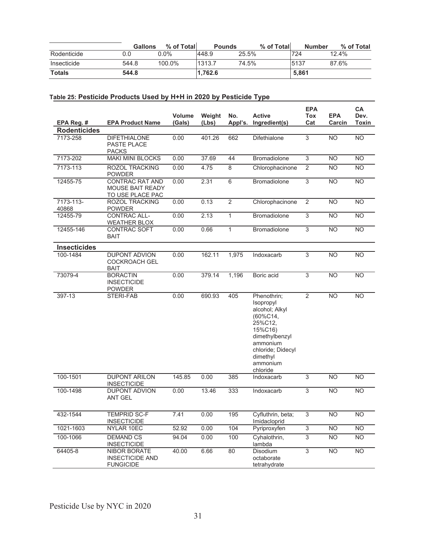|               | Gallons | % of Totall | <b>Pounds</b> |       | % of Total | <b>Number</b> | % of Total |
|---------------|---------|-------------|---------------|-------|------------|---------------|------------|
| Rodenticide   | ა.0     | ን.ዐ%        | 448.9         | 25.5% |            | 724           | 12.4%      |
| Insecticide   | 544.8   | 100.0%      | 1313.7        | 74.5% |            | 5137          | 87.6%      |
| <b>Totals</b> | 544.8   |             | 1.762.6       |       |            | 5,861         |            |

#### **Table 25: Pesticide Products Used by H+H in 2020 by Pesticide Type**

|                     |                                                                   |                         |                 |                |                                                                                                                                                                        | <b>EPA</b>        |                      | CA                   |
|---------------------|-------------------------------------------------------------------|-------------------------|-----------------|----------------|------------------------------------------------------------------------------------------------------------------------------------------------------------------------|-------------------|----------------------|----------------------|
| EPA Reg. #          | <b>EPA Product Name</b>                                           | <b>Volume</b><br>(Gals) | Weight<br>(Lbs) | No.<br>Appl's. | <b>Active</b><br>Ingredient(s)                                                                                                                                         | <b>Tox</b><br>Cat | <b>EPA</b><br>Carcin | Dev.<br><b>Toxin</b> |
| <b>Rodenticides</b> |                                                                   |                         |                 |                |                                                                                                                                                                        |                   |                      |                      |
| 7173-258            | <b>DIFETHIALONE</b><br>PASTE PLACE<br><b>PACKS</b>                | 0.00                    | 401.26          | 662            | Difethialone                                                                                                                                                           | 3                 | <b>NO</b>            | <b>NO</b>            |
| 7173-202            | <b>MAKI MINI BLOCKS</b>                                           | 0.00                    | 37.69           | 44             | <b>Bromadiolone</b>                                                                                                                                                    | $\overline{3}$    | <b>NO</b>            | $\overline{NO}$      |
| 7173-113            | ROZOL TRACKING<br><b>POWDER</b>                                   | 0.00                    | 4.75            | 8              | Chlorophacinone                                                                                                                                                        | $\overline{2}$    | <b>NO</b>            | <b>NO</b>            |
| 12455-75            | <b>CONTRAC RAT AND</b><br>MOUSE BAIT READY<br>TO USE PLACE PAC    | 0.00                    | 2.31            | $\overline{6}$ | <b>Bromadiolone</b>                                                                                                                                                    | $\overline{3}$    | <b>NO</b>            | <b>NO</b>            |
| 7173-113-<br>40868  | ROZOL TRACKING<br><b>POWDER</b>                                   | 0.00                    | 0.13            | $\overline{2}$ | Chlorophacinone                                                                                                                                                        | 2                 | <b>NO</b>            | <b>NO</b>            |
| 12455-79            | CONTRAC ALL-<br><b>WEATHER BLOX</b>                               | 0.00                    | 2.13            | $\mathbf{1}$   | Bromadiolone                                                                                                                                                           | $\overline{3}$    | N <sub>O</sub>       | $\overline{NO}$      |
| 12455-146           | CONTRAC SOFT<br><b>BAIT</b>                                       | 0.00                    | 0.66            | 1              | <b>Bromadiolone</b>                                                                                                                                                    | $\overline{3}$    | <b>NO</b>            | <b>NO</b>            |
| <b>Insecticides</b> |                                                                   |                         |                 |                |                                                                                                                                                                        |                   |                      |                      |
| 100-1484            | <b>DUPONT ADVION</b><br><b>COCKROACH GEL</b><br><b>BAIT</b>       | 0.00                    | 162.11          | 1,975          | Indoxacarb                                                                                                                                                             | 3                 | <b>NO</b>            | <b>NO</b>            |
| 73079-4             | <b>BORACTIN</b><br><b>INSECTICIDE</b><br><b>POWDER</b>            | 0.00                    | 379.14          | 1,196          | Boric acid                                                                                                                                                             | $\overline{3}$    | <b>NO</b>            | <b>NO</b>            |
| 397-13              | STERI-FAB                                                         | 0.00                    | 690.93          | 405            | Phenothrin;<br>Isopropyl<br>alcohol; Alkyl<br>$(60\%C14,$<br>25%C12,<br>15%C16)<br>dimethylbenzyl<br>ammonium<br>chloride; Didecyl<br>dimethyl<br>ammonium<br>chloride | 2                 | <b>NO</b>            | <b>NO</b>            |
| 100-1501            | <b>DUPONT ARILON</b><br><b>INSECTICIDE</b>                        | 145.85                  | 0.00            | 385            | Indoxacarb                                                                                                                                                             | 3                 | <b>NO</b>            | <b>NO</b>            |
| 100-1498            | <b>DUPONT ADVION</b><br><b>ANT GEL</b>                            | 0.00                    | 13.46           | 333            | Indoxacarb                                                                                                                                                             | 3                 | <b>NO</b>            | <b>NO</b>            |
| 432-1544            | <b>TEMPRID SC-F</b><br><b>INSECTICIDE</b>                         | 7.41                    | 0.00            | 195            | Cyfluthrin, beta;<br>Imidacloprid                                                                                                                                      | $\overline{3}$    | $\overline{NO}$      | $\overline{NO}$      |
| 1021-1603           | NYLAR 10EC                                                        | 52.92                   | 0.00            | 104            | Pyriproxyfen                                                                                                                                                           | 3                 | <b>NO</b>            | <b>NO</b>            |
| 100-1066            | <b>DEMAND CS</b><br><b>INSECTICIDE</b>                            | 94.04                   | 0.00            | 100            | Cyhalothrin,<br>lambda                                                                                                                                                 | $\overline{3}$    | N <sub>O</sub>       | <b>NO</b>            |
| 64405-8             | <b>NIBOR BORATE</b><br><b>INSECTICIDE AND</b><br><b>FUNGICIDE</b> | 40.00                   | 6.66            | 80             | Disodium<br>octaborate<br>tetrahydrate                                                                                                                                 | $\overline{3}$    | N <sub>O</sub>       | $\overline{NO}$      |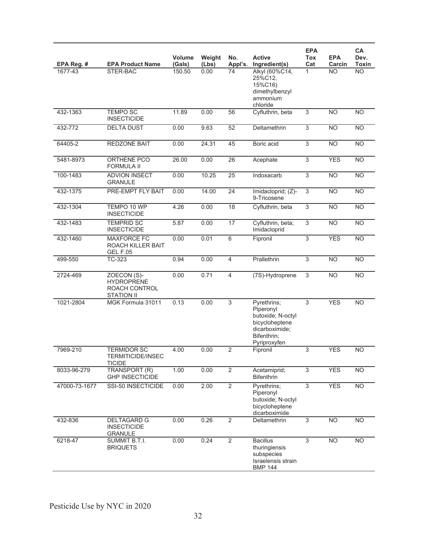| EPA Reg. #    | <b>EPA Product Name</b>                                                | <b>Volume</b><br>(Gals) | Weight<br>(Lbs) | No.<br>Appl's.  | <b>Active</b><br>Ingredient(s)                                                                                   | <b>EPA</b><br>Tox<br>Cat  | <b>EPA</b><br>Carcin | CA<br>Dev.<br><b>Toxin</b> |
|---------------|------------------------------------------------------------------------|-------------------------|-----------------|-----------------|------------------------------------------------------------------------------------------------------------------|---------------------------|----------------------|----------------------------|
| 1677-43       | STER-BAC                                                               | 150.50                  | 0.00            | 74              | Alkyl (60%C14,<br>25%C12.<br>15%C16)<br>dimethylbenzyl<br>ammonium<br>chloride                                   | 1                         | <b>NO</b>            | <b>NO</b>                  |
| 432-1363      | <b>TEMPO SC</b><br><b>INSECTICIDE</b>                                  | 11.89                   | 0.00            | 56              | Cyfluthrin, beta                                                                                                 | 3                         | <b>NO</b>            | <b>NO</b>                  |
| 432-772       | <b>DELTA DUST</b>                                                      | 0.00                    | 9.63            | 52              | Deltamethrin                                                                                                     | $\overline{3}$            | <b>NO</b>            | <b>NO</b>                  |
| 64405-2       | <b>REDZONE BAIT</b>                                                    | 0.00                    | 24.31           | 45              | Boric acid                                                                                                       | 3                         | <b>NO</b>            | <b>NO</b>                  |
| 5481-8973     | ORTHENE PCO<br><b>FORMULA II</b>                                       | 26.00                   | 0.00            | 26              | Acephate                                                                                                         | 3                         | <b>YES</b>           | <b>NO</b>                  |
| 100-1483      | <b>ADVION INSECT</b><br><b>GRANULE</b>                                 | 0.00                    | 10.25           | $\overline{25}$ | Indoxacarb                                                                                                       | $\overline{3}$            | N <sub>O</sub>       | N <sub>O</sub>             |
| 432-1375      | PRE-EMPT FLY BAIT                                                      | 0.00                    | 14.00           | 24              | Imidacloprid; (Z)-<br>9-Tricosene                                                                                | $\overline{3}$            | N <sub>O</sub>       | N <sub>O</sub>             |
| 432-1304      | TEMPO 10 WP<br><b>INSECTICIDE</b>                                      | 4.26                    | 0.00            | 18              | Cyfluthrin, beta                                                                                                 | $\overline{3}$            | <b>NO</b>            | <b>NO</b>                  |
| 432-1483      | <b>TEMPRID SC</b><br><b>INSECTICIDE</b>                                | 5.87                    | 0.00            | 17              | Cyfluthrin, beta;<br>Imidacloprid                                                                                | $\overline{3}$            | <b>NO</b>            | N <sub>O</sub>             |
| 432-1460      | <b>MAXFORCE FC</b><br>ROACH KILLER BAIT<br><b>GEL F.05</b>             | 0.00                    | 0.01            | $\overline{6}$  | Fipronil                                                                                                         | 3                         | <b>YES</b>           | <b>NO</b>                  |
| 499-550       | TC-323                                                                 | 0.94                    | 0.00            | 4               | Prallethrin                                                                                                      | $\overline{3}$            | <b>NO</b>            | <b>NO</b>                  |
| 2724-469      | ZOECON (S)-<br><b>HYDROPRENE</b><br>ROACH CONTROL<br><b>STATION II</b> | 0.00                    | 0.71            | $\overline{4}$  | (7S)-Hydroprene                                                                                                  | $\overline{3}$            | <b>NO</b>            | $\overline{NO}$            |
| 1021-2804     | MGK Formula 31011                                                      | 0.13                    | 0.00            | $\overline{3}$  | Pyrethrins;<br>Piperonyl<br>butoxide; N-octyl<br>bicycloheptene<br>dicarboximide;<br>Bifenthrin;<br>Pyriproxyfen | 3                         | <b>YES</b>           | <b>NO</b>                  |
| 7969-210      | <b>TERMIDOR SC</b><br><b>TERMITICIDE/INSEC</b><br><b>TICIDE</b>        | 4.00                    | 0.00            | $\overline{2}$  | Fipronil                                                                                                         | 3                         | <b>YES</b>           | <b>NO</b>                  |
| 8033-96-279   | TRANSPORT (R)<br><b>GHP INSECTICIDE</b>                                | 1.00                    | 0.00            | $\overline{2}$  | Acetamiprid;<br><b>Bifenthrin</b>                                                                                | 3                         | <b>YES</b>           | <b>NO</b>                  |
| 47000-73-1677 | SSI-50 INSECTICIDE                                                     | 0.00                    | 2.00            | $\overline{2}$  | Pyrethrins;<br>Piperonyl<br>butoxide; N-octyl<br>bicycloheptene<br>dicarboximide                                 | $\overline{3}$            | <b>YES</b>           | <b>NO</b>                  |
| 432-836       | <b>DELTAGARD G</b><br><b>INSECTICIDE</b><br><b>GRANULE</b>             | 0.00                    | 0.26            | $\overline{2}$  | Deltamethrin                                                                                                     | $\ensuremath{\mathsf{3}}$ | <b>NO</b>            | <b>NO</b>                  |
| 6218-47       | SUMMIT B.T.I.<br><b>BRIQUETS</b>                                       | 0.00                    | 0.24            | $\overline{2}$  | <b>Bacillus</b><br>thuringiensis<br>subspecies<br>Israelensis strain<br><b>BMP 144</b>                           | 3                         | <b>NO</b>            | <b>NO</b>                  |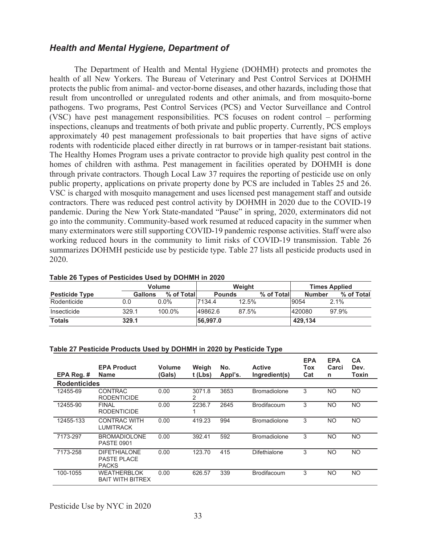### *Health and Mental Hygiene, Department of*

 The Department of Health and Mental Hygiene (DOHMH) protects and promotes the health of all New Yorkers. The Bureau of Veterinary and Pest Control Services at DOHMH protects the public from animal- and vector-borne diseases, and other hazards, including those that result from uncontrolled or unregulated rodents and other animals, and from mosquito-borne pathogens. Two programs, Pest Control Services (PCS) and Vector Surveillance and Control (VSC) have pest management responsibilities. PCS focuses on rodent control – performing inspections, cleanups and treatments of both private and public property. Currently, PCS employs approximately 40 pest management professionals to bait properties that have signs of active rodents with rodenticide placed either directly in rat burrows or in tamper-resistant bait stations. The Healthy Homes Program uses a private contractor to provide high quality pest control in the homes of children with asthma. Pest management in facilities operated by DOHMH is done through private contractors. Though Local Law 37 requires the reporting of pesticide use on only public property, applications on private property done by PCS are included in Tables 25 and 26. VSC is charged with mosquito management and uses licensed pest management staff and outside contractors. There was reduced pest control activity by DOHMH in 2020 due to the COVID-19 pandemic. During the New York State-mandated "Pause" in spring, 2020, exterminators did not go into the community. Community-based work resumed at reduced capacity in the summer when many exterminators were still supporting COVID-19 pandemic response activities. Staff were also working reduced hours in the community to limit risks of COVID-19 transmission. Table 26 summarizes DOHMH pesticide use by pesticide type. Table 27 lists all pesticide products used in 2020.

| <b>TWAIGHT THE COLLUCT COLLUCTER COLUMN TO CHAIGHT THE LULU</b> |                |               |               |        |            |               |                      |
|-----------------------------------------------------------------|----------------|---------------|---------------|--------|------------|---------------|----------------------|
|                                                                 |                | <b>Volume</b> |               | Weiaht |            |               | <b>Times Applied</b> |
| <b>Pesticide Type</b>                                           | <b>Gallons</b> | % of Total    | <b>Pounds</b> |        | % of Total | <b>Number</b> | % of Total           |
| Rodenticide                                                     | 0.0            | $0.0\%$       | 7134.4        | 12.5%  |            | 9054          | $2.1\%$              |
| Insecticide                                                     | 329.1          | 100.0%        | 49862.6       | 87.5%  |            | 420080        | 97.9%                |
| <b>Totals</b>                                                   | 329.1          |               | 56.997.0      |        |            | 429.134       |                      |

#### **Table 26 Types of Pesticides Used by DOHMH in 2020**

#### **Table 27 Pesticide Products Used by DOHMH in 2020 by Pesticide Type**

| EPA Reg. #          | <b>EPA Product</b><br><b>Name</b>                         | <b>Volume</b><br><b>Gals</b> ) | Weigh<br>$t$ (Lbs) | No.<br>Appl's. | <b>Active</b><br>Ingredient(s) | <b>EPA</b><br>Tox<br>Cat | <b>EPA</b><br>Carci<br>n | <b>CA</b><br>Dev.<br><b>Toxin</b> |
|---------------------|-----------------------------------------------------------|--------------------------------|--------------------|----------------|--------------------------------|--------------------------|--------------------------|-----------------------------------|
| <b>Rodenticides</b> |                                                           |                                |                    |                |                                |                          |                          |                                   |
| 12455-69            | <b>CONTRAC</b><br><b>RODENTICIDE</b>                      | 0.00                           | 3071.8<br>2        | 3653           | <b>Bromadiolone</b>            | 3                        | NO.                      | <b>NO</b>                         |
| 12455-90            | <b>FINAL</b><br><b>RODENTICIDE</b>                        | 0.00                           | 2236.7             | 2645           | <b>Brodifacoum</b>             | 3                        | <b>NO</b>                | <b>NO</b>                         |
| 12455-133           | <b>CONTRAC WITH</b><br><b>LUMITRACK</b>                   | 0.00                           | 419.23             | 994            | <b>Bromadiolone</b>            | 3                        | NO.                      | <b>NO</b>                         |
| 7173-297            | <b>BROMADIOLONE</b><br><b>PASTE 0901</b>                  | 0.00                           | 392.41             | 592            | <b>Bromadiolone</b>            | 3                        | <b>NO</b>                | <b>NO</b>                         |
| 7173-258            | <b>DIFETHIALONE</b><br><b>PASTE PLACE</b><br><b>PACKS</b> | 0.00                           | 123.70             | 415            | Difethialone                   | 3                        | NO.                      | <b>NO</b>                         |
| 100-1055            | <b>WEATHERBLOK</b><br><b>BAIT WITH BITREX</b>             | 0.00                           | 626.57             | 339            | <b>Brodifacoum</b>             | 3                        | NO.                      | NO.                               |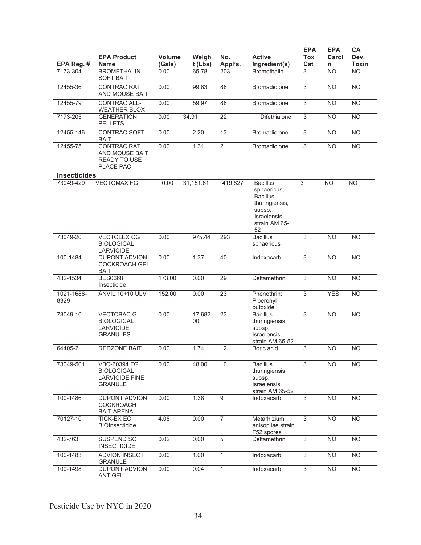| EPA Reg. #          | <b>EPA Product</b><br>Name                                                          | Volume<br>(Gals) | Weigh<br>$t$ (Lbs) | No.<br>Appl's.  | <b>Active</b><br>Ingredient(s)                                                                                       | <b>EPA</b><br><b>Tox</b><br>Cat | <b>EPA</b><br>Carci<br>n | CA<br>Dev.<br><b>Toxin</b> |
|---------------------|-------------------------------------------------------------------------------------|------------------|--------------------|-----------------|----------------------------------------------------------------------------------------------------------------------|---------------------------------|--------------------------|----------------------------|
| 7173-304            | <b>BROMETHALIN</b><br><b>SOFT BAIT</b>                                              | 0.00             | 65.78              | 203             | <b>Bromethalin</b>                                                                                                   | 3                               | <b>NO</b>                | <b>NO</b>                  |
| 12455-36            | <b>CONTRAC RAT</b><br>AND MOUSE BAIT                                                | 0.00             | 99.83              | 88              | <b>Bromadiolone</b>                                                                                                  | $\overline{3}$                  | <b>NO</b>                | N <sub>O</sub>             |
| 12455-79            | <b>CONTRAC ALL-</b><br><b>WEATHER BLOX</b>                                          | 0.00             | 59.97              | 88              | <b>Bromadiolone</b>                                                                                                  | $\overline{3}$                  | <b>NO</b>                | $\overline{NO}$            |
| 7173-205            | <b>GENERATION</b><br><b>PELLETS</b>                                                 | 0.00             | 34.91              | 22              | Difethialone                                                                                                         | 3                               | <b>NO</b>                | N <sub>O</sub>             |
| 12455-146           | <b>CONTRAC SOFT</b><br><b>BAIT</b>                                                  | 0.00             | 2.20               | 13              | Bromadiolone                                                                                                         | $\overline{3}$                  | <b>NO</b>                | <b>NO</b>                  |
| 12455-75            | <b>CONTRAC RAT</b><br>AND MOUSE BAIT<br><b>READY TO USE</b><br>PLACE PAC            | 0.00             | 1.31               | $\overline{2}$  | <b>Bromadiolone</b>                                                                                                  | 3                               | <b>NO</b>                | <b>NO</b>                  |
| <b>Insecticides</b> |                                                                                     |                  |                    |                 |                                                                                                                      |                                 |                          |                            |
| 73049-429           | <b>VECTOMAX FG</b>                                                                  | 0.00             | 31,151.61          | 419,627         | <b>Bacillus</b><br>sphaericus;<br><b>Bacillus</b><br>thuringiensis,<br>subsp.<br>Israelensis,<br>strain AM 65-<br>52 | 3                               | <b>NO</b>                | $\overline{NO}$            |
| 73049-20            | <b>VECTOLEX CG</b><br><b>BIOLOGICAL</b><br><b>LARVICIDE</b>                         | 0.00             | 975.44             | 293             | <b>Bacillus</b><br>sphaericus                                                                                        | 3                               | <b>NO</b>                | <b>NO</b>                  |
| 100-1484            | <b>DUPONT ADVION</b><br><b>COCKROACH GEL</b><br><b>BAIT</b>                         | 0.00             | 1.37               | 40              | Indoxacarb                                                                                                           | $\overline{3}$                  | <b>NO</b>                | N <sub>O</sub>             |
| 432-1534            | <b>BES0668</b><br>Insecticide                                                       | 173.00           | 0.00               | 29              | Deltamethrin                                                                                                         | 3                               | N <sub>O</sub>           | <b>NO</b>                  |
| 1021-1688-<br>8329  | <b>ANVIL 10+10 ULV</b>                                                              | 152.00           | 0.00               | $\overline{23}$ | Phenothrin;<br>Piperonyl<br>butoxide                                                                                 | 3                               | <b>YES</b>               | <b>NO</b>                  |
| 73049-10            | <b>VECTOBAC G</b><br><b>BIOLOGICAL</b><br><b>LARVICIDE</b><br><b>GRANULES</b>       | 0.00             | 17,682.<br>00      | 23              | <b>Bacillus</b><br>thuringiensis,<br>subsp.<br>Israelensis,<br>strain AM 65-52                                       | 3                               | <b>NO</b>                | <b>NO</b>                  |
| 64405-2             | <b>REDZONE BAIT</b>                                                                 | 0.00             | 1.74               | 12              | Boric acid                                                                                                           | $\overline{3}$                  | $\overline{NO}$          | $\overline{NO}$            |
| 73049-501           | <b>VBC-60394 FG</b><br><b>BIOLOGICAL</b><br><b>LARVICIDE FINE</b><br><b>GRANULE</b> | 0.00             | 48.00              | 10              | <b>Bacillus</b><br>thuringiensis,<br>subsp.<br>Israelensis,<br>strain AM 65-52                                       | 3                               | <b>NO</b>                | <b>NO</b>                  |
| 100-1486            | <b>DUPONT ADVION</b><br><b>COCKROACH</b><br><b>BAIT ARENA</b>                       | 0.00             | 1.38               | $\overline{9}$  | Indoxacarb                                                                                                           | 3                               | <b>NO</b>                | <b>NO</b>                  |
| 70127-10            | TICK-EX EC<br><b>BIOInsecticide</b>                                                 | 4.08             | 0.00               | $\overline{7}$  | Metarhizium<br>anisopliae strain<br>F52 spores                                                                       | 3                               | <b>NO</b>                | <b>NO</b>                  |
| 432-763             | <b>SUSPEND SC</b><br><b>INSECTICIDE</b>                                             | 0.02             | 0.00               | 5               | Deltamethrin                                                                                                         | $\overline{3}$                  | <b>NO</b>                | <b>NO</b>                  |
| 100-1483            | <b>ADVION INSECT</b><br><b>GRANULE</b>                                              | 0.00             | 1.00               | $\mathbf{1}$    | Indoxacarb                                                                                                           | 3                               | <b>NO</b>                | <b>NO</b>                  |
| 100-1498            | <b>DUPONT ADVION</b><br>ANT GEL                                                     | 0.00             | 0.04               | $\mathbf{1}$    | Indoxacarb                                                                                                           | 3                               | N <sub>O</sub>           | <b>NO</b>                  |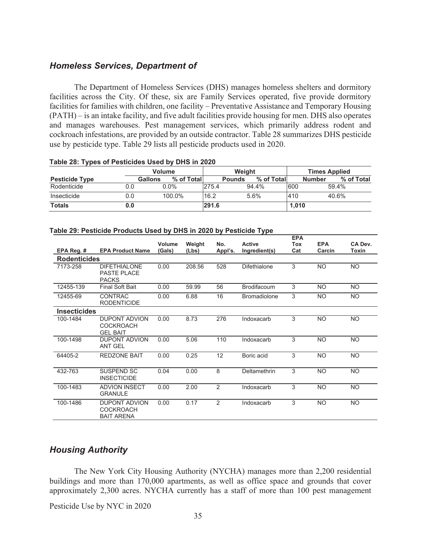#### *Homeless Services, Department of*

 The Department of Homeless Services (DHS) manages homeless shelters and dormitory facilities across the City. Of these, six are Family Services operated, five provide dormitory facilities for families with children, one facility – Preventative Assistance and Temporary Housing (PATH) – is an intake facility, and five adult facilities provide housing for men. DHS also operates and manages warehouses. Pest management services, which primarily address rodent and cockroach infestations, are provided by an outside contractor. Table 28 summarizes DHS pesticide use by pesticide type. Table 29 lists all pesticide products used in 2020.

|                       |                | <b>Volume</b> | Weight |               |            | <b>Times Applied</b> |                             |  |
|-----------------------|----------------|---------------|--------|---------------|------------|----------------------|-----------------------------|--|
| <b>Pesticide Type</b> | <b>Gallons</b> | % of Total    |        | <b>Pounds</b> | % of Total |                      | % of Total<br><b>Number</b> |  |
| Rodenticide           | 0.0            | $0.0\%$       | 275.4  |               | 94.4%      | 600                  | 59.4%                       |  |
| Insecticide           | 0.0            | 100.0%        | 16.2   |               | 5.6%       | 410                  | 40.6%                       |  |
| <b>Totals</b>         | 0.0            |               | 291.6  |               |            | 1.010                |                             |  |

#### **Table 28: Types of Pesticides Used by DHS in 2020**

#### **Table 29: Pesticide Products Used by DHS in 2020 by Pesticide Type**

|                     |                                                        |               |        |         |                     | <b>EPA</b> |            |              |
|---------------------|--------------------------------------------------------|---------------|--------|---------|---------------------|------------|------------|--------------|
|                     |                                                        | <b>Volume</b> | Weight | No.     | <b>Active</b>       | <b>Tox</b> | <b>EPA</b> | CA Dev.      |
| EPA Reg. #          | <b>EPA Product Name</b>                                | (Gals)        | (Lbs)  | Appl's. | Ingredient(s)       | Cat        | Carcin     | <b>Toxin</b> |
| <b>Rodenticides</b> |                                                        |               |        |         |                     |            |            |              |
| 7173-258            | DIFFTHIAI ONF<br>PASTE PLACE<br><b>PACKS</b>           | 0.00          | 208.56 | 528     | Difethialone        | 3          | <b>NO</b>  | NO.          |
| 12455-139           | <b>Final Soft Bait</b>                                 | 0.00          | 59.99  | 56      | <b>Brodifacoum</b>  | 3          | <b>NO</b>  | <b>NO</b>    |
| 12455-69            | <b>CONTRAC</b><br><b>RODENTICIDE</b>                   | 0.00          | 6.88   | 16      | <b>Bromadiolone</b> | 3          | <b>NO</b>  | <b>NO</b>    |
| <b>Insecticides</b> |                                                        |               |        |         |                     |            |            |              |
| 100-1484            | <b>DUPONT ADVION</b><br>COCKROACH<br><b>GEL BAIT</b>   | 0.00          | 8.73   | 276     | Indoxacarb          | 3          | <b>NO</b>  | NO.          |
| 100-1498            | <b>DUPONT ADVION</b><br><b>ANT GEL</b>                 | 0.00          | 5.06   | 110     | Indoxacarb          | 3          | <b>NO</b>  | <b>NO</b>    |
| 64405-2             | <b>REDZONE BAIT</b>                                    | 0.00          | 0.25   | 12      | Boric acid          | 3          | <b>NO</b>  | NO.          |
| 432-763             | SUSPEND SC<br><b>INSECTICIDE</b>                       | 0.04          | 0.00   | 8       | Deltamethrin        | 3          | <b>NO</b>  | <b>NO</b>    |
| 100-1483            | <b>ADVION INSECT</b><br><b>GRANULE</b>                 | 0.00          | 2.00   | 2       | Indoxacarb          | 3          | <b>NO</b>  | <b>NO</b>    |
| 100-1486            | DUPONT ADVION<br><b>COCKROACH</b><br><b>BAIT ARENA</b> | 0.00          | 0.17   | 2       | Indoxacarb          | 3          | <b>NO</b>  | NO.          |

### *Housing Authority*

 The New York City Housing Authority (NYCHA) manages more than 2,200 residential buildings and more than 170,000 apartments, as well as office space and grounds that cover approximately 2,300 acres. NYCHA currently has a staff of more than 100 pest management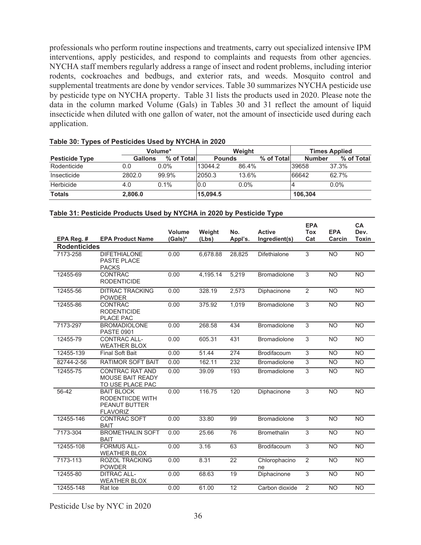professionals who perform routine inspections and treatments, carry out specialized intensive IPM interventions, apply pesticides, and respond to complaints and requests from other agencies. NYCHA staff members regularly address a range of insect and rodent problems, including interior rodents, cockroaches and bedbugs, and exterior rats, and weeds. Mosquito control and supplemental treatments are done by vendor services. Table 30 summarizes NYCHA pesticide use by pesticide type on NYCHA property. Table 31 lists the products used in 2020. Please note the data in the column marked Volume (Gals) in Tables 30 and 31 reflect the amount of liquid insecticide when diluted with one gallon of water, not the amount of insecticide used during each application.

|                       |                | Volume*     |               | Weight  |             | <b>Times Applied</b> |            |
|-----------------------|----------------|-------------|---------------|---------|-------------|----------------------|------------|
| <b>Pesticide Type</b> | <b>Gallons</b> | % of Totall | <b>Pounds</b> |         | % of Totall | <b>Number</b>        | % of Total |
| Rodenticide           | 0.0            | $0.0\%$     | 13044.2       | 86.4%   |             | 39658                | 37.3%      |
| Insecticide           | 2802.0         | 99.9%       | 2050.3        | 13.6%   |             | 66642                | 62.7%      |
| Herbicide             | 4.0            | 0.1%        | 0.0           | $0.0\%$ |             |                      | $0.0\%$    |
| <b>Totals</b>         | 2.806.0        |             | 15.094.5      |         |             | 106.304              |            |

### **Table 30: Types of Pesticides Used by NYCHA in 2020**

#### **Table 31: Pesticide Products Used by NYCHA in 2020 by Pesticide Type**

|                     |                                                                                  | Volume  | Weight   | No.     | <b>Active</b>       | <b>EPA</b><br><b>Tox</b> | <b>EPA</b>      | <b>CA</b><br>Dev. |
|---------------------|----------------------------------------------------------------------------------|---------|----------|---------|---------------------|--------------------------|-----------------|-------------------|
| EPA Reg. #          | <b>EPA Product Name</b>                                                          | (Gals)* | (Lbs)    | Appl's. | Ingredient(s)       | Cat                      | Carcin          | Toxin             |
| <b>Rodenticides</b> |                                                                                  |         |          |         |                     |                          |                 |                   |
| 7173-258            | <b>DIFETHIALONE</b><br>PASTE PLACE<br><b>PACKS</b>                               | 0.00    | 6,678.88 | 28,825  | Difethialone        | $\overline{3}$           | <b>NO</b>       | <b>NO</b>         |
| 12455-69            | <b>CONTRAC</b><br><b>RODENTICIDE</b>                                             | 0.00    | 4,195.14 | 5,219   | <b>Bromadiolone</b> | $\overline{3}$           | <b>NO</b>       | $\overline{NO}$   |
| 12455-56            | <b>DITRAC TRACKING</b><br><b>POWDER</b>                                          | 0.00    | 328.19   | 2,573   | Diphacinone         | $\overline{2}$           | <b>NO</b>       | <b>NO</b>         |
| 12455-86            | <b>CONTRAC</b><br><b>RODENTICIDE</b><br><b>PLACE PAC</b>                         | 0.00    | 375.92   | 1,019   | Bromadiolone        | $\overline{3}$           | $\overline{NO}$ | $\overline{NO}$   |
| 7173-297            | <b>BROMADIOLONE</b><br><b>PASTE 0901</b>                                         | 0.00    | 268.58   | 434     | <b>Bromadiolone</b> | 3                        | <b>NO</b>       | <b>NO</b>         |
| 12455-79            | <b>CONTRAC ALL-</b><br><b>WEATHER BLOX</b>                                       | 0.00    | 605.31   | 431     | <b>Bromadiolone</b> | $\mathbf{3}$             | <b>NO</b>       | <b>NO</b>         |
| 12455-139           | <b>Final Soft Bait</b>                                                           | 0.00    | 51.44    | 274     | <b>Brodifacoum</b>  | 3                        | <b>NO</b>       | <b>NO</b>         |
| 82744-2-56          | <b>RATIMOR SOFT BAIT</b>                                                         | 0.00    | 162.11   | 232     | <b>Bromadiolone</b> | 3                        | <b>NO</b>       | <b>NO</b>         |
| 12455-75            | <b>CONTRAC RAT AND</b><br><b>MOUSE BAIT READY</b><br>TO USE PLACE PAC            | 0.00    | 39.09    | 193     | <b>Bromadiolone</b> | 3                        | <b>NO</b>       | <b>NO</b>         |
| $56 - 42$           | <b>BAIT BLOCK</b><br>RODENTIICDE WITH<br><b>PEANUT BUTTER</b><br><b>FLAVORIZ</b> | 0.00    | 116.75   | 120     | Diphacinone         | 3                        | <b>NO</b>       | <b>NO</b>         |
| 12455-146           | <b>CONTRAC SOFT</b><br><b>BAIT</b>                                               | 0.00    | 33.80    | 99      | <b>Bromadiolone</b> | 3                        | <b>NO</b>       | <b>NO</b>         |
| 7173-304            | <b>BROMETHALIN SOFT</b><br><b>BAIT</b>                                           | 0.00    | 25.66    | 76      | <b>Bromethalin</b>  | $\mathbf{3}$             | <b>NO</b>       | <b>NO</b>         |
| 12455-108           | <b>FORMUS ALL-</b><br><b>WEATHER BLOX</b>                                        | 0.00    | 3.16     | 63      | Brodifacoum         | 3                        | <b>NO</b>       | <b>NO</b>         |
| 7173-113            | <b>ROZOL TRACKING</b><br><b>POWDER</b>                                           | 0.00    | 8.31     | 22      | Chlorophacino<br>ne | $\overline{2}$           | <b>NO</b>       | <b>NO</b>         |
| 12455-80            | <b>DITRAC ALL-</b><br><b>WEATHER BLOX</b>                                        | 0.00    | 68.63    | 19      | Diphacinone         | $\overline{3}$           | <b>NO</b>       | <b>NO</b>         |
| 12455-148           | Rat Ice                                                                          | 0.00    | 61.00    | 12      | Carbon dioxide      | $\overline{2}$           | <b>NO</b>       | <b>NO</b>         |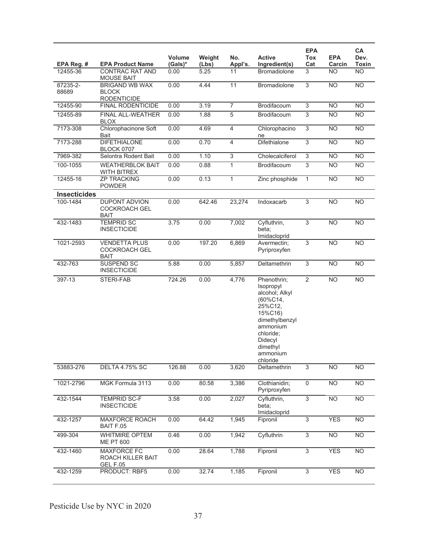|                     |                                                             |                          |                 |                |                                                                                                                                                                           | <b>EPA</b>     |                      | CA              |
|---------------------|-------------------------------------------------------------|--------------------------|-----------------|----------------|---------------------------------------------------------------------------------------------------------------------------------------------------------------------------|----------------|----------------------|-----------------|
| EPA Reg. #          | <b>EPA Product Name</b>                                     | <b>Volume</b><br>(Gals)* | Weight<br>(Lbs) | No.<br>Appl's. | <b>Active</b><br>Ingredient(s)                                                                                                                                            | Tox<br>Cat     | <b>EPA</b><br>Carcin | Dev.<br>Toxin   |
| 12455-36            | CONTRAC RAT AND<br><b>MOUSE BAIT</b>                        | 0.00                     | 5.25            | 11             | Bromadiolone                                                                                                                                                              | 3              | <b>NO</b>            | <b>NO</b>       |
| 87235-2-            | <b>BRIGAND WB WAX</b>                                       | 0.00                     | 4.44            | 11             | Bromadiolone                                                                                                                                                              | $\overline{3}$ | <b>NO</b>            | N <sub>O</sub>  |
| 88689               | <b>BLOCK</b><br><b>RODENTICIDE</b>                          |                          |                 |                |                                                                                                                                                                           |                |                      |                 |
| 12455-90            | FINAL RODENTICIDE                                           | 0.00                     | 3.19            | $\overline{7}$ | Brodifacoum                                                                                                                                                               | $\overline{3}$ | <b>NO</b>            | <b>NO</b>       |
| 12455-89            | <b>FINAL ALL-WEATHER</b><br><b>BLOX</b>                     | 0.00                     | 1.88            | 5              | <b>Brodifacoum</b>                                                                                                                                                        | 3              | <b>NO</b>            | <b>NO</b>       |
| 7173-308            | Chlorophacinone Soft<br>Bait                                | 0.00                     | 4.69            | $\overline{4}$ | Chlorophacino<br>ne                                                                                                                                                       | $\overline{3}$ | <b>NO</b>            | <b>NO</b>       |
| 7173-288            | <b>DIFETHIALONE</b><br><b>BLOCK 0707</b>                    | 0.00                     | 0.70            | $\overline{4}$ | Difethialone                                                                                                                                                              | $\overline{3}$ | N <sub>O</sub>       | $\overline{NO}$ |
| 7969-382            | Selontra Rodent Bait                                        | 0.00                     | 1.10            | $\overline{3}$ | Cholecalciferol                                                                                                                                                           | $\overline{3}$ | NO                   | N <sub>O</sub>  |
| 100-1055            | <b>WEATHERBLOK BAIT</b><br>WITH BITREX                      | 0.00                     | 0.88            | $\mathbf{1}$   | Brodifacoum                                                                                                                                                               | 3              | <b>NO</b>            | <b>NO</b>       |
| 12455-16            | <b>ZP TRACKING</b><br><b>POWDER</b>                         | 0.00                     | 0.13            | $\mathbf{1}$   | Zinc phosphide                                                                                                                                                            | $\mathbf{1}$   | <b>NO</b>            | $\overline{NO}$ |
| <b>Insecticides</b> |                                                             |                          |                 |                |                                                                                                                                                                           |                |                      |                 |
| 100-1484            | <b>DUPONT ADVION</b><br><b>COCKROACH GEL</b><br><b>BAIT</b> | 0.00                     | 642.46          | 23,274         | Indoxacarb                                                                                                                                                                | 3              | <b>NO</b>            | <b>NO</b>       |
| 432-1483            | <b>TEMPRID SC</b><br><b>INSECTICIDE</b>                     | 3.75                     | 0.00            | 7,002          | Cyfluthrin,<br>beta;<br>Imidacloprid                                                                                                                                      | $\overline{3}$ | <b>NO</b>            | <b>NO</b>       |
| 1021-2593           | <b>VENDETTA PLUS</b><br><b>COCKROACH GEL</b><br>BAIT        | 0.00                     | 197.20          | 6,869          | Avermectin;<br>Pyriproxyfen                                                                                                                                               | $\overline{3}$ | <b>NO</b>            | <b>NO</b>       |
| 432-763             | SUSPEND SC<br><b>INSECTICIDE</b>                            | 5.88                     | 0.00            | 5,857          | Deltamethrin                                                                                                                                                              | 3              | <b>NO</b>            | <b>NO</b>       |
| 397-13              | STERI-FAB                                                   | 724.26                   | 0.00            | 4,776          | Phenothrin;<br>Isopropyl<br>alcohol; Alkyl<br>$(60\%C14,$<br>25%C12,<br>15%C16)<br>dimethylbenzyl<br>ammonium<br>chloride;<br>Didecyl<br>dimethyl<br>ammonium<br>chloride | $\overline{2}$ | <b>NO</b>            | $\overline{NO}$ |
| 53883-276           | <b>DELTA 4.75% SC</b>                                       | 126.88                   | 0.00            | 3,620          | Deltamethrin                                                                                                                                                              | $\overline{3}$ | <b>NO</b>            | N <sub>O</sub>  |
| 1021-2796           | MGK Formula 3113                                            | 0.00                     | 80.58           | 3,386          | Clothianidin;<br>Pyriproxyfen                                                                                                                                             | $\overline{0}$ | $\overline{NO}$      | $\overline{NO}$ |
| 432-1544            | <b>TEMPRID SC-F</b><br><b>INSECTICIDE</b>                   | 3.58                     | 0.00            | 2,027          | Cyfluthrin,<br>beta;<br>Imidacloprid                                                                                                                                      | $\overline{3}$ | <b>NO</b>            | $\overline{NO}$ |
| 432-1257            | <b>MAXFORCE ROACH</b><br>BAIT F.05                          | 0.00                     | 64.42           | 1,945          | Fipronil                                                                                                                                                                  | $\overline{3}$ | <b>YES</b>           | <b>NO</b>       |
| 499-304             | <b>WHITMIRE OPTEM</b><br><b>ME PT 600</b>                   | 0.46                     | 0.00            | 1,942          | Cyfluthrin                                                                                                                                                                | $\overline{3}$ | $\overline{NO}$      | $\overline{NO}$ |
| 432-1460            | <b>MAXFORCE FC</b><br>ROACH KILLER BAIT<br><b>GEL F.05</b>  | 0.00                     | 28.64           | 1,788          | Fipronil                                                                                                                                                                  | $\overline{3}$ | <b>YES</b>           | <b>NO</b>       |
| 432-1259            | PRODUCT: RBF5                                               | 0.00                     | 32.74           | 1,185          | Fipronil                                                                                                                                                                  | $\sqrt{3}$     | <b>YES</b>           | <b>NO</b>       |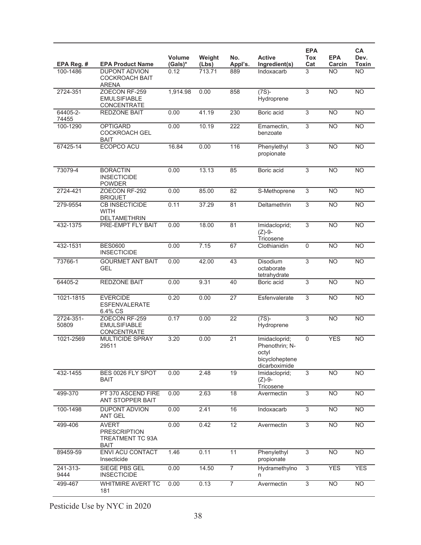|                    |                                                                        |                   |                 |                 |                                                                             | <b>EPA</b>        |                      | <b>CA</b>       |
|--------------------|------------------------------------------------------------------------|-------------------|-----------------|-----------------|-----------------------------------------------------------------------------|-------------------|----------------------|-----------------|
| EPA Reg. #         | <b>EPA Product Name</b>                                                | Volume<br>(Gals)* | Weight<br>(Lbs) | No.<br>Appl's.  | <b>Active</b><br>Ingredient(s)                                              | <b>Tox</b><br>Cat | <b>EPA</b><br>Carcin | Dev.<br>Toxin   |
| 100-1486           | DUPONT ADVION<br><b>COCKROACH BAIT</b><br><b>ARENA</b>                 | 0.12              | 713.71          | 889             | Indoxacarb                                                                  | 3                 | <b>NO</b>            | <b>NO</b>       |
| 2724-351           | ZOECON RF-259<br><b>EMULSIFIABLE</b><br><b>CONCENTRATE</b>             | 1,914.98          | 0.00            | 858             | $(7S) -$<br>Hydroprene                                                      | $\overline{3}$    | <b>NO</b>            | <b>NO</b>       |
| 64405-2-<br>74455  | <b>REDZONE BAIT</b>                                                    | 0.00              | 41.19           | 230             | Boric acid                                                                  | 3                 | <b>NO</b>            | <b>NO</b>       |
| 100-1290           | <b>OPTIGARD</b><br><b>COCKROACH GEL</b><br><b>BAIT</b>                 | 0.00              | 10.19           | 222             | Emamectin,<br>benzoate                                                      | $\overline{3}$    | <b>NO</b>            | N <sub>O</sub>  |
| 67425-14           | ECOPCO ACU                                                             | 16.84             | 0.00            | 116             | Phenylethyl<br>propionate                                                   | 3                 | <b>NO</b>            | <b>NO</b>       |
| 73079-4            | <b>BORACTIN</b><br><b>INSECTICIDE</b><br><b>POWDER</b>                 | 0.00              | 13.13           | 85              | Boric acid                                                                  | $\overline{3}$    | <b>NO</b>            | <b>NO</b>       |
| 2724-421           | ZOECON RF-292<br><b>BRIQUET</b>                                        | 0.00              | 85.00           | 82              | S-Methoprene                                                                | 3                 | <b>NO</b>            | <b>NO</b>       |
| 279-9554           | <b>CB INSECTICIDE</b><br><b>WITH</b><br>DELTAMETHRIN                   | 0.11              | 37.29           | 81              | Deltamethrin                                                                | $\overline{3}$    | <b>NO</b>            | N <sub>O</sub>  |
| 432-1375           | PRE-EMPT FLY BAIT                                                      | 0.00              | 18.00           | 81              | Imidacloprid;<br>$(Z)-9-$<br>Tricosene                                      | 3                 | <b>NO</b>            | <b>NO</b>       |
| 432-1531           | <b>BES0600</b><br><b>INSECTICIDE</b>                                   | 0.00              | 7.15            | 67              | Clothianidin                                                                | $\overline{0}$    | <b>NO</b>            | N <sub>O</sub>  |
| 73766-1            | <b>GOURMET ANT BAIT</b><br>GEL                                         | 0.00              | 42.00           | 43              | <b>Disodium</b><br>octaborate<br>tetrahydrate                               | 3                 | <b>NO</b>            | <b>NO</b>       |
| 64405-2            | <b>REDZONE BAIT</b>                                                    | 0.00              | 9.31            | 40              | Boric acid                                                                  | $\overline{3}$    | N <sub>O</sub>       | $\overline{NO}$ |
| 1021-1815          | <b>EVERCIDE</b><br>ESFENVALERATE<br>6.4% CS                            | 0.20              | 0.00            | $\overline{27}$ | Esfenvalerate                                                               | 3                 | <b>NO</b>            | $\overline{NO}$ |
| 2724-351-<br>50809 | ZOECON RF-259<br><b>EMULSIFIABLE</b><br>CONCENTRATE                    | 0.17              | 0.00            | $\overline{22}$ | $(7S)$ -<br>Hydroprene                                                      | 3                 | <b>NO</b>            | <b>NO</b>       |
| 1021-2569          | <b>MULTICIDE SPRAY</b><br>29511                                        | 3.20              | 0.00            | $\overline{21}$ | Imidacloprid;<br>Phenothrin; N-<br>octyl<br>bicycloheptene<br>dicarboximide | $\mathbf 0$       | <b>YES</b>           | <b>NO</b>       |
| 432-1455           | BES 0026 FLY SPOT<br><b>BAIT</b>                                       | 0.00              | 2.48            | 19              | Imidacloprid;<br>$(Z)-9-$<br>Tricosene                                      | $\overline{3}$    | <b>NO</b>            | $\overline{NO}$ |
| 499-370            | PT 370 ASCEND FIRE<br>ANT STOPPER BAIT                                 | 0.00              | 2.63            | 18              | Avermectin                                                                  | 3                 | N <sub>O</sub>       | N <sub>O</sub>  |
| 100-1498           | <b>DUPONT ADVION</b><br><b>ANT GEL</b>                                 | 0.00              | 2.41            | 16              | Indoxacarb                                                                  | 3                 | <b>NO</b>            | <b>NO</b>       |
| 499-406            | <b>AVERT</b><br><b>PRESCRIPTION</b><br>TREATMENT TC 93A<br><b>BAIT</b> | 0.00              | 0.42            | 12              | Avermectin                                                                  | 3                 | <b>NO</b>            | <b>NO</b>       |
| 89459-59           | ENVI ACU CONTACT<br>Insecticide                                        | 1.46              | 0.11            | 11              | Phenylethyl<br>propionate                                                   | $\overline{3}$    | N <sub>O</sub>       | N <sub>O</sub>  |
| 241-313-<br>9444   | SIEGE PBS GEL<br><b>INSECTICIDE</b>                                    | 0.00              | 14.50           | $\overline{7}$  | Hydramethylno<br>n                                                          | $\overline{3}$    | <b>YES</b>           | <b>YES</b>      |
| 499-467            | WHITMIRE AVERT TC<br>181                                               | 0.00              | 0.13            | $\overline{7}$  | Avermectin                                                                  | $\overline{3}$    | <b>NO</b>            | N <sub>O</sub>  |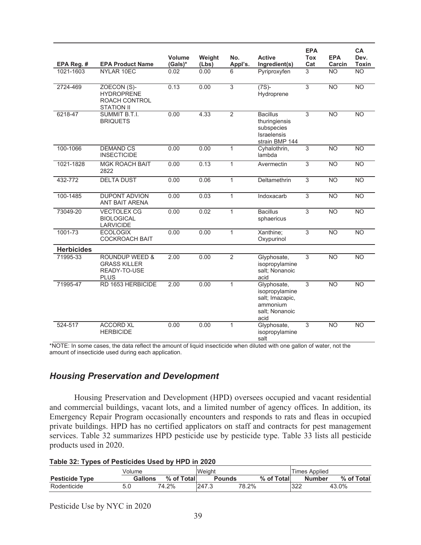| EPA Reg. #        | <b>EPA Product Name</b>                                                         | Volume<br>(Gals)* | Weight<br>(Lbs) | No.<br>Appl's. | <b>Active</b><br>Ingredient(s)                                                         | <b>EPA</b><br><b>Tox</b><br>Cat | <b>EPA</b><br>Carcin | CA<br>Dev.<br><b>Toxin</b> |
|-------------------|---------------------------------------------------------------------------------|-------------------|-----------------|----------------|----------------------------------------------------------------------------------------|---------------------------------|----------------------|----------------------------|
| 1021-1603         | NYLAR 10EC                                                                      | 0.02              | 0.00            | 6              | Pyriproxyfen                                                                           | 3                               | <b>NO</b>            | <b>NO</b>                  |
| 2724-469          | ZOECON (S)-<br><b>HYDROPRENE</b><br>ROACH CONTROL<br><b>STATION II</b>          | 0.13              | 0.00            | $\overline{3}$ | $(7S) -$<br>Hydroprene                                                                 | $\overline{3}$                  | N <sub>O</sub>       | $\overline{NO}$            |
| 6218-47           | SUMMIT B.T.I.<br><b>BRIQUETS</b>                                                | 0.00              | 4.33            | $\overline{2}$ | <b>Bacillus</b><br>thuringiensis<br>subspecies<br><b>Israelensis</b><br>strain BMP 144 | 3                               | <b>NO</b>            | NO                         |
| 100-1066          | <b>DEMAND CS</b><br><b>INSECTICIDE</b>                                          | 0.00              | 0.00            | 1              | Cyhalothrin,<br>lambda                                                                 | 3                               | $\overline{NO}$      | $\overline{NO}$            |
| 1021-1828         | <b>MGK ROACH BAIT</b><br>2822                                                   | 0.00              | 0.13            | $\mathbf{1}$   | Avermectin                                                                             | 3                               | <b>NO</b>            | <b>NO</b>                  |
| 432-772           | <b>DELTA DUST</b>                                                               | 0.00              | 0.06            | $\mathbf{1}$   | Deltamethrin                                                                           | 3                               | N <sub>O</sub>       | $\overline{NO}$            |
| 100-1485          | <b>DUPONT ADVION</b><br>ANT BAIT ARENA                                          | 0.00              | 0.03            | $\mathbf{1}$   | Indoxacarb                                                                             | $\overline{3}$                  | N <sub>O</sub>       | $\overline{NO}$            |
| 73049-20          | <b>VECTOLEX CG</b><br><b>BIOLOGICAL</b><br><b>LARVICIDE</b>                     | 0.00              | 0.02            | $\mathbf{1}$   | <b>Bacillus</b><br>sphaericus                                                          | 3                               | <b>NO</b>            | <b>NO</b>                  |
| 1001-73           | <b>ECOLOGIX</b><br><b>COCKROACH BAIT</b>                                        | 0.00              | 0.00            | $\mathbf{1}$   | Xanthine;<br>Oxypurinol                                                                | $\overline{3}$                  | N <sub>O</sub>       | $\overline{NO}$            |
| <b>Herbicides</b> |                                                                                 |                   |                 |                |                                                                                        |                                 |                      |                            |
| 71995-33          | <b>ROUNDUP WEED &amp;</b><br><b>GRASS KILLER</b><br>READY-TO-USE<br><b>PLUS</b> | 2.00              | 0.00            | $\overline{2}$ | Glyphosate,<br>isopropylamine<br>salt: Nonanoic<br>acid                                | 3                               | <b>NO</b>            | <b>NO</b>                  |
| 71995-47          | RD 1653 HERBICIDE                                                               | 2.00              | 0.00            | $\mathbf{1}$   | Glyphosate,<br>isopropylamine<br>salt; Imazapic,<br>ammonium<br>salt; Nonanoic<br>acid | 3                               | <b>NO</b>            | <b>NO</b>                  |
| 524-517           | <b>ACCORD XL</b><br><b>HERBICIDE</b>                                            | 0.00              | 0.00            | $\mathbf{1}$   | Glyphosate,<br>isopropylamine<br>salt                                                  | 3                               | $\overline{NO}$      | $\overline{NO}$            |

\*NOTE: In some cases, the data reflect the amount of liquid insecticide when diluted with one gallon of water, not the amount of insecticide used during each application.

## *Housing Preservation and Development*

 Housing Preservation and Development (HPD) oversees occupied and vacant residential and commercial buildings, vacant lots, and a limited number of agency offices. In addition, its Emergency Repair Program occasionally encounters and responds to rats and fleas in occupied private buildings. HPD has no certified applicators on staff and contracts for pest management services. Table 32 summarizes HPD pesticide use by pesticide type. Table 33 lists all pesticide products used in 2020.

|  |  | Table 32: Types of Pesticides Used by HPD in 2020 |
|--|--|---------------------------------------------------|
|  |  |                                                   |

|                       | Volume         |            | Weight        |            | Times Applied |            |
|-----------------------|----------------|------------|---------------|------------|---------------|------------|
| <b>Pesticide Type</b> | <b>Gallons</b> | % of Total | <b>Pounds</b> | % of Total | <b>Number</b> | % of Total |
| Rodenticide           | U.U            | 74.2%      | 247.3         | 78.2%      | ממפו<br>ULL   | 43.0%      |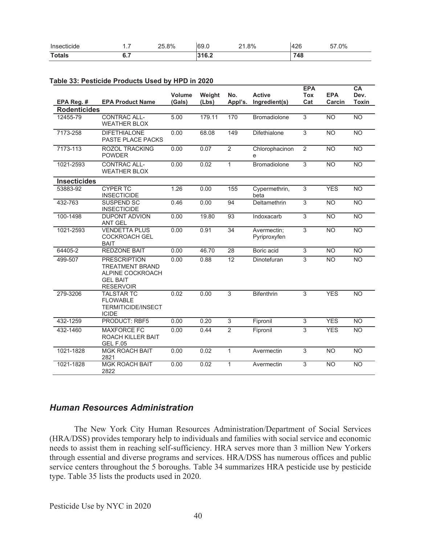| Insecticide   | -<br>.  | 8% | $\epsilon$<br>vo.u | 8%<br>$\sim$<br>- | $\Delta$<br>™       | .0%<br>-- |
|---------------|---------|----|--------------------|-------------------|---------------------|-----------|
| <b>Totals</b> | <b></b> |    |                    |                   | 748<br>≁∿<br>$\sim$ |           |

#### **Table 33: Pesticide Products Used by HPD in 2020**

|                     |                                                                                                          |                         |                 |                 |                                | <b>EPA</b>        |                      | <b>CA</b>            |
|---------------------|----------------------------------------------------------------------------------------------------------|-------------------------|-----------------|-----------------|--------------------------------|-------------------|----------------------|----------------------|
| EPA Reg. #          | <b>EPA Product Name</b>                                                                                  | <b>Volume</b><br>(Gals) | Weight<br>(Lbs) | No.<br>Appl's.  | <b>Active</b><br>Ingredient(s) | <b>Tox</b><br>Cat | <b>EPA</b><br>Carcin | Dev.<br><b>Toxin</b> |
| <b>Rodenticides</b> |                                                                                                          |                         |                 |                 |                                |                   |                      |                      |
| 12455-79            | <b>CONTRAC ALL-</b><br><b>WEATHER BLOX</b>                                                               | 5.00                    | 179.11          | 170             | <b>Bromadiolone</b>            | $\overline{3}$    | <b>NO</b>            | N <sub>O</sub>       |
| 7173-258            | <b>DIFETHIALONE</b><br>PASTE PLACE PACKS                                                                 | 0.00                    | 68.08           | 149             | Difethialone                   | $\overline{3}$    | <b>NO</b>            | <b>NO</b>            |
| 7173-113            | ROZOL TRACKING<br><b>POWDER</b>                                                                          | 0.00                    | 0.07            | $\overline{2}$  | Chlorophacinon<br>е            | $\overline{2}$    | <b>NO</b>            | <b>NO</b>            |
| 1021-2593           | <b>CONTRAC ALL-</b><br><b>WEATHER BLOX</b>                                                               | 0.00                    | 0.02            | $\mathbf{1}$    | <b>Bromadiolone</b>            | 3                 | N <sub>O</sub>       | N <sub>O</sub>       |
| <b>Insecticides</b> |                                                                                                          |                         |                 |                 |                                |                   |                      |                      |
| 53883-92            | <b>CYPER TC</b><br><b>INSECTICIDE</b>                                                                    | 1.26                    | 0.00            | 155             | Cypermethrin,<br>beta          | 3                 | <b>YES</b>           | <b>NO</b>            |
| 432-763             | SUSPEND SC<br><b>INSECTICIDE</b>                                                                         | 0.46                    | 0.00            | 94              | Deltamethrin                   | 3                 | <b>NO</b>            | <b>NO</b>            |
| 100-1498            | <b>DUPONT ADVION</b><br><b>ANT GEL</b>                                                                   | 0.00                    | 19.80           | 93              | Indoxacarb                     | $\overline{3}$    | <b>NO</b>            | <b>NO</b>            |
| 1021-2593           | <b>VENDETTA PLUS</b><br><b>COCKROACH GEL</b><br><b>BAIT</b>                                              | 0.00                    | 0.91            | $\overline{34}$ | Avermectin:<br>Pyriproxyfen    | 3                 | <b>NO</b>            | <b>NO</b>            |
| 64405-2             | <b>REDZONE BAIT</b>                                                                                      | 0.00                    | 46.70           | 28              | Boric acid                     | 3                 | <b>NO</b>            | <b>NO</b>            |
| 499-507             | <b>PRESCRIPTION</b><br><b>TREATMENT BRAND</b><br>ALPINE COCKROACH<br><b>GEL BAIT</b><br><b>RESERVOIR</b> | 0.00                    | 0.88            | 12              | Dinotefuran                    | 3                 | <b>NO</b>            | <b>NO</b>            |
| 279-3206            | <b>TALSTAR TC</b><br><b>FLOWABLE</b><br><b>TERMITICIDE/INSECT</b><br><b>ICIDE</b>                        | 0.02                    | 0.00            | 3               | <b>Bifenthrin</b>              | 3                 | <b>YES</b>           | <b>NO</b>            |
| 432-1259            | <b>PRODUCT: RBF5</b>                                                                                     | 0.00                    | 0.20            | $\overline{3}$  | Fipronil                       | $\overline{3}$    | <b>YES</b>           | N <sub>O</sub>       |
| 432-1460            | <b>MAXFORCE FC</b><br>ROACH KILLER BAIT<br><b>GEL F.05</b>                                               | 0.00                    | 0.44            | $\overline{2}$  | Fipronil                       | 3                 | <b>YES</b>           | <b>NO</b>            |
| 1021-1828           | <b>MGK ROACH BAIT</b><br>2821                                                                            | 0.00                    | 0.02            | $\mathbf{1}$    | Avermectin                     | 3                 | <b>NO</b>            | <b>NO</b>            |
| 1021-1828           | <b>MGK ROACH BAIT</b><br>2822                                                                            | 0.00                    | 0.02            | $\mathbf{1}$    | Avermectin                     | 3                 | <b>NO</b>            | <b>NO</b>            |

### *Human Resources Administration*

 The New York City Human Resources Administration/Department of Social Services (HRA/DSS) provides temporary help to individuals and families with social service and economic needs to assist them in reaching self-sufficiency. HRA serves more than 3 million New Yorkers through essential and diverse programs and services. HRA/DSS has numerous offices and public service centers throughout the 5 boroughs. Table 34 summarizes HRA pesticide use by pesticide type. Table 35 lists the products used in 2020.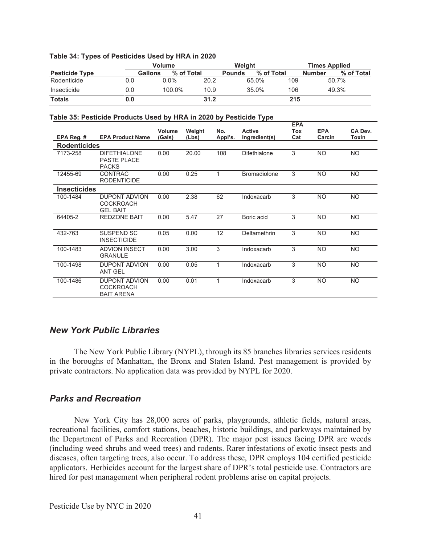| Table 34: Types of Pesticides Used by HRA in 2020 |     |                              |      |               |                      |     |               |            |
|---------------------------------------------------|-----|------------------------------|------|---------------|----------------------|-----|---------------|------------|
|                                                   |     | Weight                       |      |               | <b>Times Applied</b> |     |               |            |
| <b>Pesticide Type</b>                             |     | % of Total<br><b>Gallons</b> |      | <b>Pounds</b> | % of Total           |     | <b>Number</b> | % of Total |
| Rodenticide                                       | 0.0 | $0.0\%$                      | 20.2 |               | 65.0%                | 109 |               | 50.7%      |
| Insecticide                                       | 0.0 | 100.0%                       | 10.9 |               | 35.0%                | 106 |               | 49.3%      |
| <b>Totals</b>                                     | 0.0 |                              | 31.2 |               |                      | 215 |               |            |

#### **Table 34: Types of Pesticides Used by HRA in 2020**

### **Table 35: Pesticide Products Used by HRA in 2020 by Pesticide Type**

|                     |                                                             |                  |        |         |                     | <b>EPA</b> |                      |           |
|---------------------|-------------------------------------------------------------|------------------|--------|---------|---------------------|------------|----------------------|-----------|
|                     | <b>EPA Product Name</b>                                     | Volume<br>(Gals) | Weight | No.     | <b>Active</b>       | Tox        | <b>EPA</b><br>Carcin | CA Dev.   |
| EPA Reg. #          |                                                             |                  | (Lbs)  | Appl's. | Ingredient(s)       | Cat        |                      | Toxin     |
| <b>Rodenticides</b> |                                                             |                  |        |         |                     |            |                      |           |
| 7173-258            | <b>DIFETHIALONE</b><br>PASTE PLACE<br><b>PACKS</b>          | 0.00             | 20.00  | 108     | <b>Difethialone</b> | 3          | <b>NO</b>            | NO.       |
| 12455-69            | CONTRAC<br><b>RODENTICIDE</b>                               | 0.00             | 0.25   | 1       | <b>Bromadiolone</b> | 3          | <b>NO</b>            | <b>NO</b> |
| <b>Insecticides</b> |                                                             |                  |        |         |                     |            |                      |           |
| 100-1484            | <b>DUPONT ADVION</b><br><b>COCKROACH</b><br><b>GEL BAIT</b> | 0.00             | 2.38   | 62      | Indoxacarb          | 3          | <b>NO</b>            | NO.       |
| 64405-2             | <b>REDZONE BAIT</b>                                         | 0.00             | 5.47   | 27      | Boric acid          | 3          | <b>NO</b>            | <b>NO</b> |
| 432-763             | SUSPEND SC<br><b>INSECTICIDE</b>                            | 0.05             | 0.00   | 12      | Deltamethrin        | 3          | <b>NO</b>            | <b>NO</b> |
| 100-1483            | <b>ADVION INSECT</b><br><b>GRANULE</b>                      | 0.00             | 3.00   | 3       | Indoxacarb          | 3          | <b>NO</b>            | <b>NO</b> |
| 100-1498            | <b>DUPONT ADVION</b><br><b>ANT GEL</b>                      | 0.00             | 0.05   | 1       | Indoxacarb          | 3          | <b>NO</b>            | NO.       |
| 100-1486            | <b>DUPONT ADVION</b><br>COCKROACH<br><b>BAIT ARENA</b>      | 0.00             | 0.01   |         | Indoxacarb          | 3          | <b>NO</b>            | <b>NO</b> |

### *New York Public Libraries*

 The New York Public Library (NYPL), through its 85 branches libraries services residents in the boroughs of Manhattan, the Bronx and Staten Island. Pest management is provided by private contractors. No application data was provided by NYPL for 2020.

## *Parks and Recreation*

 New York City has 28,000 acres of parks, playgrounds, athletic fields, natural areas, recreational facilities, comfort stations, beaches, historic buildings, and parkways maintained by the Department of Parks and Recreation (DPR). The major pest issues facing DPR are weeds (including weed shrubs and weed trees) and rodents. Rarer infestations of exotic insect pests and diseases, often targeting trees, also occur. To address these, DPR employs 104 certified pesticide applicators. Herbicides account for the largest share of DPR's total pesticide use. Contractors are hired for pest management when peripheral rodent problems arise on capital projects.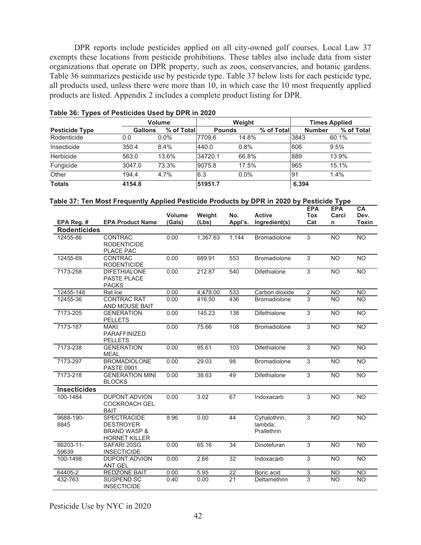DPR reports include pesticides applied on all city-owned golf courses. Local Law 37 exempts these locations from pesticide prohibitions. These tables also include data from sister organizations that operate on DPR property, such as zoos, conservancies, and botanic gardens. Table 36 summarizes pesticide use by pesticide type. Table 37 below lists for each pesticide type, all products used, unless there were more than 10, in which case the 10 most frequently applied products are listed. Appendix 2 includes a complete product listing for DPR.

|                       | <b>Volume</b>  |             |               | Weight  |            | <b>Times Applied</b> |            |  |
|-----------------------|----------------|-------------|---------------|---------|------------|----------------------|------------|--|
| <b>Pesticide Type</b> | <b>Gallons</b> | % of Totall | <b>Pounds</b> |         | % of Total | <b>Number</b>        | % of Total |  |
| Rodenticide           | 0.0            | $0.0\%$     | 7709.6        | 14.8%   |            | 3843                 | 60.1%      |  |
| Insecticide           | 350.4          | 8.4%        | 440.0         | 0.8%    |            | 606                  | 9.5%       |  |
| Herbicide             | 563.0          | 13.6%       | 34720.1       | 66.8%   |            | 889                  | 13.9%      |  |
| Fungicide             | 3047.0         | 73.3%       | 9075.8        | 17.5%   |            | 965                  | 15.1%      |  |
| Other                 | 194.4          | 4.7%        | 6.3           | $0.0\%$ |            | 91                   | 1.4%       |  |
| <b>Totals</b>         | 4154.8         |             | 51951.7       |         |            | 6,394                |            |  |

| Table 36: Types of Pesticides Used by DPR in 2020 |  |  |
|---------------------------------------------------|--|--|
|---------------------------------------------------|--|--|

| Table 37: Ten Most Frequently Applied Pesticide Products by DPR in 2020 by Pesticide Type |
|-------------------------------------------------------------------------------------------|
|-------------------------------------------------------------------------------------------|

|                     |                                                                                           | Volume | Weight   | No.             | <b>Active</b>                          | <b>EPA</b><br><b>Tox</b> | <b>EPA</b><br>Carci | CA<br>Dev.      |
|---------------------|-------------------------------------------------------------------------------------------|--------|----------|-----------------|----------------------------------------|--------------------------|---------------------|-----------------|
| EPA Reg. #          | <b>EPA Product Name</b>                                                                   | (Gals) | (Lbs)    | Appl's.         | Ingredient(s)                          | Cat                      | n                   | <b>Toxin</b>    |
| <b>Rodenticides</b> |                                                                                           |        |          |                 |                                        |                          |                     |                 |
| 12455-86            | CONTRAC<br><b>RODENTICIDE</b><br>PLACE PAC                                                | 0.00   | 1,367.63 | 1,144           | <b>Bromadiolone</b>                    | $\overline{3}$           | <b>NO</b>           | <b>NO</b>       |
| 12455-69            | <b>CONTRAC</b><br><b>RODENTICIDE</b>                                                      | 0.00   | 689.91   | 553             | <b>Bromadiolone</b>                    | 3                        | <b>NO</b>           | <b>NO</b>       |
| 7173-258            | <b>DIFETHIALONE</b><br>PASTE PLACE<br><b>PACKS</b>                                        | 0.00   | 212.87   | 540             | Difethialone                           | 3                        | <b>NO</b>           | <b>NO</b>       |
| 12455-148           | Rat Ice                                                                                   | 0.00   | 4,478.00 | 533             | Carbon dioxide                         | $\overline{2}$           | <b>NO</b>           | <b>NO</b>       |
| 12455-36            | <b>CONTRAC RAT</b><br>AND MOUSE BAIT                                                      | 0.00   | 416.50   | 436             | <b>Bromadiolone</b>                    | 3                        | <b>NO</b>           | <b>NO</b>       |
| 7173-205            | <b>GENERATION</b><br><b>PELLETS</b>                                                       | 0.00   | 145.23   | 138             | <b>Difethialone</b>                    | 3                        | <b>NO</b>           | <b>NO</b>       |
| 7173-187            | <b>MAKI</b><br>PARAFFINIZED<br><b>PELLETS</b>                                             | 0.00   | 75.66    | 108             | <b>Bromadiolone</b>                    | $\overline{3}$           | <b>NO</b>           | $\overline{NO}$ |
| 7173-238            | <b>GENERATION</b><br><b>MEAL</b>                                                          | 0.00   | 95.61    | 103             | <b>Difethialone</b>                    | 3                        | <b>NO</b>           | <b>NO</b>       |
| 7173-297            | <b>BROMADIOLONE</b><br><b>PASTE 0901</b>                                                  | 0.00   | 29.03    | 98              | <b>Bromadiolone</b>                    | 3                        | <b>NO</b>           | <b>NO</b>       |
| 7173-218            | <b>GENERATION MINI</b><br><b>BLOCKS</b>                                                   | 0.00   | 38.63    | 49              | <b>Difethialone</b>                    | 3                        | <b>NO</b>           | <b>NO</b>       |
| <b>Insecticides</b> |                                                                                           |        |          |                 |                                        |                          |                     |                 |
| 100-1484            | <b>DUPONT ADVION</b><br><b>COCKROACH GEL</b><br><b>BAIT</b>                               | 0.00   | 3.02     | 67              | Indoxacarb                             | $\overline{3}$           | $\overline{NO}$     | $\overline{NO}$ |
| 9688-190-<br>8845   | <b>SPECTRACIDE</b><br><b>DESTROYER</b><br><b>BRAND WASP &amp;</b><br><b>HORNET KILLER</b> | 8.96   | 0.00     | 44              | Cyhalothrin,<br>lambda;<br>Prallethrin | 3                        | <b>NO</b>           | <b>NO</b>       |
| 86203-11-<br>59639  | SAFARI 20SG<br><b>INSECTICIDE</b>                                                         | 0.00   | 65.16    | $\overline{34}$ | Dinotefuran                            | $\overline{3}$           | N <sub>O</sub>      | $\overline{NO}$ |
| 100-1498            | <b>DUPONT ADVION</b><br><b>ANT GEL</b>                                                    | 0.00   | 2.66     | $\overline{32}$ | Indoxacarb                             | $\overline{3}$           | <b>NO</b>           | $\overline{NO}$ |
| 64405-2             | <b>REDZONE BAIT</b>                                                                       | 0.00   | 5.95     | 22              | Boric acid                             | $\overline{3}$           | <b>NO</b>           | <b>NO</b>       |
| 432-763             | <b>SUSPEND SC</b><br><b>INSECTICIDE</b>                                                   | 0.40   | 0.00     | 21              | Deltamethrin                           | $\overline{3}$           | <b>NO</b>           | <b>NO</b>       |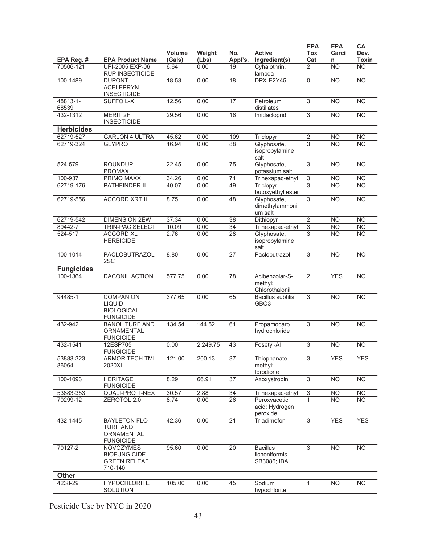| EPA Reg. #          | <b>EPA Product Name</b>                                                    | <b>Volume</b><br>(Gals) | Weight<br>(Lbs) | No.<br>Appl's.  | <b>Active</b><br>Ingredient(s)                  | <b>EPA</b><br><b>Tox</b><br>Cat | <b>EPA</b><br>Carci<br>n | CA<br>Dev.<br>Toxin |
|---------------------|----------------------------------------------------------------------------|-------------------------|-----------------|-----------------|-------------------------------------------------|---------------------------------|--------------------------|---------------------|
| 70506-121           | UPI-2005 EXP-06<br>RUP INSECTICIDE                                         | 6.64                    | 0.00            | 19              | Cyhalothrin,<br>lambda                          | 2                               | <b>NO</b>                | $\overline{NO}$     |
| 100-1489            | <b>DUPONT</b><br><b>ACELEPRYN</b><br><b>INSECTICIDE</b>                    | 18.53                   | 0.00            | 18              | DPX-E2Y45                                       | $\mathbf 0$                     | <b>NO</b>                | <b>NO</b>           |
| 48813-1-<br>68539   | SUFFOIL-X                                                                  | 12.56                   | 0.00            | $\overline{17}$ | Petroleum<br>distillates                        | $\overline{3}$                  | <b>NO</b>                | $\overline{NO}$     |
| 432-1312            | <b>MERIT 2F</b><br><b>INSECTICIDE</b>                                      | 29.56                   | 0.00            | 16              | Imidacloprid                                    | $\overline{3}$                  | N <sub>O</sub>           | $\overline{NO}$     |
| <b>Herbicides</b>   |                                                                            |                         |                 |                 |                                                 |                                 |                          |                     |
| 62719-527           | <b>GARLON 4 ULTRA</b>                                                      | 45.62                   | 0.00            | 109             | Triclopyr                                       | $\overline{2}$                  | <b>NO</b>                | <b>NO</b>           |
| 62719-324           | <b>GLYPRO</b>                                                              | 16.94                   | 0.00            | $\overline{88}$ | Glyphosate,<br>isopropylamine<br>salt           | $\overline{3}$                  | N <sub>O</sub>           | <b>NO</b>           |
| 524-579             | <b>ROUNDUP</b><br><b>PROMAX</b>                                            | 22.45                   | 0.00            | 75              | Glyphosate,<br>potassium salt                   | $\overline{3}$                  | N <sub>O</sub>           | $\overline{NO}$     |
| 100-937             | <b>PRIMO MAXX</b>                                                          | 34.26                   | 0.00            | $\overline{71}$ | Trinexapac-ethyl                                | $\overline{3}$                  | <b>NO</b>                | N <sub>O</sub>      |
| 62719-176           | PATHFINDER II                                                              | 40.07                   | 0.00            | 49              | Triclopyr,<br>butoxyethyl ester                 | 3                               | <b>NO</b>                | <b>NO</b>           |
| 62719-556           | <b>ACCORD XRT II</b>                                                       | 8.75                    | 0.00            | 48              | Glyphosate,<br>dimethylammoni<br>um salt        | $\overline{3}$                  | N <sub>O</sub>           | N <sub>O</sub>      |
| 62719-542           | <b>DIMENSION 2EW</b>                                                       | 37.34                   | 0.00            | 38              | Dithiopyr                                       | $\overline{2}$                  | <b>NO</b>                | <b>NO</b>           |
| 89442-7             | TRIN-PAC SELECT                                                            | 10.09                   | 0.00            | 34              | Trinexapac-ethyl                                | $\overline{3}$                  | <b>NO</b>                | N <sub>O</sub>      |
| 524-517             | <b>ACCORD XL</b><br><b>HERBICIDE</b>                                       | 2.76                    | 0.00            | 28              | Glyphosate,<br>isopropylamine<br>salt           | 3                               | <b>NO</b>                | <b>NO</b>           |
| 100-1014            | PACLOBUTRAZOL<br>2SC                                                       | 8.80                    | 0.00            | 27              | Paclobutrazol                                   | 3                               | <b>NO</b>                | $\overline{NO}$     |
| <b>Fungicides</b>   |                                                                            |                         |                 |                 |                                                 |                                 |                          |                     |
| 100-1364            | <b>DACONIL ACTION</b>                                                      | 577.75                  | 0.00            | 78              | Acibenzolar-S-<br>methyl;<br>Chlorothalonil     | $\overline{2}$                  | <b>YES</b>               | N <sub>O</sub>      |
| 94485-1             | <b>COMPANION</b><br><b>LIQUID</b><br><b>BIOLOGICAL</b><br><b>FUNGICIDE</b> | 377.65                  | 0.00            | 65              | <b>Bacillus subtilis</b><br>GBO <sub>3</sub>    | $\overline{3}$                  | $\overline{NO}$          | $\overline{NO}$     |
| 432-942             | <b>BANOL TURF AND</b><br>ORNAMENTAL<br><b>FUNGICIDE</b>                    | 134.54                  | 144.52          | 61              | Propamocarb<br>hydrochloride                    | 3                               | <b>NO</b>                | <b>NO</b>           |
| 432-1541            | 12ESP705<br><b>FUNGICIDE</b>                                               | 0.00                    | 2,249.75        | 43              | Fosetyl-Al                                      | 3                               | <b>NO</b>                | <b>NO</b>           |
| 53883-323-<br>86064 | ARMOR TECH TMI<br>2020XL                                                   | 121.00                  | 200.13          | $\overline{37}$ | Thiophanate-<br>methyl;<br>Iprodione            | 3                               | <b>YES</b>               | <b>YES</b>          |
| 100-1093            | <b>HERITAGE</b><br><b>FUNGICIDE</b>                                        | 8.29                    | 66.91           | $\overline{37}$ | Azoxystrobin                                    | $\overline{3}$                  | <b>NO</b>                | <b>NO</b>           |
| 53883-353           | QUALI-PRO T-NEX                                                            | 30.57                   | 2.88            | 34              | Trinexapac-ethyl                                | $\ensuremath{\mathsf{3}}$       | <b>NO</b>                | <b>NO</b>           |
| 70299-12            | ZEROTOL 2.0                                                                | 8.74                    | 0.00            | $\overline{26}$ | Peroxyacetic<br>acid; Hydrogen<br>peroxide      | $\mathbf{1}$                    | N <sub>O</sub>           | N <sub>O</sub>      |
| 432-1445            | <b>BAYLETON FLO</b><br><b>TURF AND</b><br>ORNAMENTAL<br><b>FUNGICIDE</b>   | 42.36                   | 0.00            | $\overline{21}$ | Triadimefon                                     | $\overline{3}$                  | <b>YES</b>               | <b>YES</b>          |
| 70127-2             | <b>NOVOZYMES</b><br><b>BIOFUNGICIDE</b><br><b>GREEN RELEAF</b><br>710-140  | 95.60                   | 0.00            | 20              | <b>Bacillus</b><br>licheniformis<br>SB3086; IBA | 3                               | <b>NO</b>                | <b>NO</b>           |
| <b>Other</b>        |                                                                            |                         |                 |                 |                                                 |                                 |                          |                     |
| 4238-29             | <b>HYPOCHLORITE</b><br>SOLUTION                                            | 105.00                  | 0.00            | 45              | Sodium<br>hypochlorite                          | 1                               | <b>NO</b>                | <b>NO</b>           |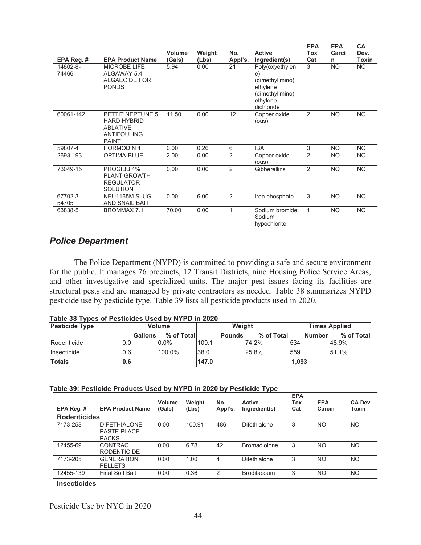|                   |                                                                                                 | Volume | Weight | No.            | <b>Active</b>                                                                                     | <b>EPA</b><br><b>Tox</b> | <b>EPA</b><br>Carci | <b>CA</b><br>Dev. |
|-------------------|-------------------------------------------------------------------------------------------------|--------|--------|----------------|---------------------------------------------------------------------------------------------------|--------------------------|---------------------|-------------------|
| EPA Reg. #        | <b>EPA Product Name</b>                                                                         | (Gals) | (Lbs)  | Appl's.        | Ingredient(s)                                                                                     | Cat                      | n                   | Toxin             |
| 14802-8-<br>74466 | <b>MICROBE LIFE</b><br>ALGAWAY 5.4<br>ALGAECIDE FOR<br><b>PONDS</b>                             | 5.94   | 0.00   | 21             | Poly(oxyethylen<br>e)<br>(dimethylimino)<br>ethylene<br>(dimethylimino)<br>ethylene<br>dichloride | 3                        | <b>NO</b>           | <b>NO</b>         |
| 60061-142         | PETTIT NEPTUNE 5<br><b>HARD HYBRID</b><br><b>ABLATIVE</b><br><b>ANTIFOULING</b><br><b>PAINT</b> | 11.50  | 0.00   | 12             | Copper oxide<br>(ous)                                                                             | 2                        | <b>NO</b>           | <b>NO</b>         |
| 59807-4           | <b>HORMODIN1</b>                                                                                | 0.00   | 0.26   | 6              | <b>IBA</b>                                                                                        | 3                        | <b>NO</b>           | <b>NO</b>         |
| 2693-193          | OPTIMA-BLUE                                                                                     | 2.00   | 0.00   | $\overline{2}$ | Copper oxide<br>(ous)                                                                             | 2                        | <b>NO</b>           | <b>NO</b>         |
| 73049-15          | PROGIBB 4%<br><b>PLANT GROWTH</b><br><b>REGULATOR</b><br><b>SOLUTION</b>                        | 0.00   | 0.00   | 2              | Gibberellins                                                                                      | 2                        | <b>NO</b>           | <b>NO</b>         |
| 67702-3-<br>54705 | NEU1165M SLUG<br><b>AND SNAIL BAIT</b>                                                          | 0.00   | 6.00   | 2              | Iron phosphate                                                                                    | 3                        | <b>NO</b>           | <b>NO</b>         |
| 63838-5           | <b>BROMMAX 7.1</b>                                                                              | 70.00  | 0.00   | 1              | Sodium bromide;<br>Sodium<br>hypochlorite                                                         | 1                        | <b>NO</b>           | <b>NO</b>         |

## *Police Department*

 The Police Department (NYPD) is committed to providing a safe and secure environment for the public. It manages 76 precincts, 12 Transit Districts, nine Housing Police Service Areas, and other investigative and specialized units. The major pest issues facing its facilities are structural pests and are managed by private contractors as needed. Table 38 summarizes NYPD pesticide use by pesticide type. Table 39 lists all pesticide products used in 2020.

| Table 38 Types of Pesticides Used by NYPD in 2020 |  |
|---------------------------------------------------|--|
|---------------------------------------------------|--|

| - -<br><b>Pesticide Type</b> |                | <b>Volume</b> |       | Weight        |            |       | <b>Times Applied</b>        |  |  |
|------------------------------|----------------|---------------|-------|---------------|------------|-------|-----------------------------|--|--|
|                              | <b>Gallons</b> | % of Total    |       | <b>Pounds</b> | % of Total |       | % of Total<br><b>Number</b> |  |  |
| Rodenticide                  | 0.0            | $0.0\%$       | 109.1 |               | 74.2%      | 534   | 48.9%                       |  |  |
| Insecticide                  | 0.6            | 100.0%        | 38.0  |               | 25.8%      | 559   | 51.1%                       |  |  |
| <b>Totals</b>                | 0.6            |               | 147.0 |               |            | 1.093 |                             |  |  |

#### **Table 39: Pesticide Products Used by NYPD in 2020 by Pesticide Type**

| EPA Reg. #          | <b>EPA Product Name</b>                                   | Volume<br>(Gals) | Weight<br>(Lbs) | No.<br>Appl's. | <b>Active</b><br>Ingredient(s) | <b>EPA</b><br>Tox<br>Cat | <b>EPA</b><br>Carcin | CA Dev.<br>Toxin |
|---------------------|-----------------------------------------------------------|------------------|-----------------|----------------|--------------------------------|--------------------------|----------------------|------------------|
| <b>Rodenticides</b> |                                                           |                  |                 |                |                                |                          |                      |                  |
| 7173-258            | <b>DIFETHIALONE</b><br><b>PASTE PLACE</b><br><b>PACKS</b> | 0.00             | 100.91          | 486            | Difethialone                   | 3                        | <b>NO</b>            | NO.              |
| 12455-69            | <b>CONTRAC</b><br><b>RODENTICIDE</b>                      | 0.00             | 6.78            | 42             | <b>Bromadiolone</b>            | 3                        | <b>NO</b>            | NO.              |
| 7173-205            | <b>GENERATION</b><br><b>PELLETS</b>                       | 0.00             | 1.00            | 4              | <b>Difethialone</b>            | 3                        | <b>NO</b>            | NO.              |
| 12455-139           | <b>Final Soft Bait</b>                                    | 0.00             | 0.36            | $\mathfrak{p}$ | <b>Brodifacoum</b>             | 3                        | <b>NO</b>            | NO.              |

**Insecticides**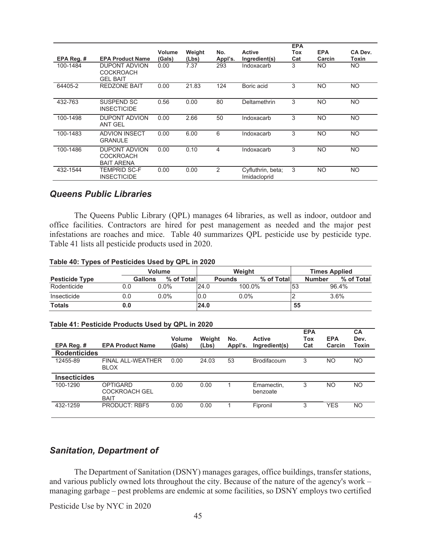|            |                                                      | <b>Volume</b> | Weight | No.     | <b>Active</b>                     | <b>EPA</b><br>Tox | <b>EPA</b> | CA Dev.   |
|------------|------------------------------------------------------|---------------|--------|---------|-----------------------------------|-------------------|------------|-----------|
| EPA Reg. # | <b>EPA Product Name</b>                              | (Gals)        | (Lbs)  | Appl's. | Ingredient(s)                     | Cat               | Carcin     | Toxin     |
| 100-1484   | <b>DUPONT ADVION</b><br>COCKROACH<br><b>GEL BAIT</b> | 0.00          | 7.37   | 293     | Indoxacarb                        | 3                 | <b>NO</b>  | NO.       |
| 64405-2    | <b>REDZONE BAIT</b>                                  | 0.00          | 21.83  | 124     | Boric acid                        | 3                 | <b>NO</b>  | <b>NO</b> |
| 432-763    | SUSPEND SC<br><b>INSECTICIDE</b>                     | 0.56          | 0.00   | 80      | Deltamethrin                      | 3                 | <b>NO</b>  | NO.       |
| 100-1498   | DUPONT ADVION<br><b>ANT GEL</b>                      | 0.00          | 2.66   | 50      | Indoxacarb                        | 3                 | <b>NO</b>  | <b>NO</b> |
| 100-1483   | <b>ADVION INSECT</b><br>GRANULE                      | 0.00          | 6.00   | 6       | Indoxacarb                        | 3                 | <b>NO</b>  | NO.       |
| 100-1486   | DUPONT ADVION<br>COCKROACH<br><b>BAIT ARENA</b>      | 0.00          | 0.10   | 4       | Indoxacarb                        | 3                 | <b>NO</b>  | <b>NO</b> |
| 432-1544   | TEMPRID SC-F<br><b>INSECTICIDE</b>                   | 0.00          | 0.00   | 2       | Cyfluthrin, beta;<br>Imidacloprid | 3                 | <b>NO</b>  | NO.       |

### *Queens Public Libraries*

The Queens Public Library (QPL) manages 64 libraries, as well as indoor, outdoor and office facilities. Contractors are hired for pest management as needed and the major pest infestations are roaches and mice. Table 40 summarizes QPL pesticide use by pesticide type. Table 41 lists all pesticide products used in 2020.

#### **Table 40: Types of Pesticides Used by QPL in 2020**

|                       |         | <b>Volume</b> |      | Weight        |            | <b>Times Applied</b> |                             |  |
|-----------------------|---------|---------------|------|---------------|------------|----------------------|-----------------------------|--|
| <b>Pesticide Type</b> | Gallons | % of Total    |      | <b>Pounds</b> | % of Total |                      | % of Total<br><b>Number</b> |  |
| Rodenticide           | 0.0     | $0.0\%$       | 24.0 | 100.0%        |            | 53                   | 96.4%                       |  |
| Insecticide           | 0.0     | $0.0\%$       | 0.0  | $0.0\%$       |            |                      | 3.6%                        |  |
| <b>Totals</b>         | 0.0     |               | 24.0 |               |            | 55                   |                             |  |

#### **Table 41: Pesticide Products Used by QPL in 2020**

| EPA Reg.#           | <b>EPA Product Name</b>                                | <b>Volume</b><br>(Gals) | Weight<br>(Lbs) | No.<br>Appl's. | <b>Active</b><br>Ingredient(s) | <b>EPA</b><br>Tox<br>Cat | <b>EPA</b><br>Carcin | CA<br>Dev.<br>Toxin |
|---------------------|--------------------------------------------------------|-------------------------|-----------------|----------------|--------------------------------|--------------------------|----------------------|---------------------|
| <b>Rodenticides</b> |                                                        |                         |                 |                |                                |                          |                      |                     |
| 12455-89            | <b>FINAL ALL-WEATHER</b><br><b>BLOX</b>                | 0.00                    | 24.03           | 53             | <b>Brodifacoum</b>             | 3                        | NO                   | NO                  |
| <b>Insecticides</b> |                                                        |                         |                 |                |                                |                          |                      |                     |
| 100-1290            | <b>OPTIGARD</b><br><b>COCKROACH GEL</b><br><b>BAIT</b> | 0.00                    | 0.00            |                | Emamectin.<br>benzoate         | 3                        | NO                   | NO                  |
| 432-1259            | <b>PRODUCT: RBF5</b>                                   | 0.00                    | 0.00            |                | Fipronil                       | 3                        | <b>YES</b>           | N <sub>O</sub>      |

### *Sanitation, Department of*

 The Department of Sanitation (DSNY) manages garages, office buildings, transfer stations, and various publicly owned lots throughout the city. Because of the nature of the agency's work – managing garbage – pest problems are endemic at some facilities, so DSNY employs two certified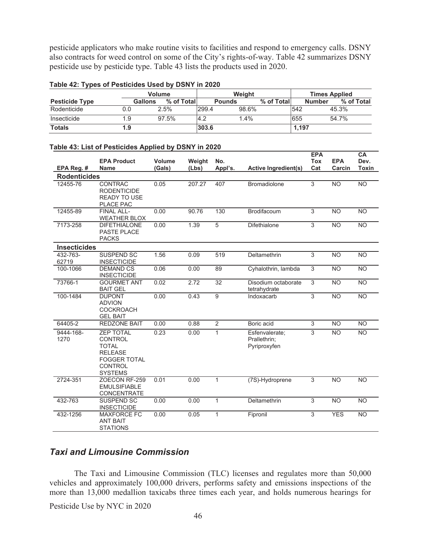pesticide applicators who make routine visits to facilities and respond to emergency calls. DSNY also contracts for weed control on some of the City's rights-of-way. Table 42 summarizes DSNY pesticide use by pesticide type. Table 43 lists the products used in 2020.

|                       |                | <b>Volume</b> | Weight |               |            |       | <b>Times Applied</b> |            |  |
|-----------------------|----------------|---------------|--------|---------------|------------|-------|----------------------|------------|--|
| <b>Pesticide Type</b> | <b>Gallons</b> | % of Total    |        | <b>Pounds</b> | % of Total |       | <b>Number</b>        | % of Total |  |
| Rodenticide           | 0.0            | 2.5%          | 299.4  | 98.6%         |            | 542   |                      | 45.3%      |  |
| Insecticide           | 1.9            | 97.5%         | 14.2   | 1.4%          |            | 655   |                      | 54.7%      |  |
| <b>Totals</b>         | 1.9            |               | 303.6  |               |            | 1,197 |                      |            |  |

#### **Table 42: Types of Pesticides Used by DSNY in 2020**

|                     | <b>EPA Product</b>                                                                                                              | Volume | Weight | No.            |                                                | <b>EPA</b><br><b>Tox</b> | <b>EPA</b>      | <b>CA</b><br>Dev. |
|---------------------|---------------------------------------------------------------------------------------------------------------------------------|--------|--------|----------------|------------------------------------------------|--------------------------|-----------------|-------------------|
| EPA Reg. #          | Name                                                                                                                            | (Gals) | (Lbs)  | Appl's.        | <b>Active Ingredient(s)</b>                    | Cat                      | Carcin          | <b>Toxin</b>      |
| <b>Rodenticides</b> |                                                                                                                                 |        |        |                |                                                |                          |                 |                   |
| 12455-76            | CONTRAC<br><b>RODENTICIDE</b><br><b>READY TO USE</b><br>PLACE PAC                                                               | 0.05   | 207.27 | 407            | <b>Bromadiolone</b>                            | 3                        | <b>NO</b>       | $\overline{NO}$   |
| 12455-89            | <b>FINAL ALL-</b><br><b>WEATHER BLOX</b>                                                                                        | 0.00   | 90.76  | 130            | Brodifacoum                                    | 3                        | <b>NO</b>       | <b>NO</b>         |
| 7173-258            | <b>DIFETHIALONE</b><br><b>PASTE PLACE</b><br><b>PACKS</b>                                                                       | 0.00   | 1.39   | 5              | Difethialone                                   | 3                        | <b>NO</b>       | $\overline{NO}$   |
| <b>Insecticides</b> |                                                                                                                                 |        |        |                |                                                |                          |                 |                   |
| 432-763-<br>62719   | <b>SUSPEND SC</b><br><b>INSECTICIDE</b>                                                                                         | 1.56   | 0.09   | 519            | Deltamethrin                                   | 3                        | <b>NO</b>       | <b>NO</b>         |
| 100-1066            | <b>DEMAND CS</b><br><b>INSECTICIDE</b>                                                                                          | 0.06   | 0.00   | 89             | Cyhalothrin, lambda                            | $\overline{3}$           | <b>NO</b>       | <b>NO</b>         |
| 73766-1             | <b>GOURMET ANT</b><br><b>BAIT GEL</b>                                                                                           | 0.02   | 2.72   | 32             | Disodium octaborate<br>tetrahydrate            | 3                        | <b>NO</b>       | <b>NO</b>         |
| 100-1484            | <b>DUPONT</b><br><b>ADVION</b><br><b>COCKROACH</b><br><b>GEL BAIT</b>                                                           | 0.00   | 0.43   | $\overline{9}$ | Indoxacarb                                     | $\overline{3}$           | $\overline{NO}$ | $\overline{NO}$   |
| 64405-2             | <b>REDZONE BAIT</b>                                                                                                             | 0.00   | 0.88   | $\overline{2}$ | Boric acid                                     | $\overline{3}$           | <b>NO</b>       | <b>NO</b>         |
| 9444-168-<br>1270   | <b>ZEP TOTAL</b><br><b>CONTROL</b><br><b>TOTAL</b><br><b>RELEASE</b><br><b>FOGGER TOTAL</b><br><b>CONTROL</b><br><b>SYSTEMS</b> | 0.23   | 0.00   | $\mathbf{1}$   | Esfenvalerate:<br>Prallethrin;<br>Pyriproxyfen | $\overline{3}$           | $\overline{NO}$ | $\overline{NO}$   |
| 2724-351            | ZOECON RF-259<br><b>EMULSIFIABLE</b><br><b>CONCENTRATE</b>                                                                      | 0.01   | 0.00   | $\mathbf{1}$   | (7S)-Hydroprene                                | $\overline{3}$           | $\overline{NO}$ | $\overline{NO}$   |
| 432-763             | <b>SUSPEND SC</b><br><b>INSECTICIDE</b>                                                                                         | 0.00   | 0.00   | $\mathbf{1}$   | Deltamethrin                                   | 3                        | <b>NO</b>       | <b>NO</b>         |
| 432-1256            | <b>MAXFORCE FC</b><br><b>ANT BAIT</b><br><b>STATIONS</b>                                                                        | 0.00   | 0.05   | $\mathbf{1}$   | Fipronil                                       | 3                        | <b>YES</b>      | <b>NO</b>         |

#### **Table 43: List of Pesticides Applied by DSNY in 2020**

# *Taxi and Limousine Commission*

 The Taxi and Limousine Commission (TLC) licenses and regulates more than 50,000 vehicles and approximately 100,000 drivers, performs safety and emissions inspections of the more than 13,000 medallion taxicabs three times each year, and holds numerous hearings for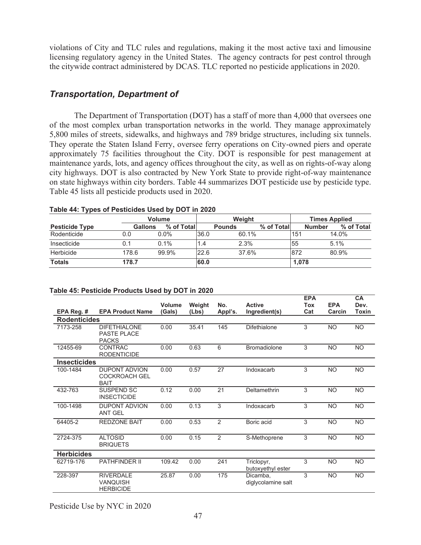violations of City and TLC rules and regulations, making it the most active taxi and limousine licensing regulatory agency in the United States. The agency contracts for pest control through the citywide contract administered by DCAS. TLC reported no pesticide applications in 2020.

### *Transportation, Department of*

The Department of Transportation (DOT) has a staff of more than 4,000 that oversees one of the most complex urban transportation networks in the world. They manage approximately 5,800 miles of streets, sidewalks, and highways and 789 bridge structures, including six tunnels. They operate the Staten Island Ferry, oversee ferry operations on City-owned piers and operate approximately 75 facilities throughout the City. DOT is responsible for pest management at maintenance yards, lots, and agency offices throughout the city, as well as on rights-of-way along city highways. DOT is also contracted by New York State to provide right-of-way maintenance on state highways within city borders. Table 44 summarizes DOT pesticide use by pesticide type. Table 45 lists all pesticide products used in 2020.

| - -                   |                |             |        |               |            |                      |            |
|-----------------------|----------------|-------------|--------|---------------|------------|----------------------|------------|
|                       | <b>Volume</b>  |             | Weight |               |            | <b>Times Applied</b> |            |
| <b>Pesticide Type</b> | <b>Gallons</b> | % of Totall |        | <b>Pounds</b> | % of Total | <b>Number</b>        | % of Total |
| Rodenticide           | 0.0            | $0.0\%$     | 36.0   | 60.1%         |            | l151                 | 14.0%      |
| Insecticide           | 0.1            | $0.1\%$     | 1.4    | 2.3%          |            | 55                   | 5.1%       |
| Herbicide             | 178.6          | 99.9%       | 22.6   | 37.6%         |            | 872                  | 80.9%      |
| <b>Totals</b>         | 178.7          |             | 60.0   |               |            | 1,078                |            |

#### **Table 44: Types of Pesticides Used by DOT in 2020**

### **Table 45: Pesticide Products Used by DOT in 2020**

|                     |                                                             |                  |                 |                |                                 | <b>EPA</b> |                      | CA            |
|---------------------|-------------------------------------------------------------|------------------|-----------------|----------------|---------------------------------|------------|----------------------|---------------|
| EPA Reg. #          | <b>EPA Product Name</b>                                     | Volume<br>(Gals) | Weight<br>(Lbs) | No.<br>Appl's. | <b>Active</b><br>Ingredient(s)  | Tox<br>Cat | <b>EPA</b><br>Carcin | Dev.<br>Toxin |
| <b>Rodenticides</b> |                                                             |                  |                 |                |                                 |            |                      |               |
| 7173-258            | <b>DIFETHIALONE</b><br>PASTE PLACE<br><b>PACKS</b>          | 0.00             | 35.41           | 145            | <b>Difethialone</b>             | 3          | NO                   | <b>NO</b>     |
| 12455-69            | <b>CONTRAC</b><br><b>RODENTICIDE</b>                        | 0.00             | 0.63            | 6              | <b>Bromadiolone</b>             | 3          | <b>NO</b>            | <b>NO</b>     |
| <b>Insecticides</b> |                                                             |                  |                 |                |                                 |            |                      |               |
| 100-1484            | <b>DUPONT ADVION</b><br><b>COCKROACH GEL</b><br><b>BAIT</b> | 0.00             | 0.57            | 27             | Indoxacarb                      | 3          | <b>NO</b>            | <b>NO</b>     |
| 432-763             | <b>SUSPEND SC</b><br><b>INSECTICIDE</b>                     | 0.12             | 0.00            | 21             | Deltamethrin                    | 3          | <b>NO</b>            | <b>NO</b>     |
| 100-1498            | <b>DUPONT ADVION</b><br><b>ANT GEL</b>                      | 0.00             | 0.13            | 3              | Indoxacarb                      | 3          | <b>NO</b>            | <b>NO</b>     |
| 64405-2             | <b>REDZONE BAIT</b>                                         | 0.00             | 0.53            | 2              | Boric acid                      | 3          | <b>NO</b>            | <b>NO</b>     |
| 2724-375            | <b>ALTOSID</b><br><b>BRIQUETS</b>                           | 0.00             | 0.15            | 2              | S-Methoprene                    | 3          | <b>NO</b>            | <b>NO</b>     |
| <b>Herbicides</b>   |                                                             |                  |                 |                |                                 |            |                      |               |
| 62719-176           | <b>PATHFINDER II</b>                                        | 109.42           | 0.00            | 241            | Triclopyr,<br>butoxyethyl ester | 3          | <b>NO</b>            | <b>NO</b>     |
| 228-397             | <b>RIVERDALE</b><br><b>VANQUISH</b><br><b>HERBICIDE</b>     | 25.87            | 0.00            | 175            | Dicamba,<br>diglycolamine salt  | 3          | <b>NO</b>            | <b>NO</b>     |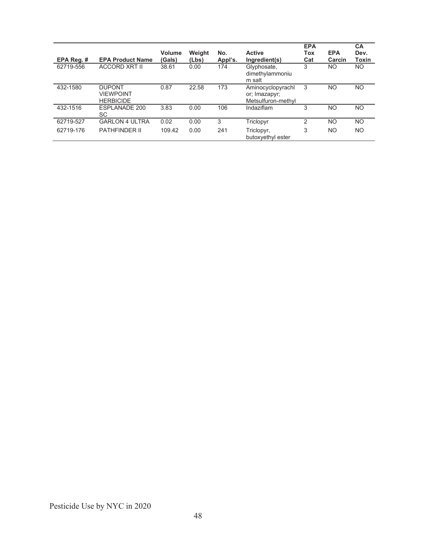| EPA Reg. # | <b>EPA Product Name</b>                               | <b>Volume</b><br>(Gals) | Weight<br>(Lbs) | No.<br>Appl's. | <b>Active</b><br>Ingredient(s)                           | <b>EPA</b><br>Tox<br>Cat | <b>EPA</b><br>Carcin | <b>CA</b><br>Dev.<br>Toxin |
|------------|-------------------------------------------------------|-------------------------|-----------------|----------------|----------------------------------------------------------|--------------------------|----------------------|----------------------------|
| 62719-556  | <b>ACCORD XRT II</b>                                  | 38.61                   | 0.00            | 174            | Glyphosate,<br>dimethylammoniu<br>m salt                 | 3                        | NO.                  | NO.                        |
| 432-1580   | <b>DUPONT</b><br><b>VIFWPOINT</b><br><b>HERBICIDE</b> | 0.87                    | 22.58           | 173            | Aminocyclopyrachl<br>or; Imazapyr;<br>Metsulfuron-methyl | 3                        | N <sub>O</sub>       | NO.                        |
| 432-1516   | ESPLANADE 200<br>SC                                   | 3.83                    | 0.00            | 106            | Indaziflam                                               | 3                        | NO                   | NO.                        |
| 62719-527  | <b>GARLON 4 ULTRA</b>                                 | 0.02                    | 0.00            | 3              | Triclopyr                                                | 2                        | NO                   | <b>NO</b>                  |
| 62719-176  | <b>PATHFINDER II</b>                                  | 109.42                  | 0.00            | 241            | Triclopyr,<br>butoxyethyl ester                          | 3                        | NO                   | <b>NO</b>                  |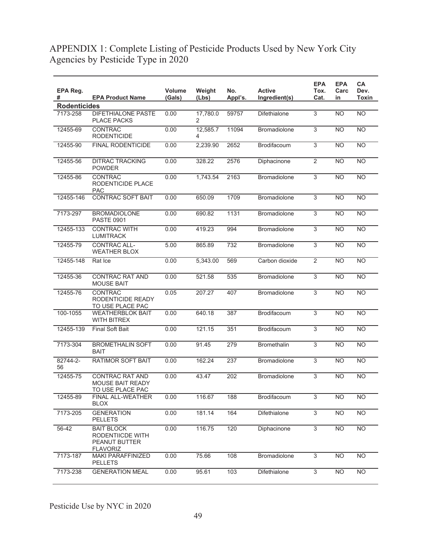# APPENDIX 1: Complete Listing of Pesticide Products Used by New York City Agencies by Pesticide Type in 2020

| EPA Reg.            |                                                                           | <b>Volume</b> | Weight        | No.     | <b>Active</b>       | <b>EPA</b><br>Tox. | <b>EPA</b><br>Carc | <b>CA</b><br>Dev. |
|---------------------|---------------------------------------------------------------------------|---------------|---------------|---------|---------------------|--------------------|--------------------|-------------------|
| #                   | <b>EPA Product Name</b>                                                   | (Gals)        | (Lbs)         | Appl's. | Ingredient(s)       | Cat.               | in                 | <b>Toxin</b>      |
| <b>Rodenticides</b> |                                                                           |               |               |         |                     |                    |                    |                   |
| 7173-258            | <b>DIFETHIALONE PASTE</b><br><b>PLACE PACKS</b>                           | 0.00          | 17,780.0<br>2 | 59757   | <b>Difethialone</b> | 3                  | <b>NO</b>          | <b>NO</b>         |
| 12455-69            | <b>CONTRAC</b><br><b>RODENTICIDE</b>                                      | 0.00          | 12,585.7<br>4 | 11094   | <b>Bromadiolone</b> | $\overline{3}$     | N <sub>O</sub>     | N <sub>O</sub>    |
| 12455-90            | <b>FINAL RODENTICIDE</b>                                                  | 0.00          | 2,239.90      | 2652    | Brodifacoum         | 3                  | <b>NO</b>          | N <sub>O</sub>    |
| 12455-56            | <b>DITRAC TRACKING</b><br><b>POWDER</b>                                   | 0.00          | 328.22        | 2576    | <b>Diphacinone</b>  | $\overline{2}$     | <b>NO</b>          | <b>NO</b>         |
| 12455-86            | CONTRAC<br>RODENTICIDE PLACE<br><b>PAC</b>                                | 0.00          | 1,743.54      | 2163    | Bromadiolone        | $\overline{3}$     | <b>NO</b>          | N <sub>O</sub>    |
| 12455-146           | <b>CONTRAC SOFT BAIT</b>                                                  | 0.00          | 650.09        | 1709    | <b>Bromadiolone</b> | 3                  | <b>NO</b>          | <b>NO</b>         |
| 7173-297            | <b>BROMADIOLONE</b><br><b>PASTE 0901</b>                                  | 0.00          | 690.82        | 1131    | Bromadiolone        | 3                  | <b>NO</b>          | <b>NO</b>         |
| 12455-133           | <b>CONTRAC WITH</b><br><b>LUMITRACK</b>                                   | 0.00          | 419.23        | 994     | <b>Bromadiolone</b> | $\mathfrak{B}$     | <b>NO</b>          | <b>NO</b>         |
| 12455-79            | <b>CONTRAC ALL-</b><br><b>WEATHER BLOX</b>                                | 5.00          | 865.89        | 732     | <b>Bromadiolone</b> | 3                  | <b>NO</b>          | <b>NO</b>         |
| 12455-148           | Rat Ice                                                                   | 0.00          | 5,343.00      | 569     | Carbon dioxide      | $\overline{2}$     | <b>NO</b>          | NO                |
| 12455-36            | <b>CONTRAC RAT AND</b><br><b>MOUSE BAIT</b>                               | 0.00          | 521.58        | 535     | <b>Bromadiolone</b> | 3                  | <b>NO</b>          | <b>NO</b>         |
| 12455-76            | CONTRAC<br>RODENTICIDE READY<br>TO USE PLACE PAC                          | 0.05          | 207.27        | 407     | <b>Bromadiolone</b> | 3                  | <b>NO</b>          | <b>NO</b>         |
| 100-1055            | <b>WEATHERBLOK BAIT</b><br><b>WITH BITREX</b>                             | 0.00          | 640.18        | 387     | Brodifacoum         | 3                  | <b>NO</b>          | <b>NO</b>         |
| 12455-139           | <b>Final Soft Bait</b>                                                    | 0.00          | 121.15        | 351     | Brodifacoum         | $\mathfrak{B}$     | <b>NO</b>          | <b>NO</b>         |
| 7173-304            | <b>BROMETHALIN SOFT</b><br><b>BAIT</b>                                    | 0.00          | 91.45         | 279     | <b>Bromethalin</b>  | $\overline{3}$     | <b>NO</b>          | <b>NO</b>         |
| 82744-2-<br>56      | <b>RATIMOR SOFT BAIT</b>                                                  | 0.00          | 162.24        | 237     | <b>Bromadiolone</b> | 3                  | <b>NO</b>          | <b>NO</b>         |
| 12455-75            | CONTRAC RAT AND<br><b>MOUSE BAIT READY</b><br>TO USE PLACE PAC            | 0.00          | 43.47         | 202     | <b>Bromadiolone</b> | 3                  | <b>NO</b>          | <b>NO</b>         |
| 12455-89            | <b>FINAL ALL-WEATHER</b><br><b>BLOX</b>                                   | 0.00          | 116.67        | 188     | Brodifacoum         | $\overline{3}$     | <b>NO</b>          | <b>NO</b>         |
| 7173-205            | <b>GENERATION</b><br><b>PELLETS</b>                                       | 0.00          | 181.14        | 164     | Difethialone        | $\overline{3}$     | <b>NO</b>          | <b>NO</b>         |
| 56-42               | <b>BAIT BLOCK</b><br>RODENTIICDE WITH<br>PEANUT BUTTER<br><b>FLAVORIZ</b> | 0.00          | 116.75        | 120     | Diphacinone         | 3                  | <b>NO</b>          | <b>NO</b>         |
| 7173-187            | <b>MAKI PARAFFINIZED</b><br><b>PELLETS</b>                                | 0.00          | 75.66         | 108     | Bromadiolone        | $\overline{3}$     | <b>NO</b>          | <b>NO</b>         |
| 7173-238            | <b>GENERATION MEAL</b>                                                    | 0.00          | 95.61         | 103     | Difethialone        | 3                  | <b>NO</b>          | <b>NO</b>         |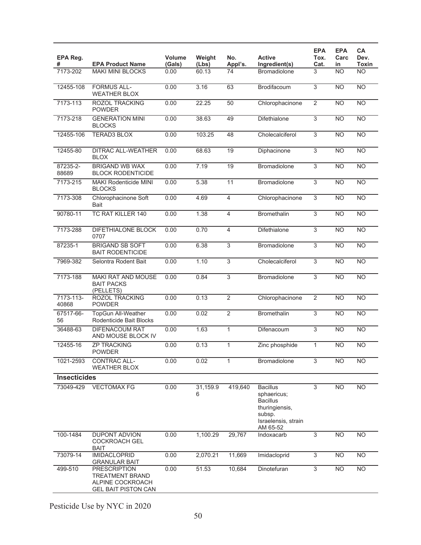| EPA Reg.<br>#       | <b>EPA Product Name</b>                                                                         | Volume<br>(Gals) | Weight<br>(Lbs) | No.<br>Appl's.  | <b>Active</b><br>Ingredient(s)                                                                                   | <b>EPA</b><br>Tox.<br>Cat. | <b>EPA</b><br>Carc<br>in | CA<br>Dev.<br>Toxin |
|---------------------|-------------------------------------------------------------------------------------------------|------------------|-----------------|-----------------|------------------------------------------------------------------------------------------------------------------|----------------------------|--------------------------|---------------------|
| 7173-202            | <b>MAKI MINI BLOCKS</b>                                                                         | 0.00             | 60.13           | 74              | <b>Bromadiolone</b>                                                                                              | 3                          | <b>NO</b>                | <b>NO</b>           |
| 12455-108           | <b>FORMUS ALL-</b><br><b>WEATHER BLOX</b>                                                       | 0.00             | 3.16            | 63              | <b>Brodifacoum</b>                                                                                               | 3                          | <b>NO</b>                | <b>NO</b>           |
| 7173-113            | <b>ROZOL TRACKING</b><br><b>POWDER</b>                                                          | 0.00             | 22.25           | 50              | Chlorophacinone                                                                                                  | $\overline{2}$             | <b>NO</b>                | $\overline{NO}$     |
| 7173-218            | <b>GENERATION MINI</b><br><b>BLOCKS</b>                                                         | 0.00             | 38.63           | 49              | Difethialone                                                                                                     | $\overline{3}$             | N <sub>O</sub>           | $\overline{NO}$     |
| 12455-106           | <b>TERAD3 BLOX</b>                                                                              | 0.00             | 103.25          | 48              | Cholecalciferol                                                                                                  | $\overline{3}$             | <b>NO</b>                | <b>NO</b>           |
| 12455-80            | <b>DITRAC ALL-WEATHER</b><br><b>BLOX</b>                                                        | 0.00             | 68.63           | $\overline{19}$ | Diphacinone                                                                                                      | $\overline{3}$             | N <sub>O</sub>           | $\overline{NO}$     |
| 87235-2-<br>88689   | <b>BRIGAND WB WAX</b><br><b>BLOCK RODENTICIDE</b>                                               | 0.00             | 7.19            | 19              | Bromadiolone                                                                                                     | $\overline{3}$             | N <sub>O</sub>           | $\overline{NO}$     |
| 7173-215            | <b>MAKI Rodenticide MINI</b><br><b>BLOCKS</b>                                                   | 0.00             | 5.38            | 11              | Bromadiolone                                                                                                     | 3                          | <b>NO</b>                | <b>NO</b>           |
| 7173-308            | Chlorophacinone Soft<br><b>Bait</b>                                                             | 0.00             | 4.69            | $\overline{4}$  | Chlorophacinone                                                                                                  | 3                          | <b>NO</b>                | <b>NO</b>           |
| 90780-11            | TC RAT KILLER 140                                                                               | 0.00             | 1.38            | 4               | <b>Bromethalin</b>                                                                                               | $\overline{3}$             | N <sub>O</sub>           | $\overline{NO}$     |
| 7173-288            | DIFETHIALONE BLOCK<br>0707                                                                      | 0.00             | 0.70            | 4               | <b>Difethialone</b>                                                                                              | $\overline{3}$             | <b>NO</b>                | N <sub>O</sub>      |
| 87235-1             | <b>BRIGAND SB SOFT</b><br><b>BAIT RODENTICIDE</b>                                               | 0.00             | 6.38            | 3               | <b>Bromadiolone</b>                                                                                              | $\overline{3}$             | N <sub>O</sub>           | NO                  |
| 7969-382            | Selontra Rodent Bait                                                                            | 0.00             | 1.10            | $\overline{3}$  | Cholecalciferol                                                                                                  | $\overline{3}$             | N <sub>O</sub>           | $\overline{NO}$     |
| 7173-188            | MAKI RAT AND MOUSE<br><b>BAIT PACKS</b><br>(PELLETS)                                            | 0.00             | 0.84            | $\overline{3}$  | Bromadiolone                                                                                                     | 3                          | <b>NO</b>                | <b>NO</b>           |
| 7173-113-<br>40868  | <b>ROZOL TRACKING</b><br><b>POWDER</b>                                                          | 0.00             | 0.13            | $\overline{2}$  | Chlorophacinone                                                                                                  | $\overline{2}$             | <b>NO</b>                | <b>NO</b>           |
| 67517-66-<br>56     | TopGun All-Weather<br>Rodenticide Bait Blocks                                                   | 0.00             | 0.02            | $\overline{2}$  | <b>Bromethalin</b>                                                                                               | $\overline{3}$             | N <sub>O</sub>           | <b>NO</b>           |
| 36488-63            | <b>DIFENACOUM RAT</b><br>AND MOUSE BLOCK IV                                                     | 0.00             | 1.63            | $\mathbf{1}$    | Difenacoum                                                                                                       | $\overline{3}$             | <b>NO</b>                | $\overline{NO}$     |
| 12455-16            | <b>ZP TRACKING</b><br>POWDER                                                                    | 0.00             | 0.13            | 1               | Zinc phosphide                                                                                                   | $\mathbf{1}$               | <b>NO</b>                | <b>NO</b>           |
| 1021-2593           | CONTRAC ALL-<br><b>WEATHER BLOX</b>                                                             | 0.00             | 0.02            | 1               | Bromadiolone                                                                                                     | 3                          | <b>NO</b>                | <b>NO</b>           |
| <b>Insecticides</b> |                                                                                                 |                  |                 |                 |                                                                                                                  |                            |                          |                     |
| 73049-429           | <b>VECTOMAX FG</b>                                                                              | 0.00             | 31,159.9<br>6   | 419,640         | <b>Bacillus</b><br>sphaericus;<br><b>Bacillus</b><br>thuringiensis,<br>subsp.<br>Israelensis, strain<br>AM 65-52 | $\overline{3}$             | <b>NO</b>                | <b>NO</b>           |
| 100-1484            | DUPONT ADVION<br><b>COCKROACH GEL</b><br><b>BAIT</b>                                            | 0.00             | 1,100.29        | 29,767          | Indoxacarb                                                                                                       | $\overline{3}$             | N <sub>O</sub>           | $\overline{NO}$     |
| 73079-14            | <b>IMIDACLOPRID</b><br><b>GRANULAR BAIT</b>                                                     | 0.00             | 2,070.21        | 11,669          | Imidacloprid                                                                                                     | $\sqrt{3}$                 | <b>NO</b>                | <b>NO</b>           |
| 499-510             | <b>PRESCRIPTION</b><br><b>TREATMENT BRAND</b><br>ALPINE COCKROACH<br><b>GEL BAIT PISTON CAN</b> | 0.00             | 51.53           | 10,684          | Dinotefuran                                                                                                      | 3                          | N <sub>O</sub>           | <b>NO</b>           |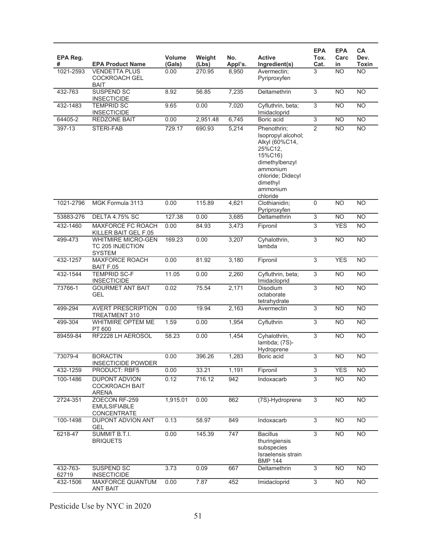| EPA Reg.<br>#     | <b>EPA Product Name</b>                                        | <b>Volume</b><br>(Gals) | Weight<br>(Lbs) | No.<br>Appl's. | <b>Active</b><br>Ingredient(s)                                                                                                                                   | <b>EPA</b><br>Tox.<br>Cat. | <b>EPA</b><br>Carc<br>in | CA<br>Dev.<br>Toxin |
|-------------------|----------------------------------------------------------------|-------------------------|-----------------|----------------|------------------------------------------------------------------------------------------------------------------------------------------------------------------|----------------------------|--------------------------|---------------------|
| 1021-2593         | <b>VENDETTA PLUS</b><br><b>COCKROACH GEL</b><br><b>BAIT</b>    | 0.00                    | 270.95          | 8,950          | Avermectin;<br>Pyriproxyfen                                                                                                                                      | 3                          | N <sub>O</sub>           | <b>NO</b>           |
| 432-763           | <b>SUSPEND SC</b><br><b>INSECTICIDE</b>                        | 8.92                    | 56.85           | 7,235          | Deltamethrin                                                                                                                                                     | 3                          | <b>NO</b>                | <b>NO</b>           |
| 432-1483          | <b>TEMPRID SC</b><br><b>INSECTICIDE</b>                        | 9.65                    | 0.00            | 7,020          | Cyfluthrin, beta;<br>Imidacloprid                                                                                                                                | $\overline{3}$             | N <sub>O</sub>           | $\overline{NO}$     |
| 64405-2           | <b>REDZONE BAIT</b>                                            | 0.00                    | 2,951.48        | 6,745          | Boric acid                                                                                                                                                       | $\overline{3}$             | <b>NO</b>                | $\overline{NO}$     |
| 397-13            | STERI-FAB                                                      | 729.17                  | 690.93          | 5,214          | Phenothrin;<br>Isopropyl alcohol;<br>Alkyl (60%C14,<br>25%C12,<br>15%C16)<br>dimethylbenzyl<br>ammonium<br>chloride; Didecyl<br>dimethyl<br>ammonium<br>chloride | 2                          | <b>NO</b>                | <b>NO</b>           |
| 1021-2796         | MGK Formula 3113                                               | 0.00                    | 115.89          | 4,621          | Clothianidin;<br>Pyriproxyfen                                                                                                                                    | 0                          | <b>NO</b>                | <b>NO</b>           |
| 53883-276         | <b>DELTA 4.75% SC</b>                                          | 127.38                  | 0.00            | 3,685          | Deltamethrin                                                                                                                                                     | $\overline{3}$             | <b>NO</b>                | $\overline{NO}$     |
| 432-1460          | MAXFORCE FC ROACH<br>KILLER BAIT GEL F.05                      | 0.00                    | 84.93           | 3,473          | Fipronil                                                                                                                                                         | 3                          | <b>YES</b>               | <b>NO</b>           |
| 499-473           | <b>WHITMIRE MICRO-GEN</b><br>TC 205 INJECTION<br><b>SYSTEM</b> | 169.23                  | 0.00            | 3,207          | Cyhalothrin,<br>lambda                                                                                                                                           | $\overline{3}$             | <b>NO</b>                | <b>NO</b>           |
| 432-1257          | MAXFORCE ROACH<br>BAIT F.05                                    | 0.00                    | 81.92           | 3,180          | Fipronil                                                                                                                                                         | $\overline{3}$             | <b>YES</b>               | $\overline{NO}$     |
| 432-1544          | <b>TEMPRID SC-F</b><br><b>INSECTICIDE</b>                      | 11.05                   | 0.00            | 2,260          | Cyfluthrin, beta;<br>Imidacloprid                                                                                                                                | $\overline{3}$             | N <sub>O</sub>           | $\overline{NO}$     |
| 73766-1           | <b>GOURMET ANT BAIT</b><br><b>GEL</b>                          | 0.02                    | 75.54           | 2,171          | <b>Disodium</b><br>octaborate<br>tetrahydrate                                                                                                                    | $\overline{3}$             | <b>NO</b>                | $\overline{NO}$     |
| 499-294           | <b>AVERT PRESCRIPTION</b><br><b>TREATMENT 310</b>              | 0.00                    | 19.94           | 2,163          | Avermectin                                                                                                                                                       | 3                          | <b>NO</b>                | <b>NO</b>           |
| 499-304           | WHITMIRE OPTEM ME<br>PT 600                                    | 1.59                    | 0.00            | 1,954          | Cyfluthrin                                                                                                                                                       | 3                          | <b>NO</b>                | <b>NO</b>           |
| 89459-84          | RF2228 LH AEROSOL                                              | 58.23                   | 0.00            | 1,454          | Cyhalothrin,<br>lambda; (7S)-<br>Hydroprene                                                                                                                      | $\overline{3}$             | <b>NO</b>                | $\overline{NO}$     |
| 73079-4           | <b>BORACTIN</b><br><b>INSECTICIDE POWDER</b>                   | 0.00                    | 396.26          | 1,283          | Boric acid                                                                                                                                                       | 3                          | <b>NO</b>                | <b>NO</b>           |
| 432-1259          | PRODUCT: RBF5                                                  | 0.00                    | 33.21           | 1,191          | Fipronil                                                                                                                                                         | $\overline{3}$             | <b>YES</b>               | $\overline{NO}$     |
| 100-1486          | DUPONT ADVION<br><b>COCKROACH BAIT</b><br><b>ARENA</b>         | 0.12                    | 716.12          | 942            | Indoxacarb                                                                                                                                                       | $\overline{3}$             | <b>NO</b>                | NO <sub>1</sub>     |
| 2724-351          | ZOECON RF-259<br><b>EMULSIFIABLE</b><br><b>CONCENTRATE</b>     | 1,915.01                | 0.00            | 862            | (7S)-Hydroprene                                                                                                                                                  | $\overline{3}$             | <b>NO</b>                | <b>NO</b>           |
| 100-1498          | DUPONT ADVION ANT<br><b>GEL</b>                                | 0.13                    | 58.97           | 849            | Indoxacarb                                                                                                                                                       | $\overline{3}$             | <b>NO</b>                | <b>NO</b>           |
| 6218-47           | SUMMIT B.T.I.<br><b>BRIQUETS</b>                               | 0.00                    | 145.39          | 747            | <b>Bacillus</b><br>thuringiensis<br>subspecies<br>Israelensis strain<br><b>BMP 144</b>                                                                           | 3                          | <b>NO</b>                | <b>NO</b>           |
| 432-763-<br>62719 | SUSPEND SC<br><b>INSECTICIDE</b>                               | 3.73                    | 0.09            | 667            | Deltamethrin                                                                                                                                                     | 3                          | <b>NO</b>                | <b>NO</b>           |
| 432-1506          | MAXFORCE QUANTUM<br><b>ANT BAIT</b>                            | 0.00                    | 7.87            | 452            | Imidacloprid                                                                                                                                                     | $\overline{3}$             | <b>NO</b>                | $\overline{NO}$     |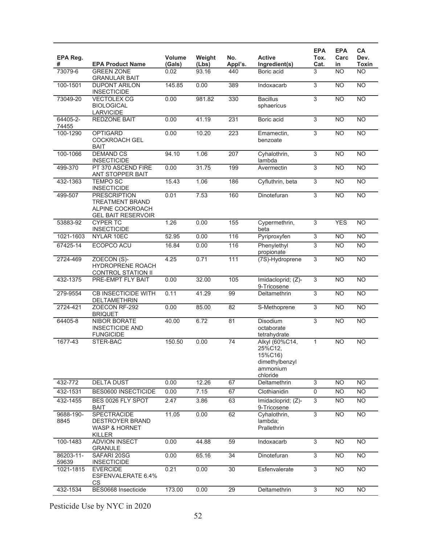| EPA Reg.<br>#      | <b>EPA Product Name</b>                                                                 | <b>Volume</b><br>(Gals) | Weight<br>(Lbs) | No.<br>Appl's. | <b>Active</b><br>Ingredient(s)                                                 | <b>EPA</b><br>Tox.<br>Cat. | <b>EPA</b><br>Carc<br>in | CA<br>Dev.<br>Toxin |
|--------------------|-----------------------------------------------------------------------------------------|-------------------------|-----------------|----------------|--------------------------------------------------------------------------------|----------------------------|--------------------------|---------------------|
| 73079-6            | <b>GREEN ZONE</b><br><b>GRANULAR BAIT</b>                                               | 0.02                    | 93.16           | 440            | Boric acid                                                                     | 3                          | <b>NO</b>                | $\overline{NO}$     |
| 100-1501           | <b>DUPONT ARILON</b><br><b>INSECTICIDE</b>                                              | 145.85                  | 0.00            | 389            | Indoxacarb                                                                     | $\overline{3}$             | <b>NO</b>                | $\overline{NO}$     |
| 73049-20           | <b>VECTOLEX CG</b><br><b>BIOLOGICAL</b><br><b>LARVICIDE</b>                             | 0.00                    | 981.82          | 330            | <b>Bacillus</b><br>sphaericus                                                  | $\overline{3}$             | <b>NO</b>                | $\overline{NO}$     |
| 64405-2-<br>74455  | <b>REDZONE BAIT</b>                                                                     | 0.00                    | 41.19           | 231            | Boric acid                                                                     | $\overline{3}$             | <b>NO</b>                | $\overline{NO}$     |
| 100-1290           | <b>OPTIGARD</b><br><b>COCKROACH GEL</b><br><b>BAIT</b>                                  | 0.00                    | 10.20           | 223            | Emamectin,<br>benzoate                                                         | $\overline{3}$             | <b>NO</b>                | $\overline{NO}$     |
| 100-1066           | <b>DEMAND CS</b><br><b>INSECTICIDE</b>                                                  | 94.10                   | 1.06            | 207            | Cyhalothrin,<br>lambda                                                         | $\overline{3}$             | <b>NO</b>                | $\overline{NO}$     |
| 499-370            | PT 370 ASCEND FIRE<br>ANT STOPPER BAIT                                                  | 0.00                    | 31.75           | 199            | Avermectin                                                                     | $\overline{3}$             | N <sub>O</sub>           | $\overline{NO}$     |
| 432-1363           | <b>TEMPO SC</b><br><b>INSECTICIDE</b>                                                   | 15.43                   | 1.06            | 186            | Cyfluthrin, beta                                                               | 3                          | <b>NO</b>                | $\overline{NO}$     |
| 499-507            | <b>PRESCRIPTION</b><br>TREATMENT BRAND<br>ALPINE COCKROACH<br><b>GEL BAIT RESERVOIR</b> | 0.01                    | 7.53            | 160            | Dinotefuran                                                                    | $\overline{3}$             | <b>NO</b>                | $\overline{NO}$     |
| 53883-92           | <b>CYPER TC</b><br><b>INSECTICIDE</b>                                                   | 1.26                    | 0.00            | 155            | Cypermethrin,<br>beta                                                          | $\overline{3}$             | <b>YES</b>               | <b>NO</b>           |
| 1021-1603          | NYLAR 10EC                                                                              | 52.95                   | 0.00            | 116            | Pyriproxyfen                                                                   | 3                          | N <sub>O</sub>           | <b>NO</b>           |
| 67425-14           | ECOPCO ACU                                                                              | 16.84                   | 0.00            | 116            | Phenylethyl<br>propionate                                                      | 3                          | <b>NO</b>                | <b>NO</b>           |
| 2724-469           | ZOECON (S)-<br><b>HYDROPRENE ROACH</b><br><b>CONTROL STATION II</b>                     | 4.25                    | 0.71            | 111            | (7S)-Hydroprene                                                                | $\overline{3}$             | N <sub>O</sub>           | N <sub>O</sub>      |
| 432-1375           | PRE-EMPT FLY BAIT                                                                       | 0.00                    | 32.00           | 105            | Imidacloprid; (Z)-<br>9-Tricosene                                              | $\overline{3}$             | N <sub>O</sub>           | NO                  |
| 279-9554           | <b>CB INSECTICIDE WITH</b><br><b>DELTAMETHRIN</b>                                       | 0.11                    | 41.29           | 99             | Deltamethrin                                                                   | $\overline{3}$             | <b>NO</b>                | <b>NO</b>           |
| 2724-421           | ZOECON RF-292<br><b>BRIQUET</b>                                                         | 0.00                    | 85.00           | 82             | S-Methoprene                                                                   | $\overline{3}$             | <b>NO</b>                | $\overline{NO}$     |
| 64405-8            | <b>NIBOR BORATE</b><br><b>INSECTICIDE AND</b><br><b>FUNGICIDE</b>                       | 40.00                   | 6.72            | 81             | Disodium<br>octaborate<br>tetrahydrate                                         | $\overline{3}$             | <b>NO</b>                | $\overline{NO}$     |
| 1677-43            | STER-BAC                                                                                | 150.50                  | 0.00            | 74             | Alkyl (60%C14,<br>25%C12.<br>15%C16)<br>dimethylbenzyl<br>ammonium<br>chloride | 1                          | <b>NO</b>                | $\overline{NO}$     |
| 432-772            | <b>DELTA DUST</b>                                                                       | 0.00                    | 12.26           | 67             | Deltamethrin                                                                   | $\overline{3}$             | N <sub>O</sub>           | <b>NO</b>           |
| 432-1531           | BES0600 INSECTICIDE                                                                     | 0.00                    | 7.15            | 67             | Clothianidin                                                                   | $\overline{0}$             | <b>NO</b>                | <b>NO</b>           |
| 432-1455           | BES 0026 FLY SPOT<br><b>BAIT</b>                                                        | 2.47                    | 3.86            | 63             | Imidacloprid; (Z)-<br>9-Tricosene                                              | 3                          | <b>NO</b>                | <b>NO</b>           |
| 9688-190-<br>8845  | <b>SPECTRACIDE</b><br><b>DESTROYER BRAND</b><br><b>WASP &amp; HORNET</b><br>KILLER      | 11.05                   | 0.00            | 62             | Cyhalothrin.<br>lambda;<br>Prallethrin                                         | $\overline{3}$             | N <sub>O</sub>           | $\overline{NO}$     |
| 100-1483           | <b>ADVION INSECT</b><br><b>GRANULE</b>                                                  | 0.00                    | 44.88           | 59             | Indoxacarb                                                                     | $\overline{3}$             | <b>NO</b>                | $\overline{NO}$     |
| 86203-11-<br>59639 | SAFARI 20SG<br><b>INSECTICIDE</b>                                                       | 0.00                    | 65.16           | 34             | Dinotefuran                                                                    | $\overline{3}$             | <b>NO</b>                | <b>NO</b>           |
| 1021-1815          | <b>EVERCIDE</b><br>ESFENVALERATE 6.4%<br>CS                                             | 0.21                    | 0.00            | 30             | Esfenvalerate                                                                  | $\overline{3}$             | N <sub>O</sub>           | <b>NO</b>           |
| 432-1534           | BES0668 Insecticide                                                                     | 173.00                  | 0.00            | 29             | Deltamethrin                                                                   | $\overline{3}$             | N <sub>O</sub>           | <b>NO</b>           |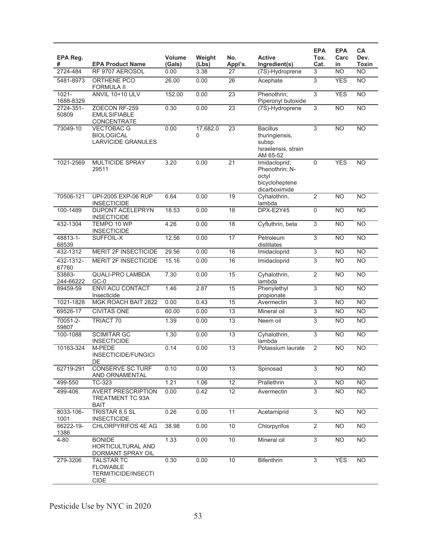| EPA Reg.<br>#         | <b>EPA Product Name</b>                                                           | Volume<br>(Gals) | Weight<br>(Lbs) | No.<br>Appl's.  | <b>Active</b><br>Ingredient(s)                                                 | <b>EPA</b><br>Tox.<br>Cat. | <b>EPA</b><br>Carc<br>in | CA<br>Dev.<br><b>Toxin</b> |
|-----------------------|-----------------------------------------------------------------------------------|------------------|-----------------|-----------------|--------------------------------------------------------------------------------|----------------------------|--------------------------|----------------------------|
| 2724-484              | RF 9707 AEROSOL                                                                   | 0.00             | 3.38            | 27              | (7S)-Hydroprene                                                                | 3                          | <b>NO</b>                | N <sub>O</sub>             |
| 5481-8973             | ORTHENE PCO<br><b>FORMULA II</b>                                                  | 26.00            | 0.00            | 26              | Acephate                                                                       | $\overline{3}$             | <b>YES</b>               | N <sub>O</sub>             |
| $1021 -$<br>1688-8329 | <b>ANVIL 10+10 ULV</b>                                                            | 152.00           | 0.00            | $\overline{23}$ | Phenothrin;<br>Piperonyl butoxide                                              | $\overline{3}$             | <b>YES</b>               | N <sub>O</sub>             |
| 2724-351-<br>50809    | ZOECON RF-259<br><b>EMULSIFIABLE</b><br>CONCENTRATE                               | 0.30             | 0.00            | $\overline{23}$ | (7S)-Hydroprene                                                                | $\overline{3}$             | <b>NO</b>                | <b>NO</b>                  |
| 73049-10              | <b>VECTOBAC G</b><br><b>BIOLOGICAL</b><br><b>LARVICIDE GRANULES</b>               | 0.00             | 17,682.0<br>0   | 23              | <b>Bacillus</b><br>thuringiensis,<br>subsp.<br>Israelensis, strain<br>AM 65-52 | 3                          | <b>NO</b>                | N <sub>O</sub>             |
| 1021-2569             | <b>MULTICIDE SPRAY</b><br>29511                                                   | 3.20             | 0.00            | $\overline{21}$ | Imidacloprid;<br>Phenothrin; N-<br>octyl<br>bicycloheptene<br>dicarboximide    | $\mathbf 0$                | <b>YES</b>               | <b>NO</b>                  |
| 70506-121             | UPI-2005 EXP-06 RUP<br><b>INSECTICIDE</b>                                         | 6.64             | 0.00            | 19              | Cyhalothrin,<br>lambda                                                         | $\overline{2}$             | $\overline{NO}$          | NO                         |
| 100-1489              | <b>DUPONT ACELEPRYN</b><br><b>INSECTICIDE</b>                                     | 18.53            | 0.00            | $\overline{18}$ | DPX-E2Y45                                                                      | $\overline{0}$             | N <sub>O</sub>           | NO                         |
| 432-1304              | TEMPO 10 WP<br><b>INSECTICIDE</b>                                                 | 4.26             | 0.00            | $\overline{18}$ | Cyfluthrin, beta                                                               | 3                          | $\overline{NO}$          | N <sub>O</sub>             |
| 48813-1-<br>68539     | SUFFOIL-X                                                                         | 12.56            | 0.00            | $\overline{17}$ | Petroleum<br>distillates                                                       | $\overline{3}$             | <b>NO</b>                | <b>NO</b>                  |
| 432-1312              | MERIT 2F INSECTICIDE                                                              | 29.56            | 0.00            | 16              | Imidacloprid                                                                   | $\overline{3}$             | N <sub>O</sub>           | N <sub>O</sub>             |
| 432-1312-<br>67760    | <b>MERIT 2F INSECTICIDE</b>                                                       | 15.16            | 0.00            | 16              | Imidacloprid                                                                   | 3                          | <b>NO</b>                | <b>NO</b>                  |
| 53883-<br>244-66222   | <b>QUALI-PRO LAMBDA</b><br>$GC-0$                                                 | 7.30             | 0.00            | 15              | Cyhalothrin,<br>lambda                                                         | $\overline{2}$             | N <sub>O</sub>           | N <sub>O</sub>             |
| 89459-59              | <b>ENVI ACU CONTACT</b><br>Insecticide                                            | 1.46             | 2.87            | 15              | Phenylethyl<br>propionate                                                      | $\overline{3}$             | <b>NO</b>                | NO                         |
| 1021-1828             | MGK ROACH BAIT 2822                                                               | 0.00             | 0.43            | 15              | Avermectin                                                                     | 3                          | <b>NO</b>                | <b>NO</b>                  |
| 69526-17              | <b>CIVITAS ONE</b>                                                                | 60.00            | 0.00            | $\overline{13}$ | Mineral oil                                                                    | 3                          | <b>NO</b>                | N <sub>O</sub>             |
| 70051-2-<br>59807     | <b>TRIACT 70</b>                                                                  | 1.39             | 0.00            | 13              | Neem oil                                                                       | 3                          | <b>NO</b>                | <b>NO</b>                  |
| 100-1088              | <b>SCIMITAR GC</b><br><b>INSECTICIDE</b>                                          | 1.30             | 0.00            | 13              | Cyhalothrin,<br>lambda                                                         | $\overline{3}$             | <b>NO</b>                | N <sub>O</sub>             |
| 10163-324             | M-PEDE<br>INSECTICIDE/FUNGICI<br>DE                                               | 0.14             | 0.00            | 13              | Potassium laurate                                                              | $\overline{2}$             | N <sub>O</sub>           | <b>NO</b>                  |
| 62719-291             | <b>CONSERVE SC TURF</b><br>AND ORNAMENTAL                                         | 0.10             | 0.00            | 13              | Spinosad                                                                       | 3                          | <b>NO</b>                | <b>NO</b>                  |
| 499-550               | TC-323                                                                            | 1.21             | 1.06            | 12              | Prallethrin                                                                    | $\overline{3}$             | $\overline{NO}$          | N <sub>O</sub>             |
| 499-406               | <b>AVERT PRESCRIPTION</b><br>TREATMENT TC 93A<br><b>BAIT</b>                      | 0.00             | 0.42            | $\overline{12}$ | Avermectin                                                                     | $\overline{3}$             | <b>NO</b>                | <b>NO</b>                  |
| 8033-106-<br>1001     | TRISTAR 8.5 SL<br><b>INSECTICIDE</b>                                              | 0.26             | 0.00            | 11              | Acetamiprid                                                                    | $\overline{3}$             | <b>NO</b>                | N <sub>O</sub>             |
| 66222-19-<br>1386     | CHLORPYRIFOS 4E AG                                                                | 38.98            | 0.00            | 10              | Chlorpyrifos                                                                   | $\overline{2}$             | <b>NO</b>                | <b>NO</b>                  |
| 4-80                  | <b>BONIDE</b><br>HORTICULTURAL AND<br>DORMANT SPRAY OIL                           | 1.33             | 0.00            | 10              | Mineral oil                                                                    | $\overline{3}$             | <b>NO</b>                | N <sub>O</sub>             |
| 279-3206              | <b>TALSTAR TC</b><br><b>FLOWABLE</b><br><b>TERMITICIDE/INSECTI</b><br><b>CIDE</b> | 0.30             | 0.00            | 10              | <b>Bifenthrin</b>                                                              | $\overline{3}$             | <b>YES</b>               | N <sub>O</sub>             |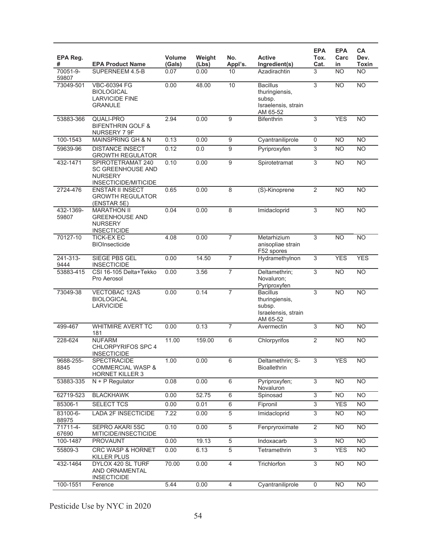| EPA Reg.<br>#      | <b>EPA Product Name</b>                                                                 | <b>Volume</b><br>(Gals) | Weight<br>(Lbs) | No.<br>Appl's. | <b>Active</b><br>Ingredient(s)                                                 | <b>EPA</b><br>Tox.<br>Cat. | <b>EPA</b><br>Carc<br>in | CA<br>Dev.<br><b>Toxin</b> |
|--------------------|-----------------------------------------------------------------------------------------|-------------------------|-----------------|----------------|--------------------------------------------------------------------------------|----------------------------|--------------------------|----------------------------|
| 70051-9-<br>59807  | SUPERNEEM 4.5-B                                                                         | 0.07                    | 0.00            | 10             | Azadirachtin                                                                   | 3                          | <b>NO</b>                | <b>NO</b>                  |
| 73049-501          | VBC-60394 FG<br><b>BIOLOGICAL</b><br><b>LARVICIDE FINE</b><br><b>GRANULE</b>            | 0.00                    | 48.00           | 10             | <b>Bacillus</b><br>thuringiensis,<br>subsp.<br>Israelensis, strain<br>AM 65-52 | $\overline{3}$             | N <sub>O</sub>           | NO                         |
| 53883-366          | <b>QUALI-PRO</b><br><b>BIFENTHRIN GOLF &amp;</b><br>NURSERY 7 9F                        | 2.94                    | 0.00            | 9              | <b>Bifenthrin</b>                                                              | $\overline{3}$             | <b>YES</b>               | <b>NO</b>                  |
| 100-1543           | <b>MAINSPRING GH &amp; N</b>                                                            | 0.13                    | 0.00            | 9              | Cyantraniliprole                                                               | $\mathsf 0$                | <b>NO</b>                | N <sub>O</sub>             |
| 59639-96           | <b>DISTANCE INSECT</b><br><b>GROWTH REGULATOR</b>                                       | 0.12                    | 0.0             | 9              | Pyriproxyfen                                                                   | 3                          | <b>NO</b>                | <b>NO</b>                  |
| 432-1471           | SPIROTETRAMAT 240<br><b>SC GREENHOUSE AND</b><br><b>NURSERY</b><br>INSECTICIDE/MITICIDE | 0.10                    | 0.00            | $\overline{9}$ | Spirotetramat                                                                  | $\overline{3}$             | <b>NO</b>                | <b>NO</b>                  |
| 2724-476           | <b>ENSTAR II INSECT</b><br><b>GROWTH REGULATOR</b><br>(ENSTAR 5E)                       | 0.65                    | 0.00            | 8              | (S)-Kinoprene                                                                  | $\overline{2}$             | $\overline{NO}$          | <b>NO</b>                  |
| 432-1369-<br>59807 | <b>MARATHON II</b><br><b>GREENHOUSE AND</b><br><b>NURSERY</b><br><b>INSECTICIDE</b>     | 0.04                    | 0.00            | 8              | Imidacloprid                                                                   | 3                          | <b>NO</b>                | <b>NO</b>                  |
| 70127-10           | <b>TICK-EXEC</b><br><b>BIOInsecticide</b>                                               | 4.08                    | 0.00            | $\overline{7}$ | Metarhizium<br>anisopliae strain<br>F52 spores                                 | 3                          | <b>NO</b>                | N <sub>O</sub>             |
| 241-313-<br>9444   | SIEGE PBS GEL<br><b>INSECTICIDE</b>                                                     | 0.00                    | 14.50           | $\overline{7}$ | Hydramethylnon                                                                 | 3                          | <b>YES</b>               | <b>YES</b>                 |
| 53883-415          | CSI 16-105 Delta+Tekko<br>Pro Aerosol                                                   | 0.00                    | 3.56            | $\overline{7}$ | Deltamethrin;<br>Novaluron;<br>Pyriproxyfen                                    | $\overline{3}$             | N <sub>O</sub>           | N <sub>O</sub>             |
| 73049-38           | VECTOBAC 12AS<br><b>BIOLOGICAL</b><br><b>LARVICIDE</b>                                  | 0.00                    | 0.14            | $\overline{7}$ | <b>Bacillus</b><br>thuringiensis,<br>subsp.<br>Israelensis, strain<br>AM 65-52 | 3                          | $\overline{NO}$          | <b>NO</b>                  |
| 499-467            | <b>WHITMIRE AVERT TC</b><br>181                                                         | 0.00                    | 0.13            | $\overline{7}$ | Avermectin                                                                     | $\overline{3}$             | <b>NO</b>                | <b>NO</b>                  |
| 228-624            | <b>NUFARM</b><br>CHLORPYRIFOS SPC 4<br><b>INSECTICIDE</b>                               | 11.00                   | 159.00          | 6              | Chlorpyrifos                                                                   | $\overline{2}$             | <b>NO</b>                | N <sub>O</sub>             |
| 9688-255-<br>8845  | SPECTRACIDE<br><b>COMMERCIAL WASP &amp;</b><br><b>HORNET KILLER 3</b>                   | 1.00                    | 0.00            | $\overline{6}$ | Deltamethrin; S-<br><b>Bioallethrin</b>                                        | 3                          | <b>YES</b>               | <b>NO</b>                  |
| 53883-335          | $N + P$ Regulator                                                                       | 0.08                    | 0.00            | 6              | Pyriproxyfen;<br>Novaluron                                                     | $\overline{3}$             | <b>NO</b>                | N <sub>O</sub>             |
| 62719-523          | <b>BLACKHAWK</b>                                                                        | 0.00                    | 52.75           | 6              | Spinosad                                                                       | 3                          | N <sub>O</sub>           | NO                         |
| 85306-1            | <b>SELECT TCS</b>                                                                       | 0.00                    | 0.01            | 6              | Fipronil                                                                       | $\overline{3}$             | <b>YES</b>               | <b>NO</b>                  |
| 83100-6-<br>88975  | <b>LADA 2F INSECTICIDE</b>                                                              | 7.22                    | 0.00            | $\overline{5}$ | Imidacloprid                                                                   | $\overline{3}$             | <b>NO</b>                | N <sub>O</sub>             |
| 71711-4-<br>67690  | SEPRO AKARI 5SC<br>MITICIDE/INSECTICIDE                                                 | 0.10                    | 0.00            | $\overline{5}$ | Fenpryroximate                                                                 | $\overline{2}$             | <b>NO</b>                | N <sub>O</sub>             |
| 100-1487           | <b>PROVAUNT</b>                                                                         | 0.00                    | 19.13           | $\overline{5}$ | Indoxacarb                                                                     | $\overline{3}$             | $\overline{NO}$          | N <sub>O</sub>             |
| 55809-3            | <b>CRC WASP &amp; HORNET</b><br><b>KILLER PLUS</b>                                      | 0.00                    | 6.13            | 5              | Tetramethrin                                                                   | $\overline{3}$             | <b>YES</b>               | <b>NO</b>                  |
| 432-1464           | DYLOX 420 SL TURF<br>AND ORNAMENTAL<br><b>INSECTICIDE</b>                               | 70.00                   | 0.00            | $\overline{4}$ | Trichlorfon                                                                    | 3                          | <b>NO</b>                | <b>NO</b>                  |
| 100-1551           | Ference                                                                                 | 5.44                    | 0.00            | $\overline{4}$ | Cyantraniliprole                                                               | $\overline{0}$             | <b>NO</b>                | N <sub>O</sub>             |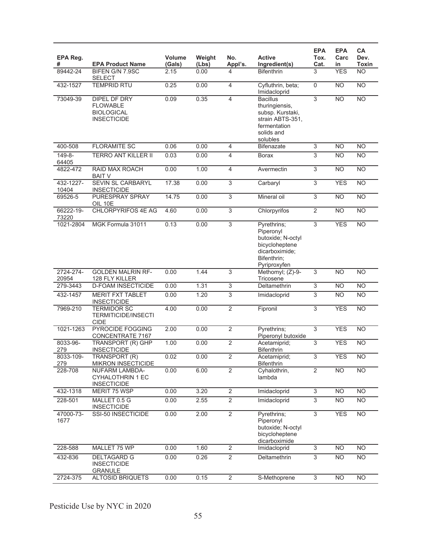| EPA Reg.<br>#      | <b>EPA Product Name</b>                                                    | Volume<br>(Gals) | Weight<br>(Lbs) | No.<br>Appl's.            | <b>Active</b><br>Ingredient(s)                                                                                      | <b>EPA</b><br>Tox.<br>Cat. | <b>EPA</b><br>Carc<br>in | <b>CA</b><br>Dev.<br><b>Toxin</b> |
|--------------------|----------------------------------------------------------------------------|------------------|-----------------|---------------------------|---------------------------------------------------------------------------------------------------------------------|----------------------------|--------------------------|-----------------------------------|
| 89442-24           | BIFEN G/N 7.9SC<br><b>SELECT</b>                                           | 2.15             | 0.00            | 4                         | <b>Bifenthrin</b>                                                                                                   | 3                          | <b>YES</b>               | $\overline{NO}$                   |
| 432-1527           | <b>TEMPRID RTU</b>                                                         | 0.25             | 0.00            | $\overline{4}$            | Cyfluthrin, beta;<br>Imidacloprid                                                                                   | $\mathbf 0$                | <b>NO</b>                | $\overline{NO}$                   |
| 73049-39           | DIPEL DF DRY<br><b>FLOWABLE</b><br><b>BIOLOGICAL</b><br><b>INSECTICIDE</b> | 0.09             | 0.35            | $\overline{4}$            | <b>Bacillus</b><br>thuringiensis,<br>subsp. Kurstaki,<br>strain ABTS-351,<br>fermentation<br>solids and<br>solubles | 3                          | <b>NO</b>                | $\overline{NO}$                   |
| 400-508            | <b>FLORAMITE SC</b>                                                        | 0.06             | 0.00            | 4                         | <b>Bifenazate</b>                                                                                                   | $\overline{3}$             | <b>NO</b>                | $\overline{NO}$                   |
| 149-8-<br>64405    | <b>TERRO ANT KILLER II</b>                                                 | 0.03             | 0.00            | $\overline{\mathcal{L}}$  | <b>Borax</b>                                                                                                        | 3                          | <b>NO</b>                | $\overline{NO}$                   |
| 4822-472           | RAID MAX ROACH<br><b>BAIT V</b>                                            | 0.00             | 1.00            | $\overline{4}$            | Avermectin                                                                                                          | $\overline{3}$             | <b>NO</b>                | <b>NO</b>                         |
| 432-1227-<br>10404 | SEVIN SL CARBARYL<br><b>INSECTICIDE</b>                                    | 17.38            | 0.00            | 3                         | Carbaryl                                                                                                            | $\overline{3}$             | <b>YES</b>               | $\overline{NO}$                   |
| 69526-5            | <b>PURESPRAY SPRAY</b><br>OIL 10E                                          | 14.75            | 0.00            | $\overline{3}$            | Mineral oil                                                                                                         | $\overline{3}$             | <b>NO</b>                | N <sub>O</sub>                    |
| 66222-19-<br>73220 | CHLORPYRIFOS 4E AG                                                         | 4.60             | 0.00            | $\overline{3}$            | Chlorpyrifos                                                                                                        | $\overline{2}$             | N <sub>O</sub>           | $\overline{NO}$                   |
| 1021-2804          | MGK Formula 31011                                                          | 0.13             | 0.00            | $\overline{3}$            | Pyrethrins;<br>Piperonyl<br>butoxide; N-octyl<br>bicycloheptene<br>dicarboximide;<br>Bifenthrin;<br>Pyriproxyfen    | $\overline{3}$             | <b>YES</b>               | <b>NO</b>                         |
| 2724-274-<br>20954 | <b>GOLDEN MALRIN RF-</b><br>128 FLY KILLER                                 | 0.00             | 1.44            | $\overline{3}$            | Methomyl; (Z)-9-<br>Tricosene                                                                                       | 3                          | <b>NO</b>                | <b>NO</b>                         |
| 279-3443           | <b>D-FOAM INSECTICIDE</b>                                                  | 0.00             | 1.31            | $\ensuremath{\mathsf{3}}$ | Deltamethrin                                                                                                        | $\ensuremath{\mathsf{3}}$  | <b>NO</b>                | <b>NO</b>                         |
| 432-1457           | <b>MERIT FXT TABLET</b><br><b>INSECTICIDE</b>                              | 0.00             | 1.20            | $\overline{3}$            | Imidacloprid                                                                                                        | $\overline{3}$             | <b>NO</b>                | <b>NO</b>                         |
| 7969-210           | <b>TERMIDOR SC</b><br><b>TERMITICIDE/INSECTI</b><br><b>CIDE</b>            | 4.00             | 0.00            | $\overline{2}$            | Fipronil                                                                                                            | $\overline{3}$             | <b>YES</b>               | N <sub>O</sub>                    |
| 1021-1263          | PYROCIDE FOGGING<br>CONCENTRATE 7167                                       | 2.00             | 0.00            | $\overline{2}$            | Pyrethrins;<br>Piperonyl butoxide                                                                                   | 3                          | <b>YES</b>               | <b>NO</b>                         |
| 8033-96-<br>279    | <b>TRANSPORT (R) GHP</b><br><b>INSECTICIDE</b>                             | 1.00             | 0.00            | $\overline{2}$            | Acetamiprid;<br><b>Bifenthrin</b>                                                                                   | $\overline{3}$             | <b>YES</b>               | <b>NO</b>                         |
| 8033-109-<br>279   | TRANSPORT (R)<br><b>MIKRON INSECTICIDE</b>                                 | 0.02             | 0.00            | $\overline{2}$            | Acetamiprid;<br><b>Bifenthrin</b>                                                                                   | 3                          | <b>YES</b>               | <b>NO</b>                         |
| 228-708            | NUFARM LAMBDA-<br><b>CYHALOTHRIN 1 EC</b><br><b>INSECTICIDE</b>            | 0.00             | 6.00            | $\overline{2}$            | Cyhalothrin,<br>lambda                                                                                              | $\overline{2}$             | N <sub>O</sub>           | <b>NO</b>                         |
| 432-1318           | MERIT 75 WSP                                                               | 0.00             | 3.20            | $\overline{2}$            | Imidacloprid                                                                                                        | $\overline{3}$             | <b>NO</b>                | $\overline{NO}$                   |
| 228-501            | MALLET 0.5 G<br><b>INSECTICIDE</b>                                         | 0.00             | 2.55            | $\overline{2}$            | Imidacloprid                                                                                                        | $\overline{3}$             | <b>NO</b>                | <b>NO</b>                         |
| 47000-73-<br>1677  | SSI-50 INSECTICIDE                                                         | 0.00             | 2.00            | $\overline{2}$            | Pyrethrins;<br>Piperonyl<br>butoxide; N-octyl<br>bicycloheptene<br>dicarboximide                                    | 3                          | <b>YES</b>               | <b>NO</b>                         |
| 228-588            | MALLET 75 WP                                                               | 0.00             | 1.60            | $\overline{2}$            | Imidacloprid                                                                                                        | 3                          | <b>NO</b>                | $\overline{NO}$                   |
| 432-836            | <b>DELTAGARD G</b><br><b>INSECTICIDE</b><br><b>GRANULE</b>                 | 0.00             | 0.26            | $\overline{2}$            | Deltamethrin                                                                                                        | $\overline{3}$             | <b>NO</b>                | <b>NO</b>                         |
| 2724-375           | <b>ALTOSID BRIQUETS</b>                                                    | 0.00             | 0.15            | $\overline{2}$            | S-Methoprene                                                                                                        | $\overline{3}$             | N <sub>O</sub>           | N <sub>O</sub>                    |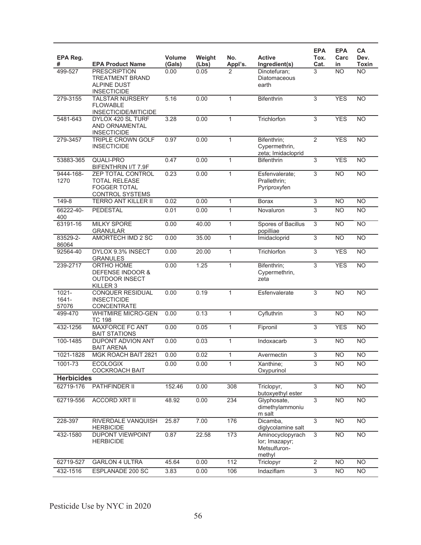| EPA Reg.<br>#                 | <b>EPA Product Name</b>                                                        | <b>Volume</b><br>(Gals) | Weight<br>(Lbs) | No.<br>Appl's. | <b>Active</b><br>Ingredient(s)                               | <b>EPA</b><br>Tox.<br>Cat. | <b>EPA</b><br>Carc<br>in | CA<br>Dev.<br><b>Toxin</b> |
|-------------------------------|--------------------------------------------------------------------------------|-------------------------|-----------------|----------------|--------------------------------------------------------------|----------------------------|--------------------------|----------------------------|
| 499-527                       | <b>PRESCRIPTION</b>                                                            | 0.00                    | 0.05            | 2              | Dinotefuran;                                                 | 3                          | <b>NO</b>                | <b>NO</b>                  |
|                               | <b>TREATMENT BRAND</b>                                                         |                         |                 |                | Diatomaceous                                                 |                            |                          |                            |
|                               | <b>ALPINE DUST</b>                                                             |                         |                 |                | earth                                                        |                            |                          |                            |
|                               | <b>INSECTICIDE</b>                                                             |                         |                 |                |                                                              |                            |                          |                            |
| 279-3155                      | <b>TALSTAR NURSERY</b><br><b>FLOWABLE</b>                                      | 5.16                    | 0.00            | $\mathbf{1}$   | <b>Bifenthrin</b>                                            | $\overline{3}$             | <b>YES</b>               | <b>NO</b>                  |
|                               | INSECTICIDE/MITICIDE                                                           |                         |                 |                |                                                              |                            |                          |                            |
| 5481-643                      | DYLOX 420 SL TURF<br>AND ORNAMENTAL<br><b>INSECTICIDE</b>                      | 3.28                    | 0.00            | $\mathbf{1}$   | Trichlorfon                                                  | $\overline{3}$             | <b>YES</b>               | $\overline{NO}$            |
| 279-3457                      | TRIPLE CROWN GOLF<br><b>INSECTICIDE</b>                                        | 0.97                    | 0.00            | $\mathbf{1}$   | Bifenthrin;<br>Cypermethrin,<br>zeta; Imidacloprid           | $\overline{2}$             | <b>YES</b>               | <b>NO</b>                  |
| 53883-365                     | <b>QUALI-PRO</b><br>BIFENTHRIN I/T 7.9F                                        | 0.47                    | 0.00            | $\mathbf{1}$   | <b>Bifenthrin</b>                                            | $\overline{3}$             | <b>YES</b>               | <b>NO</b>                  |
| 9444-168-                     | ZEP TOTAL CONTROL                                                              | 0.23                    | 0.00            | $\mathbf{1}$   | Esfenvalerate;                                               | $\overline{3}$             | <b>NO</b>                | $\overline{NO}$            |
| 1270                          | <b>TOTAL RELEASE</b><br><b>FOGGER TOTAL</b><br><b>CONTROL SYSTEMS</b>          |                         |                 |                | Prallethrin;<br>Pyriproxyfen                                 |                            |                          |                            |
| 149-8                         | <b>TERRO ANT KILLER II</b>                                                     | 0.02                    | 0.00            | $\mathbf{1}$   | Borax                                                        | $\overline{3}$             | <b>NO</b>                | <b>NO</b>                  |
| 66222-40-<br>400              | <b>PEDESTAL</b>                                                                | 0.01                    | 0.00            | $\mathbf{1}$   | Novaluron                                                    | $\overline{3}$             | <b>NO</b>                | $\overline{NO}$            |
| 63191-16                      | <b>MILKY SPORE</b><br><b>GRANULAR</b>                                          | 0.00                    | 40.00           | $\mathbf{1}$   | Spores of Bacillus<br>popilliae                              | $\overline{3}$             | <b>NO</b>                | $\overline{NO}$            |
| 83529-2-                      | AMORTECH IMD 2 SC                                                              | 0.00                    | 35.00           | $\mathbf{1}$   | Imidacloprid                                                 | $\overline{3}$             | <b>NO</b>                | N <sub>O</sub>             |
| 86064                         |                                                                                |                         |                 |                |                                                              |                            |                          |                            |
| 92564-40                      | DYLOX 9.3% INSECT<br><b>GRANULES</b>                                           | 0.00                    | 20.00           | $\mathbf{1}$   | Trichlorfon                                                  | $\overline{3}$             | <b>YES</b>               | $\overline{NO}$            |
| 239-2717                      | ORTHO HOME<br>DEFENSE INDOOR &<br><b>OUTDOOR INSECT</b><br>KILLER <sub>3</sub> | 0.00                    | 1.25            | $\mathbf{1}$   | Bifenthrin;<br>Cypermethrin,<br>zeta                         | $\overline{3}$             | <b>YES</b>               | $\overline{NO}$            |
| $1021 -$<br>$1641 -$<br>57076 | <b>CONQUER RESIDUAL</b><br><b>INSECTICIDE</b><br>CONCENTRATE                   | 0.00                    | 0.19            | $\mathbf{1}$   | Esfenvalerate                                                | 3                          | <b>NO</b>                | <b>NO</b>                  |
| 499-470                       | <b>WHITMIRE MICRO-GEN</b><br><b>TC 198</b>                                     | 0.00                    | 0.13            | $\mathbf{1}$   | Cyfluthrin                                                   | 3                          | <b>NO</b>                | <b>NO</b>                  |
| 432-1256                      | <b>MAXFORCE FC ANT</b><br><b>BAIT STATIONS</b>                                 | 0.00                    | 0.05            | $\mathbf{1}$   | Fipronil                                                     | $\overline{3}$             | <b>YES</b>               | <b>NO</b>                  |
| 100-1485                      | DUPONT ADVION ANT<br><b>BAIT ARENA</b>                                         | 0.00                    | 0.03            | $\mathbf{1}$   | Indoxacarb                                                   | $\overline{3}$             | <b>NO</b>                | $\overline{NO}$            |
| 1021-1828                     | MGK ROACH BAIT 2821                                                            | 0.00                    | 0.02            | 1              | Avermectin                                                   | 3                          | NO                       | $\overline{NO}$            |
| 1001-73                       | <b>ECOLOGIX</b><br><b>COCKROACH BAIT</b>                                       | 0.00                    | 0.00            | $\mathbf{1}$   | Xanthine;<br>Oxypurinol                                      | 3                          | <b>NO</b>                | <b>NO</b>                  |
| <b>Herbicides</b>             |                                                                                |                         |                 |                |                                                              |                            |                          |                            |
| 62719-176                     | PATHFINDER II                                                                  | 152.46                  | 0.00            | 308            | Triclopyr,<br>butoxyethyl ester                              | 3                          | N <sub>O</sub>           | $\overline{NO}$            |
| 62719-556                     | <b>ACCORD XRT II</b>                                                           | 48.92                   | 0.00            | 234            | Glyphosate,<br>dimethylammoniu<br>m salt                     | $\overline{3}$             | <b>NO</b>                | <b>NO</b>                  |
| 228-397                       | RIVERDALE VANQUISH<br><b>HERBICIDE</b>                                         | 25.87                   | 7.00            | 176            | Dicamba,<br>diglycolamine salt                               | $\overline{3}$             | N <sub>O</sub>           | $\overline{NO}$            |
| 432-1580                      | DUPONT VIEWPOINT<br><b>HERBICIDE</b>                                           | 0.87                    | 22.58           | 173            | Aminocyclopyrach<br>lor; Imazapyr;<br>Metsulfuron-<br>methyl | $\overline{3}$             | N <sub>O</sub>           | $\overline{NO}$            |
| 62719-527                     | <b>GARLON 4 ULTRA</b>                                                          | 45.64                   | 0.00            | 112            | Triclopyr                                                    | $\overline{2}$             | <b>NO</b>                | <b>NO</b>                  |
| 432-1516                      | ESPLANADE 200 SC                                                               | 3.83                    | 0.00            | 106            | Indaziflam                                                   | $\overline{3}$             | <b>NO</b>                | <b>NO</b>                  |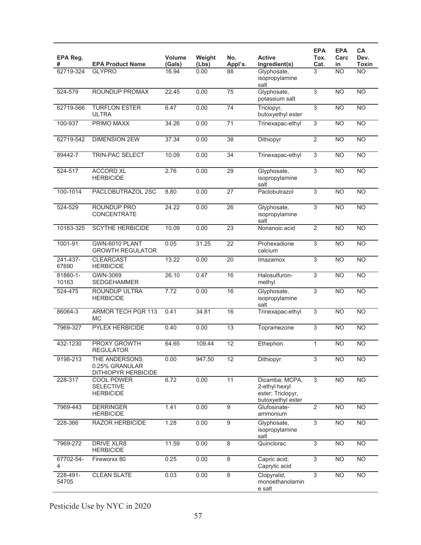| EPA Reg.<br>#     | <b>EPA Product Name</b>                                | Volume<br>(Gals) | Weight<br>(Lbs) | No.<br>Appl's.  | <b>Active</b><br>Ingredient(s)                                            | <b>EPA</b><br>Tox.<br>Cat. | <b>EPA</b><br>Carc<br>in | CA<br>Dev.<br>Toxin |
|-------------------|--------------------------------------------------------|------------------|-----------------|-----------------|---------------------------------------------------------------------------|----------------------------|--------------------------|---------------------|
| 62719-324         | <b>GLYPRO</b>                                          | 16.94            | 0.00            | 88              | Glyphosate,<br>isopropylamine<br>salt                                     | 3                          | <b>NO</b>                | $\overline{NO}$     |
| 524-579           | ROUNDUP PROMAX                                         | 22.45            | 0.00            | 75              | Glyphosate,<br>potassium salt                                             | 3                          | N <sub>O</sub>           | <b>NO</b>           |
| 62719-566         | <b>TURFLON ESTER</b><br><b>ULTRA</b>                   | 6.47             | 0.00            | 74              | Triclopyr,<br>butoxyethyl ester                                           | 3                          | <b>NO</b>                | $\overline{NO}$     |
| 100-937           | PRIMO MAXX                                             | 34.26            | 0.00            | 71              | Trinexapac-ethyl                                                          | $\overline{3}$             | <b>NO</b>                | <b>NO</b>           |
| 62719-542         | <b>DIMENSION 2EW</b>                                   | 37.34            | 0.00            | $\overline{38}$ | Dithiopyr                                                                 | $\overline{2}$             | N <sub>O</sub>           | <b>NO</b>           |
| 89442-7           | TRIN-PAC SELECT                                        | 10.09            | 0.00            | 34              | Trinexapac-ethyl                                                          | 3                          | <b>NO</b>                | $\overline{NO}$     |
| 524-517           | <b>ACCORD XL</b><br><b>HERBICIDE</b>                   | 2.76             | 0.00            | 29              | Glyphosate,<br>isopropylamine<br>salt                                     | 3                          | N <sub>O</sub>           | <b>NO</b>           |
| 100-1014          | PACLOBUTRAZOL 2SC                                      | 8.80             | 0.00            | 27              | Paclobutrazol                                                             | 3                          | <b>NO</b>                | <b>NO</b>           |
| 524-529           | ROUNDUP PRO<br>CONCENTRATE                             | 24.22            | 0.00            | $\overline{26}$ | Glyphosate,<br>isopropylamine<br>salt                                     | 3                          | N <sub>O</sub>           | $\overline{NO}$     |
| 10163-325         | <b>SCYTHE HERBICIDE</b>                                | 10.09            | 0.00            | $\overline{23}$ | Nonanoic acid                                                             | $\overline{2}$             | N <sub>O</sub>           | $\overline{NO}$     |
| 1001-91           | GWN-6010 PLANT<br><b>GROWTH REGULATOR</b>              | 0.05             | 31.25           | $\overline{22}$ | Prohexadione<br>calcium                                                   | $\overline{3}$             | N <sub>O</sub>           | $\overline{NO}$     |
| 241-437-<br>67690 | <b>CLEARCAST</b><br><b>HERBICIDE</b>                   | 13.22            | 0.00            | 20              | Imazamox                                                                  | $\overline{3}$             | <b>NO</b>                | <b>NO</b>           |
| 81880-1-<br>10163 | GWN-3069<br><b>SEDGEHAMMER</b>                         | 26.10            | 0.47            | 16              | Halosulfuron-<br>methyl                                                   | 3                          | N <sub>O</sub>           | <b>NO</b>           |
| $524 - 475$       | <b>ROUNDUP ULTRA</b><br><b>HERBICIDE</b>               | 7.72             | 0.00            | 16              | Glyphosate,<br>isopropylamine<br>salt                                     | 3                          | N <sub>O</sub>           | $\overline{NO}$     |
| 86064-3           | <b>ARMOR TECH PGR 113</b><br>МC                        | 0.41             | 34.81           | 16              | Trinexapac-ethyl                                                          | 3                          | N <sub>O</sub>           | <b>NO</b>           |
| 7969-327          | <b>PYLEX HERBICIDE</b>                                 | 0.40             | 0.00            | 13              | Topramezone                                                               | 3                          | <b>NO</b>                | <b>NO</b>           |
| 432-1230          | PROXY GROWTH<br><b>REGULATOR</b>                       | 64.65            | 109.44          | $\overline{12}$ | Ethephon                                                                  | 1                          | <b>NO</b>                | <b>NO</b>           |
| 9198-213          | THE ANDERSONS<br>0.25% GRANULAR<br>DITHIOPYR HERBICIDE | 0.00             | 947.50          | 12              | Dithiopyr                                                                 | $\overline{3}$             | N <sub>O</sub>           | <b>NO</b>           |
| 228-317           | COOL POWER<br><b>SELECTIVE</b><br><b>HERBICIDE</b>     | 6.72             | 0.00            | 11              | Dicamba; MCPA,<br>2-ethyl hexyl<br>ester; Triclopyr,<br>butoxyethyl ester | $\overline{3}$             | <b>NO</b>                | $\overline{NO}$     |
| 7969-443          | <b>DERRINGER</b><br><b>HERBICIDE</b>                   | 1.41             | 0.00            | 9               | Glufosinate-<br>ammonium                                                  | $\overline{2}$             | N <sub>O</sub>           | N <sub>O</sub>      |
| 228-366           | <b>RAZOR HERBICIDE</b>                                 | 1.28             | 0.00            | $\overline{9}$  | Glyphosate,<br>isopropylamine<br>salt                                     | $\overline{3}$             | N <sub>O</sub>           | $\overline{NO}$     |
| 7969-272          | DRIVE XLR8<br><b>HERBICIDE</b>                         | 11.59            | 0.00            | 8               | Quinclorac                                                                | $\overline{3}$             | <b>NO</b>                | $\overline{NO}$     |
| 67702-54-<br>4    | Fireworxx 80                                           | 0.25             | 0.00            | 8               | Capric acid;<br>Caprylic acid                                             | 3                          | <b>NO</b>                | <b>NO</b>           |
| 228-491-<br>54705 | <b>CLEAN SLATE</b>                                     | 0.03             | 0.00            | $\overline{8}$  | Clopyralid,<br>monoethanolamin<br>e salt                                  | $\overline{3}$             | <b>NO</b>                | $\overline{NO}$     |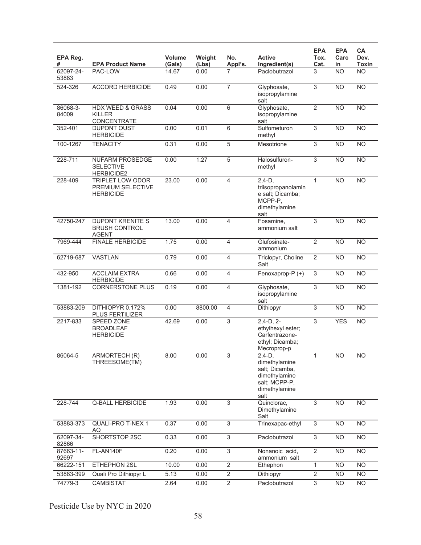| EPA Reg.<br>#      | <b>EPA Product Name</b>                                          | <b>Volume</b><br>(Gals) | Weight<br>(Lbs) | No.<br>Appl's. | <b>Active</b><br>Ingredient(s)                                                                         | <b>EPA</b><br>Tox.<br>Cat. | <b>EPA</b><br>Carc<br>in | CA<br>Dev.<br>Toxin |
|--------------------|------------------------------------------------------------------|-------------------------|-----------------|----------------|--------------------------------------------------------------------------------------------------------|----------------------------|--------------------------|---------------------|
| 62097-24-<br>53883 | PAC-LOW                                                          | 14.67                   | 0.00            | 7              | Paclobutrazol                                                                                          | 3                          | <b>NO</b>                | <b>NO</b>           |
| 524-326            | <b>ACCORD HERBICIDE</b>                                          | 0.49                    | 0.00            | $\overline{7}$ | Glyphosate,<br>isopropylamine<br>salt                                                                  | 3                          | <b>NO</b>                | <b>NO</b>           |
| 86068-3-<br>84009  | <b>HDX WEED &amp; GRASS</b><br><b>KILLER</b><br>CONCENTRATE      | 0.04                    | 0.00            | 6              | Glyphosate,<br>isopropylamine<br>salt                                                                  | $\overline{2}$             | <b>NO</b>                | <b>NO</b>           |
| 352-401            | <b>DUPONT OUST</b><br><b>HERBICIDE</b>                           | 0.00                    | 0.01            | $\overline{6}$ | Sulfometuron<br>methyl                                                                                 | $\overline{3}$             | <b>NO</b>                | NO                  |
| 100-1267           | <b>TENACITY</b>                                                  | 0.31                    | 0.00            | 5              | Mesotrione                                                                                             | $\overline{3}$             | <b>NO</b>                | N <sub>O</sub>      |
| 228-711            | <b>NUFARM PROSEDGE</b><br><b>SELECTIVE</b><br><b>HERBICIDE2</b>  | 0.00                    | 1.27            | 5              | Halosulfuron-<br>methyl                                                                                | $\overline{3}$             | N <sub>O</sub>           | N <sub>O</sub>      |
| 228-409            | <b>TRIPLET LOW ODOR</b><br>PREMIUM SELECTIVE<br><b>HERBICIDE</b> | 23.00                   | 0.00            | 4              | $2,4-D,$<br>triisopropanolamin<br>e salt; Dicamba;<br>MCPP-P,<br>dimethylamine<br>salt                 | $\mathbf{1}$               | <b>NO</b>                | <b>NO</b>           |
| 42750-247          | <b>DUPONT KRENITE S</b><br><b>BRUSH CONTROL</b><br><b>AGENT</b>  | 13.00                   | 0.00            | 4              | Fosamine,<br>ammonium salt                                                                             | $\overline{3}$             | N <sub>O</sub>           | N <sub>O</sub>      |
| 7969-444           | <b>FINALE HERBICIDE</b>                                          | 1.75                    | 0.00            | 4              | Glufosinate-<br>ammonium                                                                               | $\overline{2}$             | N <sub>O</sub>           | N <sub>O</sub>      |
| 62719-687          | <b>VASTLAN</b>                                                   | 0.79                    | 0.00            | $\overline{4}$ | Triclopyr, Choline<br>Salt                                                                             | $\overline{2}$             | <b>NO</b>                | <b>NO</b>           |
| 432-950            | <b>ACCLAIM EXTRA</b><br><b>HERBICIDE</b>                         | 0.66                    | 0.00            | 4              | Fenoxaprop-P (+)                                                                                       | $\overline{3}$             | <b>NO</b>                | NO                  |
| 1381-192           | <b>CORNERSTONE PLUS</b>                                          | 0.19                    | 0.00            | 4              | Glyphosate,<br>isopropylamine<br>salt                                                                  | 3                          | <b>NO</b>                | N <sub>O</sub>      |
| 53883-209          | DITHIOPYR 0.172%<br><b>PLUS FERTILIZER</b>                       | 0.00                    | 8800.00         | 4              | Dithiopyr                                                                                              | $\overline{3}$             | N <sub>O</sub>           | N <sub>O</sub>      |
| 2217-833           | SPEED ZONE<br><b>BROADLEAF</b><br><b>HERBICIDE</b>               | 42.69                   | 0.00            | 3              | $2,4-D, 2-$<br>ethylhexyl ester;<br>Carfentrazone-<br>ethyl; Dicamba;<br>Mecroprop-p                   | 3                          | <b>YES</b>               | <b>NO</b>           |
| 86064-5            | ARMORTECH (R)<br>THREESOME(TM)                                   | 8.00                    | 0.00            | 3              | $2,4-D,$<br>dimethylamine<br>salt; Dicamba,<br>dimethylamine<br>salt; MCPP-P,<br>dimethylamine<br>salt | 1                          | NO.                      | NO.                 |
| 228-744            | <b>Q-BALL HERBICIDE</b>                                          | 1.93                    | 0.00            | 3              | Quinclorac,<br>Dimethylamine<br>Salt                                                                   | 3                          | <b>NO</b>                | N <sub>O</sub>      |
| 53883-373          | <b>QUALI-PRO T-NEX 1</b><br>AQ                                   | 0.37                    | 0.00            | $\overline{3}$ | Trinexapac-ethyl                                                                                       | $\overline{3}$             | <b>NO</b>                | N <sub>O</sub>      |
| 62097-34-<br>82866 | <b>SHORTSTOP 2SC</b>                                             | 0.33                    | 0.00            | 3              | Paclobutrazol                                                                                          | 3                          | <b>NO</b>                | N <sub>O</sub>      |
| 87663-11-<br>92697 | FL-AN140F                                                        | 0.20                    | 0.00            | 3              | Nonanoic acid,<br>ammonium salt                                                                        | 2                          | <b>NO</b>                | <b>NO</b>           |
| 66222-151          | ETHEPHON 2SL                                                     | 10.00                   | 0.00            | $\overline{2}$ | Ethephon                                                                                               | $\mathbf{1}$               | <b>NO</b>                | N <sub>O</sub>      |
| 53883-399          | Quali Pro Dithiopyr L                                            | 5.13                    | 0.00            | $\overline{2}$ | Dithiopyr                                                                                              | $\overline{2}$             | <b>NO</b>                | <b>NO</b>           |
| 74779-3            | CAMBISTAT                                                        | 2.64                    | 0.00            | $\overline{2}$ | Paclobutrazol                                                                                          | $\ensuremath{\mathsf{3}}$  | <b>NO</b>                | <b>NO</b>           |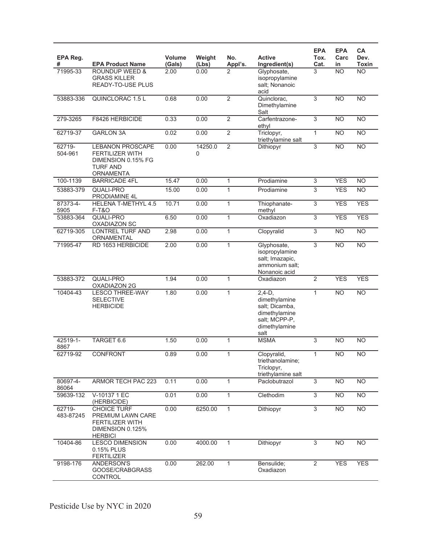| EPA Reg.<br>#       | <b>EPA Product Name</b>                                                                                        | <b>Volume</b><br>(Gals) | Weight<br>(Lbs) | No.<br>Appl's. | <b>Active</b><br>Ingredient(s)                                                                          | <b>EPA</b><br>Tox.<br>Cat. | <b>EPA</b><br>Carc<br>in | CA<br>Dev.<br><b>Toxin</b> |
|---------------------|----------------------------------------------------------------------------------------------------------------|-------------------------|-----------------|----------------|---------------------------------------------------------------------------------------------------------|----------------------------|--------------------------|----------------------------|
| 71995-33            | <b>ROUNDUP WEED &amp;</b><br><b>GRASS KILLER</b><br>READY-TO-USE PLUS                                          | 2.00                    | 0.00            | 2              | Glyphosate,<br>isopropylamine<br>salt: Nonanoic<br>acid                                                 | 3                          | <b>NO</b>                | <b>NO</b>                  |
| 53883-336           | QUINCLORAC 1.5 L                                                                                               | 0.68                    | 0.00            | $\overline{2}$ | Quinclorac,<br>Dimethylamine<br>Salt                                                                    | $\overline{3}$             | $\overline{NO}$          | N <sub>O</sub>             |
| 279-3265            | F8426 HERBICIDE                                                                                                | 0.33                    | 0.00            | $\overline{2}$ | Carfentrazone-<br>ethyl                                                                                 | $\overline{3}$             | <b>NO</b>                | <b>NO</b>                  |
| 62719-37            | <b>GARLON 3A</b>                                                                                               | 0.02                    | 0.00            | $\overline{2}$ | Triclopyr,<br>triethylamine salt                                                                        | $\mathbf{1}$               | <b>NO</b>                | $\overline{NO}$            |
| 62719-<br>504-961   | <b>LEBANON PROSCAPE</b><br><b>FERTILIZER WITH</b><br>DIMENSION 0.15% FG<br><b>TURF AND</b><br><b>ORNAMENTA</b> | 0.00                    | 14250.0<br>0    | $\overline{2}$ | Dithiopyr                                                                                               | 3                          | <b>NO</b>                | N <sub>O</sub>             |
| 100-1139            | <b>BARRICADE 4FL</b>                                                                                           | 15.47                   | 0.00            | $\mathbf 1$    | Prodiamine                                                                                              | $\overline{3}$             | <b>YES</b>               | <b>NO</b>                  |
| 53883-379           | <b>QUALI-PRO</b><br>PRODIAMINE 4L                                                                              | 15.00                   | 0.00            | $\mathbf{1}$   | Prodiamine                                                                                              | 3                          | <b>YES</b>               | <b>NO</b>                  |
| 87373-4-<br>5905    | <b>HELENA T-METHYL 4.5</b><br><b>F-T&amp;O</b>                                                                 | 10.71                   | 0.00            | $\mathbf{1}$   | Thiophanate-<br>methyl                                                                                  | $\overline{3}$             | <b>YES</b>               | <b>YES</b>                 |
| 53883-364           | QUALI-PRO<br><b>OXADIAZON SC</b>                                                                               | 6.50                    | 0.00            | $\mathbf{1}$   | Oxadiazon                                                                                               | $\overline{3}$             | <b>YES</b>               | <b>YES</b>                 |
| 62719-305           | <b>LONTREL TURF AND</b><br>ORNAMENTAL                                                                          | 2.98                    | 0.00            | 1              | Clopyralid                                                                                              | $\overline{3}$             | <b>NO</b>                | <b>NO</b>                  |
| 71995-47            | RD 1653 HERBICIDE                                                                                              | 2.00                    | 0.00            | $\mathbf{1}$   | Glyphosate,<br>isopropylamine<br>salt; Imazapic,<br>ammonium salt;<br>Nonanoic acid                     | 3                          | <b>NO</b>                | <b>NO</b>                  |
| 53883-372           | <b>QUALI-PRO</b><br>OXADIAZON 2G                                                                               | 1.94                    | 0.00            | 1              | Oxadiazon                                                                                               | $\overline{2}$             | <b>YES</b>               | <b>YES</b>                 |
| 10404-43            | <b>LESCO THREE-WAY</b><br><b>SELECTIVE</b><br><b>HERBICIDE</b>                                                 | 1.80                    | 0.00            | 1              | $2,4-D$ ,<br>dimethylamine<br>salt; Dicamba,<br>dimethylamine<br>salt; MCPP-P,<br>dimethylamine<br>salt | 1                          | <b>NO</b>                | <b>NO</b>                  |
| 42519-1-<br>8867    | TARGET 6.6                                                                                                     | 1.50                    | 0.00            | 1              | <b>MSMA</b>                                                                                             | 3                          | <b>NO</b>                | <b>NO</b>                  |
| 62719-92            | <b>CONFRONT</b>                                                                                                | 0.89                    | 0.00            | 1              | Clopyralid,<br>triethanolamine;<br>Triclopyr,<br>triethylamine salt                                     |                            | N <sub>O</sub>           | NO                         |
| 80697-4-<br>86064   | ARMOR TECH PAC 223                                                                                             | 0.11                    | 0.00            | $\mathbf{1}$   | Paclobutrazol                                                                                           | $\overline{3}$             | N <sub>O</sub>           | N <sub>O</sub>             |
| 59639-132           | V-10137 1 EC<br>(HERBICIDE)                                                                                    | 0.01                    | 0.00            | $\mathbf{1}$   | Clethodim                                                                                               | $\overline{3}$             | N <sub>O</sub>           | N <sub>O</sub>             |
| 62719-<br>483-87245 | <b>CHOICE TURF</b><br>PREMIUM LAWN CARE<br><b>FERTILIZER WITH</b><br>DIMENSION 0.125%<br><b>HERBICI</b>        | 0.00                    | 6250.00         | $\mathbf{1}$   | Dithiopyr                                                                                               | 3                          | <b>NO</b>                | <b>NO</b>                  |
| 10404-86            | <b>LESCO DIMENSION</b><br>0.15% PLUS<br><b>FERTILIZER</b>                                                      | 0.00                    | 4000.00         | 1              | Dithiopyr                                                                                               | $\overline{3}$             | <b>NO</b>                | <b>NO</b>                  |
| 9198-176            | ANDERSON'S<br>GOOSE/CRABGRASS<br>CONTROL                                                                       | 0.00                    | 262.00          | $\overline{1}$ | Bensulide;<br>Oxadiazon                                                                                 | $\overline{2}$             | <b>YES</b>               | <b>YES</b>                 |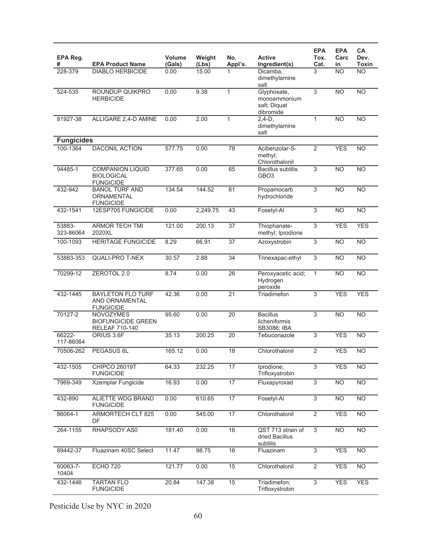| EPA Reg.<br>#       | <b>EPA Product Name</b>                                                | <b>Volume</b><br>(Gals) | Weight<br>(Lbs) | No.<br>Appl's.  | <b>Active</b><br>Ingredient(s)                           | <b>EPA</b><br>Tox.<br>Cat. | <b>EPA</b><br>Carc<br>in | CA<br>Dev.<br>Toxin |
|---------------------|------------------------------------------------------------------------|-------------------------|-----------------|-----------------|----------------------------------------------------------|----------------------------|--------------------------|---------------------|
| 228-379             | <b>DIABLO HERBICIDE</b>                                                | 0.00                    | 15.00           | 1               | Dicamba,<br>dimethylamine<br>salt                        | 3                          | <b>NO</b>                | $\overline{NO}$     |
| 524-535             | ROUNDUP QUIKPRO<br><b>HERBICIDE</b>                                    | 0.00                    | 9.38            | 1               | Glyphosate,<br>monoammonium<br>salt; Diquat<br>dibromide | 3                          | <b>NO</b>                | <b>NO</b>           |
| 81927-38            | ALLIGARE 2,4-D AMINE                                                   | 0.00                    | 2.00            | 1               | $2,4-D,$<br>dimethylamine<br>salt                        | 1                          | <b>NO</b>                | $\overline{NO}$     |
| <b>Fungicides</b>   |                                                                        |                         |                 |                 |                                                          |                            |                          |                     |
| 100-1364            | <b>DACONIL ACTION</b>                                                  | 577.75                  | 0.00            | 78              | Acibenzolar-S-<br>methyl;<br>Chlorothalonil              | 2                          | <b>YES</b>               | <b>NO</b>           |
| 94485-1             | <b>COMPANION LIQUID</b><br><b>BIOLOGICAL</b><br><b>FUNGICIDE</b>       | 377.65                  | 0.00            | 65              | <b>Bacillus subtilis</b><br>GBO <sub>3</sub>             | $\overline{3}$             | <b>NO</b>                | $\overline{NO}$     |
| 432-942             | <b>BANOL TURF AND</b><br>ORNAMENTAL<br><b>FUNGICIDE</b>                | 134.54                  | 144.52          | 61              | Propamocarb<br>hydrochloride                             | 3                          | <b>NO</b>                | <b>NO</b>           |
| 432-1541            | 12ESP705 FUNGICIDE                                                     | 0.00                    | 2,249.75        | 43              | Fosetyl-Al                                               | $\overline{3}$             | <b>NO</b>                | $\overline{NO}$     |
| 53883-<br>323-86064 | <b>ARMOR TECH TMI</b><br>2020XL                                        | 121.00                  | 200.13          | $\overline{37}$ | Thiophanate-<br>methyl; Iprodione                        | 3                          | <b>YES</b>               | <b>YES</b>          |
| 100-1093            | <b>HERITAGE FUNGICIDE</b>                                              | 8.29                    | 66.91           | $\overline{37}$ | Azoxystrobin                                             | 3                          | N <sub>O</sub>           | $\overline{NO}$     |
| 53883-353           | <b>QUALI-PRO T-NEX</b>                                                 | 30.57                   | 2.88            | 34              | Trinexapac-ethyl                                         | $\overline{3}$             | <b>NO</b>                | $\overline{NO}$     |
| 70299-12            | ZEROTOL 2.0                                                            | 8.74                    | 0.00            | 26              | Peroxyacetic acid;<br>Hydrogen<br>peroxide               | $\mathbf{1}$               | <b>NO</b>                | $\overline{NO}$     |
| 432-1445            | <b>BAYLETON FLO TURF</b><br>AND ORNAMENTAL<br><b>FUNGICIDE</b>         | 42.36                   | 0.00            | 21              | Triadimefon                                              | 3                          | <b>YES</b>               | <b>YES</b>          |
| 70127-2             | <b>NOVOZYMES</b><br><b>BIOFUNGICIDE GREEN</b><br><b>RELEAF 710-140</b> | 95.60                   | 0.00            | 20              | <b>Bacillus</b><br>licheniformis<br>SB3086; IBA          | 3                          | <b>NO</b>                | $\overline{NO}$     |
| 66222-<br>117-86064 | ORIUS 3.6F                                                             | 35.13                   | 200.25          | 20              | Tebuconazole                                             | 3                          | <b>YES</b>               | <b>NO</b>           |
| 70506-262           | PEGASUS 6L                                                             | 165.12                  | 0.00            | 18              | Chlorothalonil                                           | $\overline{2}$             | <b>YES</b>               | <b>NO</b>           |
| 432-1505            | <b>CHIPCO 26019T</b><br><b>FUNGICIDE</b>                               | 64.33                   | 232.25          | 17              | Iprodione;<br>Trifloxystrobin                            | $\overline{3}$             | <b>YES</b>               | <b>NO</b>           |
| 7969-349            | Xzemplar Fungicide                                                     | 16.93                   | 0.00            | 17              | Fluxapyroxad                                             | $\overline{3}$             | N <sub>O</sub>           | N <sub>O</sub>      |
| 432-890             | ALIETTE WDG BRAND<br><b>FUNGICIDE</b>                                  | 0.00                    | 610.65          | 17              | Fosetyl-Al                                               | $\overline{3}$             | N <sub>O</sub>           | $\overline{NO}$     |
| 86064-1             | <b>ARMORTECH CLT 825</b><br>DF                                         | 0.00                    | 545.00          | 17              | Chlorothalonil                                           | $\overline{2}$             | <b>YES</b>               | <b>NO</b>           |
| 264-1155            | RHAPSODY AS0                                                           | 181.40                  | 0.00            | 16              | QST 713 strain of<br>dried Bacillus<br>subtilis          | 3                          | <b>NO</b>                | <b>NO</b>           |
| 89442-37            | Fluazinam 40SC Select                                                  | 11.47                   | 98.75           | 16              | Fluazinam                                                | $\overline{3}$             | <b>YES</b>               | <b>NO</b>           |
| 60063-7-<br>10404   | <b>ECHO 720</b>                                                        | 121.77                  | 0.00            | 15              | Chlorothalonil                                           | $\overline{2}$             | <b>YES</b>               | $\overline{NO}$     |
| 432-1446            | <b>TARTAN FLO</b><br><b>FUNGICIDE</b>                                  | 20.84                   | 147.38          | 15              | Triadimefon;<br>Trifloxystrobin                          | $\overline{3}$             | <b>YES</b>               | <b>YES</b>          |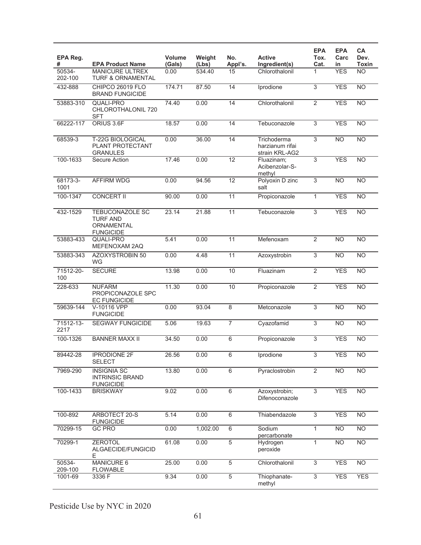| EPA Reg.<br>#     | <b>EPA Product Name</b>                                              | <b>Volume</b><br>(Gals) | Weight<br>(Lbs) | No.<br>Appl's.  | <b>Active</b><br>Ingredient(s)                   | <b>EPA</b><br>Tox.<br>Cat. | <b>EPA</b><br>Carc<br>in | CA<br>Dev.<br>Toxin |
|-------------------|----------------------------------------------------------------------|-------------------------|-----------------|-----------------|--------------------------------------------------|----------------------------|--------------------------|---------------------|
| 50534-<br>202-100 | <b>MANICURE ULTREX</b><br><b>TURF &amp; ORNAMENTAL</b>               | 0.00                    | 534.40          | 15              | Chlorothalonil                                   | 1                          | <b>YES</b>               | <b>NO</b>           |
| 432-888           | CHIPCO 26019 FLO<br><b>BRAND FUNGICIDE</b>                           | 174.71                  | 87.50           | 14              | Iprodione                                        | 3                          | <b>YES</b>               | $\overline{NO}$     |
| 53883-310         | QUALI-PRO<br>CHLOROTHALONIL 720<br><b>SFT</b>                        | 74.40                   | 0.00            | 14              | Chlorothalonil                                   | $\overline{2}$             | <b>YES</b>               | $\overline{NO}$     |
| 66222-117         | ORIUS 3.6F                                                           | 18.57                   | 0.00            | 14              | Tebuconazole                                     | $\overline{3}$             | <b>YES</b>               | <b>NO</b>           |
| 68539-3           | <b>T-22G BIOLOGICAL</b><br>PLANT PROTECTANT<br><b>GRANULES</b>       | 0.00                    | 36.00           | 14              | Trichoderma<br>harzianum rifai<br>strain KRL-AG2 | 3                          | N <sub>O</sub>           | $\overline{NO}$     |
| 100-1633          | Secure Action                                                        | 17.46                   | 0.00            | $\overline{12}$ | Fluazinam;<br>Acibenzolar-S-<br>methyl           | 3                          | <b>YES</b>               | <b>NO</b>           |
| 68173-3-<br>1001  | <b>AFFIRM WDG</b>                                                    | 0.00                    | 94.56           | 12              | Polyoxin D zinc<br>salt                          | 3                          | N <sub>O</sub>           | <b>NO</b>           |
| 100-1347          | <b>CONCERT II</b>                                                    | 90.00                   | 0.00            | 11              | Propiconazole                                    | $\mathbf{1}$               | <b>YES</b>               | $\overline{NO}$     |
| 432-1529          | TEBUCONAZOLE SC<br><b>TURF AND</b><br>ORNAMENTAL<br><b>FUNGICIDE</b> | 23.14                   | 21.88           | 11              | Tebuconazole                                     | $\overline{3}$             | <b>YES</b>               | $\overline{NO}$     |
| 53883-433         | QUALI-PRO<br>MEFENOXAM 2AQ                                           | 5.41                    | 0.00            | 11              | Mefenoxam                                        | $\overline{2}$             | <b>NO</b>                | <b>NO</b>           |
| 53883-343         | AZOXYSTROBIN 50<br><b>WG</b>                                         | 0.00                    | 4.48            | 11              | Azoxystrobin                                     | $\overline{3}$             | <b>NO</b>                | $\overline{NO}$     |
| 71512-20-<br>100  | <b>SECURE</b>                                                        | 13.98                   | 0.00            | 10              | Fluazinam                                        | $\overline{2}$             | <b>YES</b>               | $\overline{NO}$     |
| 228-633           | <b>NUFARM</b><br>PROPICONAZOLE SPC<br><b>EC FUNGICIDE</b>            | 11.30                   | 0.00            | 10              | Propiconazole                                    | $\overline{2}$             | <b>YES</b>               | <b>NO</b>           |
| 59639-144         | V-10116 VPP<br><b>FUNGICIDE</b>                                      | 0.00                    | 93.04           | 8               | Metconazole                                      | 3                          | <b>NO</b>                | <b>NO</b>           |
| 71512-13-<br>2217 | <b>SEGWAY FUNGICIDE</b>                                              | 5.06                    | 19.63           | $\overline{7}$  | Cyazofamid                                       | $\overline{3}$             | <b>NO</b>                | $\overline{NO}$     |
| 100-1326          | <b>BANNER MAXX II</b>                                                | 34.50                   | 0.00            | 6               | Propiconazole                                    | $\overline{3}$             | <b>YES</b>               | <b>NO</b>           |
| 89442-28          | <b>IPRODIONE 2F</b><br><b>SELECT</b>                                 | 26.56                   | 0.00            | $\overline{6}$  | Iprodione                                        | $\overline{3}$             | <b>YES</b>               | N <sub>O</sub>      |
| 7969-290          | <b>INSIGNIA SC</b><br><b>INTRINSIC BRAND</b><br><b>FUNGICIDE</b>     | 13.80                   | 0.00            | 6               | Pyraclostrobin                                   | $\overline{2}$             | N <sub>O</sub>           | $\overline{NO}$     |
| 100-1433          | <b>BRISKWAY</b>                                                      | 9.02                    | 0.00            | 6               | Azoxystrobin;<br>Difenoconazole                  | $\overline{3}$             | <b>YES</b>               | N <sub>O</sub>      |
| 100-892           | ARBOTECT 20-S<br><b>FUNGICIDE</b>                                    | 5.14                    | 0.00            | $6\,$           | Thiabendazole                                    | $\overline{3}$             | <b>YES</b>               | $\overline{NO}$     |
| 70299-15          | <b>GC PRO</b>                                                        | 0.00                    | 1,002.00        | $\,6\,$         | Sodium<br>percarbonate                           | $\mathbf{1}$               | N <sub>O</sub>           | <b>NO</b>           |
| 70299-1           | <b>ZEROTOL</b><br>ALGAECIDE/FUNGICID<br>E.                           | 61.08                   | 0.00            | $\overline{5}$  | Hydrogen<br>peroxide                             | $\mathbf{1}$               | <b>NO</b>                | <b>NO</b>           |
| 50534-<br>209-100 | MANICURE 6<br><b>FLOWABLE</b>                                        | 25.00                   | 0.00            | 5               | Chlorothalonil                                   | $\overline{3}$             | <b>YES</b>               | <b>NO</b>           |
| 1001-69           | 3336 F                                                               | 9.34                    | 0.00            | $\overline{5}$  | Thiophanate-<br>methyl                           | $\overline{3}$             | <b>YES</b>               | <b>YES</b>          |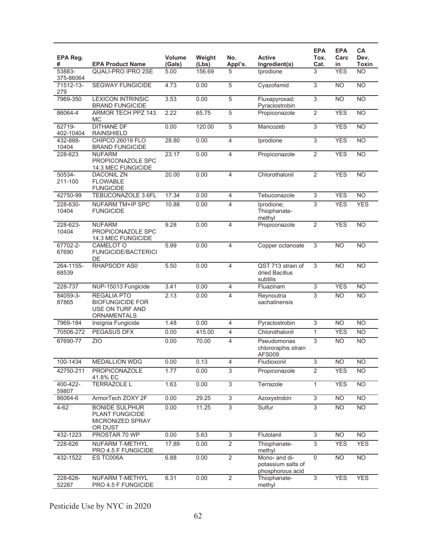| EPA Reg.<br>#       | <b>EPA Product Name</b>                                                                | Volume<br>(Gals) | Weight<br>(Lbs) | No.<br>Appl's.            | <b>Active</b><br>Ingredient(s)                          | <b>EPA</b><br>Tox.<br>Cat. | <b>EPA</b><br>Carc<br>in | CA<br>Dev.<br>Toxin |
|---------------------|----------------------------------------------------------------------------------------|------------------|-----------------|---------------------------|---------------------------------------------------------|----------------------------|--------------------------|---------------------|
| 53883-<br>375-86064 | QUALI-PRO IPRO 2SE                                                                     | 5.00             | 156.69          | 5                         | Iprodione                                               | 3                          | <b>YES</b>               | <b>NO</b>           |
| 71512-13-<br>279    | <b>SEGWAY FUNGICIDE</b>                                                                | 4.73             | 0.00            | $\overline{5}$            | Cyazofamid                                              | $\overline{3}$             | <b>NO</b>                | N <sub>O</sub>      |
| 7969-350            | <b>LEXICON INTRINSIC</b><br><b>BRAND FUNGICIDE</b>                                     | 3.53             | 0.00            | 5                         | Fluxapyroxad;<br>Pyraclostrobin                         | $\overline{3}$             | $\overline{NO}$          | $\overline{NO}$     |
| 86064-4             | ARMOR TECH PPZ 143<br>МC                                                               | 2.22             | 65.75           | $\overline{5}$            | Propiconazole                                           | $\overline{2}$             | <b>YES</b>               | N <sub>O</sub>      |
| 62719-<br>402-10404 | <b>DITHANE DF</b><br><b>RAINSHIELD</b>                                                 | 0.00             | 120.00          | 5                         | Mancozeb                                                | $\overline{3}$             | <b>YES</b>               | $\overline{NO}$     |
| 432-888-<br>10404   | <b>CHIPCO 26019 FLO</b><br><b>BRAND FUNGICIDE</b>                                      | 28.80            | 0.00            | 4                         | Iprodione                                               | $\overline{3}$             | <b>YES</b>               | $\overline{NO}$     |
| 228-623             | <b>NUFARM</b><br>PROPICONAZOLE SPC<br>14.3 MEC FUNGICIDE                               | 23.17            | 0.00            | 4                         | Propiconazole                                           | 2                          | <b>YES</b>               | $\overline{NO}$     |
| 50534-<br>211-100   | <b>DACONIL ZN</b><br><b>FLOWABLE</b><br><b>FUNGICIDE</b>                               | 20.00            | 0.00            | $\overline{4}$            | Chlorothalonil                                          | $\overline{2}$             | <b>YES</b>               | <b>NO</b>           |
| 42750-99            | <b>TEBUCONAZOLE 3.6FL</b>                                                              | 17.34            | 0.00            | $\overline{\mathbf{4}}$   | Tebuconazole                                            | 3                          | <b>YES</b>               | <b>NO</b>           |
| 228-630-<br>10404   | <b>NUFARM TM+IP SPC</b><br><b>FUNGICIDE</b>                                            | 10.88            | 0.00            | 4                         | Iprodione;<br>Thiophanate-<br>methyl                    | $\overline{3}$             | <b>YES</b>               | <b>YES</b>          |
| 228-623-<br>10404   | <b>NUFARM</b><br>PROPICONAZOLE SPC<br>14.3 MEC FUNGICIDE                               | 9.28             | 0.00            | 4                         | Propiconazole                                           | $\overline{2}$             | <b>YES</b>               | $\overline{NO}$     |
| 67702-2-<br>67690   | CAMELOT O<br><b>FUNGICIDE/BACTERICI</b><br>DE                                          | 5.99             | 0.00            | $\overline{4}$            | Copper octanoate                                        | $\overline{3}$             | N <sub>O</sub>           | N <sub>O</sub>      |
| 264-1155-<br>68539  | RHAPSODY AS0                                                                           | 5.50             | 0.00            | 4                         | QST 713 strain of<br>dried Bacillus<br>subtilis         | 3                          | <b>NO</b>                | $\overline{NO}$     |
| 228-737             | NUP-15013 Fungicide                                                                    | 3.41             | 0.00            | 4                         | Fluazinam                                               | 3                          | <b>YES</b>               | <b>NO</b>           |
| 84059-3-<br>87865   | <b>REGALIA PTO</b><br><b>BIOFUNGICIDE FOR</b><br>USE ON TURF AND<br><b>ORNAMENTALS</b> | 2.13             | 0.00            | 4                         | Reynoutria<br>sachalinensis                             | 3                          | $\overline{NO}$          | <b>NO</b>           |
| 7969-184            | Insignia Fungicide                                                                     | 1.48             | 0.00            | $\overline{4}$            | Pyraclostrobin                                          | $\overline{3}$             | <b>NO</b>                | <b>NO</b>           |
| 70506-272           | <b>PEGASUS DFX</b>                                                                     | 0.00             | 415.00          | $\overline{4}$            | Chlorothalonil                                          | $\mathbf{1}$               | <b>YES</b>               | <b>NO</b>           |
| 67690-77            | <b>ZIO</b>                                                                             | 0.00             | 70.00           | $\overline{4}$            | Pseudomonas<br>chlororaphis strain<br>AFS009            | 3                          | <b>NO</b>                | <b>NO</b>           |
| 100-1434            | <b>MEDALLION WDG</b>                                                                   | 0.00             | 0.13            | 4                         | Fludioxonil                                             | $\overline{3}$             | <b>NO</b>                | <b>NO</b>           |
| 42750-211           | <b>PROPICONAZOLE</b><br>41.8% EC                                                       | 1.77             | 0.00            | 3                         | Propiconazole                                           | $\overline{2}$             | <b>YES</b>               | $\overline{NO}$     |
| 400-422-<br>59807   | TERRAZOLE L                                                                            | 1.63             | 0.00            | $\overline{3}$            | Terrazole                                               | 1                          | <b>YES</b>               | <b>NO</b>           |
| 86064-6             | ArmorTech ZOXY 2F                                                                      | 0.00             | 29.25           | $\ensuremath{\mathsf{3}}$ | Azoxystrobin                                            | 3                          | <b>NO</b>                | <b>NO</b>           |
| $4 - 62$            | <b>BONIDE SULPHUR</b><br><b>PLANT FUNGICIDE</b><br>MICRONIZED SPRAY<br>OR DUST         | 0.00             | 11.25           | $\overline{3}$            | Sulfur                                                  | $\overline{3}$             | N <sub>O</sub>           | $\overline{NO}$     |
| 432-1223            | PROSTAR 70 WP                                                                          | 0.00             | 5.63            | $\sqrt{3}$                | Flutolanil                                              | $\sqrt{3}$                 | <b>NO</b>                | <b>NO</b>           |
| 228-626             | <b>NUFARM T-METHYL</b><br>PRO 4.5 F FUNGICIDE                                          | 17.89            | 0.00            | $\overline{2}$            | Thiophanate-<br>methyl                                  | 3                          | <b>YES</b>               | <b>YES</b>          |
| 432-1522            | ES TC006A                                                                              | 6.88             | 0.00            | $\overline{2}$            | Mono- and di-<br>potassium salts of<br>phosphorous acid | $\overline{0}$             | N <sub>O</sub>           | $\overline{NO}$     |
| 228-626-<br>52287   | NUFARM T-METHYL<br>PRO 4.5 F FUNGICIDE                                                 | 6.31             | 0.00            | $\overline{2}$            | Thiophanate-<br>methyl                                  | $\overline{3}$             | <b>YES</b>               | <b>YES</b>          |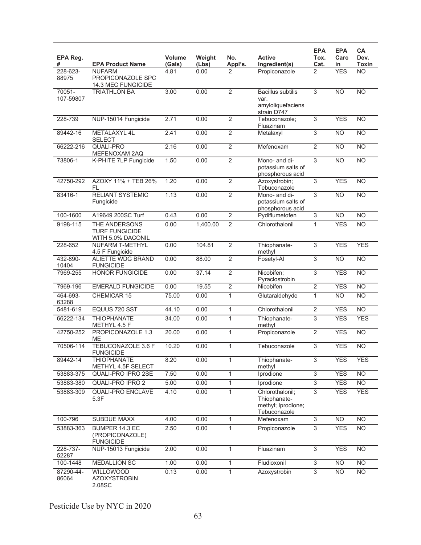| EPA Reg.<br>#       | <b>EPA Product Name</b>                                     | <b>Volume</b><br>(Gals) | Weight<br>(Lbs) | No.<br>Appl's. | <b>Active</b><br>Ingredient(s)                                        | <b>EPA</b><br>Tox.<br>Cat. | <b>EPA</b><br>Carc<br>in | CA<br>Dev.<br><b>Toxin</b> |
|---------------------|-------------------------------------------------------------|-------------------------|-----------------|----------------|-----------------------------------------------------------------------|----------------------------|--------------------------|----------------------------|
| 228-623-<br>88975   | <b>NUFARM</b><br>PROPICONAZOLE SPC<br>14.3 MEC FUNGICIDE    | 4.81                    | 0.00            | 2              | Propiconazole                                                         | 2                          | <b>YES</b>               | <b>NO</b>                  |
| 70051-<br>107-59807 | <b>TRIATHLON BA</b>                                         | 3.00                    | 0.00            | $\overline{2}$ | <b>Bacillus subtilis</b><br>var.<br>amyloliquefaciens<br>strain D747  | 3                          | <b>NO</b>                | <b>NO</b>                  |
| 228-739             | NUP-15014 Fungicide                                         | 2.71                    | 0.00            | $\overline{2}$ | Tebuconazole;<br>Fluazinam                                            | $\overline{3}$             | <b>YES</b>               | <b>NO</b>                  |
| 89442-16            | METALAXYL 4L<br><b>SELECT</b>                               | 2.41                    | 0.00            | $\overline{2}$ | Metalaxyl                                                             | $\overline{3}$             | <b>NO</b>                | $\overline{NO}$            |
| 66222-216           | <b>QUALI-PRO</b><br>MEFENOXAM 2AQ                           | 2.16                    | 0.00            | $\overline{2}$ | Mefenoxam                                                             | $\overline{2}$             | $\overline{NO}$          | $\overline{NO}$            |
| 73806-1             | K-PHITE 7LP Fungicide                                       | 1.50                    | 0.00            | $\overline{2}$ | Mono- and di-<br>potassium salts of<br>phosphorous acid               | $\overline{3}$             | N <sub>O</sub>           | $\overline{NO}$            |
| 42750-292           | AZOXY 11% + TEB 26%<br>FL                                   | 1.20                    | 0.00            | $\overline{2}$ | Azoxystrobin;<br>Tebuconazole                                         | 3                          | <b>YES</b>               | $\overline{NO}$            |
| 83416-1             | <b>RELIANT SYSTEMIC</b><br>Fungicide                        | 1.13                    | 0.00            | $\overline{2}$ | Mono- and di-<br>potassium salts of<br>phosphorous acid               | $\overline{3}$             | N <sub>O</sub>           | $\overline{NO}$            |
| 100-1600            | A19649 200SC Turf                                           | 0.43                    | 0.00            | $\overline{2}$ | Pydiflumetofen                                                        | 3                          | N <sub>O</sub>           | <b>NO</b>                  |
| 9198-115            | THE ANDERSONS<br><b>TURF FUNGICIDE</b><br>WITH 5.0% DACONIL | 0.00                    | 1,400.00        | $\overline{2}$ | Chlorothalonil                                                        | $\mathbf{1}$               | <b>YES</b>               | N <sub>O</sub>             |
| 228-652             | <b>NUFARM T-METHYL</b><br>4.5 F Fungicide                   | 0.00                    | 104.81          | $\overline{2}$ | Thiophanate-<br>methyl                                                | $\overline{3}$             | <b>YES</b>               | <b>YES</b>                 |
| 432-890-<br>10404   | <b>ALIETTE WDG BRAND</b><br><b>FUNGICIDE</b>                | 0.00                    | 88.00           | $\overline{2}$ | Fosetyl-Al                                                            | $\overline{3}$             | $\overline{NO}$          | N <sub>O</sub>             |
| 7969-255            | <b>HONOR FUNGICIDE</b>                                      | 0.00                    | 37.14           | $\overline{2}$ | Nicobifen;<br>Pyraclostrobin                                          | $\overline{3}$             | <b>YES</b>               | $\overline{NO}$            |
| 7969-196            | <b>EMERALD FUNGICIDE</b>                                    | 0.00                    | 19.55           | $\overline{2}$ | Nicobifen                                                             | $\overline{2}$             | <b>YES</b>               | <b>NO</b>                  |
| 464-693-<br>63288   | CHEMICAR 15                                                 | 75.00                   | 0.00            | $\mathbf{1}$   | Glutaraldehyde                                                        | $\mathbf{1}$               | $\overline{NO}$          | $\overline{NO}$            |
| 5481-619            | EQUUS 720 SST                                               | 44.10                   | 0.00            | $\mathbf{1}$   | Chlorothalonil                                                        | 2                          | <b>YES</b>               | <b>NO</b>                  |
| 66222-134           | <b>THIOPHANATE</b><br>METHYL 4.5 F                          | 34.00                   | 0.00            | $\mathbf{1}$   | Thiophanate-<br>methyl                                                | 3                          | <b>YES</b>               | <b>YES</b>                 |
| 42750-252           | PROPICONAZOLE 1.3<br>ME                                     | 20.00                   | 0.00            | $\mathbf{1}$   | Propiconazole                                                         | $\overline{2}$             | <b>YES</b>               | $\overline{NO}$            |
| 70506-114           | <b>TEBUCONAZOLE 3.6 F</b><br><b>FUNGICIDE</b>               | 10.20                   | 0.00            | $\mathbf{1}$   | Tebuconazole                                                          | $\overline{3}$             | <b>YES</b>               | $\overline{NO}$            |
| 89442-14            | <b>THIOPHANATE</b><br>METHYL 4.5F SELECT                    | 8.20                    | 0.00            | $\mathbf{1}$   | Thiophanate-<br>methyl                                                | 3                          | <b>YES</b>               | <b>YES</b>                 |
| 53883-375           | <b>QUALI-PRO IPRO 2SE</b>                                   | 7.50                    | 0.00            | $\mathbf{1}$   | Iprodione                                                             | $\overline{3}$             | <b>YES</b>               | $\overline{NO}$            |
| 53883-380           | QUALI-PRO IPRO 2                                            | 5.00                    | 0.00            | $\mathbf{1}$   | Iprodione                                                             | $\overline{3}$             | <b>YES</b>               | $\overline{NO}$            |
| 53883-309           | <b>QUALI-PRO ENCLAVE</b><br>5.3F                            | 4.10                    | 0.00            | $\mathbf{1}$   | Chlorothalonil;<br>Thiophanate-<br>methyl; Iprodione;<br>Tebuconazole | $\overline{3}$             | <b>YES</b>               | <b>YES</b>                 |
| 100-796             | SUBDUE MAXX                                                 | 4.00                    | 0.00            | $\mathbf{1}$   | Mefenoxam                                                             | 3                          | $\overline{NO}$          | $\overline{NO}$            |
| 53883-363           | BUMPER 14.3 EC<br>(PROPICONAZOLE)<br><b>FUNGICIDE</b>       | 2.50                    | 0.00            | $\mathbf{1}$   | Propiconazole                                                         | $\overline{3}$             | <b>YES</b>               | $\overline{NO}$            |
| 228-737-<br>52287   | NUP-15013 Fungicide                                         | 2.00                    | 0.00            | $\mathbf{1}$   | Fluazinam                                                             | $\overline{3}$             | <b>YES</b>               | <b>NO</b>                  |
| 100-1448            | MEDALLION SC                                                | 1.00                    | 0.00            | $\mathbf{1}$   | Fludioxonil                                                           | 3                          | <b>NO</b>                | <b>NO</b>                  |
| 87290-44-<br>86064  | WILLOWOOD<br><b>AZOXYSTROBIN</b><br>2.08SC                  | 0.13                    | 0.00            | $\mathbf{1}$   | Azoxystrobin                                                          | $\overline{3}$             | <b>NO</b>                | NO.                        |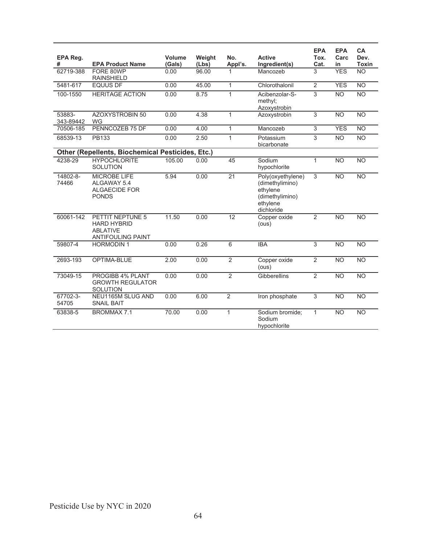| EPA Reg.<br>#       | <b>EPA Product Name</b>                                                               | Volume<br>(Gals) | Weight<br>(Lbs) | No.<br>Appl's.  | <b>Active</b><br>Ingredient(s)                                                                | <b>EPA</b><br>Tox.<br>Cat. | <b>EPA</b><br>Carc<br>in | CA<br>Dev.<br><b>Toxin</b> |
|---------------------|---------------------------------------------------------------------------------------|------------------|-----------------|-----------------|-----------------------------------------------------------------------------------------------|----------------------------|--------------------------|----------------------------|
| 62719-388           | FORE 80WP<br><b>RAINSHIELD</b>                                                        | 0.00             | 96.00           |                 | Mancozeb                                                                                      | 3                          | <b>YES</b>               | <b>NO</b>                  |
| 5481-617            | <b>EQUUS DF</b>                                                                       | 0.00             | 45.00           | $\mathbf{1}$    | Chlorothalonil                                                                                | $\overline{2}$             | <b>YES</b>               | <b>NO</b>                  |
| 100-1550            | <b>HERITAGE ACTION</b>                                                                | 0.00             | 8.75            | $\mathbf{1}$    | Acibenzolar-S-<br>methyl;<br>Azoxystrobin                                                     | $\overline{3}$             | <b>NO</b>                | <b>NO</b>                  |
| 53883-<br>343-89442 | <b>AZOXYSTROBIN 50</b><br><b>WG</b>                                                   | 0.00             | 4.38            | $\mathbf{1}$    | Azoxystrobin                                                                                  | $\overline{3}$             | N <sub>O</sub>           | $\overline{NO}$            |
| 70506-185           | PENNCOZEB 75 DF                                                                       | 0.00             | 4.00            | $\mathbf{1}$    | Mancozeb                                                                                      | $\overline{3}$             | <b>YES</b>               | <b>NO</b>                  |
| 68539-13            | PB133                                                                                 | 0.00             | 2.50            | $\mathbf{1}$    | Potassium<br>bicarbonate                                                                      | 3                          | <b>NO</b>                | <b>NO</b>                  |
|                     | <b>Other (Repellents, Biochemical Pesticides, Etc.)</b>                               |                  |                 |                 |                                                                                               |                            |                          |                            |
| 4238-29             | <b>HYPOCHLORITE</b><br><b>SOLUTION</b>                                                | 105.00           | 0.00            | 45              | Sodium<br>hypochlorite                                                                        | $\mathbf{1}$               | <b>NO</b>                | <b>NO</b>                  |
| 14802-8-<br>74466   | <b>MICROBE LIFE</b><br>ALGAWAY 5.4<br><b>ALGAECIDE FOR</b><br><b>PONDS</b>            | 5.94             | 0.00            | $\overline{21}$ | Poly(oxyethylene)<br>(dimethylimino)<br>ethylene<br>(dimethylimino)<br>ethylene<br>dichloride | $\overline{3}$             | <b>NO</b>                | $\overline{NO}$            |
| 60061-142           | PETTIT NEPTUNE 5<br><b>HARD HYBRID</b><br><b>ABLATIVE</b><br><b>ANTIFOULING PAINT</b> | 11.50            | 0.00            | $\overline{12}$ | Copper oxide<br>(ous)                                                                         | $\overline{2}$             | <b>NO</b>                | <b>NO</b>                  |
| 59807-4             | <b>HORMODIN1</b>                                                                      | 0.00             | 0.26            | 6               | <b>IBA</b>                                                                                    | 3                          | <b>NO</b>                | <b>NO</b>                  |
| 2693-193            | OPTIMA-BLUE                                                                           | 2.00             | 0.00            | $\overline{2}$  | Copper oxide<br>(ous)                                                                         | 2                          | <b>NO</b>                | <b>NO</b>                  |
| 73049-15            | PROGIBB 4% PLANT<br><b>GROWTH REGULATOR</b><br>SOLUTION                               | 0.00             | 0.00            | $\overline{2}$  | <b>Gibberellins</b>                                                                           | $\overline{2}$             | <b>NO</b>                | <b>NO</b>                  |
| 67702-3-<br>54705   | NEU1165M SLUG AND<br><b>SNAIL BAIT</b>                                                | 0.00             | 6.00            | $\overline{2}$  | Iron phosphate                                                                                | $\overline{3}$             | N <sub>O</sub>           | $\overline{NO}$            |
| 63838-5             | BROMMAX <sub>7.1</sub>                                                                | 70.00            | 0.00            | $\overline{1}$  | Sodium bromide;<br>Sodium<br>hypochlorite                                                     | 1                          | $\overline{NO}$          | $\overline{NO}$            |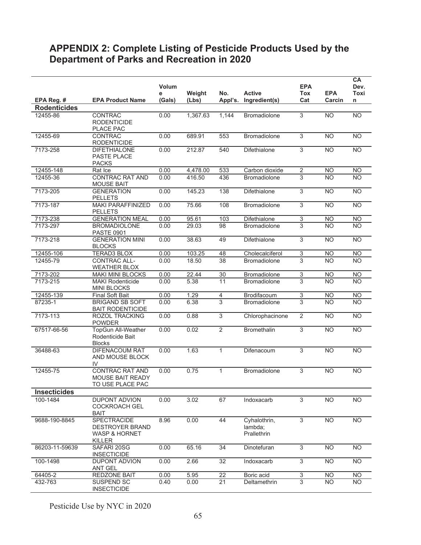# **APPENDIX 2: Complete Listing of Pesticide Products Used by the Department of Parks and Recreation in 2020**

|                     |                                                                                    | <b>Volum</b><br>е | Weight   | No.             | <b>Active</b>                          | <b>EPA</b><br><b>Tox</b> | <b>EPA</b>     | CA<br>Dev.<br>Toxi |
|---------------------|------------------------------------------------------------------------------------|-------------------|----------|-----------------|----------------------------------------|--------------------------|----------------|--------------------|
| EPA Reg. #          | <b>EPA Product Name</b>                                                            | (Gals)            | (Lbs)    | Appl's.         | Ingredient(s)                          | Cat                      | Carcin         | n                  |
| <b>Rodenticides</b> |                                                                                    |                   |          |                 |                                        |                          |                |                    |
| 12455-86            | CONTRAC<br><b>RODENTICIDE</b><br>PLACE PAC                                         | 0.00              | 1,367.63 | 1,144           | Bromadiolone                           | 3                        | <b>NO</b>      | <b>NO</b>          |
| 12455-69            | CONTRAC<br><b>RODENTICIDE</b>                                                      | 0.00              | 689.91   | 553             | <b>Bromadiolone</b>                    | $\overline{3}$           | <b>NO</b>      | N <sub>O</sub>     |
| 7173-258            | <b>DIFETHIALONE</b><br>PASTE PLACE<br><b>PACKS</b>                                 | 0.00              | 212.87   | 540             | Difethialone                           | 3                        | N <sub>O</sub> | NO                 |
| 12455-148           | Rat Ice                                                                            | 0.00              | 4,478.00 | 533             | Carbon dioxide                         | $\overline{2}$           | N <sub>O</sub> | N <sub>O</sub>     |
| 12455-36            | <b>CONTRAC RAT AND</b><br><b>MOUSE BAIT</b>                                        | 0.00              | 416.50   | 436             | <b>Bromadiolone</b>                    | 3                        | <b>NO</b>      | <b>NO</b>          |
| 7173-205            | <b>GENERATION</b><br><b>PELLETS</b>                                                | 0.00              | 145.23   | 138             | Difethialone                           | 3                        | <b>NO</b>      | NO                 |
| 7173-187            | MAKI PARAFFINIZED<br><b>PELLETS</b>                                                | 0.00              | 75.66    | 108             | <b>Bromadiolone</b>                    | 3                        | <b>NO</b>      | <b>NO</b>          |
| 7173-238            | <b>GENERATION MEAL</b>                                                             | 0.00              | 95.61    | 103             | Difethialone                           | 3                        | <b>NO</b>      | NO                 |
| 7173-297            | <b>BROMADIOLONE</b><br><b>PASTE 0901</b>                                           | 0.00              | 29.03    | 98              | <b>Bromadiolone</b>                    | 3                        | <b>NO</b>      | <b>NO</b>          |
| 7173-218            | <b>GENERATION MINI</b><br><b>BLOCKS</b>                                            | 0.00              | 38.63    | 49              | Difethialone                           | 3                        | <b>NO</b>      | N <sub>O</sub>     |
| 12455-106           | TERAD3 BLOX                                                                        | 0.00              | 103.25   | 48              | Cholecalciferol                        | $\overline{3}$           | <b>NO</b>      | <b>NO</b>          |
| 12455-79            | CONTRAC ALL-<br><b>WEATHER BLOX</b>                                                | 0.00              | 18.50    | $\overline{38}$ | <b>Bromadiolone</b>                    | 3                        | <b>NO</b>      | <b>NO</b>          |
| 7173-202            | <b>MAKI MINI BLOCKS</b>                                                            | 0.00              | 22.44    | 30              | <b>Bromadiolone</b>                    | $\overline{3}$           | <b>NO</b>      | <b>NO</b>          |
| 7173-215            | <b>MAKI Rodenticide</b><br><b>MINI BLOCKS</b>                                      | 0.00              | 5.38     | 11              | <b>Bromadiolone</b>                    | 3                        | <b>NO</b>      | <b>NO</b>          |
| 12455-139           | <b>Final Soft Bait</b>                                                             | 0.00              | 1.29     | 4               | Brodifacoum                            | 3                        | <b>NO</b>      | N <sub>O</sub>     |
| 87235-1             | <b>BRIGAND SB SOFT</b><br><b>BAIT RODENTICIDE</b>                                  | 0.00              | 6.38     | $\overline{3}$  | <b>Bromadiolone</b>                    | 3                        | <b>NO</b>      | <b>NO</b>          |
| 7173-113            | ROZOL TRACKING<br><b>POWDER</b>                                                    | 0.00              | 0.88     | $\overline{3}$  | Chlorophacinone                        | $\overline{2}$           | N <sub>O</sub> | <b>NO</b>          |
| 67517-66-56         | TopGun All-Weather<br>Rodenticide Bait<br><b>Blocks</b>                            | 0.00              | 0.02     | $\overline{2}$  | <b>Bromethalin</b>                     | 3                        | <b>NO</b>      | <b>NO</b>          |
| 36488-63            | DIFENACOUM RAT<br>AND MOUSE BLOCK<br>IV                                            | 0.00              | 1.63     | $\mathbf{1}$    | Difenacoum                             | 3                        | <b>NO</b>      | <b>NO</b>          |
| 12455-75            | <b>CONTRAC RAT AND</b><br><b>MOUSE BAIT READY</b><br>TO USE PLACE PAC              | 0.00              | 0.75     | $\mathbf{1}$    | Bromadiolone                           | 3                        | <b>NO</b>      | <b>NO</b>          |
| <b>Insecticides</b> |                                                                                    |                   |          |                 |                                        |                          |                |                    |
| 100-1484            | <b>DUPONT ADVION</b><br><b>COCKROACH GEL</b><br>BAIT                               | 0.00              | 3.02     | 67              | Indoxacarb                             | 3                        | <b>NO</b>      | <b>NO</b>          |
| 9688-190-8845       | SPECTRACIDE<br><b>DESTROYER BRAND</b><br><b>WASP &amp; HORNET</b><br><b>KILLER</b> | 8.96              | 0.00     | 44              | Cyhalothrin,<br>lambda;<br>Prallethrin | $\overline{3}$           | <b>NO</b>      | <b>NO</b>          |
| 86203-11-59639      | SAFARI 20SG<br><b>INSECTICIDE</b>                                                  | 0.00              | 65.16    | 34              | Dinotefuran                            | $\overline{3}$           | <b>NO</b>      | <b>NO</b>          |
| 100-1498            | DUPONT ADVION<br><b>ANT GEL</b>                                                    | 0.00              | 2.66     | 32              | Indoxacarb                             | $\overline{3}$           | <b>NO</b>      | N <sub>O</sub>     |
| $64405 - 2$         | <b>REDZONE BAIT</b>                                                                | 0.00              | 5.95     | 22              | Boric acid                             | 3                        | <b>NO</b>      | N <sub>O</sub>     |
| 432-763             | SUSPEND SC<br><b>INSECTICIDE</b>                                                   | 0.40              | 0.00     | 21              | Deltamethrin                           | 3                        | <b>NO</b>      | <b>NO</b>          |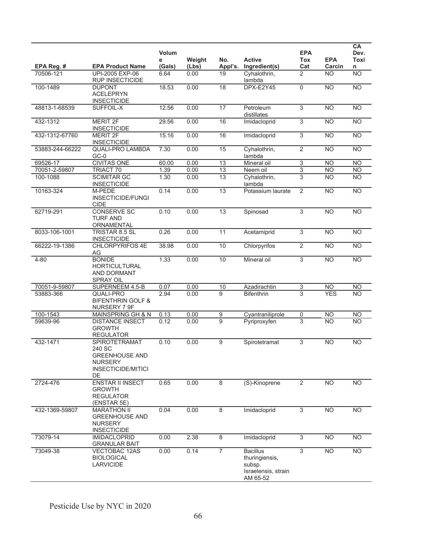|                 |                                                                                                              | Volum<br>е | Weight | No.              | <b>Active</b>                                                                  | <b>EPA</b><br><b>Tox</b>  | <b>EPA</b>      | CA<br>Dev.<br>Toxi |
|-----------------|--------------------------------------------------------------------------------------------------------------|------------|--------|------------------|--------------------------------------------------------------------------------|---------------------------|-----------------|--------------------|
| EPA Reg. #      | <b>EPA Product Name</b>                                                                                      | (Gals)     | (Lbs)  | Appl's.          | Ingredient(s)                                                                  | Cat                       | Carcin          | n                  |
| 70506-121       | UPI-2005 EXP-06<br><b>RUP INSECTICIDE</b>                                                                    | 6.64       | 0.00   | 19               | Cyhalothrin,<br>lambda                                                         | 2                         | <b>NO</b>       | N <sub>O</sub>     |
| 100-1489        | <b>DUPONT</b><br><b>ACELEPRYN</b><br><b>INSECTICIDE</b>                                                      | 18.53      | 0.00   | 18               | DPX-E2Y45                                                                      | $\mathbf 0$               | <b>NO</b>       | N <sub>O</sub>     |
| 48813-1-68539   | SUFFOIL-X                                                                                                    | 12.56      | 0.00   | 17               | Petroleum<br>distillates                                                       | 3                         | <b>NO</b>       | <b>NO</b>          |
| 432-1312        | <b>MERIT 2F</b><br><b>INSECTICIDE</b>                                                                        | 29.56      | 0.00   | 16               | Imidacloprid                                                                   | $\overline{3}$            | <b>NO</b>       | N <sub>O</sub>     |
| 432-1312-67760  | <b>MERIT 2F</b><br><b>INSECTICIDE</b>                                                                        | 15.16      | 0.00   | 16               | Imidacloprid                                                                   | $\overline{3}$            | <b>NO</b>       | NO                 |
| 53883-244-66222 | <b>QUALI-PRO LAMBDA</b><br>$GC-0$                                                                            | 7.30       | 0.00   | 15               | Cyhalothrin,<br>lambda                                                         | $\overline{2}$            | $\overline{NO}$ | N <sub>O</sub>     |
| 69526-17        | <b>CIVITAS ONE</b>                                                                                           | 60.00      | 0.00   | 13               | Mineral oil                                                                    | $\ensuremath{\mathsf{3}}$ | <b>NO</b>       | <b>NO</b>          |
| 70051-2-59807   | <b>TRIACT 70</b>                                                                                             | 1.39       | 0.00   | 13               | Neem oil                                                                       | $\overline{3}$            | <b>NO</b>       | NO.                |
| 100-1088        | <b>SCIMITAR GC</b><br><b>INSECTICIDE</b>                                                                     | 1.30       | 0.00   | 13               | Cyhalothrin,<br>lambda                                                         | 3                         | <b>NO</b>       | <b>NO</b>          |
| 10163-324       | M-PEDE<br>INSECTICIDE/FUNGI<br><b>CIDE</b>                                                                   | 0.14       | 0.00   | 13               | Potassium laurate                                                              | 2                         | <b>NO</b>       | <b>NO</b>          |
| 62719-291       | <b>CONSERVE SC</b><br><b>TURF AND</b><br>ORNAMENTAL                                                          | 0.10       | 0.00   | 13               | Spinosad                                                                       | $\overline{3}$            | <b>NO</b>       | N <sub>O</sub>     |
| 8033-106-1001   | TRISTAR 8.5 SL<br><b>INSECTICIDE</b>                                                                         | 0.26       | 0.00   | 11               | Acetamiprid                                                                    | $\overline{3}$            | N <sub>O</sub>  | <b>NO</b>          |
| 66222-19-1386   | <b>CHLORPYRIFOS 4E</b><br>AG                                                                                 | 38.98      | 0.00   | 10               | Chlorpyrifos                                                                   | $\overline{2}$            | $\overline{NO}$ | N <sub>O</sub>     |
| $4 - 80$        | <b>BONIDE</b><br><b>HORTICULTURAL</b><br>AND DORMANT<br><b>SPRAY OIL</b>                                     | 1.33       | 0.00   | 10               | Mineral oil                                                                    | $\overline{3}$            | <b>NO</b>       | NO                 |
| 70051-9-59807   | SUPERNEEM 4.5-B                                                                                              | 0.07       | 0.00   | 10               | Azadirachtin                                                                   | 3                         | <b>NO</b>       | <b>NO</b>          |
| 53883-366       | QUALI-PRO<br><b>BIFENTHRIN GOLF &amp;</b><br>NURSERY 7 9F                                                    | 2.94       | 0.00   | $\overline{9}$   | <b>Bifenthrin</b>                                                              | $\overline{3}$            | <b>YES</b>      | $\overline{NO}$    |
| 100-1543        | MAINSPRING GH & N                                                                                            | 0.13       | 0.00   | $\boldsymbol{9}$ | Cyantraniliprole                                                               | $\mathbf 0$               | <b>NO</b>       | <b>NO</b>          |
| 59639-96        | <b>DISTANCE INSECT</b><br><b>GROWTH</b><br><b>REGULATOR</b>                                                  | 0.12       | 0.00   | $\overline{9}$   | Pyriproxyfen                                                                   | 3                         | <b>NO</b>       | $\overline{NO}$    |
| 432-1471        | <b>SPIROTETRAMAT</b><br>240 SC<br><b>GREENHOUSE AND</b><br><b>NURSERY</b><br><b>INSECTICIDE/MITICI</b><br>DE | 0.10       | 0.00   | 9                | Spirotetramat                                                                  | 3                         | <b>NO</b>       | <b>NO</b>          |
| 2724-476        | <b>ENSTAR II INSECT</b><br>GROWTH<br><b>REGULATOR</b><br>(ENSTAR 5E)                                         | 0.65       | 0.00   | 8                | (S)-Kinoprene                                                                  | $\overline{2}$            | N <sub>O</sub>  | <b>NO</b>          |
| 432-1369-59807  | <b>MARATHON II</b><br><b>GREENHOUSE AND</b><br><b>NURSERY</b><br><b>INSECTICIDE</b>                          | 0.04       | 0.00   | 8                | Imidacloprid                                                                   | 3                         | <b>NO</b>       | <b>NO</b>          |
| 73079-14        | <b>IMIDACLOPRID</b><br><b>GRANULAR BAIT</b>                                                                  | 0.00       | 2.38   | 8                | Imidacloprid                                                                   | 3                         | <b>NO</b>       | <b>NO</b>          |
| 73049-38        | VECTOBAC 12AS<br><b>BIOLOGICAL</b><br><b>LARVICIDE</b>                                                       | 0.00       | 0.14   | $\overline{7}$   | <b>Bacillus</b><br>thuringiensis,<br>subsp.<br>Israelensis, strain<br>AM 65-52 | $\overline{3}$            | <b>NO</b>       | <b>NO</b>          |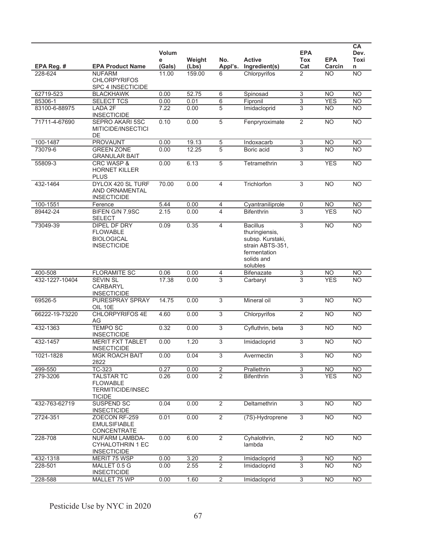|                |                                                                                   | Volum<br>е | Weight | No.            | <b>Active</b>                                                                                                       | <b>EPA</b><br>Tox | <b>EPA</b>     | CA<br>Dev.<br>Toxi |
|----------------|-----------------------------------------------------------------------------------|------------|--------|----------------|---------------------------------------------------------------------------------------------------------------------|-------------------|----------------|--------------------|
| EPA Reg. #     | <b>EPA Product Name</b>                                                           | (Gals)     | (Lbs)  | Appl's.        | Ingredient(s)                                                                                                       | Cat               | Carcin         | n                  |
| 228-624        | <b>NUFARM</b><br><b>CHLORPYRIFOS</b><br>SPC 4 INSECTICIDE                         | 11.00      | 159.00 | 6              | Chlorpyrifos                                                                                                        | $\overline{2}$    | <b>NO</b>      | N <sub>O</sub>     |
| 62719-523      | <b>BLACKHAWK</b>                                                                  | 0.00       | 52.75  | 6              | Spinosad                                                                                                            | 3                 | <b>NO</b>      | N <sub>O</sub>     |
| 85306-1        | <b>SELECT TCS</b>                                                                 | 0.00       | 0.01   | 6              | Fipronil                                                                                                            | 3                 | <b>YES</b>     | <b>NO</b>          |
| 83100-6-88975  | LADA 2F<br><b>INSECTICIDE</b>                                                     | 7.22       | 0.00   | 5              | Imidacloprid                                                                                                        | 3                 | <b>NO</b>      | <b>NO</b>          |
| 71711-4-67690  | <b>SEPRO AKARI 5SC</b><br>MITICIDE/INSECTICI<br>DE                                | 0.10       | 0.00   | 5              | Fenpryroximate                                                                                                      | 2                 | <b>NO</b>      | N <sub>O</sub>     |
| 100-1487       | <b>PROVAUNT</b>                                                                   | 0.00       | 19.13  | $\overline{5}$ | Indoxacarb                                                                                                          | $\overline{3}$    | <b>NO</b>      | <b>NO</b>          |
| 73079-6        | <b>GREEN ZONE</b><br><b>GRANULAR BAIT</b>                                         | 0.00       | 12.25  | 5              | Boric acid                                                                                                          | 3                 | <b>NO</b>      | <b>NO</b>          |
| 55809-3        | CRC WASP &<br><b>HORNET KILLER</b><br><b>PLUS</b>                                 | 0.00       | 6.13   | $\overline{5}$ | Tetramethrin                                                                                                        | 3                 | <b>YES</b>     | <b>NO</b>          |
| 432-1464       | DYLOX 420 SL TURF<br>AND ORNAMENTAL<br><b>INSECTICIDE</b>                         | 70.00      | 0.00   | 4              | Trichlorfon                                                                                                         | 3                 | <b>NO</b>      | N <sub>O</sub>     |
| 100-1551       | Ference                                                                           | 5.44       | 0.00   | 4              | Cyantraniliprole                                                                                                    | 0                 | <b>NO</b>      | NO <sub></sub>     |
| 89442-24       | BIFEN G/N 7.9SC<br><b>SELECT</b>                                                  | 2.15       | 0.00   | 4              | <b>Bifenthrin</b>                                                                                                   | 3                 | <b>YES</b>     | <b>NO</b>          |
| 73049-39       | <b>DIPEL DF DRY</b><br><b>FLOWABLE</b><br><b>BIOLOGICAL</b><br><b>INSECTICIDE</b> | 0.09       | 0.35   | 4              | <b>Bacillus</b><br>thuringiensis,<br>subsp. Kurstaki,<br>strain ABTS-351,<br>fermentation<br>solids and<br>solubles | 3                 | N <sub>O</sub> | NO                 |
| 400-508        | <b>FLORAMITE SC</b>                                                               | 0.06       | 0.00   | 4              | <b>Bifenazate</b>                                                                                                   | 3                 | <b>NO</b>      | <b>NO</b>          |
| 432-1227-10404 | <b>SEVIN SL</b><br><b>CARBARYL</b><br><b>INSECTICIDE</b>                          | 17.38      | 0.00   | 3              | Carbaryl                                                                                                            | 3                 | <b>YES</b>     | N <sub>O</sub>     |
| 69526-5        | PURESPRAY SPRAY<br>OIL 10E                                                        | 14.75      | 0.00   | $\overline{3}$ | Mineral oil                                                                                                         | 3                 | <b>NO</b>      | N <sub>O</sub>     |
| 66222-19-73220 | <b>CHLORPYRIFOS 4E</b><br>AG                                                      | 4.60       | 0.00   | $\overline{3}$ | Chlorpyrifos                                                                                                        | $\overline{2}$    | N <sub>O</sub> | N <sub>O</sub>     |
| 432-1363       | <b>TEMPO SC</b><br><b>INSECTICIDE</b>                                             | 0.32       | 0.00   | 3              | Cyfluthrin, beta                                                                                                    | 3                 | <b>NO</b>      | <b>NO</b>          |
| 432-1457       | <b>MERIT FXT TABLET</b><br><b>INSECTICIDE</b>                                     | 0.00       | 1.20   | $\overline{3}$ | Imidacloprid                                                                                                        | 3                 | <b>NO</b>      | <b>NO</b>          |
| 1021-1828      | <b>MGK ROACH BAIT</b><br>2822                                                     | 0.00       | 0.04   | 3              | Avermectin                                                                                                          | 3                 | <b>NO</b>      | <b>NO</b>          |
| 499-550        | TC-323                                                                            | 0.27       | 0.00   | $\overline{2}$ | Prallethrin                                                                                                         | $\overline{3}$    | NO.            | <b>NO</b>          |
| 279-3206       | <b>TALSTAR TC</b><br><b>FLOWABLE</b><br><b>TERMITICIDE/INSEC</b><br><b>TICIDE</b> | 0.26       | 0.00   | $\overline{2}$ | <b>Bifenthrin</b>                                                                                                   | 3                 | <b>YES</b>     | <b>NO</b>          |
| 432-763-62719  | SUSPEND SC<br><b>INSECTICIDE</b>                                                  | 0.04       | 0.00   | $\overline{2}$ | Deltamethrin                                                                                                        | $\overline{3}$    | <b>NO</b>      | <b>NO</b>          |
| 2724-351       | ZOECON RF-259<br><b>EMULSIFIABLE</b><br><b>CONCENTRATE</b>                        | 0.01       | 0.00   | $\overline{2}$ | (7S)-Hydroprene                                                                                                     | $\overline{3}$    | N <sub>O</sub> | N <sub>O</sub>     |
| 228-708        | <b>NUFARM LAMBDA-</b><br><b>CYHALOTHRIN 1 EC</b><br><b>INSECTICIDE</b>            | 0.00       | 6.00   | $\overline{2}$ | Cyhalothrin,<br>lambda                                                                                              | $\overline{2}$    | <b>NO</b>      | <b>NO</b>          |
| 432-1318       | MERIT 75 WSP                                                                      | 0.00       | 3.20   | $\overline{c}$ | Imidacloprid                                                                                                        | 3                 | <b>NO</b>      | <b>NO</b>          |
| 228-501        | MALLET 0.5 G<br><b>INSECTICIDE</b>                                                | 0.00       | 2.55   | $\overline{2}$ | Imidacloprid                                                                                                        | 3                 | <b>NO</b>      | <b>NO</b>          |
| 228-588        | MALLET 75 WP                                                                      | 0.00       | 1.60   | $\overline{2}$ | Imidacloprid                                                                                                        | $\overline{3}$    | <b>NO</b>      | <b>NO</b>          |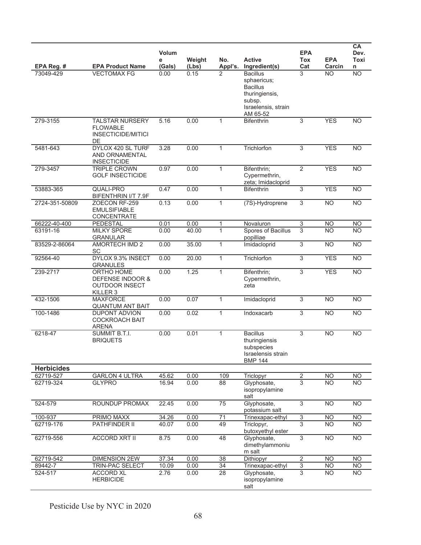|                   |                                                                                           | Volum<br>е | Weight | No.             | <b>Active</b>                                                                                                    | <b>EPA</b><br>Tox         | <b>EPA</b>      | CA<br>Dev.<br>Toxi |
|-------------------|-------------------------------------------------------------------------------------------|------------|--------|-----------------|------------------------------------------------------------------------------------------------------------------|---------------------------|-----------------|--------------------|
| EPA Reg. #        | <b>EPA Product Name</b>                                                                   | (Gals)     | (Lbs)  | Appl's.         | Ingredient(s)                                                                                                    | Cat                       | Carcin          | n                  |
| 73049-429         | <b>VECTOMAX FG</b>                                                                        | 0.00       | 0.15   | 2               | <b>Bacillus</b><br>sphaericus;<br><b>Bacillus</b><br>thuringiensis,<br>subsp.<br>Israelensis, strain<br>AM 65-52 | 3                         | NO.             | <b>NO</b>          |
| 279-3155          | <b>TALSTAR NURSERY</b><br><b>FLOWABLE</b><br><b>INSECTICIDE/MITICI</b><br>DE              | 5.16       | 0.00   | $\mathbf{1}$    | <b>Bifenthrin</b>                                                                                                | 3                         | <b>YES</b>      | <b>NO</b>          |
| 5481-643          | DYLOX 420 SL TURF<br><b>AND ORNAMENTAL</b><br><b>INSECTICIDE</b>                          | 3.28       | 0.00   | $\mathbf{1}$    | Trichlorfon                                                                                                      | 3                         | <b>YES</b>      | <b>NO</b>          |
| 279-3457          | <b>TRIPLE CROWN</b><br><b>GOLF INSECTICIDE</b>                                            | 0.97       | 0.00   | $\mathbf{1}$    | Bifenthrin;<br>Cypermethrin,<br>zeta; Imidacloprid                                                               | $\overline{2}$            | <b>YES</b>      | <b>NO</b>          |
| 53883-365         | <b>QUALI-PRO</b><br>BIFENTHRIN I/T 7.9F                                                   | 0.47       | 0.00   | $\mathbf{1}$    | <b>Bifenthrin</b>                                                                                                | 3                         | <b>YES</b>      | <b>NO</b>          |
| 2724-351-50809    | ZOECON RF-259<br><b>EMULSIFIABLE</b><br>CONCENTRATE                                       | 0.13       | 0.00   | $\mathbf{1}$    | (7S)-Hydroprene                                                                                                  | 3                         | <b>NO</b>       | <b>NO</b>          |
| 66222-40-400      | PEDESTAL                                                                                  | 0.01       | 0.00   | 1               | Novaluron                                                                                                        | $\ensuremath{\mathsf{3}}$ | <b>NO</b>       | <b>NO</b>          |
| 63191-16          | <b>MILKY SPORE</b><br><b>GRANULAR</b>                                                     | 0.00       | 40.00  | $\mathbf{1}$    | Spores of Bacillus<br>popilliae                                                                                  | 3                         | <b>NO</b>       | <b>NO</b>          |
| 83529-2-86064     | AMORTECH IMD 2<br>SC                                                                      | 0.00       | 35.00  | $\mathbf{1}$    | Imidacloprid                                                                                                     | 3                         | <b>NO</b>       | <b>NO</b>          |
| 92564-40          | DYLOX 9.3% INSECT<br><b>GRANULES</b>                                                      | 0.00       | 20.00  | $\mathbf{1}$    | Trichlorfon                                                                                                      | 3                         | <b>YES</b>      | N <sub>O</sub>     |
| 239-2717          | ORTHO HOME<br><b>DEFENSE INDOOR &amp;</b><br><b>OUTDOOR INSECT</b><br>KILLER <sub>3</sub> | 0.00       | 1.25   | $\mathbf{1}$    | Bifenthrin;<br>Cypermethrin,<br>zeta                                                                             | 3                         | <b>YES</b>      | N <sub>O</sub>     |
| 432-1506          | <b>MAXFORCE</b><br><b>QUANTUM ANT BAIT</b>                                                | 0.00       | 0.07   | $\mathbf{1}$    | Imidacloprid                                                                                                     | 3                         | <b>NO</b>       | <b>NO</b>          |
| 100-1486          | <b>DUPONT ADVION</b><br><b>COCKROACH BAIT</b><br><b>ARENA</b>                             | 0.00       | 0.02   | $\mathbf{1}$    | Indoxacarb                                                                                                       | 3                         | $\overline{NO}$ | N <sub>O</sub>     |
| 6218-47           | SUMMIT B.T.I.<br><b>BRIQUETS</b>                                                          | 0.00       | 0.01   | $\mathbf{1}$    | <b>Bacillus</b><br>thuringiensis<br>subspecies<br>Israelensis strain<br><b>BMP 144</b>                           | 3                         | <b>NO</b>       | <b>NO</b>          |
| <b>Herbicides</b> |                                                                                           |            |        |                 |                                                                                                                  |                           |                 |                    |
| 62719-527         | <b>GARLON 4 ULTRA</b>                                                                     | 45.62      | 0.00   | 109             | Triclopyr                                                                                                        | $\overline{2}$            | <b>NO</b>       | <b>NO</b>          |
| 62719-324         | <b>GLYPRO</b>                                                                             | 16.94      | 0.00   | 88              | Glyphosate,<br>isopropylamine<br>salt                                                                            | 3                         | <b>NO</b>       | <b>NO</b>          |
| 524-579           | ROUNDUP PROMAX                                                                            | 22.45      | 0.00   | $\overline{75}$ | Glyphosate,<br>potassium salt                                                                                    | 3                         | N <sub>O</sub>  | N <sub>O</sub>     |
| 100-937           | PRIMO MAXX                                                                                | 34.26      | 0.00   | 71              | Trinexapac-ethyl                                                                                                 | 3                         | NO.             | <b>NO</b>          |
| 62719-176         | PATHFINDER II                                                                             | 40.07      | 0.00   | 49              | Triclopyr,<br>butoxyethyl ester                                                                                  | 3                         | NO.             | <b>NO</b>          |
| 62719-556         | <b>ACCORD XRT II</b>                                                                      | 8.75       | 0.00   | 48              | Glyphosate,<br>dimethylammoniu<br>m salt                                                                         | 3                         | <b>NO</b>       | <b>NO</b>          |
| 62719-542         | <b>DIMENSION 2EW</b>                                                                      | 37.34      | 0.00   | 38              | Dithiopyr                                                                                                        | $\overline{2}$            | <b>NO</b>       | <b>NO</b>          |
| 89442-7           | TRIN-PAC SELECT                                                                           | 10.09      | 0.00   | 34              | Trinexapac-ethyl                                                                                                 | $\overline{3}$            | <b>NO</b>       | <b>NO</b>          |
| 524-517           | <b>ACCORD XL</b><br><b>HERBICIDE</b>                                                      | 2.76       | 0.00   | 28              | Glyphosate,<br>isopropylamine<br>salt                                                                            | 3                         | <b>NO</b>       | <b>NO</b>          |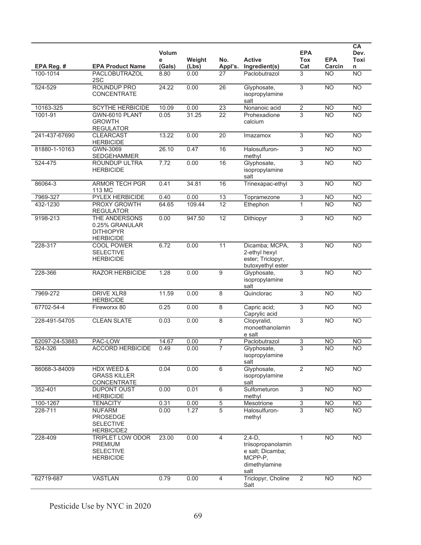|                |                                                                            | Volum<br>е | Weight | No.             | <b>Active</b>                                                                          | <b>EPA</b><br>Tox         | <b>EPA</b>      | CA<br>Dev.<br>Toxi |
|----------------|----------------------------------------------------------------------------|------------|--------|-----------------|----------------------------------------------------------------------------------------|---------------------------|-----------------|--------------------|
| EPA Reg. #     | <b>EPA Product Name</b>                                                    | (Gals)     | (Lbs)  | Appl's.         | Ingredient(s)                                                                          | Cat                       | Carcin          | n                  |
| 100-1014       | PACLOBUTRAZOL<br>2SC                                                       | 8.80       | 0.00   | 27              | Paclobutrazol                                                                          | 3                         | <b>NO</b>       | N <sub>O</sub>     |
| 524-529        | ROUNDUP PRO<br>CONCENTRATE                                                 | 24.22      | 0.00   | 26              | Glyphosate,<br>isopropylamine<br>salt                                                  | 3                         | <b>NO</b>       | N <sub>O</sub>     |
| 10163-325      | <b>SCYTHE HERBICIDE</b>                                                    | 10.09      | 0.00   | $\overline{23}$ | Nonanoic acid                                                                          | $\overline{2}$            | <b>NO</b>       | <b>NO</b>          |
| 1001-91        | GWN-6010 PLANT<br><b>GROWTH</b><br><b>REGULATOR</b>                        | 0.05       | 31.25  | $\overline{22}$ | Prohexadione<br>calcium                                                                | $\overline{3}$            | $\overline{NO}$ | N <sub>O</sub>     |
| 241-437-67690  | <b>CLEARCAST</b><br><b>HERBICIDE</b>                                       | 13.22      | 0.00   | 20              | Imazamox                                                                               | 3                         | <b>NO</b>       | <b>NO</b>          |
| 81880-1-10163  | GWN-3069<br><b>SEDGEHAMMER</b>                                             | 26.10      | 0.47   | 16              | Halosulfuron-<br>methyl                                                                | 3                         | <b>NO</b>       | <b>NO</b>          |
| 524-475        | ROUNDUP ULTRA<br><b>HERBICIDE</b>                                          | 7.72       | 0.00   | 16              | Glyphosate,<br>isopropylamine<br>salt                                                  | 3                         | <b>NO</b>       | N <sub>O</sub>     |
| 86064-3        | <b>ARMOR TECH PGR</b><br>113 MC                                            | 0.41       | 34.81  | 16              | Trinexapac-ethyl                                                                       | 3                         | $\overline{NO}$ | <b>NO</b>          |
| 7969-327       | PYLEX HERBICIDE                                                            | 0.40       | 0.00   | 13              | Topramezone                                                                            | 3                         | <b>NO</b>       | N <sub>O</sub>     |
| 432-1230       | PROXY GROWTH<br><b>REGULATOR</b>                                           | 64.65      | 109.44 | 12              | Ethephon                                                                               | 1                         | <b>NO</b>       | <b>NO</b>          |
| 9198-213       | THE ANDERSONS<br>0.25% GRANULAR<br><b>DITHIOPYR</b><br><b>HERBICIDE</b>    | 0.00       | 947.50 | 12              | Dithiopyr                                                                              | 3                         | $\overline{NO}$ | NO                 |
| 228-317        | COOL POWER<br><b>SELECTIVE</b><br><b>HERBICIDE</b>                         | 6.72       | 0.00   | $\overline{11}$ | Dicamba; MCPA,<br>2-ethyl hexyl<br>ester; Triclopyr,<br>butoxyethyl ester              | $\overline{3}$            | $\overline{NO}$ | NO                 |
| 228-366        | <b>RAZOR HERBICIDE</b>                                                     | 1.28       | 0.00   | 9               | Glyphosate,<br>isopropylamine<br>salt                                                  | 3                         | $\overline{NO}$ | N <sub>O</sub>     |
| 7969-272       | <b>DRIVE XLR8</b><br><b>HERBICIDE</b>                                      | 11.59      | 0.00   | 8               | Quinclorac                                                                             | 3                         | $\overline{NO}$ | N <sub>O</sub>     |
| 67702-54-4     | Fireworxx 80                                                               | 0.25       | 0.00   | 8               | Capric acid;<br>Caprylic acid                                                          | $\overline{3}$            | $\overline{NO}$ | N <sub>O</sub>     |
| 228-491-54705  | <b>CLEAN SLATE</b>                                                         | 0.03       | 0.00   | $\overline{8}$  | Clopyralid,<br>monoethanolamin<br>e salt                                               | $\overline{3}$            | $\overline{NO}$ | NO                 |
| 62097-24-53883 | PAC-LOW                                                                    | 14.67      | 0.00   | 7               | Paclobutrazol                                                                          | 3                         | <b>NO</b>       | <b>NO</b>          |
| 524-326        | <b>ACCORD HERBICIDE</b>                                                    | 0.49       | 0.00   | $\overline{7}$  | Glyphosate,<br>isopropylamine<br>salt                                                  | 3                         | <b>NO</b>       | <b>NO</b>          |
| 86068-3-84009  | HDX WEED &<br><b>GRASS KILLER</b><br>CONCENTRATE                           | 0.04       | 0.00   | 6               | Glyphosate,<br>isopropylamine<br>salt                                                  | $\overline{2}$            | N <sub>O</sub>  | N <sub>O</sub>     |
| 352-401        | <b>DUPONT OUST</b><br><b>HERBICIDE</b>                                     | 0.00       | 0.01   | 6               | Sulfometuron<br>methyl                                                                 | $\overline{3}$            | <b>NO</b>       | <b>NO</b>          |
| 100-1267       | <b>TENACITY</b>                                                            | 0.31       | 0.00   | $\,$ 5 $\,$     | Mesotrione                                                                             | $\ensuremath{\mathsf{3}}$ | <b>NO</b>       | <b>NO</b>          |
| 228-711        | <b>NUFARM</b><br><b>PROSEDGE</b><br><b>SELECTIVE</b><br><b>HERBICIDE2</b>  | 0.00       | 1.27   | 5               | Halosulfuron-<br>methyl                                                                | 3                         | <b>NO</b>       | <b>NO</b>          |
| 228-409        | TRIPLET LOW ODOR<br><b>PREMIUM</b><br><b>SELECTIVE</b><br><b>HERBICIDE</b> | 23.00      | 0.00   | $\overline{4}$  | $2,4-D,$<br>triisopropanolamin<br>e salt; Dicamba;<br>MCPP-P,<br>dimethylamine<br>salt | $\mathbf{1}$              | <b>NO</b>       | <b>NO</b>          |
| 62719-687      | <b>VASTLAN</b>                                                             | 0.79       | 0.00   | $\overline{4}$  | Triclopyr, Choline<br>Salt                                                             | $\overline{2}$            | <b>NO</b>       | <b>NO</b>          |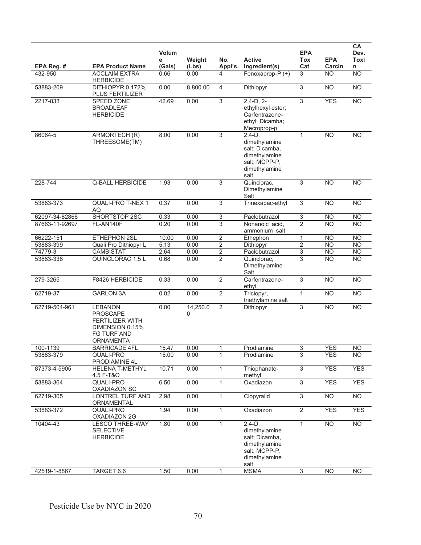|                |                                                                                                                   | <b>Volum</b><br>е | Weight        | No.                      | <b>Active</b>                                                                                          | <b>EPA</b><br>Tox | <b>EPA</b>      | <b>CA</b><br>Dev.<br>Toxi |
|----------------|-------------------------------------------------------------------------------------------------------------------|-------------------|---------------|--------------------------|--------------------------------------------------------------------------------------------------------|-------------------|-----------------|---------------------------|
| EPA Reg. #     | <b>EPA Product Name</b>                                                                                           | (Gals)            | (Lbs)         | Appl's.                  | Ingredient(s)                                                                                          | Cat               | Carcin          | n                         |
| 432-950        | <b>ACCLAIM EXTRA</b><br><b>HERBICIDE</b>                                                                          | 0.66              | 0.00          | 4                        | Fenoxaprop-P (+)                                                                                       | 3                 | <b>NO</b>       | NO                        |
| 53883-209      | DITHIOPYR 0.172%<br>PLUS FERTILIZER                                                                               | 0.00              | 8,800.00      | $\overline{\mathcal{A}}$ | Dithiopyr                                                                                              | 3                 | <b>NO</b>       | N <sub>O</sub>            |
| 2217-833       | SPEED ZONE<br><b>BROADLEAF</b><br><b>HERBICIDE</b>                                                                | 42.69             | 0.00          | 3                        | $2,4-D, 2-$<br>ethylhexyl ester;<br>Carfentrazone-<br>ethyl; Dicamba;<br>Mecroprop-p                   | 3                 | <b>YES</b>      | N <sub>O</sub>            |
| 86064-5        | ARMORTECH (R)<br>THREESOME(TM)                                                                                    | 8.00              | 0.00          | 3                        | $2.4-D.$<br>dimethylamine<br>salt; Dicamba,<br>dimethylamine<br>salt; MCPP-P,<br>dimethylamine<br>salt | $\mathbf{1}$      | <b>NO</b>       | <b>NO</b>                 |
| 228-744        | <b>Q-BALL HERBICIDE</b>                                                                                           | 1.93              | 0.00          | 3                        | Quinclorac,<br>Dimethylamine<br>Salt                                                                   | 3                 | <b>NO</b>       | <b>NO</b>                 |
| 53883-373      | <b>QUALI-PRO T-NEX 1</b><br>AQ                                                                                    | 0.37              | 0.00          | 3                        | Trinexapac-ethyl                                                                                       | 3                 | <b>NO</b>       | <b>NO</b>                 |
| 62097-34-82866 | SHORTSTOP 2SC                                                                                                     | 0.33              | 0.00          | 3                        | Paclobutrazol                                                                                          | $\overline{3}$    | <b>NO</b>       | <b>NO</b>                 |
| 87663-11-92697 | FL-AN140F                                                                                                         | 0.20              | 0.00          | 3                        | Nonanoic acid,<br>ammonium salt                                                                        | $\overline{2}$    | <b>NO</b>       | <b>NO</b>                 |
| 66222-151      | ETHEPHON 2SL                                                                                                      | 10.00             | 0.00          | $\overline{2}$           | Ethephon                                                                                               | 1                 | <b>NO</b>       | <b>NO</b>                 |
| 53883-399      | Quali Pro Dithiopyr L                                                                                             | 5.13              | 0.00          | $\overline{2}$           | Dithiopyr                                                                                              | 2                 | <b>NO</b>       | <b>NO</b>                 |
| 74779-3        | <b>CAMBISTAT</b>                                                                                                  | 2.64              | 0.00          | $\overline{2}$           | Paclobutrazol                                                                                          | $\overline{3}$    | <b>NO</b>       | <b>NO</b>                 |
| 53883-336      | <b>QUINCLORAC 1.5 L</b>                                                                                           | 0.68              | 0.00          | $\overline{2}$           | Quinclorac,<br>Dimethylamine<br>Salt                                                                   | 3                 | <b>NO</b>       | <b>NO</b>                 |
| 279-3265       | F8426 HERBICIDE                                                                                                   | 0.33              | 0.00          | $\overline{2}$           | Carfentrazone-<br>ethyl                                                                                | 3                 | <b>NO</b>       | N <sub>O</sub>            |
| 62719-37       | <b>GARLON 3A</b>                                                                                                  | 0.02              | 0.00          | $\overline{2}$           | Triclopyr,<br>triethylamine salt                                                                       | $\mathbf{1}$      | <b>NO</b>       | $\overline{NO}$           |
| 62719-504-961  | <b>LEBANON</b><br><b>PROSCAPE</b><br><b>FERTILIZER WITH</b><br>DIMENSION 0.15%<br>FG TURF AND<br><b>ORNAMENTA</b> | 0.00              | 14,250.0<br>0 | $\overline{2}$           | Dithiopyr                                                                                              | 3                 | <b>NO</b>       | <b>NO</b>                 |
| 100-1139       | <b>BARRICADE 4FL</b>                                                                                              | 15.47             | 0.00          | 1                        | Prodiamine                                                                                             | 3                 | <b>YES</b>      | <b>NO</b>                 |
| 53883-379      | QUALI-PRO<br>PRODIAMINE 4L                                                                                        | 15.00             | 0.00          | $\mathbf{1}$             | Prodiamine                                                                                             | 3                 | <b>YES</b>      | <b>NO</b>                 |
| 87373-4-5905   | <b>HELENA T-METHYL</b><br>4.5 F-T&O                                                                               | 10.71             | 0.00          | 1                        | Thiophanate-<br>methyl                                                                                 | $\overline{3}$    | <b>YES</b>      | <b>YES</b>                |
| 53883-364      | QUALI-PRO<br>OXADIAZON SC                                                                                         | 6.50              | 0.00          | $\mathbf{1}$             | Oxadiazon                                                                                              | $\overline{3}$    | <b>YES</b>      | <b>YES</b>                |
| 62719-305      | <b>LONTREL TURF AND</b><br>ORNAMENTAL                                                                             | 2.98              | 0.00          | $\mathbf{1}$             | Clopyralid                                                                                             | $\overline{3}$    | <b>NO</b>       | N <sub>O</sub>            |
| 53883-372      | QUALI-PRO<br>OXADIAZON 2G                                                                                         | 1.94              | 0.00          | $\mathbf{1}$             | Oxadiazon                                                                                              | $\overline{2}$    | <b>YES</b>      | <b>YES</b>                |
| 10404-43       | <b>LESCO THREE-WAY</b><br><b>SELECTIVE</b><br><b>HERBICIDE</b>                                                    | 1.80              | 0.00          | $\mathbf{1}$             | $2,4-D,$<br>dimethylamine<br>salt; Dicamba,<br>dimethylamine<br>salt; MCPP-P,<br>dimethylamine<br>salt | $\mathbf{1}$      | $\overline{NO}$ | N <sub>O</sub>            |
| 42519-1-8867   | TARGET 6.6                                                                                                        | 1.50              | 0.00          | $\mathbf{1}$             | <b>MSMA</b>                                                                                            | $\overline{3}$    | N <sub>O</sub>  | <b>NO</b>                 |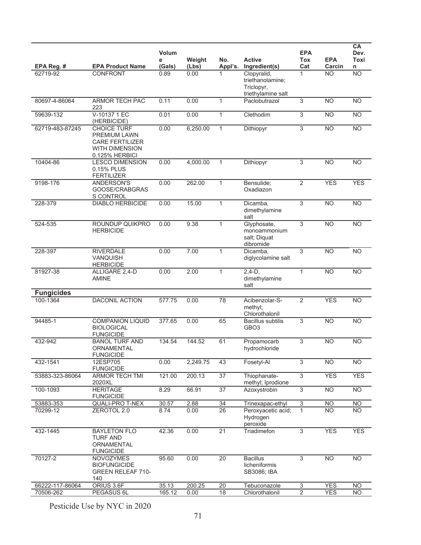|                   |                                                                                                                | Volum<br>е | Weight   | No.             | <b>Active</b>                                                       | <b>EPA</b><br>Tox         | <b>EPA</b>      | <b>CA</b><br>Dev.<br>Toxi |
|-------------------|----------------------------------------------------------------------------------------------------------------|------------|----------|-----------------|---------------------------------------------------------------------|---------------------------|-----------------|---------------------------|
| EPA Reg. #        | <b>EPA Product Name</b>                                                                                        | (Gals)     | (Lbs)    | Appl's.         | Ingredient(s)                                                       | Cat                       | Carcin          | n                         |
| 62719-92          | CONFRONT                                                                                                       | 0.89       | 0.00     |                 | Clopyralid,<br>triethanolamine;<br>Triclopyr,<br>triethylamine salt | 1                         | <b>NO</b>       | <b>NO</b>                 |
| 80697-4-86064     | ARMOR TECH PAC<br>223                                                                                          | 0.11       | 0.00     | $\mathbf{1}$    | Paclobutrazol                                                       | 3                         | $\overline{NO}$ | N <sub>O</sub>            |
| 59639-132         | V-10137 1 EC<br>(HERBICIDE)                                                                                    | 0.01       | 0.00     | $\mathbf{1}$    | Clethodim                                                           | 3                         | $\overline{NO}$ | <b>NO</b>                 |
| 62719-483-87245   | <b>CHOICE TURF</b><br><b>PREMIUM LAWN</b><br><b>CARE FERTILIZER</b><br><b>WITH DIMENSION</b><br>0.125% HERBICI | 0.00       | 6,250.00 | $\mathbf{1}$    | Dithiopyr                                                           | 3                         | <b>NO</b>       | <b>NO</b>                 |
| 10404-86          | <b>LESCO DIMENSION</b><br>0.15% PLUS<br><b>FERTILIZER</b>                                                      | 0.00       | 4,000.00 | $\mathbf{1}$    | Dithiopyr                                                           | $\overline{3}$            | N <sub>O</sub>  | NO                        |
| 9198-176          | ANDERSON'S<br>GOOSE/CRABGRAS<br>S CONTROL                                                                      | 0.00       | 262.00   | $\mathbf{1}$    | Bensulide;<br>Oxadiazon                                             | $\overline{2}$            | <b>YES</b>      | <b>YES</b>                |
| 228-379           | <b>DIABLO HERBICIDE</b>                                                                                        | 0.00       | 15.00    | $\mathbf{1}$    | Dicamba,<br>dimethylamine<br>salt                                   | 3                         | <b>NO</b>       | <b>NO</b>                 |
| 524-535           | ROUNDUP QUIKPRO<br><b>HERBICIDE</b>                                                                            | 0.00       | 9.38     | $\mathbf{1}$    | Glyphosate,<br>monoammonium<br>salt; Diquat<br>dibromide            | 3                         | <b>NO</b>       | <b>NO</b>                 |
| 228-397           | <b>RIVERDALE</b><br><b>VANQUISH</b><br><b>HERBICIDE</b>                                                        | 0.00       | 7.00     | $\mathbf{1}$    | Dicamba.<br>diglycolamine salt                                      | 3                         | <b>NO</b>       | <b>NO</b>                 |
| 81927-38          | ALLIGARE 2,4-D<br><b>AMINE</b>                                                                                 | 0.00       | 2.00     | $\mathbf{1}$    | $2,4-D,$<br>dimethylamine<br>salt                                   | $\mathbf{1}$              | $\overline{NO}$ | N <sub>O</sub>            |
| <b>Fungicides</b> |                                                                                                                |            |          |                 |                                                                     |                           |                 |                           |
| 100-1364          | <b>DACONIL ACTION</b>                                                                                          | 577.75     | 0.00     | 78              | Acibenzolar-S-<br>methyl;<br>Chlorothalonil                         | 2                         | <b>YES</b>      | <b>NO</b>                 |
| 94485-1           | <b>COMPANION LIQUID</b><br><b>BIOLOGICAL</b><br><b>FUNGICIDE</b>                                               | 377.65     | 0.00     | 65              | <b>Bacillus</b> subtilis<br>GBO <sub>3</sub>                        | 3                         | $\overline{NO}$ | N <sub>O</sub>            |
| 432-942           | <b>BANOL TURF AND</b><br>ORNAMENTAL<br><b>FUNGICIDE</b>                                                        | 134.54     | 144.52   | 61              | Propamocarb<br>hydrochloride                                        | 3                         | <b>NO</b>       | <b>NO</b>                 |
| 432-1541          | 12ESP705<br><b>FUNGICIDE</b>                                                                                   | 0.00       | 2,249.75 | 43              | Fosetyl-Al                                                          | 3                         | $\overline{NO}$ | N <sub>O</sub>            |
| 53883-323-86064   | <b>ARMOR TECH TMI</b><br>2020XL                                                                                | 121.00     | 200.13   | 37              | Thiophanate-<br>methyl; Iprodione                                   | $\overline{3}$            | <b>YES</b>      | <b>YES</b>                |
| 100-1093          | <b>HERITAGE</b><br><b>FUNGICIDE</b>                                                                            | 8.29       | 66.91    | $\overline{37}$ | Azoxystrobin                                                        | 3                         | $\overline{NO}$ | N <sub>O</sub>            |
| 53883-353         | <b>QUALI-PRO T-NEX</b>                                                                                         | 30.57      | 2.88     | 34              | Trinexapac-ethyl                                                    | $\ensuremath{\mathsf{3}}$ | <b>NO</b>       | <b>NO</b>                 |
| 70299-12          | ZEROTOL 2.0                                                                                                    | 8.74       | 0.00     | $\overline{26}$ | Peroxyacetic acid;<br>Hydrogen<br>peroxide                          | 1                         | <b>NO</b>       | <b>NO</b>                 |
| 432-1445          | <b>BAYLETON FLO</b><br><b>TURF AND</b><br>ORNAMENTAL<br><b>FUNGICIDE</b>                                       | 42.36      | 0.00     | $\overline{21}$ | Triadimefon                                                         | $\overline{3}$            | <b>YES</b>      | <b>YES</b>                |
| 70127-2           | <b>NOVOZYMES</b><br><b>BIOFUNGICIDE</b><br><b>GREEN RELEAF 710-</b><br>140                                     | 95.60      | 0.00     | 20              | <b>Bacillus</b><br>licheniformis<br>SB3086; IBA                     | 3                         | <b>NO</b>       | <b>NO</b>                 |
| 66222-117-86064   | ORIUS 3.6F                                                                                                     | 35.13      | 200.25   | 20              | Tebuconazole                                                        | $\overline{3}$            | <b>YES</b>      | <b>NO</b>                 |
| 70506-262         | PEGASUS 6L                                                                                                     | 165.12     | 0.00     | 18              | Chlorothalonil                                                      | 2                         | <b>YES</b>      | <b>NO</b>                 |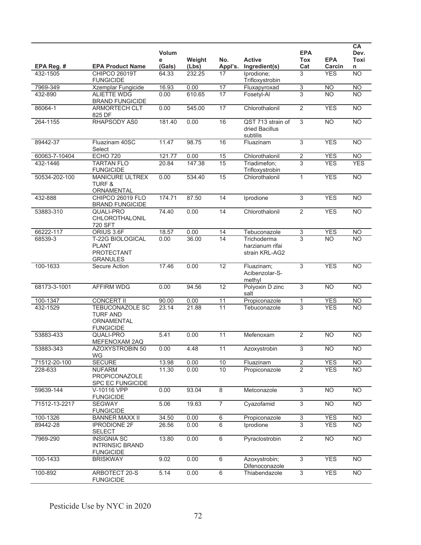|               |                                                                          | Volum<br>е | Weight | No.             | <b>Active</b>                                    | <b>EPA</b><br><b>Tox</b> | <b>EPA</b>      | CA<br>Dev.<br>Toxi |
|---------------|--------------------------------------------------------------------------|------------|--------|-----------------|--------------------------------------------------|--------------------------|-----------------|--------------------|
| EPA Reg. #    | <b>EPA Product Name</b>                                                  | (Gals)     | (Lbs)  | Appl's.         | Ingredient(s)                                    | Cat                      | Carcin          | n                  |
| 432-1505      | <b>CHIPCO 26019T</b><br><b>FUNGICIDE</b>                                 | 64.33      | 232.25 | 17              | Iprodione;<br>Trifloxystrobin                    | 3                        | <b>YES</b>      | NO                 |
| 7969-349      | Xzemplar Fungicide                                                       | 16.93      | 0.00   | 17              | Fluxapyroxad                                     | 3                        | <b>NO</b>       | <b>NO</b>          |
| 432-890       | <b>ALIETTE WDG</b><br><b>BRAND FUNGICIDE</b>                             | 0.00       | 610.65 | 17              | Fosetyl-Al                                       | 3                        | <b>NO</b>       | <b>NO</b>          |
| 86064-1       | <b>ARMORTECH CLT</b><br>825 DF                                           | 0.00       | 545.00 | 17              | Chlorothalonil                                   | $\overline{2}$           | <b>YES</b>      | N <sub>O</sub>     |
| 264-1155      | RHAPSODY AS0                                                             | 181.40     | 0.00   | 16              | QST 713 strain of<br>dried Bacillus<br>subtilis  | 3                        | $\overline{NO}$ | N <sub>O</sub>     |
| 89442-37      | Fluazinam 40SC<br>Select                                                 | 11.47      | 98.75  | 16              | Fluazinam                                        | $\overline{3}$           | <b>YES</b>      | <b>NO</b>          |
| 60063-7-10404 | <b>ECHO 720</b>                                                          | 121.77     | 0.00   | 15              | Chlorothalonil                                   | $\boldsymbol{2}$         | <b>YES</b>      | N <sub>O</sub>     |
| 432-1446      | <b>TARTAN FLO</b><br><b>FUNGICIDE</b>                                    | 20.84      | 147.38 | 15              | Triadimefon;<br>Trifloxystrobin                  | $\overline{3}$           | <b>YES</b>      | <b>YES</b>         |
| 50534-202-100 | <b>MANICURE ULTREX</b><br><b>TURF &amp;</b><br>ORNAMENTAL                | 0.00       | 534.40 | 15              | Chlorothalonil                                   | $\mathbf{1}$             | <b>YES</b>      | N <sub>O</sub>     |
| 432-888       | <b>CHIPCO 26019 FLO</b><br><b>BRAND FUNGICIDE</b>                        | 174.71     | 87.50  | 14              | Iprodione                                        | 3                        | <b>YES</b>      | <b>NO</b>          |
| 53883-310     | QUALI-PRO<br>CHLOROTHALONIL<br>720 SFT                                   | 74.40      | 0.00   | 14              | Chlorothalonil                                   | $\overline{2}$           | <b>YES</b>      | <b>NO</b>          |
| 66222-117     | ORIUS 3.6F                                                               | 18.57      | 0.00   | 14              | Tebuconazole                                     | $\overline{3}$           | <b>YES</b>      | N <sub>O</sub>     |
| 68539-3       | T-22G BIOLOGICAL<br><b>PLANT</b><br><b>PROTECTANT</b><br><b>GRANULES</b> | 0.00       | 36.00  | 14              | Trichoderma<br>harzianum rifai<br>strain KRL-AG2 | 3                        | <b>NO</b>       | N <sub>O</sub>     |
| 100-1633      | Secure Action                                                            | 17.46      | 0.00   | $\overline{12}$ | Fluazinam;<br>Acibenzolar-S-<br>methyl           | $\overline{3}$           | <b>YES</b>      | NO                 |
| 68173-3-1001  | <b>AFFIRM WDG</b>                                                        | 0.00       | 94.56  | 12              | Polyoxin D zinc<br>salt                          | 3                        | N <sub>O</sub>  | N <sub>O</sub>     |
| 100-1347      | <b>CONCERT II</b>                                                        | 90.00      | 0.00   | 11              | Propiconazole                                    | 1                        | <b>YES</b>      | N <sub>O</sub>     |
| 432-1529      | TEBUCONAZOLE SC<br><b>TURF AND</b><br>ORNAMENTAL<br><b>FUNGICIDE</b>     | 23.14      | 21.88  | 11              | Tebuconazole                                     | $\overline{3}$           | <b>YES</b>      | <b>NO</b>          |
| 53883-433     | QUALI-PRO<br>MEFENOXAM 2AQ                                               | 5.41       | 0.00   | 11              | Mefenoxam                                        | $\overline{2}$           | <b>NO</b>       | <b>NO</b>          |
| 53883-343     | AZOXYSTROBIN 50<br>WG                                                    | 0.00       | 4.48   | 11              | Azoxystrobin                                     | 3                        | <b>NO</b>       | <b>NO</b>          |
| 71512-20-100  | <b>SECURE</b>                                                            | 13.98      | 0.00   | 10              | Fluazinam                                        | 2                        | <b>YES</b>      | N <sub>O</sub>     |
| 228-633       | <b>NUFARM</b><br><b>PROPICONAZOLE</b><br>SPC EC FUNGICIDE                | 11.30      | 0.00   | 10              | Propiconazole                                    | $\overline{2}$           | <b>YES</b>      | <b>NO</b>          |
| 59639-144     | V-10116 VPP<br><b>FUNGICIDE</b>                                          | 0.00       | 93.04  | 8               | Metconazole                                      | $\overline{3}$           | N <sub>O</sub>  | <b>NO</b>          |
| 71512-13-2217 | <b>SEGWAY</b><br><b>FUNGICIDE</b>                                        | 5.06       | 19.63  | $\overline{7}$  | Cyazofamid                                       | $\overline{3}$           | <b>NO</b>       | N <sub>O</sub>     |
| 100-1326      | <b>BANNER MAXX II</b>                                                    | 34.50      | 0.00   | 6               | Propiconazole                                    | 3                        | <b>YES</b>      | <b>NO</b>          |
| 89442-28      | <b>IPRODIONE 2F</b><br><b>SELECT</b>                                     | 26.56      | 0.00   | 6               | Iprodione                                        | 3                        | <b>YES</b>      | <b>NO</b>          |
| 7969-290      | <b>INSIGNIA SC</b><br><b>INTRINSIC BRAND</b><br><b>FUNGICIDE</b>         | 13.80      | 0.00   | 6               | Pyraclostrobin                                   | $\sqrt{2}$               | <b>NO</b>       | <b>NO</b>          |
| 100-1433      | <b>BRISKWAY</b>                                                          | 9.02       | 0.00   | 6               | Azoxystrobin;<br>Difenoconazole                  | $\overline{3}$           | <b>YES</b>      | N <sub>O</sub>     |
| 100-892       | ARBOTECT 20-S<br><b>FUNGICIDE</b>                                        | 5.14       | 0.00   | 6               | Thiabendazole                                    | $\overline{3}$           | <b>YES</b>      | N <sub>O</sub>     |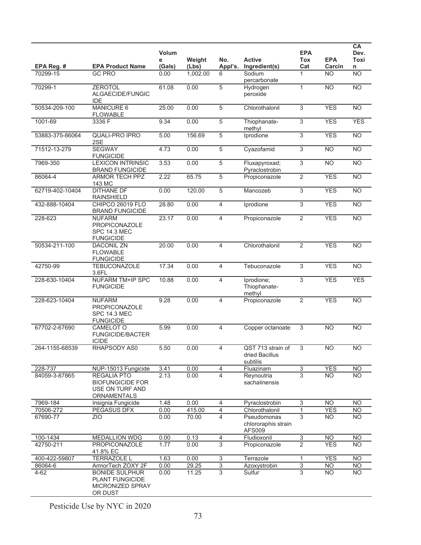|                 |                                                                                 | <b>Volum</b><br>е | Weight   | No.                       | <b>Active</b>                                       | <b>EPA</b><br><b>Tox</b>  | <b>EPA</b>      | CA<br>Dev.<br>Toxi |
|-----------------|---------------------------------------------------------------------------------|-------------------|----------|---------------------------|-----------------------------------------------------|---------------------------|-----------------|--------------------|
| EPA Reg. #      | <b>EPA Product Name</b>                                                         | (Gals)            | (Lbs)    | Appl's.                   | Ingredient(s)                                       | Cat                       | Carcin          | n                  |
| 70299-15        | <b>GC PRO</b>                                                                   | 0.00              | 1,002.00 | 6                         | Sodium<br>percarbonate                              | 1                         | <b>NO</b>       | <b>NO</b>          |
| 70299-1         | <b>ZEROTOL</b><br>ALGAECIDE/FUNGIC<br><b>IDE</b>                                | 61.08             | 0.00     | 5                         | Hydrogen<br>peroxide                                | 1                         | <b>NO</b>       | N <sub>O</sub>     |
| 50534-209-100   | <b>MANICURE 6</b><br><b>FLOWABLE</b>                                            | 25.00             | 0.00     | 5                         | Chlorothalonil                                      | 3                         | <b>YES</b>      | <b>NO</b>          |
| 1001-69         | 3336 F                                                                          | 9.34              | 0.00     | 5                         | Thiophanate-<br>methyl                              | 3                         | <b>YES</b>      | <b>YES</b>         |
| 53883-375-86064 | <b>QUALI-PRO IPRO</b><br>2SE                                                    | 5.00              | 156.69   | $\overline{5}$            | Iprodione                                           | 3                         | <b>YES</b>      | <b>NO</b>          |
| 71512-13-279    | <b>SEGWAY</b><br><b>FUNGICIDE</b>                                               | 4.73              | 0.00     | $\overline{5}$            | Cyazofamid                                          | 3                         | $\overline{NO}$ | N <sub>O</sub>     |
| 7969-350        | <b>LEXICON INTRINSIC</b><br><b>BRAND FUNGICIDE</b>                              | 3.53              | 0.00     | 5                         | Fluxapyroxad;<br>Pyraclostrobin                     | 3                         | <b>NO</b>       | N <sub>O</sub>     |
| 86064-4         | <b>ARMOR TECH PPZ</b><br>143 MC                                                 | 2.22              | 65.75    | 5                         | Propiconazole                                       | $\overline{2}$            | <b>YES</b>      | N <sub>O</sub>     |
| 62719-402-10404 | <b>DITHANE DF</b><br>RAINSHIELD                                                 | 0.00              | 120.00   | 5                         | Mancozeb                                            | 3                         | <b>YES</b>      | N <sub>O</sub>     |
| 432-888-10404   | CHIPCO 26019 FLO<br><b>BRAND FUNGICIDE</b>                                      | 28.80             | 0.00     | 4                         | Iprodione                                           | 3                         | <b>YES</b>      | NO                 |
| 228-623         | <b>NUFARM</b><br>PROPICONAZOLE<br><b>SPC 14.3 MEC</b><br><b>FUNGICIDE</b>       | 23.17             | 0.00     | 4                         | Propiconazole                                       | $\overline{2}$            | <b>YES</b>      | N <sub>O</sub>     |
| 50534-211-100   | <b>DACONIL ZN</b><br><b>FLOWABLE</b><br><b>FUNGICIDE</b>                        | 20.00             | 0.00     | 4                         | Chlorothalonil                                      | $\overline{2}$            | <b>YES</b>      | <b>NO</b>          |
| 42750-99        | <b>TEBUCONAZOLE</b><br>3.6FL                                                    | 17.34             | 0.00     | $\overline{4}$            | Tebuconazole                                        | 3                         | <b>YES</b>      | N <sub>O</sub>     |
| 228-630-10404   | <b>NUFARM TM+IP SPC</b><br><b>FUNGICIDE</b>                                     | 10.88             | 0.00     | $\overline{4}$            | Iprodione;<br>Thiophanate-<br>methyl                | 3                         | <b>YES</b>      | <b>YES</b>         |
| 228-623-10404   | <b>NUFARM</b><br><b>PROPICONAZOLE</b><br>SPC 14.3 MEC<br><b>FUNGICIDE</b>       | 9.28              | 0.00     | 4                         | Propiconazole                                       | $\overline{2}$            | <b>YES</b>      | N <sub>O</sub>     |
| 67702-2-67690   | CAMELOT O<br><b>FUNGICIDE/BACTER</b><br><b>ICIDE</b>                            | 5.99              | 0.00     | 4                         | Copper octanoate                                    | 3                         | <b>NO</b>       | <b>NO</b>          |
| 264-1155-68539  | RHAPSODY AS0                                                                    | 5.50              | 0.00     | 4                         | QST 713 strain of<br>dried Bacillus<br>subtilis     | 3                         | <b>NO</b>       | <b>NO</b>          |
| 228-737         | NUP-15013 Fungicide                                                             | 3.41              | 0.00     | 4                         | Fluazinam                                           | $\overline{3}$            | <b>YES</b>      | <b>NO</b>          |
| 84059-3-87865   | <b>REGALIA PTO</b><br><b>BIOFUNGICIDE FOR</b><br>USE ON TURF AND<br>ORNAMENTALS | 2.13              | 0.00     | 4                         | Reynoutria<br>sachalinensis                         | $\overline{3}$            | <b>NO</b>       | <b>NO</b>          |
| 7969-184        | Insignia Fungicide                                                              | 1.48              | 0.00     | 4                         | Pyraclostrobin                                      | $\ensuremath{\mathsf{3}}$ | <b>NO</b>       | <b>NO</b>          |
| 70506-272       | PEGASUS DFX                                                                     | 0.00              | 415.00   | $\overline{4}$            | Chlorothalonil                                      | 1                         | <b>YES</b>      | <b>NO</b>          |
| 67690-77        | <b>ZIO</b>                                                                      | 0.00              | 70.00    | $\overline{4}$            | Pseudomonas<br>chlororaphis strain<br><b>AFS009</b> | $\overline{3}$            | <b>NO</b>       | <b>NO</b>          |
| 100-1434        | <b>MEDALLION WDG</b>                                                            | 0.00              | 0.13     | $\overline{4}$            | Fludioxonil                                         | $\overline{3}$            | <b>NO</b>       | <b>NO</b>          |
| 42750-211       | PROPICONAZOLE<br>41.8% EC                                                       | 1.77              | 0.00     | $\overline{3}$            | Propiconazole                                       | $\overline{2}$            | <b>YES</b>      | <b>NO</b>          |
| 400-422-59807   | <b>TERRAZOLE L</b>                                                              | 1.63              | 0.00     | $\ensuremath{\mathsf{3}}$ | Terrazole                                           | 1                         | <b>YES</b>      | <b>NO</b>          |
| 86064-6         | ArmorTech ZOXY 2F                                                               | 0.00              | 29.25    | $\overline{3}$            | Azoxystrobin                                        | $\overline{3}$            | N <sub>O</sub>  | N <sub>O</sub>     |
| $4 - 62$        | <b>BONIDE SULPHUR</b><br>PLANT FUNGICIDE<br>MICRONIZED SPRAY<br>OR DUST         | 0.00              | 11.25    | 3                         | Sulfur                                              | 3                         | <b>NO</b>       | <b>NO</b>          |

Pesticide Use by NYC in 2020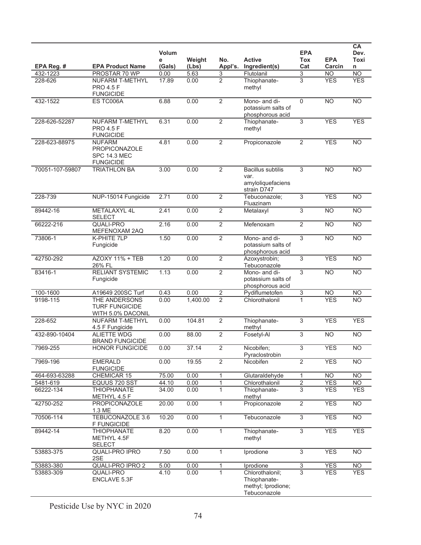|                       |                                                                    | Volum<br>е     | Weight       | No.                          | <b>Active</b>                                                         | <b>EPA</b><br><b>Tox</b>         | <b>EPA</b>               | CA<br>Dev.<br>Toxi           |
|-----------------------|--------------------------------------------------------------------|----------------|--------------|------------------------------|-----------------------------------------------------------------------|----------------------------------|--------------------------|------------------------------|
| EPA Reg. #            | <b>EPA Product Name</b>                                            | (Gals)         | (Lbs)        | Appl's.                      | Ingredient(s)                                                         | Cat                              | Carcin                   | n                            |
| 432-1223<br>228-626   | PROSTAR 70 WP<br>NUFARM T-METHYL                                   | 0.00<br>17.89  | 5.63<br>0.00 | 3<br>$\overline{2}$          | Flutolanil<br>Thiophanate-                                            | 3<br>3                           | <b>NO</b><br><b>YES</b>  | N <sub>O</sub><br><b>YES</b> |
|                       | <b>PRO 4.5 F</b><br><b>FUNGICIDE</b>                               |                |              |                              | methyl                                                                |                                  |                          |                              |
| 432-1522              | ES TC006A                                                          | 6.88           | 0.00         | $\overline{2}$               | Mono- and di-<br>potassium salts of<br>phosphorous acid               | $\mathsf 0$                      | $\overline{NO}$          | N <sub>O</sub>               |
| 228-626-52287         | <b>NUFARM T-METHYL</b><br><b>PRO 4.5 F</b><br><b>FUNGICIDE</b>     | 6.31           | 0.00         | $\overline{2}$               | Thiophanate-<br>methyl                                                | 3                                | <b>YES</b>               | <b>YES</b>                   |
| 228-623-88975         | <b>NUFARM</b><br>PROPICONAZOLE<br>SPC 14.3 MEC<br><b>FUNGICIDE</b> | 4.81           | 0.00         | $\overline{2}$               | Propiconazole                                                         | $\overline{2}$                   | <b>YES</b>               | N <sub>O</sub>               |
| 70051-107-59807       | <b>TRIATHLON BA</b>                                                | 3.00           | 0.00         | $\overline{2}$               | <b>Bacillus subtilis</b><br>var.<br>amyloliquefaciens<br>strain D747  | 3                                | <b>NO</b>                | <b>NO</b>                    |
| 228-739               | NUP-15014 Fungicide                                                | 2.71           | 0.00         | $\overline{2}$               | Tebuconazole;<br>Fluazinam                                            | $\overline{3}$                   | <b>YES</b>               | <b>NO</b>                    |
| 89442-16              | METALAXYL 4L<br><b>SELECT</b>                                      | 2.41           | 0.00         | $\overline{2}$               | Metalaxyl                                                             | 3                                | <b>NO</b>                | N <sub>O</sub>               |
| 66222-216             | QUALI-PRO<br>MEFENOXAM 2AQ                                         | 2.16           | 0.00         | 2                            | Mefenoxam                                                             | 2                                | <b>NO</b>                | <b>NO</b>                    |
| 73806-1               | K-PHITE 7LP<br>Fungicide                                           | 1.50           | 0.00         | $\overline{2}$               | Mono- and di-<br>potassium salts of<br>phosphorous acid               | $\overline{3}$                   | N <sub>O</sub>           | NO                           |
| 42750-292             | AZOXY 11% + TEB<br>26% FL                                          | 1.20           | 0.00         | $\overline{2}$               | Azoxystrobin;<br>Tebuconazole                                         | $\overline{3}$                   | <b>YES</b>               | <b>NO</b>                    |
| 83416-1               | <b>RELIANT SYSTEMIC</b><br>Fungicide                               | 1.13           | 0.00         | $\overline{2}$               | Mono- and di-<br>potassium salts of<br>phosphorous acid               | 3                                | $\overline{NO}$          | N <sub>O</sub>               |
| 100-1600              | A19649 200SC Turf                                                  | 0.43           | 0.00         | $\overline{2}$               | Pydiflumetofen                                                        | 3                                | <b>NO</b>                | <b>NO</b>                    |
| 9198-115              | THE ANDERSONS<br><b>TURF FUNGICIDE</b><br>WITH 5.0% DACONIL        | 0.00           | 1,400.00     | $\overline{2}$               | Chlorothalonil                                                        | $\mathbf{1}$                     | <b>YES</b>               | <b>NO</b>                    |
| 228-652               | NUFARM T-METHYL<br>4.5 F Fungicide                                 | 0.00           | 104.81       | $\overline{2}$               | Thiophanate-<br>methyl                                                | 3                                | <b>YES</b>               | <b>YES</b>                   |
| 432-890-10404         | <b>ALIETTE WDG</b><br><b>BRAND FUNGICIDE</b>                       | 0.00           | 88.00        | $\overline{2}$               | Fosetyl-Al                                                            | 3                                | N <sub>O</sub>           | N <sub>O</sub>               |
| 7969-255              | <b>HONOR FUNGICIDE</b>                                             | 0.00           | 37.14        | $\overline{2}$               | Nicobifen;<br>Pyraclostrobin                                          | 3                                | <b>YES</b>               | NO                           |
| 7969-196              | <b>EMERALD</b><br><b>FUNGICIDE</b>                                 | 0.00           | 19.55        | $\overline{2}$               | Nicobifen                                                             | $\overline{2}$                   | <b>YES</b>               | N <sub>O</sub>               |
| 464-693-63288         | CHEMICAR 15                                                        | 75.00          | 0.00         |                              | Glutaraldehyde                                                        | $\mathbf{1}$                     | <b>NO</b>                | <b>NO</b>                    |
| 5481-619<br>66222-134 | EQUUS 720 SST<br><b>THIOPHANATE</b>                                | 44.10<br>34.00 | 0.00<br>0.00 | $\mathbf{1}$<br>$\mathbf{1}$ | Chlorothalonil<br>Thiophanate-                                        | $\overline{2}$<br>$\overline{3}$ | <b>YES</b><br><b>YES</b> | <b>NO</b><br><b>YES</b>      |
|                       | METHYL 4.5 F                                                       |                |              |                              | methyl                                                                |                                  |                          |                              |
| 42750-252             | <b>PROPICONAZOLE</b><br>1.3 ME                                     | 20.00          | 0.00         | $\mathbf{1}$                 | Propiconazole                                                         | $\overline{2}$                   | <b>YES</b>               | <b>NO</b>                    |
| 70506-114             | TEBUCONAZOLE 3.6<br><b>F FUNGICIDE</b>                             | 10.20          | 0.00         | $\mathbf{1}$                 | Tebuconazole                                                          | $\overline{3}$                   | <b>YES</b>               | $\overline{NO}$              |
| 89442-14              | <b>THIOPHANATE</b><br>METHYL 4.5F<br><b>SELECT</b>                 | 8.20           | 0.00         | $\mathbf{1}$                 | Thiophanate-<br>methyl                                                | $\overline{3}$                   | <b>YES</b>               | <b>YES</b>                   |
| 53883-375             | QUALI-PRO IPRO<br>2SE                                              | 7.50           | 0.00         | $\mathbf{1}$                 | Iprodione                                                             | $\overline{3}$                   | <b>YES</b>               | <b>NO</b>                    |
| 53883-380             | QUALI-PRO IPRO 2                                                   | 5.00           | 0.00         | 1                            | Iprodione                                                             | $\overline{3}$                   | <b>YES</b>               | N <sub>O</sub>               |
| 53883-309             | <b>QUALI-PRO</b><br>ENCLAVE 5.3F                                   | 4.10           | 0.00         | $\mathbf{1}$                 | Chlorothalonil;<br>Thiophanate-<br>methyl; Iprodione;<br>Tebuconazole | 3                                | <b>YES</b>               | <b>YES</b>                   |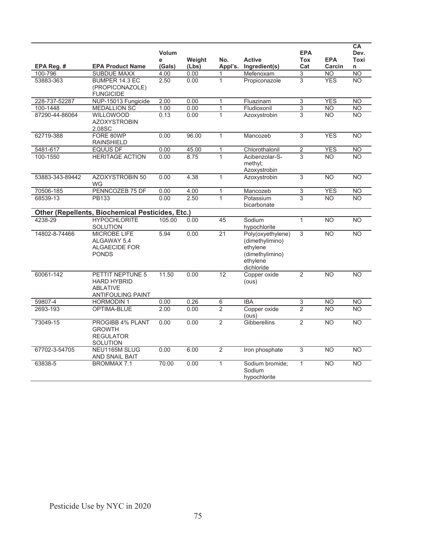|                 |                                                                                       |             |                 |                 |                                                                                               |                   |                      | CA              |
|-----------------|---------------------------------------------------------------------------------------|-------------|-----------------|-----------------|-----------------------------------------------------------------------------------------------|-------------------|----------------------|-----------------|
|                 |                                                                                       | Volum       |                 |                 |                                                                                               | <b>EPA</b>        |                      | Dev.            |
| EPA Reg. #      | <b>EPA Product Name</b>                                                               | е<br>(Gals) | Weight<br>(Lbs) | No.<br>Appl's.  | <b>Active</b><br>Ingredient(s)                                                                | <b>Tox</b><br>Cat | <b>EPA</b><br>Carcin | Toxi<br>n       |
| 100-796         | <b>SUBDUE MAXX</b>                                                                    | 4.00        | 0.00            | 1               | Mefenoxam                                                                                     | 3                 | <b>NO</b>            | NO              |
| 53883-363       | BUMPER 14.3 EC                                                                        | 2.50        | 0.00            | $\mathbf{1}$    | Propiconazole                                                                                 | 3                 | <b>YFS</b>           | <b>NO</b>       |
|                 | (PROPICONAZOLE)                                                                       |             |                 |                 |                                                                                               |                   |                      |                 |
| 228-737-52287   | <b>FUNGICIDE</b><br>NUP-15013 Fungicide                                               | 2.00        | 0.00            | 1               | Fluazinam                                                                                     | $\overline{3}$    | <b>YES</b>           | N <sub>O</sub>  |
| 100-1448        | <b>MEDALLION SC</b>                                                                   | 1.00        | 0.00            | 1               | Fludioxonil                                                                                   | 3                 | <b>NO</b>            | <b>NO</b>       |
| 87290-44-86064  | <b>WILLOWOOD</b>                                                                      | 0.13        | 0.00            | $\mathbf{1}$    | Azoxystrobin                                                                                  | 3                 | <b>NO</b>            | <b>NO</b>       |
|                 | <b>AZOXYSTROBIN</b><br>2.08SC                                                         |             |                 |                 |                                                                                               |                   |                      |                 |
| 62719-388       | FORE 80WP<br><b>RAINSHIELD</b>                                                        | 0.00        | 96.00           | $\mathbf{1}$    | Mancozeb                                                                                      | $\overline{3}$    | <b>YES</b>           | <b>NO</b>       |
| 5481-617        | <b>EQUUS DF</b>                                                                       | 0.00        | 45.00           | 1               | Chlorothalonil                                                                                | $\overline{2}$    | <b>YES</b>           | N <sub>O</sub>  |
| 100-1550        | <b>HERITAGE ACTION</b>                                                                | 0.00        | 8.75            | $\mathbf{1}$    | Acibenzolar-S-<br>methyl;<br>Azoxystrobin                                                     | 3                 | <b>NO</b>            | <b>NO</b>       |
| 53883-343-89442 | <b>AZOXYSTROBIN 50</b><br>WG                                                          | 0.00        | 4.38            | $\mathbf{1}$    | Azoxystrobin                                                                                  | 3                 | <b>NO</b>            | <b>NO</b>       |
| 70506-185       | PENNCOZEB 75 DF                                                                       | 0.00        | 4.00            | $\mathbf 1$     | Mancozeb                                                                                      | $\overline{3}$    | <b>YES</b>           | N <sub>O</sub>  |
| 68539-13        | PB133                                                                                 | 0.00        | 2.50            | $\mathbf{1}$    | Potassium<br>bicarbonate                                                                      | 3                 | $\overline{NO}$      | <b>NO</b>       |
|                 | <b>Other (Repellents, Biochemical Pesticides, Etc.)</b>                               |             |                 |                 |                                                                                               |                   |                      |                 |
| 4238-29         | <b>HYPOCHLORITE</b><br><b>SOLUTION</b>                                                | 105.00      | 0.00            | $\overline{45}$ | Sodium<br>hypochlorite                                                                        | 1                 | <b>NO</b>            | $\overline{NO}$ |
| 14802-8-74466   | <b>MICROBE LIFE</b><br>ALGAWAY 5.4<br>ALGAECIDE FOR<br><b>PONDS</b>                   | 5.94        | 0.00            | $\overline{21}$ | Poly(oxyethylene)<br>(dimethylimino)<br>ethylene<br>(dimethylimino)<br>ethylene<br>dichloride | 3                 | <b>NO</b>            | <b>NO</b>       |
| 60061-142       | PETTIT NEPTUNE 5<br><b>HARD HYBRID</b><br><b>ABLATIVE</b><br><b>ANTIFOULING PAINT</b> | 11.50       | 0.00            | 12              | Copper oxide<br>(ous)                                                                         | $\overline{2}$    | <b>NO</b>            | <b>NO</b>       |
| 59807-4         | <b>HORMODIN1</b>                                                                      | 0.00        | 0.26            | 6               | <b>IBA</b>                                                                                    | $\overline{3}$    | <b>NO</b>            | <b>NO</b>       |
| 2693-193        | OPTIMA-BLUE                                                                           | 2.00        | 0.00            | $\overline{2}$  | Copper oxide<br>(ous)                                                                         | $\overline{2}$    | <b>NO</b>            | <b>NO</b>       |
| 73049-15        | PROGIBB 4% PLANT<br><b>GROWTH</b><br><b>REGULATOR</b><br><b>SOLUTION</b>              | 0.00        | 0.00            | $\overline{2}$  | <b>Gibberellins</b>                                                                           | $\overline{2}$    | <b>NO</b>            | $\overline{NO}$ |
| 67702-3-54705   | NEU1165M SLUG<br>AND SNAIL BAIT                                                       | 0.00        | 6.00            | $\overline{2}$  | Iron phosphate                                                                                | $\overline{3}$    | <b>NO</b>            | <b>NO</b>       |
| 63838-5         | <b>BROMMAX 7.1</b>                                                                    | 70.00       | 0.00            | $\mathbf{1}$    | Sodium bromide;<br>Sodium<br>hypochlorite                                                     | $\mathbf{1}$      | <b>NO</b>            | <b>NO</b>       |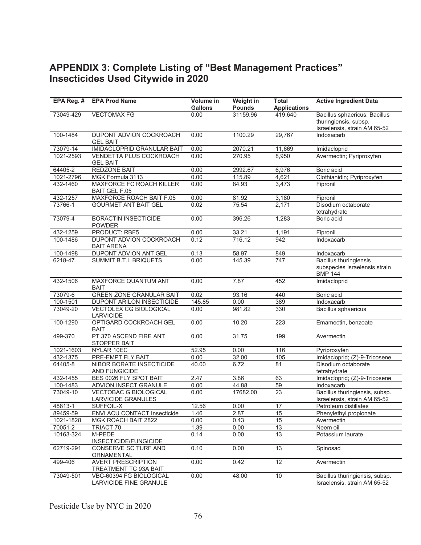## **APPENDIX 3: Complete Listing of "Best Management Practices" Insecticides Used Citywide in 2020**

| EPA Reg. # | <b>EPA Prod Name</b>                                      | Volume in<br><b>Gallons</b> | Weight in<br><b>Pounds</b> | <b>Total</b><br><b>Applications</b> | <b>Active Ingredient Data</b>                                                    |
|------------|-----------------------------------------------------------|-----------------------------|----------------------------|-------------------------------------|----------------------------------------------------------------------------------|
| 73049-429  | <b>VECTOMAX FG</b>                                        | 0.00                        | 31159.96                   | 419,640                             | Bacillus sphaericus; Bacillus                                                    |
|            |                                                           |                             |                            |                                     | thuringiensis, subsp.                                                            |
|            |                                                           |                             |                            |                                     | Israelensis, strain AM 65-52                                                     |
| 100-1484   | DUPONT ADVION COCKROACH<br><b>GEL BAIT</b>                | 0.00                        | 1100.29                    | 29,767                              | Indoxacarb                                                                       |
| 73079-14   | <b>IMIDACLOPRID GRANULAR BAIT</b>                         | 0.00                        | 2070.21                    | 11,669                              | Imidacloprid                                                                     |
| 1021-2593  | VENDETTA PLUS COCKROACH<br><b>GEL BAIT</b>                | 0.00                        | 270.95                     | 8,950                               | Avermectin; Pyriproxyfen                                                         |
| 64405-2    | <b>REDZONE BAIT</b>                                       | 0.00                        | 2992.67                    | 6,976                               | Boric acid                                                                       |
| 1021-2796  | MGK Formula 3113                                          | 0.00                        | 115.89                     | 4,621                               | Clothianidin; Pyriproxyfen                                                       |
| 432-1460   | <b>MAXFORCE FC ROACH KILLER</b><br><b>BAIT GEL F.05</b>   | 0.00                        | 84.93                      | 3,473                               | Fipronil                                                                         |
| 432-1257   | MAXFORCE ROACH BAIT F.05                                  | 0.00                        | 81.92                      | 3,180                               | Fipronil                                                                         |
| 73766-1    | <b>GOURMET ANT BAIT GEL</b>                               | 0.02                        | 75.54                      | 2,171                               | Disodium octaborate<br>tetrahydrate                                              |
| 73079-4    | <b>BORACTIN INSECTICIDE</b><br><b>POWDER</b>              | 0.00                        | 396.26                     | 1,283                               | Boric acid                                                                       |
| 432-1259   | <b>PRODUCT: RBF5</b>                                      | 0.00                        | 33.21                      | 1,191                               | Fipronil                                                                         |
| 100-1486   | DUPONT ADVION COCKROACH<br><b>BAIT ARENA</b>              | 0.12                        | 716.12                     | 942                                 | Indoxacarb                                                                       |
| 100-1498   | DUPONT ADVION ANT GEL                                     | 0.13                        | 58.97                      | 849                                 | Indoxacarb                                                                       |
| 6218-47    | <b>SUMMIT B.T.I. BRIQUETS</b>                             | 0.00                        | 145.39                     | 747                                 | <b>Bacillus thuringiensis</b><br>subspecies Israelensis strain<br><b>BMP 144</b> |
| 432-1506   | MAXFORCE QUANTUM ANT<br>BAIT                              | 0.00                        | 7.87                       | 452                                 | Imidacloprid                                                                     |
| 73079-6    | <b>GREEN ZONE GRANULAR BAIT</b>                           | 0.02                        | 93.16                      | 440                                 | Boric acid                                                                       |
| 100-1501   | DUPONT ARILON INSECTICIDE                                 | 145.85                      | 0.00                       | 389                                 | Indoxacarb                                                                       |
| 73049-20   | <b>VECTOLEX CG BIOLOGICAL</b><br>LARVICIDE                | 0.00                        | 981.82                     | 330                                 | <b>Bacillus sphaericus</b>                                                       |
| 100-1290   | OPTIGARD COCKROACH GEL<br><b>BAIT</b>                     | 0.00                        | 10.20                      | 223                                 | Emamectin, benzoate                                                              |
| 499-370    | PT 370 ASCEND FIRE ANT<br><b>STOPPER BAIT</b>             | 0.00                        | 31.75                      | 199                                 | Avermectin                                                                       |
| 1021-1603  | NYLAR 10EC                                                | 52.95                       | 0.00                       | 116                                 | Pyriproxyfen                                                                     |
| 432-1375   | PRE-EMPT FLY BAIT                                         | 0.00                        | 32.00                      | 105                                 | Imidacloprid; (Z)-9-Tricosene                                                    |
| 64405-8    | <b>NIBOR BORATE INSECTICIDE</b><br>AND FUNGICIDE          | 40.00                       | 6.72                       | 81                                  | Disodium octaborate<br>tetrahydrate                                              |
| 432-1455   | BES 0026 FLY SPOT BAIT                                    | 2.47                        | 3.86                       | 63                                  | Imidacloprid; (Z)-9-Tricosene                                                    |
| 100-1483   | <b>ADVION INSECT GRANULE</b>                              | 0.00                        | 44.88                      | 59                                  | Indoxacarb                                                                       |
| 73049-10   | <b>VECTOBAC G BIOLOGICAL</b><br><b>LARVICIDE GRANULES</b> | 0.00                        | 17682.00                   | $\overline{23}$                     | Bacillus thuringiensis, subsp.<br>Israelensis, strain AM 65-52                   |
| 48813-1    | <b>SUFFOIL-X</b>                                          | 12.56                       | 0.00                       | $\overline{17}$                     | Petroleum distillates                                                            |
| 89459-59   | ENVI ACU CONTACT Insecticide                              | 1.46                        | 2.87                       | 15                                  | Phenylethyl propionate                                                           |
| 1021-1828  | MGK ROACH BAIT 2822                                       | 0.00                        | 0.43                       | 15                                  | Avermectin                                                                       |
| 70051-2    | TRIACT 70                                                 | 1.39                        | 0.00                       | 13                                  | Neem oil                                                                         |
| 10163-324  | M-PEDE<br>INSECTICIDE/FUNGICIDE                           | 0.14                        | 0.00                       | 13                                  | Potassium laurate                                                                |
| 62719-291  | CONSERVE SC TURF AND<br>ORNAMENTAL                        | 0.10                        | 0.00                       | 13                                  | Spinosad                                                                         |
| 499-406    | <b>AVERT PRESCRIPTION</b><br>TREATMENT TC 93A BAIT        | 0.00                        | 0.42                       | 12                                  | Avermectin                                                                       |
| 73049-501  | VBC-60394 FG BIOLOGICAL<br>LARVICIDE FINE GRANULE         | 0.00                        | 48.00                      | 10                                  | Bacillus thuringiensis, subsp.<br>Israelensis, strain AM 65-52                   |